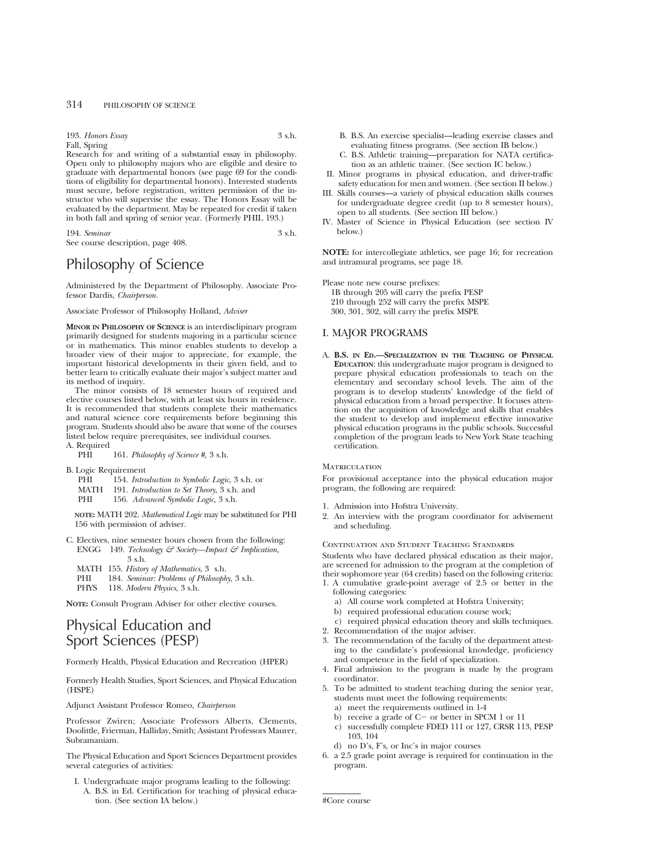193. *Honors Essay* 3 s.h. Fall, Spring

Research for and writing of a substantial essay in philosophy. Open only to philosophy majors who are eligible and desire to graduate with departmental honors (see page 69 for the conditions of eligibility for departmental honors). Interested students must secure, before registration, written permission of the instructor who will supervise the essay. The Honors Essay will be evaluated by the department. May be repeated for credit if taken in both fall and spring of senior year. (Formerly PHIL 193.)

194. *Seminar* 3 s.h. See course description, page 408.

# Philosophy of Science

Administered by the Department of Philosophy. Associate Professor Dardis, *Chairperson.*

Associate Professor of Philosophy Holland, *Adviser*

**MINOR IN PHILOSOPHY OF SCIENCE** is an interdisclipinary program primarily designed for students majoring in a particular science or in mathematics. This minor enables students to develop a broader view of their major to appreciate, for example, the important historical developments in their given field, and to better learn to critically evaluate their major's subject matter and its method of inquiry.

The minor consists of 18 semester hours of required and elective courses listed below, with at least six hours in residence. It is recommended that students complete their mathematics and natural science core requirements before beginning this program. Students should also be aware that some of the courses listed below require prerequisites, see individual courses. A. Required

PHI 161. *Philosophy of Science #,* 3 s.h.

- B. Logic Requirement<br>PHI 154 *Intm* 
	- PHI 154. *Introduction to Symbolic Logic*, 3 s.h. or
	- MATH 191. *Introduction to Set Theory*, 3 s.h. and
	- 156. *Advanced Symbolic Logic*, 3 s.h.

**NOTE:** MATH 202. *Mathematical Logic* may be substituted for PHI 156 with permission of adviser.

- C. Electives, nine semester hours chosen from the following: ENGG 149. *Technology & Society—Impact & Implication*,
	- 3 s.h.
	- MATH 155. *History of Mathematics*, 3 s.h.
	- PHI 184. *Seminar: Problems of Philosophy*, 3 s.h.
	- PHYS 118. *Modern Physics*, 3 s.h.

**NOTE:** Consult Program Adviser for other elective courses.

# Physical Education and Sport Sciences (PESP)

Formerly Health, Physical Education and Recreation (HPER)

Formerly Health Studies, Sport Sciences, and Physical Education (HSPE)

Adjunct Assistant Professor Romeo, *Chairperson*

Professor Zwiren; Associate Professors Alberts, Clements, Doolittle, Frierman, Halliday, Smith; Assistant Professors Maurer, Subramaniam.

The Physical Education and Sport Sciences Department provides several categories of activities:

I. Undergraduate major programs leading to the following: A. B.S. in Ed. Certification for teaching of physical education. (See section IA below.)

- B. B.S. An exercise specialist—leading exercise classes and evaluating fitness programs. (See section IB below.)
- C. B.S. Athletic training—preparation for NATA certification as an athletic trainer. (See section IC below.)
- II. Minor programs in physical education, and driver-traffic safety education for men and women. (See section II below.)
- III. Skills courses—a variety of physical education skills courses for undergraduate degree credit (up to 8 semester hours), open to all students. (See section III below.)
- IV. Master of Science in Physical Education (see section IV below.)

**NOTE:** for intercollegiate athletics, see page 16; for recreation and intramural programs, see page 18.

Please note new course prefixes: 1B through 205 will carry the prefix PESP 210 through 252 will carry the prefix MSPE 300, 301, 302, will carry the prefix MSPE

## I. MAJOR PROGRAMS

A. **B.S. IN ED.—SPECIALIZATION IN THE TEACHING OF PHYSICAL EDUCATION**: this undergraduate major program is designed to prepare physical education professionals to teach on the elementary and secondary school levels. The aim of the program is to develop students' knowledge of the field of physical education from a broad perspective. It focuses attention on the acquisition of knowledge and skills that enables the student to develop and implement effective innovative physical education programs in the public schools. Successful completion of the program leads to New York State teaching certification.

#### **MATRICULATION**

For provisional acceptance into the physical education major program, the following are required:

- 1. Admission into Hofstra University.
- 2. An interview with the program coordinator for advisement and scheduling.

### Continuation and Student Teaching Standards

Students who have declared physical education as their major, are screened for admission to the program at the completion of their sophomore year (64 credits) based on the following criteria: 1. A cumulative grade-point average of 2.5 or better in the

- following categories:
- a) All course work completed at Hofstra University;
- b) required professional education course work;
- c) required physical education theory and skills techniques.
- 2. Recommendation of the major adviser.
- 3. The recommendation of the faculty of the department attesting to the candidate's professional knowledge, proficiency and competence in the field of specialization.
- 4. Final admission to the program is made by the program coordinator.
- 5. To be admitted to student teaching during the senior year, students must meet the following requirements:
	- a) meet the requirements outlined in 1-4
	- b) receive a grade of  $C-$  or better in SPCM 1 or 11
	- c) successfully complete FDED 111 or 127, CRSR 113, PESP 103, 104
	- d) no D's, F's, or Inc's in major courses
- 6. a 2.5 grade point average is required for continuation in the program.

#Core course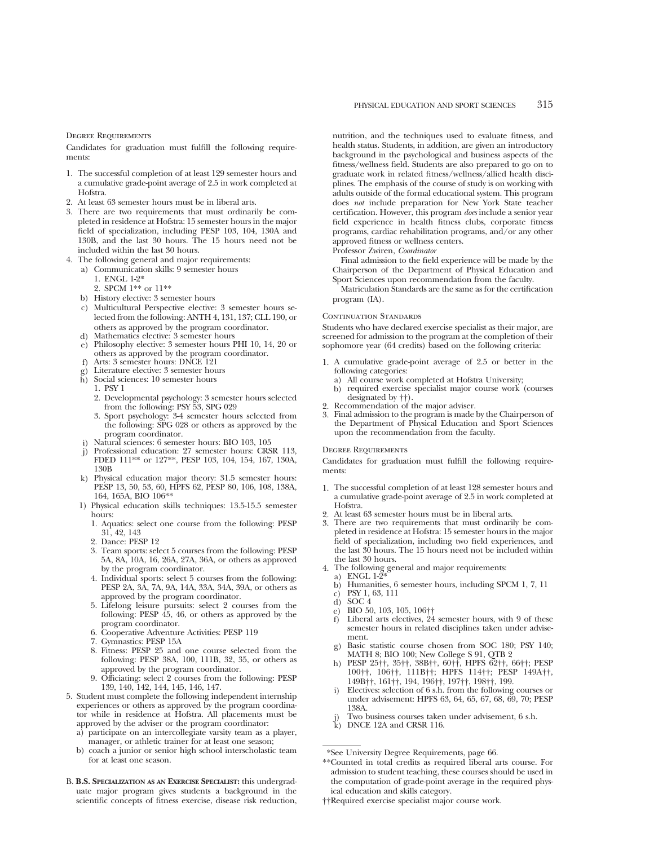Degree Requirements

Candidates for graduation must fulfill the following requirements:

- 1. The successful completion of at least 129 semester hours and a cumulative grade-point average of 2.5 in work completed at Hofstra.
- 2. At least 63 semester hours must be in liberal arts.
- 3. There are two requirements that must ordinarily be completed in residence at Hofstra: 15 semester hours in the major field of specialization, including PESP 103, 104, 130A and 130B, and the last 30 hours. The 15 hours need not be included within the last 30 hours.
- 4. The following general and major requirements:
	- a) Communication skills: 9 semester hours
		- 1. ENGL 1-2\* 2. SPCM 1\*\* or 11\*\*
	- b) History elective: 3 semester hours
	- c) Multicultural Perspective elective: 3 semester hours selected from the following: ANTH 4, 131, 137; CLL 190, or others as approved by the program coordinator.
	- d) Mathematics elective: 3 semester hours
	- e) Philosophy elective: 3 semester hours PHI 10, 14, 20 or others as approved by the program coordinator.
	- f) Arts: 3 semester hours: DNCE 121
	- g) Literature elective: 3 semester hours
	- h) Social sciences: 10 semester hours
		- 1. PSY 1
		- 2. Developmental psychology: 3 semester hours selected from the following: PSY 53, SPG 029
		- 3. Sport psychology: 3-4 semester hours selected from the following: SPG 028 or others as approved by the program coordinator.
	- i) Natural sciences: 6 semester hours: BIO 103, 105
	- j) Professional education: 27 semester hours: CRSR 113, FDED 111\*\* or 127\*\*, PESP 103, 104, 154, 167, 130A, 130B
	- k) Physical education major theory: 31.5 semester hours: PESP 13, 50, 53, 60, HPFS 62, PESP 80, 106, 108, 138A, 164, 165A, BIO 106\*\*
	- 1) Physical education skills techniques: 13.5-15.5 semester hours:
		- 1. Aquatics: select one course from the following: PESP 31, 42, 143
		- 2. Dance: PESP 12
		- 3. Team sports: select 5 courses from the following: PESP 5A, 8A, 10A, 16, 26A, 27A, 36A, or others as approved by the program coordinator.
		- 4. Individual sports: select 5 courses from the following: PESP 2A, 3A, 7A, 9A, 14A, 33A, 34A, 39A, or others as approved by the program coordinator.
		- 5. Lifelong leisure pursuits: select 2 courses from the following: PESP 45, 46, or others as approved by the program coordinator.
		- 6. Cooperative Adventure Activities: PESP 119
		- 7. Gymnastics: PESP 15A
		- 8. Fitness: PESP 25 and one course selected from the following: PESP 38A, 100, 111B, 32, 35, or others as approved by the program coordinator.
		- 9. Officiating: select 2 courses from the following: PESP 139, 140, 142, 144, 145, 146, 147.
- 5. Student must complete the following independent internship experiences or others as approved by the program coordinator while in residence at Hofstra. All placements must be approved by the adviser or the program coordinator:
	- a) participate on an intercollegiate varsity team as a player, manager, or athletic trainer for at least one season;
	- b) coach a junior or senior high school interscholastic team for at least one season.
- B. **B.S. SPECIALIZATION AS AN EXERCISE SPECIALIST:** this undergraduate major program gives students a background in the scientific concepts of fitness exercise, disease risk reduction,

nutrition, and the techniques used to evaluate fitness, and health status. Students, in addition, are given an introductory background in the psychological and business aspects of the fitness/wellness field. Students are also prepared to go on to graduate work in related fitness/wellness/allied health disciplines. The emphasis of the course of study is on working with adults outside of the formal educational system. This program does *not* include preparation for New York State teacher certification. However, this program *does* include a senior year field experience in health fitness clubs, corporate fitness programs, cardiac rehabilitation programs, and/or any other approved fitness or wellness centers.

#### Professor Zwiren, *Coordinator*

Final admission to the field experience will be made by the Chairperson of the Department of Physical Education and Sport Sciences upon recommendation from the faculty.

Matriculation Standards are the same as for the certification program (IA).

#### CONTINUATION STANDARDS

Students who have declared exercise specialist as their major, are screened for admission to the program at the completion of their sophomore year (64 credits) based on the following criteria:

- 1. A cumulative grade-point average of 2.5 or better in the following categories:
	- a) All course work completed at Hofstra University;<br>b) required exercise specialist major course work
	- b) required exercise specialist major course work (courses designated by ††).
- 2. Recommendation of the major adviser.<br>3. Final admission to the program is made.
- 3. Final admission to the program is made by the Chairperson of the Department of Physical Education and Sport Sciences upon the recommendation from the faculty.

#### Degree Requirements

Candidates for graduation must fulfill the following requirements:

- 1. The successful completion of at least 128 semester hours and a cumulative grade-point average of 2.5 in work completed at Hofstra.
- 2. At least 63 semester hours must be in liberal arts.
- 3. There are two requirements that must ordinarily be completed in residence at Hofstra: 15 semester hours in the major field of specialization, including two field experiences, and the last 30 hours. The 15 hours need not be included within the last 30 hours.
- 4. The following general and major requirements:
- a) ENGL  $1-\overline{2}$ 
	- b) Humanities, 6 semester hours, including SPCM 1, 7, 11
	- c) PSY 1, 63, 111
	- d) SOC 4
	- e) BIO 50, 103, 105, 106††<br>f) Liberal arts electives, 24
	- Liberal arts electives, 24 semester hours, with 9 of these semester hours in related disciplines taken under advisement.
	- g) Basic statistic course chosen from SOC 180; PSY 140; MATH 8; BIO 100; New College S 91, QTB 2
	- h) PESP 25††, 35††, 38B††, 60††, HPFS 62††, 66††; PESP 100††, 106††, 111B††; HPFS 114††; PESP 149A††, 149B††, 161††, 194, 196††, 197††, 198††, 199.
	- Electives: selection of 6 s.h. from the following courses or under advisement: HPFS 63, 64, 65, 67, 68, 69, 70; PESP 138A.
	- Two business courses taken under advisement, 6 s.h.
	- k) DNCE 12A and CRSR 116.

††Required exercise specialist major course work.

<sup>\*</sup>See University Degree Requirements, page 66.

<sup>\*\*</sup>Counted in total credits as required liberal arts course. For admission to student teaching, these courses should be used in the computation of grade-point average in the required physical education and skills category.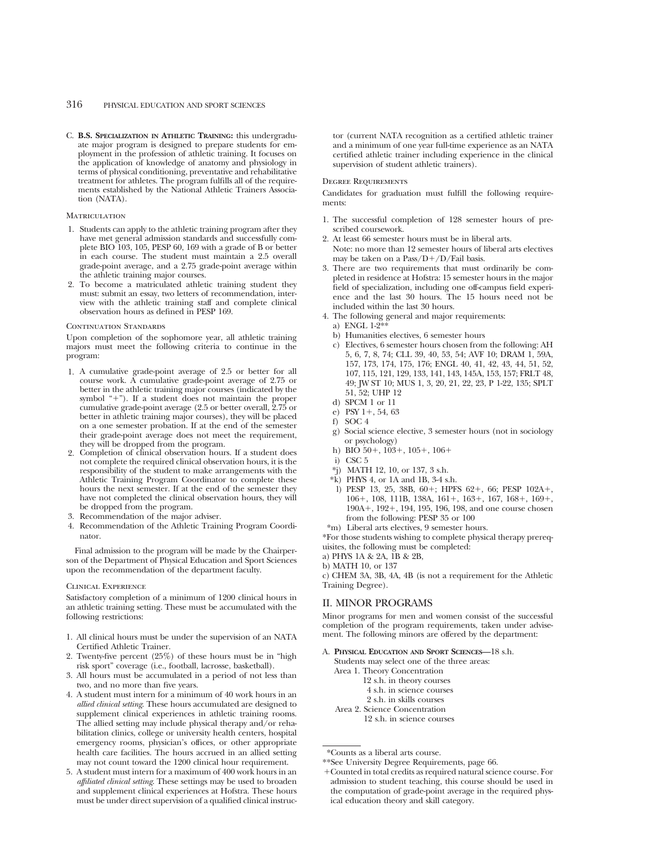C. **B.S. SPECIALIZATION IN ATHLETIC TRAINING:** this undergraduate major program is designed to prepare students for employment in the profession of athletic training. It focuses on the application of knowledge of anatomy and physiology in terms of physical conditioning, preventative and rehabilitative treatment for athletes. The program fulfills all of the requirements established by the National Athletic Trainers Association (NATA).

#### **MATRICULATION**

- 1. Students can apply to the athletic training program after they have met general admission standards and successfully complete BIO 103, 105, PESP 60, 169 with a grade of B or better in each course. The student must maintain a 2.5 overall grade-point average, and a 2.75 grade-point average within the athletic training major courses.
- 2. To become a matriculated athletic training student they must: submit an essay, two letters of recommendation, interview with the athletic training staff and complete clinical observation hours as defined in PESP 169.

#### CONTINUATION STANDARDS

Upon completion of the sophomore year, all athletic training majors must meet the following criteria to continue in the program:

- 1. A cumulative grade-point average of 2.5 or better for all course work. A cumulative grade-point average of 2.75 or better in the athletic training major courses (indicated by the symbol "+"). If a student does not maintain the proper cumulative grade-point average (2.5 or better overall, 2.75 or better in athletic training major courses), they will be placed on a one semester probation. If at the end of the semester their grade-point average does not meet the requirement, they will be dropped from the program.
- 2. Completion of clinical observation hours. If a student does not complete the required clinical observation hours, it is the responsibility of the student to make arrangements with the Athletic Training Program Coordinator to complete these hours the next semester. If at the end of the semester they have not completed the clinical observation hours, they will be dropped from the program.
- 3. Recommendation of the major adviser.
- 4. Recommendation of the Athletic Training Program Coordinator.

Final admission to the program will be made by the Chairperson of the Department of Physical Education and Sport Sciences upon the recommendation of the department faculty.

#### Clinical Experience

Satisfactory completion of a minimum of 1200 clinical hours in an athletic training setting. These must be accumulated with the following restrictions:

- 1. All clinical hours must be under the supervision of an NATA Certified Athletic Trainer.
- 2. Twenty-five percent (25%) of these hours must be in "high risk sport" coverage (i.e., football, lacrosse, basketball).
- 3. All hours must be accumulated in a period of not less than two, and no more than five years.
- 4. A student must intern for a minimum of 40 work hours in an *allied clinical setting*. These hours accumulated are designed to supplement clinical experiences in athletic training rooms. The allied setting may include physical therapy and/or rehabilitation clinics, college or university health centers, hospital emergency rooms, physician's offices, or other appropriate health care facilities. The hours accrued in an allied setting may not count toward the 1200 clinical hour requirement.
- 5. A student must intern for a maximum of 400 work hours in an *affiliated clinical setting*. These settings may be used to broaden and supplement clinical experiences at Hofstra. These hours must be under direct supervision of a qualified clinical instruc-

tor (current NATA recognition as a certified athletic trainer and a minimum of one year full-time experience as an NATA certified athletic trainer including experience in the clinical supervision of student athletic trainers).

#### Degree Requirements

Candidates for graduation must fulfill the following requirements:

- 1. The successful completion of 128 semester hours of prescribed coursework.
- 2. At least 66 semester hours must be in liberal arts. Note: no more than 12 semester hours of liberal arts electives may be taken on a Pass/ $D+/D$ /Fail basis.
- 3. There are two requirements that must ordinarily be completed in residence at Hofstra: 15 semester hours in the major field of specialization, including one off-campus field experience and the last 30 hours. The 15 hours need not be included within the last 30 hours.
- 4. The following general and major requirements:
- a) ENGL 1-2\*
- b) Humanities electives, 6 semester hours
- c) Electives, 6 semester hours chosen from the following: AH 5, 6, 7, 8, 74; CLL 39, 40, 53, 54; AVF 10; DRAM 1, 59A, 157, 173, 174, 175, 176; ENGL 40, 41, 42, 43, 44, 51, 52, 107, 115, 121, 129, 133, 141, 143, 145A, 153, 157; FRLT 48, 49; JW ST 10; MUS 1, 3, 20, 21, 22, 23, P 1-22, 135; SPLT 51, 52; UHP 12
- d) SPCM 1 or 11
- e) PSY 1+, 54, 63
- f) SOC 4
- g) Social science elective, 3 semester hours (not in sociology or psychology)
- h) BIO  $50+$ ,  $103+$ ,  $105+$ ,  $106+$
- i) CSC 5
- \*j) MATH 12, 10, or 137, 3 s.h.
- \*k) PHYS 4, or 1A and 1B, 3-4 s.h.
- l) PESP 13, 25, 38B, 60+; HPFS 62+, 66; PESP 102A+, 106+, 108, 111B, 138A, 161+, 163+, 167, 168+, 169+, 190A<sup>+</sup>, 192<sup>+</sup>, 194, 195, 196, 198, and one course chosen from the following: PESP 35 or 100
- \*m) Liberal arts electives, 9 semester hours.

\*For those students wishing to complete physical therapy prerequisites, the following must be completed:

a) PHYS 1A & 2A, 1B & 2B,

b) MATH 10, or 137

c) CHEM 3A, 3B, 4A, 4B (is not a requirement for the Athletic Training Degree).

## II. MINOR PROGRAMS

Minor programs for men and women consist of the successful completion of the program requirements, taken under advisement. The following minors are offered by the department:

#### A. **PHYSICAL EDUCATION AND SPORT SCIENCES—**18 s.h.

Students may select one of the three areas:

- Area 1. Theory Concentration 12 s.h. in theory courses
	-
	- 4 s.h. in science courses
- 2 s.h. in skills courses Area 2. Science Concentration
	-
	- 12 s.h. in science courses

<sup>\*</sup>Counts as a liberal arts course.

<sup>\*\*</sup>See University Degree Requirements, page 66.

<sup>1</sup>Counted in total credits as required natural science course. For admission to student teaching, this course should be used in the computation of grade-point average in the required physical education theory and skill category.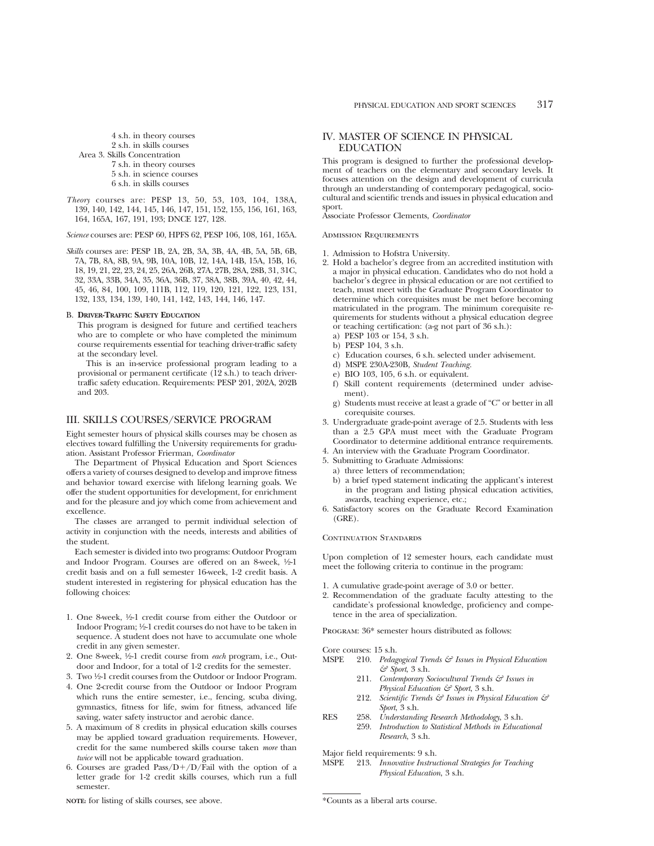4 s.h. in theory courses 2 s.h. in skills courses Area 3. Skills Concentration 7 s.h. in theory courses 5 s.h. in science courses 6 s.h. in skills courses

*Theory* courses are: PESP 13, 50, 53, 103, 104, 138A, 139, 140, 142, 144, 145, 146, 147, 151, 152, 155, 156, 161, 163, 164, 165A, 167, 191, 193; DNCE 127, 128.

*Science* courses are: PESP 60, HPFS 62, PESP 106, 108, 161, 165A.

*Skills* courses are: PESP 1B, 2A, 2B, 3A, 3B, 4A, 4B, 5A, 5B, 6B, 7A, 7B, 8A, 8B, 9A, 9B, 10A, 10B, 12, 14A, 14B, 15A, 15B, 16, 18, 19, 21, 22, 23, 24, 25, 26A, 26B, 27A, 27B, 28A, 28B, 31, 31C, 32, 33A, 33B, 34A, 35, 36A, 36B, 37, 38A, 38B, 39A, 40, 42, 44, 45, 46, 84, 100, 109, 111B, 112, 119, 120, 121, 122, 123, 131, 132, 133, 134, 139, 140, 141, 142, 143, 144, 146, 147.

#### B. **DRIVER-TRAFFIC SAFETY EDUCATION**

This program is designed for future and certified teachers who are to complete or who have completed the minimum course requirements essential for teaching driver-traffic safety at the secondary level.

This is an in-service professional program leading to a provisional or permanent certificate (12 s.h.) to teach drivertraffic safety education. Requirements: PESP 201, 202A, 202B and 203.

## III. SKILLS COURSES/SERVICE PROGRAM

Eight semester hours of physical skills courses may be chosen as electives toward fulfilling the University requirements for graduation. Assistant Professor Frierman, *Coordinator*

The Department of Physical Education and Sport Sciences offers a variety of courses designed to develop and improve fitness and behavior toward exercise with lifelong learning goals. We offer the student opportunities for development, for enrichment and for the pleasure and joy which come from achievement and excellence.

The classes are arranged to permit individual selection of activity in conjunction with the needs, interests and abilities of the student.

Each semester is divided into two programs: Outdoor Program and Indoor Program. Courses are offered on an 8-week, 1/2-1 credit basis and on a full semester 16-week, 1-2 credit basis. A student interested in registering for physical education has the following choices:

- 1. One 8-week, 1⁄2-1 credit course from either the Outdoor or Indoor Program; 1/2-1 credit courses do not have to be taken in sequence. A student does not have to accumulate one whole credit in any given semester.
- 2. One 8-week, 1⁄2-1 credit course from *each* program, i.e., Outdoor and Indoor, for a total of 1-2 credits for the semester.
- 3. Two 1⁄2-1 credit courses from the Outdoor or Indoor Program.
- 4. One 2-credit course from the Outdoor or Indoor Program which runs the entire semester, i.e., fencing, scuba diving, gymnastics, fitness for life, swim for fitness, advanced life saving, water safety instructor and aerobic dance.
- 5. A maximum of 8 credits in physical education skills courses may be applied toward graduation requirements. However, credit for the same numbered skills course taken *more* than *twice* will not be applicable toward graduation.
- 6. Courses are graded Pass/D+/D/Fail with the option of a letter grade for 1-2 credit skills courses, which run a full semester.

## IV. MASTER OF SCIENCE IN PHYSICAL EDUCATION

This program is designed to further the professional development of teachers on the elementary and secondary levels. It focuses attention on the design and development of curricula through an understanding of contemporary pedagogical, sociocultural and scientific trends and issues in physical education and sport.

Associate Professor Clements, *Coordinator*

#### Admission Requirements

- 1. Admission to Hofstra University.
- 2. Hold a bachelor's degree from an accredited institution with a major in physical education. Candidates who do not hold a bachelor's degree in physical education or are not certified to teach, must meet with the Graduate Program Coordinator to determine which corequisites must be met before becoming matriculated in the program. The minimum corequisite requirements for students without a physical education degree or teaching certification: (a-g not part of 36 s.h.):
	- a) PESP 103 or 154, 3 s.h.
	- b) PESP 104, 3 s.h.
	- c) Education courses, 6 s.h. selected under advisement.
	- d) MSPE 230A-230B, *Student Teaching.*
	- e) BIO 103, 105, 6 s.h. or equivalent.
	- f) Skill content requirements (determined under advisement).
	- g) Students must receive at least a grade of "C" or better in all corequisite courses.
- 3. Undergraduate grade-point average of 2.5. Students with less than a 2.5 GPA must meet with the Graduate Program Coordinator to determine additional entrance requirements.
- 4. An interview with the Graduate Program Coordinator.
- 5. Submitting to Graduate Admissions:
	- a) three letters of recommendation;
	- b) a brief typed statement indicating the applicant's interest in the program and listing physical education activities, awards, teaching experience, etc.;
- 6. Satisfactory scores on the Graduate Record Examination (GRE).

## CONTINUATION STANDARDS

Upon completion of 12 semester hours, each candidate must meet the following criteria to continue in the program:

- 1. A cumulative grade-point average of 3.0 or better.
- 2. Recommendation of the graduate faculty attesting to the candidate's professional knowledge, proficiency and competence in the area of specialization.

Program: 36\* semester hours distributed as follows:

Core courses: 15 s.h.

- MSPE 210. *Pedagogical Trends & Issues in Physical Education & Sport*, 3 s.h.
	- 211. *Contemporary Sociocultural Trends & Issues in Physical Education & Sport*, 3 s.h.
	- 212. *Scientific Trends & Issues in Physical Education & Sport*, 3 s.h.
- RES 258. *Understanding Research Methodology*, 3 s.h. 259. *Introduction to Statistical Methods in Educational Research*, 3 s.h.

Major field requirements: 9 s.h.

MSPE 213. *Innovative Instructional Strategies for Teaching Physical Education*, 3 s.h.

**NOTE:** for listing of skills courses, see above.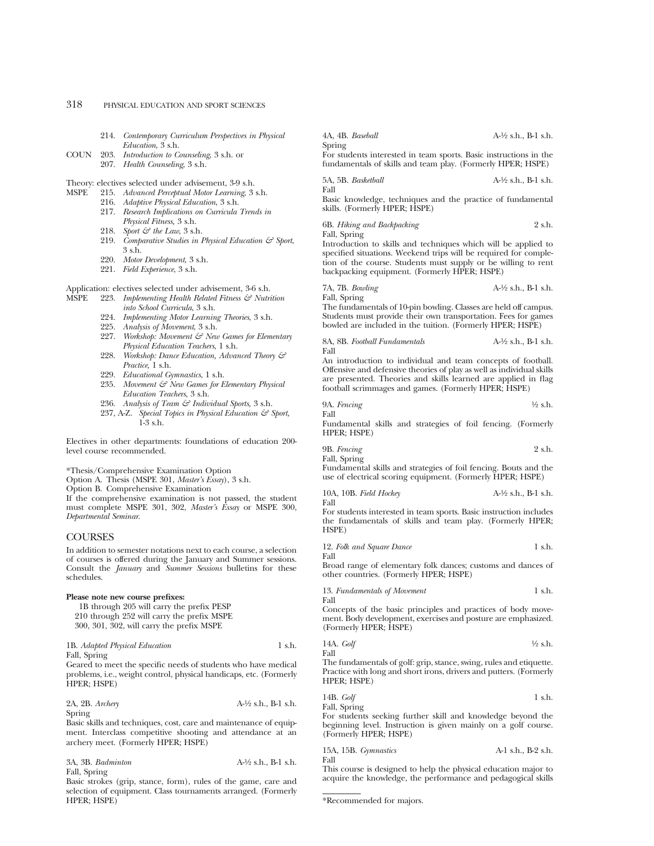- 214. *Contemporary Curriculum Perspectives in Physical Education*, 3 s.h.
- COUN 203. *Introduction to Counseling*, 3 s.h. or 207. *Health Counseling*, 3 s.h.

Theory: electives selected under advisement, 3-9 s.h.

- MSPE 215. *Advanced Perceptual Motor Learning*, 3 s.h.
	- 216. *Adaptive Physical Education*, 3 s.h.
	- 217. *Research Implications on Curricula Trends in Physical Fitness,* 3 s.h.
	- 218. *Sport & the Law*, 3 s.h.
	- 219. *Comparative Studies in Physical Education & Sport*, 3 s.h.
	- 220. *Motor Development*, 3 s.h.
	- 221. *Field Experience*, 3 s.h.

Application: electives selected under advisement, 3-6 s.h.<br>MSPE 993 Implementing Health Related Fitness  $\xi \xi$  Nutri

- 223. *Implementing Health Related Fitness & Nutrition into School Curricula*, 3 s.h.
	- 224. *Implementing Motor Learning Theories*, 3 s.h.
	- 225. *Analysis of Movement*, 3 s.h.
	- 227. *Workshop: Movement & New Games for Elementary Physical Education Teachers*, 1 s.h.
	- 228. *Workshop: Dance Education, Advanced Theory & Practice,* 1 s.h.
	- 229. *Educational Gymnastics*, 1 s.h.
	- 235. *Movement & New Games for Elementary Physical Education Teachers*, 3 s.h.
	- 236. *Analysis of Team & Individual Sports,* 3 s.h.
	- 237, A-Z. *Special Topics in Physical Education & Sport,* 1-3 s.h.

Electives in other departments: foundations of education 200 level course recommended.

\*Thesis/Comprehensive Examination Option

Option A. Thesis (MSPE 301, *Master's Essay*), 3 s.h.

Option B. Comprehensive Examination

If the comprehensive examination is not passed, the student must complete MSPE 301, 302, *Master's Essay* or MSPE 300, *Departmental Seminar*.

## **COURSES**

In addition to semester notations next to each course, a selection of courses is offered during the January and Summer sessions. Consult the *January* and *Summer Sessions* bulletins for these schedules.

#### **Please note new course prefixes:**

1B through 205 will carry the prefix PESP 210 through 252 will carry the prefix MSPE 300, 301, 302, will carry the prefix MSPE

1B. *Adapted Physical Education* 1 s.h. Fall, Spring

Geared to meet the specific needs of students who have medical problems, i.e., weight control, physical handicaps, etc. (Formerly HPER; HSPE)

2A, 2B. *Archery* A-1⁄2 s.h., B-1 s.h. Spring

Basic skills and techniques, cost, care and maintenance of equipment. Interclass competitive shooting and attendance at an archery meet. (Formerly HPER; HSPE)

3A, 3B. *Badminton* A-1⁄2 s.h., B-1 s.h. Fall, Spring

Basic strokes (grip, stance, form), rules of the game, care and selection of equipment. Class tournaments arranged. (Formerly HPER; HSPE)

4A, 4B. *Baseball* A-1⁄2 s.h., B-1 s.h. Spring

For students interested in team sports. Basic instructions in the fundamentals of skills and team play. (Formerly HPER; HSPE)

5A, 5B. *Basketball* A-1⁄2 s.h., B-1 s.h.

Fall

Basic knowledge, techniques and the practice of fundamental skills. (Formerly HPER; HSPE)

6B. *Hiking and Backpacking* 2 s.h.

Fall, Spring

Introduction to skills and techniques which will be applied to specified situations. Weekend trips will be required for completion of the course. Students must supply or be willing to rent backpacking equipment. (Formerly HPER; HSPE)

7A, 7B. *Bowling* A-1⁄2 s.h., B-1 s.h. Fall, Spring

The fundamentals of 10-pin bowling. Classes are held off campus. Students must provide their own transportation. Fees for games bowled are included in the tuition. (Formerly HPER; HSPE)

8A, 8B. *Football Fundamentals* A-1⁄2 s.h., B-1 s.h. Fall

An introduction to individual and team concepts of football. Offensive and defensive theories of play as well as individual skills are presented. Theories and skills learned are applied in flag football scrimmages and games. (Formerly HPER; HSPE)

9A. *Fencing* 1⁄2 s.h.

Fall Fundamental skills and strategies of foil fencing. (Formerly HPER; HSPE)

9B. *Fencing* 2 s.h. Fall, Spring

Fundamental skills and strategies of foil fencing. Bouts and the use of electrical scoring equipment. (Formerly HPER; HSPE)

10A, 10B. *Field Hockey* A-1⁄2 s.h., B-1 s.h. Fall

For students interested in team sports. Basic instruction includes the fundamentals of skills and team play. (Formerly HPER; HSPE)

12. *Folk and Square Dance* 1 s.h.

Fall

Broad range of elementary folk dances; customs and dances of other countries. (Formerly HPER; HSPE)

## 13. *Fundamentals of Movement* 1 s.h.

Fall

Concepts of the basic principles and practices of body movement. Body development, exercises and posture are emphasized. (Formerly HPER; HSPE)

14A. 
$$
GoIf
$$
  $\frac{1}{2} \text{ s.h.}$ 

The fundamentals of golf: grip, stance, swing, rules and etiquette. Practice with long and short irons, drivers and putters. (Formerly HPER; HSPE)

14B. 
$$
G \circ f
$$

\n1 s.h.

Fall, Spring For students seeking further skill and knowledge beyond the beginning level. Instruction is given mainly on a golf course. (Formerly HPER; HSPE)

| 15A, 15B. Gymnastics | A-1 s.h., B-2 s.h. |
|----------------------|--------------------|
| Fall                 |                    |

This course is designed to help the physical education major to acquire the knowledge, the performance and pedagogical skills

<sup>\*</sup>Recommended for majors.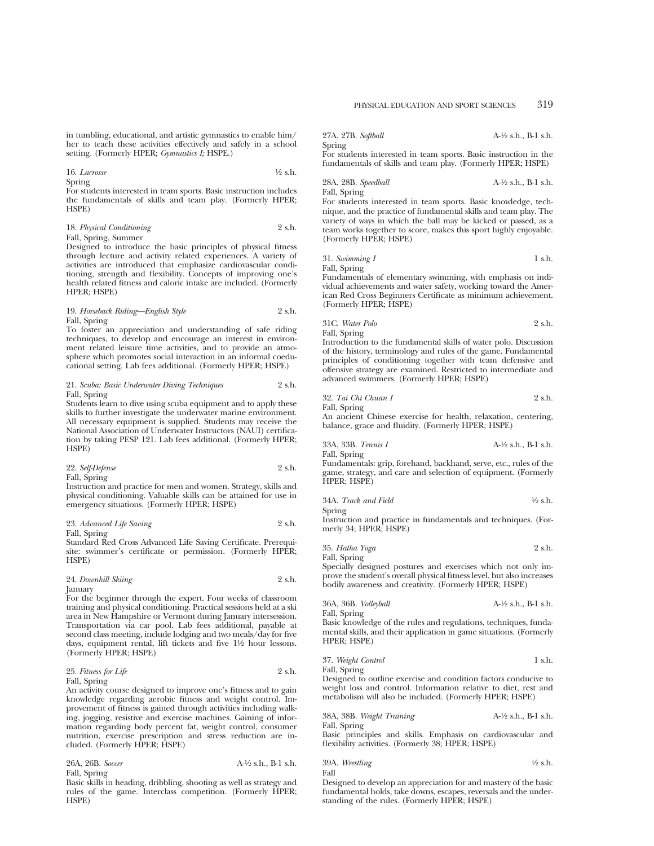in tumbling, educational, and artistic gymnastics to enable him/ her to teach these activities effectively and safely in a school setting. (Formerly HPER; *Gymnastics I;* HSPE.)

16. *Lacrosse* 1⁄2 s.h. Spring

For students interested in team sports. Basic instruction includes the fundamentals of skills and team play. (Formerly HPER; HSPE)

| 18. Physical Conditioning |  |  |  |  | 2 s.h. |
|---------------------------|--|--|--|--|--------|
| Fall, Spring, Summer      |  |  |  |  |        |
| .                         |  |  |  |  |        |

Designed to introduce the basic principles of physical fitness through lecture and activity related experiences. A variety of activities are introduced that emphasize cardiovascular conditioning, strength and flexibility. Concepts of improving one's health related fitness and caloric intake are included. (Formerly HPER; HSPE)

## 19. *Horseback Riding—English Style* 2 s.h. Fall, Spring

To foster an appreciation and understanding of safe riding techniques, to develop and encourage an interest in environment related leisure time activities, and to provide an atmosphere which promotes social interaction in an informal coeducational setting. Lab fees additional. (Formerly HPER; HSPE)

#### 21. *Scuba: Basic Underwater Diving Techniques* 2 s.h. Fall, Spring

Students learn to dive using scuba equipment and to apply these skills to further investigate the underwater marine environment. All necessary equipment is supplied. Students may receive the National Association of Underwater Instructors (NAUI) certification by taking PESP 121. Lab fees additional. (Formerly HPER; HSPE)

22. *Self-Defense* 2 s.h. Fall, Spring

Instruction and practice for men and women. Strategy, skills and physical conditioning. Valuable skills can be attained for use in emergency situations. (Formerly HPER; HSPE)

## 23. *Advanced Life Saving* 2 s.h.

Fall, Spring

Standard Red Cross Advanced Life Saving Certificate. Prerequisite: swimmer's certificate or permission. (Formerly HPER; HSPE)

24. *Downhill Skiing* 2 s.h. January

For the beginner through the expert. Four weeks of classroom training and physical conditioning. Practical sessions held at a ski area in New Hampshire or Vermont during January intersession. Transportation via car pool. Lab fees additional, payable at second class meeting, include lodging and two meals/day for five days, equipment rental, lift tickets and five 11/2 hour lessons. (Formerly HPER; HSPE)

| 25. Fitness for Life | 2 s.h. |
|----------------------|--------|
| Fall, Spring         |        |

An activity course designed to improve one's fitness and to gain knowledge regarding aerobic fitness and weight control. Improvement of fitness is gained through activities including walking, jogging, resistive and exercise machines. Gaining of information regarding body percent fat, weight control, consumer nutrition, exercise prescription and stress reduction are included. (Formerly HPER; HSPE)

26A, 26B. *Soccer* A-1⁄2 s.h., B-1 s.h. Fall, Spring

Basic skills in heading, dribbling, shooting as well as strategy and rules of the game. Interclass competition. (Formerly HPER; HSPE)

27A, 27B. *Softball* A-1⁄2 s.h., B-1 s.h. Spring

For students interested in team sports. Basic instruction in the fundamentals of skills and team play. (Formerly HPER; HSPE)

#### 28A, 28B. *Speedball* A-1⁄2 s.h., B-1 s.h. Fall, Spring

For students interested in team sports. Basic knowledge, technique, and the practice of fundamental skills and team play. The variety of ways in which the ball may be kicked or passed, as a team works together to score, makes this sport highly enjoyable. (Formerly HPER; HSPE)

31. *Swimming I* 1 s.h. Fall, Spring

Fundamentals of elementary swimming, with emphasis on individual achievements and water safety, working toward the American Red Cross Beginners Certificate as minimum achievement. (Formerly HPER; HSPE)

31C. *Water Polo* 2 s.h.

Fall, Spring

Introduction to the fundamental skills of water polo. Discussion of the history, terminology and rules of the game. Fundamental principles of conditioning together with team defensive and offensive strategy are examined. Restricted to intermediate and advanced swimmers. (Formerly HPER; HSPE)

| 32. Tai Chi Chuan I | 2 s.h. |
|---------------------|--------|
| Fall, Spring        |        |

An ancient Chinese exercise for health, relaxation, centering, balance, grace and fluidity. (Formerly HPER; HSPE)

33A, 33B. *Tennis I* A-1⁄2 s.h., B-1 s.h.

Fall, Spring

Fundamentals: grip, forehand, backhand, serve, etc., rules of the game, strategy, and care and selection of equipment. (Formerly HPER; HSPE)

| 34A. Track and Field | $\frac{1}{2}$ s.h. |
|----------------------|--------------------|
| Spring               |                    |

Instruction and practice in fundamentals and techniques. (Formerly 34; HPER; HSPE)

35. *Hatha Yoga* 2 s.h. Fall, Spring

Specially designed postures and exercises which not only improve the student's overall physical fitness level, but also increases bodily awareness and creativity. (Formerly HPER; HSPE)

36A, 36B. *Volleyball* A-1⁄2 s.h., B-1 s.h. Fall, Spring

Basic knowledge of the rules and regulations, techniques, fundamental skills, and their application in game situations. (Formerly HPER; HSPE)

| 37. Weight Control | 1 s.h. |
|--------------------|--------|
| Fall, Spring       |        |

Designed to outline exercise and condition factors conducive to weight loss and control. Information relative to diet, rest and metabolism will also be included. (Formerly HPER; HSPE)

| 38A, 38B. Weight Training | $A-\frac{1}{2}$ s.h., B-1 s.h. |
|---------------------------|--------------------------------|
| Fall, Spring              |                                |

Basic principles and skills. Emphasis on cardiovascular and flexibility activities. (Formerly 38; HPER; HSPE)

39A. *Wrestling* 1⁄2 s.h. Fall

Designed to develop an appreciation for and mastery of the basic fundamental holds, take downs, escapes, reversals and the understanding of the rules. (Formerly HPER; HSPE)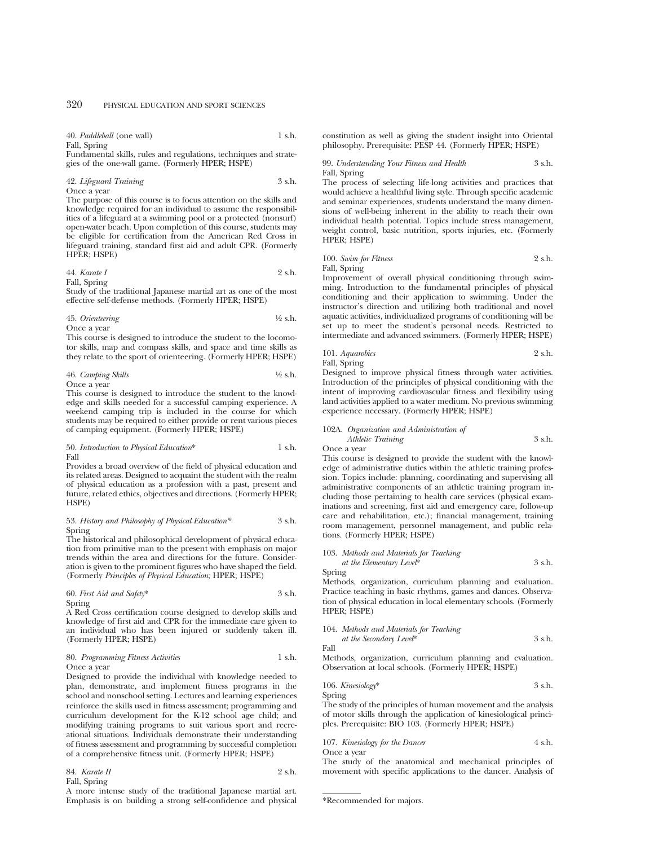40. *Paddleball* (one wall) 1 s.h. Fall, Spring

Fundamental skills, rules and regulations, techniques and strategies of the one-wall game. (Formerly HPER; HSPE)

#### 42. *Lifeguard Training* 3 s.h. Once a year

The purpose of this course is to focus attention on the skills and knowledge required for an individual to assume the responsibilities of a lifeguard at a swimming pool or a protected (nonsurf) open-water beach. Upon completion of this course, students may be eligible for certification from the American Red Cross in lifeguard training, standard first aid and adult CPR. (Formerly HPER; HSPE)

44. *Karate I* 2 s.h. Fall, Spring

Study of the traditional Japanese martial art as one of the most effective self-defense methods. (Formerly HPER; HSPE)

45. *Orienteering* 1⁄2 s.h. Once a year

This course is designed to introduce the student to the locomotor skills, map and compass skills, and space and time skills as they relate to the sport of orienteering. (Formerly HPER; HSPE)

46. *Camping Skills* 1⁄2 s.h. Once a year

This course is designed to introduce the student to the knowledge and skills needed for a successful camping experience. A weekend camping trip is included in the course for which students may be required to either provide or rent various pieces of camping equipment. (Formerly HPER; HSPE)

#### 50. *Introduction to Physical Education*\* 1 s.h. Fall

Provides a broad overview of the field of physical education and its related areas. Designed to acquaint the student with the realm of physical education as a profession with a past, present and future, related ethics, objectives and directions. (Formerly HPER; HSPE)

53. *History and Philosophy of Physical Education\** 3 s.h. Spring

The historical and philosophical development of physical education from primitive man to the present with emphasis on major trends within the area and directions for the future. Consideration is given to the prominent figures who have shaped the field. (Formerly *Principles of Physical Education*; HPER; HSPE)

60. *First Aid and Safety*\* 3 s.h. Spring

A Red Cross certification course designed to develop skills and knowledge of first aid and CPR for the immediate care given to an individual who has been injured or suddenly taken ill. (Formerly HPER; HSPE)

#### 80. *Programming Fitness Activities* 1 s.h. Once a year

Designed to provide the individual with knowledge needed to plan, demonstrate, and implement fitness programs in the school and nonschool setting. Lectures and learning experiences reinforce the skills used in fitness assessment; programming and curriculum development for the K-12 school age child; and modifying training programs to suit various sport and recreational situations. Individuals demonstrate their understanding of fitness assessment and programming by successful completion of a comprehensive fitness unit. (Formerly HPER; HSPE)

| 84. Karate II | 2 s.h. |
|---------------|--------|
| Fall, Spring  |        |

A more intense study of the traditional Japanese martial art. Emphasis is on building a strong self-confidence and physical constitution as well as giving the student insight into Oriental philosophy. Prerequisite: PESP 44. (Formerly HPER; HSPE)

99. *Understanding Your Fitness and Health* 3 s.h. Fall, Spring

The process of selecting life-long activities and practices that would achieve a healthful living style. Through specific academic and seminar experiences, students understand the many dimensions of well-being inherent in the ability to reach their own individual health potential. Topics include stress management, weight control, basic nutrition, sports injuries, etc. (Formerly HPER; HSPE)

100. *Swim for Fitness* 2 s.h. Fall, Spring

Improvement of overall physical conditioning through swimming. Introduction to the fundamental principles of physical conditioning and their application to swimming. Under the instructor's direction and utilizing both traditional and novel aquatic activities, individualized programs of conditioning will be set up to meet the student's personal needs. Restricted to

intermediate and advanced swimmers. (Formerly HPER; HSPE) 101. *Aquarobics* 2 s.h.

Fall, Spring Designed to improve physical fitness through water activities. Introduction of the principles of physical conditioning with the intent of improving cardiovascular fitness and flexibility using land activities applied to a water medium. No previous swimming experience necessary. (Formerly HPER; HSPE)

102A. *Organization and Administration of Athletic Training* 3 s.h.

Once a year

This course is designed to provide the student with the knowledge of administrative duties within the athletic training profession. Topics include: planning, coordinating and supervising all administrative components of an athletic training program including those pertaining to health care services (physical examinations and screening, first aid and emergency care, follow-up care and rehabilitation, etc.); financial management, training room management, personnel management, and public relations. (Formerly HPER; HSPE)

103. *Methods and Materials for Teaching at the Elementary Level*\* 3 s.h.

Spring Methods, organization, curriculum planning and evaluation. Practice teaching in basic rhythms, games and dances. Observation of physical education in local elementary schools. (Formerly HPER; HSPE)

104. *Methods and Materials for Teaching at the Secondary Level*\* 3 s.h.

Fall

Methods, organization, curriculum planning and evaluation. Observation at local schools. (Formerly HPER; HSPE)

106. *Kinesiology*\* 3 s.h. Spring

The study of the principles of human movement and the analysis of motor skills through the application of kinesiological principles. Prerequisite: BIO 103. (Formerly HPER; HSPE)

## 107. *Kinesiology for the Dancer* 4 s.h.

Once a year

The study of the anatomical and mechanical principles of movement with specific applications to the dancer. Analysis of

<sup>\*</sup>Recommended for majors.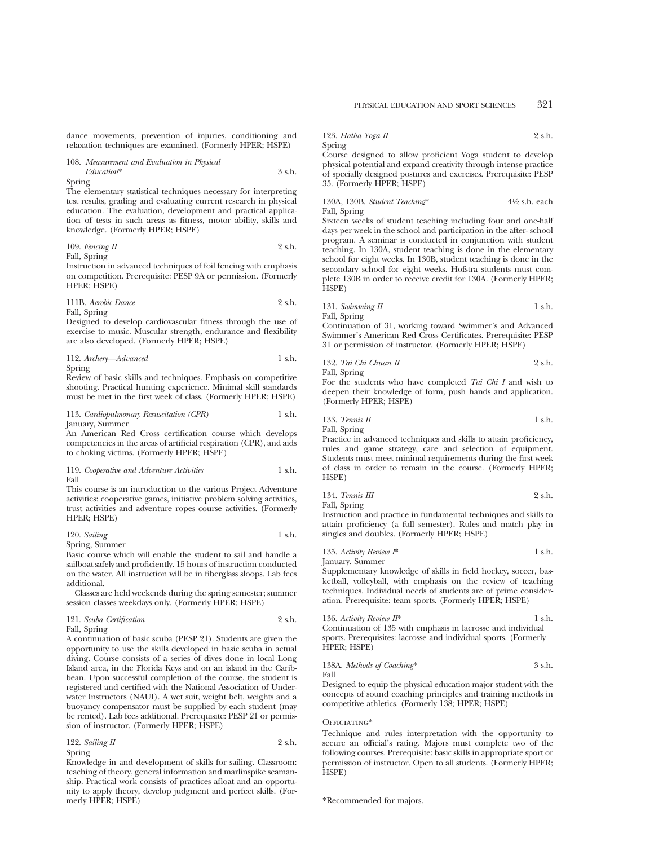dance movements, prevention of injuries, conditioning and relaxation techniques are examined. (Formerly HPER; HSPE)

108. *Measurement and Evaluation in Physical Education*\* 3 s.h. Spring

The elementary statistical techniques necessary for interpreting test results, grading and evaluating current research in physical education. The evaluation, development and practical application of tests in such areas as fitness, motor ability, skills and knowledge. (Formerly HPER; HSPE)

109. *Fencing II* 2 s.h. Fall, Spring

Instruction in advanced techniques of foil fencing with emphasis on competition. Prerequisite: PESP 9A or permission. (Formerly HPER; HSPE)

111B. *Aerobic Dance* 2 s.h. Fall, Spring

Designed to develop cardiovascular fitness through the use of exercise to music. Muscular strength, endurance and flexibility are also developed. (Formerly HPER; HSPE)

| 112. Archery-Advanced | 1 s.h. |
|-----------------------|--------|
| Spring                |        |

Review of basic skills and techniques. Emphasis on competitive shooting. Practical hunting experience. Minimal skill standards must be met in the first week of class. (Formerly HPER; HSPE)

113. *Cardiopulmonary Resuscitation (CPR)* 1 s.h. January, Summer

An American Red Cross certification course which develops competencies in the areas of artificial respiration (CPR), and aids to choking victims. (Formerly HPER; HSPE)

119. *Cooperative and Adventure Activities* 1 s.h. Fall

This course is an introduction to the various Project Adventure activities: cooperative games, initiative problem solving activities, trust activities and adventure ropes course activities. (Formerly HPER; HSPE)

$$
120. Sailing \t\t 1 s.h.
$$

Spring, Summer

Basic course which will enable the student to sail and handle a sailboat safely and proficiently. 15 hours of instruction conducted on the water. All instruction will be in fiberglass sloops. Lab fees additional.

Classes are held weekends during the spring semester; summer session classes weekdays only. (Formerly HPER; HSPE)

| 121. Scuba Certification | 2 s.h. |
|--------------------------|--------|
| Fall, Spring             |        |

A continuation of basic scuba (PESP 21). Students are given the opportunity to use the skills developed in basic scuba in actual diving. Course consists of a series of dives done in local Long Island area, in the Florida Keys and on an island in the Caribbean. Upon successful completion of the course, the student is registered and certified with the National Association of Underwater Instructors (NAUI). A wet suit, weight belt, weights and a buoyancy compensator must be supplied by each student (may be rented). Lab fees additional. Prerequisite: PESP 21 or permission of instructor. (Formerly HPER; HSPE)

122. *Sailing II* 2 s.h. Spring

Knowledge in and development of skills for sailing. Classroom: teaching of theory, general information and marlinspike seamanship. Practical work consists of practices afloat and an opportunity to apply theory, develop judgment and perfect skills. (Formerly HPER; HSPE)

123. *Hatha Yoga II* 2 s.h. Spring

Course designed to allow proficient Yoga student to develop physical potential and expand creativity through intense practice of specially designed postures and exercises. Prerequisite: PESP 35. (Formerly HPER; HSPE)

#### 130A, 130B. *Student Teaching*\* 4<sup>1</sup>⁄2 s.h. each Fall, Spring

Sixteen weeks of student teaching including four and one-half days per week in the school and participation in the after- school program. A seminar is conducted in conjunction with student teaching. In 130A, student teaching is done in the elementary school for eight weeks. In 130B, student teaching is done in the secondary school for eight weeks. Hofstra students must complete 130B in order to receive credit for 130A. (Formerly HPER; HSPE)

131. *Swimming II* 1 s.h. Fall, Spring

Continuation of 31, working toward Swimmer's and Advanced Swimmer's American Red Cross Certificates. Prerequisite: PESP 31 or permission of instructor. (Formerly HPER; HSPE)

132. *Tai Chi Chuan II* 2 s.h. Fall, Spring

For the students who have completed *Tai Chi I* and wish to deepen their knowledge of form, push hands and application. (Formerly HPER; HSPE)

133. *Tennis II* 1 s.h. Fall, Spring

Practice in advanced techniques and skills to attain proficiency, rules and game strategy, care and selection of equipment. Students must meet minimal requirements during the first week of class in order to remain in the course. (Formerly HPER; HSPE)

134. *Tennis III* 2 s.h. Fall, Spring

Instruction and practice in fundamental techniques and skills to attain proficiency (a full semester). Rules and match play in singles and doubles. (Formerly HPER; HSPE)

| 135. Activity Review I* | 1 s.h. |
|-------------------------|--------|
| January, Summer         |        |

Supplementary knowledge of skills in field hockey, soccer, basketball, volleyball, with emphasis on the review of teaching techniques. Individual needs of students are of prime consideration. Prerequisite: team sports. (Formerly HPER; HSPE)

186. *Activity Review IP*<sup>\*</sup> 
$$
1
$$
 s.h. Continuation of 135 with emphasis in lacrose and individual sports. Prerequires: lacrose and individual sports. (Formerly HPER; HSPE)

138A. *Methods of Coaching*\*
$$
$3 \, \text{s.h.}
$$
 Fall

Designed to equip the physical education major student with the concepts of sound coaching principles and training methods in competitive athletics. (Formerly 138; HPER; HSPE)

#### OFFICIATING\*

Technique and rules interpretation with the opportunity to secure an official's rating. Majors must complete two of the following courses. Prerequisite: basic skills in appropriate sport or permission of instructor. Open to all students. (Formerly HPER; HSPE)

<sup>\*</sup>Recommended for majors.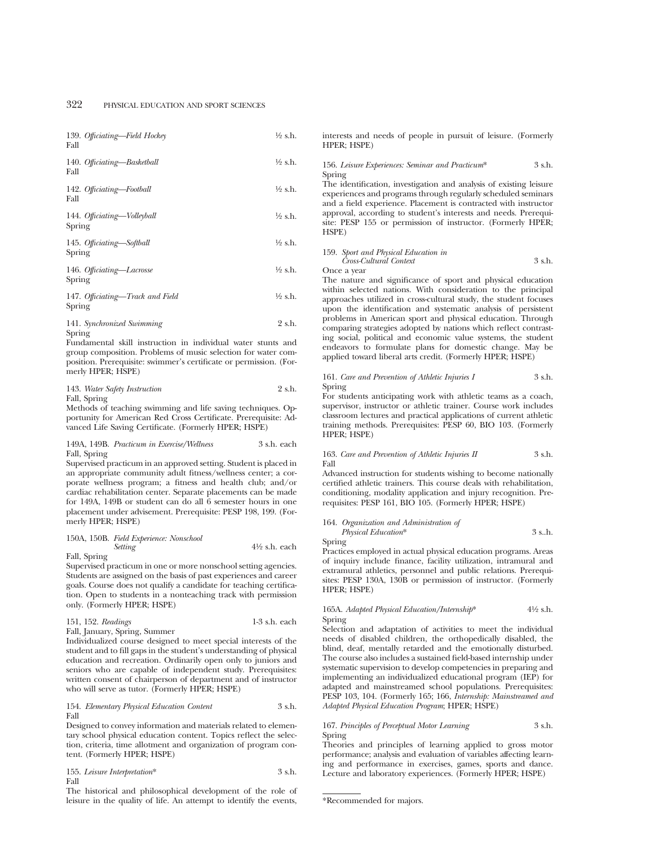| 139. Officiating—Field Hockey<br>Fall      | ½ s.h.             |
|--------------------------------------------|--------------------|
| 140. Officiating-Basketball<br>Fall        | ½ s.h.             |
| 142. Officiating-Football<br>Fall          | ½ s.h.             |
| 144. Officiating-Volleyball<br>Spring      | $\frac{1}{2}$ s.h. |
| 145. Officiating-Softball<br>Spring        | $\frac{1}{2}$ s.h. |
| 146. Officiating-Lacrosse<br>Spring        | ½ s.h.             |
| 147. Officiating-Track and Field<br>Spring | ½ s.h.             |
| $\cdots$                                   | $\sim$ $\sim$      |

141. *Synchronized Swimming* 2 s.h. Spring

Fundamental skill instruction in individual water stunts and group composition. Problems of music selection for water composition. Prerequisite: swimmer's certificate or permission. (Formerly HPER; HSPE)

#### 143. *Water Safety Instruction* 2 s.h. Fall, Spring

Methods of teaching swimming and life saving techniques. Opportunity for American Red Cross Certificate. Prerequisite: Advanced Life Saving Certificate. (Formerly HPER; HSPE)

#### 149A, 149B. *Practicum in Exercise/Wellness* 3 s.h. each Fall, Spring

Supervised practicum in an approved setting. Student is placed in an appropriate community adult fitness/wellness center; a corporate wellness program; a fitness and health club; and/or cardiac rehabilitation center. Separate placements can be made for 149A, 149B or student can do all 6 semester hours in one placement under advisement. Prerequisite: PESP 198, 199. (Formerly HPER; HSPE)

# 150A, 150B. *Field Experience: Nonschool*

Fall, Spring

Supervised practicum in one or more nonschool setting agencies. Students are assigned on the basis of past experiences and career goals. Course does not qualify a candidate for teaching certification. Open to students in a nonteaching track with permission only. (Formerly HPER; HSPE)

| 151, 152. Readings | $1-3$ s.h. each |
|--------------------|-----------------|
|--------------------|-----------------|

Fall, January, Spring, Summer

Individualized course designed to meet special interests of the student and to fill gaps in the student's understanding of physical education and recreation. Ordinarily open only to juniors and seniors who are capable of independent study. Prerequisites: written consent of chairperson of department and of instructor who will serve as tutor. (Formerly HPER; HSPE)

## 154. *Elementary Physical Education Content* 3 s.h. Fall

Designed to convey information and materials related to elementary school physical education content. Topics reflect the selection, criteria, time allotment and organization of program content. (Formerly HPER; HSPE)

$$
155. Leisure Interpretation* \hspace{2.5cm} 3 s.h. \hspace{2.5cm} 3
$$

The historical and philosophical development of the role of leisure in the quality of life. An attempt to identify the events, interests and needs of people in pursuit of leisure. (Formerly HPER; HSPE)

### 156. *Leisure Experiences: Seminar and Practicum*\* 3 s.h. Spring

The identification, investigation and analysis of existing leisure experiences and programs through regularly scheduled seminars and a field experience. Placement is contracted with instructor approval, according to student's interests and needs. Prerequisite: PESP 155 or permission of instructor. (Formerly HPER; HSPE)

## 159. *Sport and Physical Education in Cross-Cultural Context* 3 s.h.

Once a year

The nature and significance of sport and physical education within selected nations. With consideration to the principal approaches utilized in cross-cultural study, the student focuses upon the identification and systematic analysis of persistent problems in American sport and physical education. Through comparing strategies adopted by nations which reflect contrasting social, political and economic value systems, the student endeavors to formulate plans for domestic change. May be applied toward liberal arts credit. (Formerly HPER; HSPE)

#### 161. *Care and Prevention of Athletic Injuries I* 3 s.h. Spring

For students anticipating work with athletic teams as a coach, supervisor, instructor or athletic trainer. Course work includes classroom lectures and practical applications of current athletic training methods. Prerequisites: PESP 60, BIO 103. (Formerly HPER; HSPE)

#### 163. *Care and Prevention of Athletic Injuries II* 3 s.h. Fall

Advanced instruction for students wishing to become nationally certified athletic trainers. This course deals with rehabilitation, conditioning, modality application and injury recognition. Prerequisites: PESP 161, BIO 105. (Formerly HPER; HSPE)

#### 164. *Organization and Administration of Physical Education*\* 3 s..h.

Spring

*Setting* 41⁄2 s.h. each

Practices employed in actual physical education programs. Areas of inquiry include finance, facility utilization, intramural and extramural athletics, personnel and public relations. Prerequisites: PESP 130A, 130B or permission of instructor. (Formerly HPER; HSPE)

## 165A. *Adapted Physical Education/Internship*\* 41⁄2 s.h. Spring

Selection and adaptation of activities to meet the individual needs of disabled children, the orthopedically disabled, the blind, deaf, mentally retarded and the emotionally disturbed. The course also includes a sustained field-based internship under systematic supervision to develop competencies in preparing and implementing an individualized educational program (IEP) for adapted and mainstreamed school populations. Prerequisites: PESP 103, 104. (Formerly 165; 166, *Internship: Mainstreamed and Adapted Physical Education Program*; HPER; HSPE)

## 167. *Principles of Perceptual Motor Learning* 3 s.h. Spring

Theories and principles of learning applied to gross motor performance; analysis and evaluation of variables affecting learning and performance in exercises, games, sports and dance. Lecture and laboratory experiences. (Formerly HPER; HSPE)

<sup>\*</sup>Recommended for majors.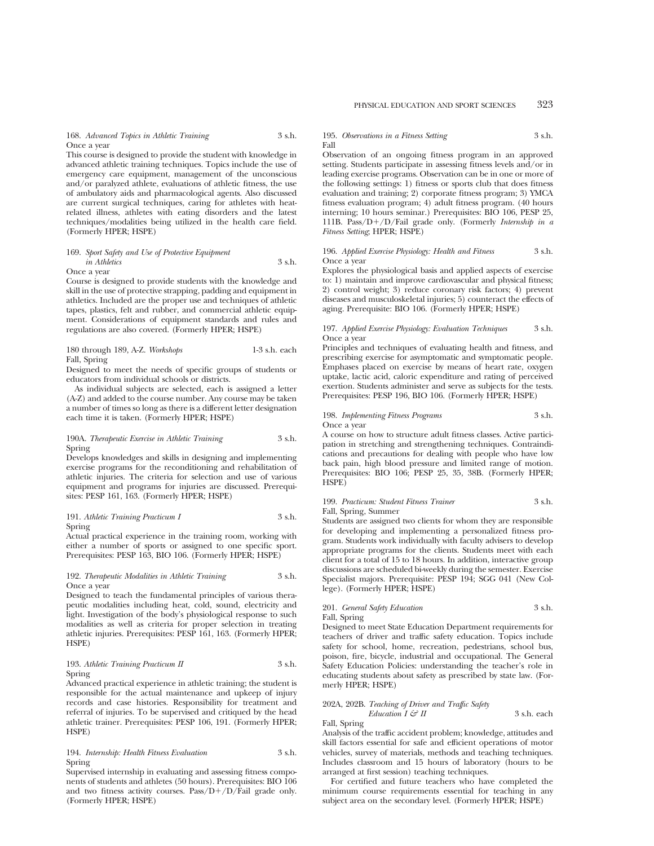168. *Advanced Topics in Athletic Training* 3 s.h. Once a year

This course is designed to provide the student with knowledge in advanced athletic training techniques. Topics include the use of emergency care equipment, management of the unconscious and/or paralyzed athlete, evaluations of athletic fitness, the use of ambulatory aids and pharmacological agents. Also discussed are current surgical techniques, caring for athletes with heatrelated illness, athletes with eating disorders and the latest techniques/modalities being utilized in the health care field. (Formerly HPER; HSPE)

169. *Sport Safety and Use of Protective Equipment in Athletics* 3 s.h. Once a year

Course is designed to provide students with the knowledge and skill in the use of protective strapping, padding and equipment in athletics. Included are the proper use and techniques of athletic tapes, plastics, felt and rubber, and commercial athletic equipment. Considerations of equipment standards and rules and regulations are also covered. (Formerly HPER; HSPE)

#### 180 through 189, A-Z. *Workshops* 1-3 s.h. each Fall, Spring

Designed to meet the needs of specific groups of students or educators from individual schools or districts.

As individual subjects are selected, each is assigned a letter (A-Z) and added to the course number. Any course may be taken a number of times so long as there is a different letter designation each time it is taken. (Formerly HPER; HSPE)

## 190A. *Therapeutic Exercise in Athletic Training* 3 s.h. Spring

Develops knowledges and skills in designing and implementing exercise programs for the reconditioning and rehabilitation of athletic injuries. The criteria for selection and use of various equipment and programs for injuries are discussed. Prerequisites: PESP 161, 163. (Formerly HPER; HSPE)

191. *Athletic Training Practicum I* 3 s.h. Spring

Actual practical experience in the training room, working with either a number of sports or assigned to one specific sport. Prerequisites: PESP 163, BIO 106. (Formerly HPER; HSPE)

#### 192. *Therapeutic Modalities in Athletic Training* 3 s.h. Once a year

Designed to teach the fundamental principles of various therapeutic modalities including heat, cold, sound, electricity and light. Investigation of the body's physiological response to such modalities as well as criteria for proper selection in treating athletic injuries. Prerequisites: PESP 161, 163. (Formerly HPER; HSPE)

### 193. *Athletic Training Practicum II* 3 s.h. Spring

Advanced practical experience in athletic training; the student is responsible for the actual maintenance and upkeep of injury records and case histories. Responsibility for treatment and referral of injuries. To be supervised and critiqued by the head athletic trainer. Prerequisites: PESP 106, 191. (Formerly HPER; HSPE)

## 194. *Internship: Health Fitness Evaluation* 3 s.h. Spring

Supervised internship in evaluating and assessing fitness components of students and athletes (50 hours). Prerequisites: BIO 106 and two fitness activity courses. Pass/ $D+/D/Fail$  grade only. (Formerly HPER; HSPE)

#### 195. *Observations in a Fitness Setting* 3 s.h. Fall

Observation of an ongoing fitness program in an approved setting. Students participate in assessing fitness levels and/or in leading exercise programs. Observation can be in one or more of the following settings: 1) fitness or sports club that does fitness evaluation and training; 2) corporate fitness program; 3) YMCA fitness evaluation program; 4) adult fitness program. (40 hours interning; 10 hours seminar.) Prerequisites: BIO 106, PESP 25, 111B. Pass/ $D+/D/Fail$  grade only. (Formerly *Internship in a Fitness Setting*; HPER; HSPE)

#### 196. *Applied Exercise Physiology: Health and Fitness* 3 s.h. Once a year

Explores the physiological basis and applied aspects of exercise to: 1) maintain and improve cardiovascular and physical fitness; 2) control weight; 3) reduce coronary risk factors; 4) prevent diseases and musculoskeletal injuries; 5) counteract the effects of aging. Prerequisite: BIO 106. (Formerly HPER; HSPE)

#### 197. *Applied Exercise Physiology: Evaluation Techniques* 3 s.h. Once a year

Principles and techniques of evaluating health and fitness, and prescribing exercise for asymptomatic and symptomatic people. Emphases placed on exercise by means of heart rate, oxygen uptake, lactic acid, caloric expenditure and rating of perceived exertion. Students administer and serve as subjects for the tests. Prerequisites: PESP 196, BIO 106. (Formerly HPER; HSPE)

#### 198. *Implementing Fitness Programs* 3 s.h. Once a year

A course on how to structure adult fitness classes. Active participation in stretching and strengthening techniques. Contraindications and precautions for dealing with people who have low back pain, high blood pressure and limited range of motion. Prerequisites: BIO 106; PESP 25, 35, 38B. (Formerly HPER; HSPE)

#### 199. *Practicum: Student Fitness Trainer* 3 s.h. Fall, Spring, Summer

Students are assigned two clients for whom they are responsible for developing and implementing a personalized fitness program. Students work individually with faculty advisers to develop appropriate programs for the clients. Students meet with each client for a total of 15 to 18 hours. In addition, interactive group discussions are scheduled bi-weekly during the semester. Exercise Specialist majors. Prerequisite: PESP 194; SGG 041 (New College). (Formerly HPER; HSPE)

## 201. *General Safety Education* 3 s.h. Fall, Spring

Designed to meet State Education Department requirements for teachers of driver and traffic safety education. Topics include safety for school, home, recreation, pedestrians, school bus, poison, fire, bicycle, industrial and occupational. The General Safety Education Policies: understanding the teacher's role in educating students about safety as prescribed by state law. (Formerly HPER; HSPE)

#### 202A, 202B. *Teaching of Driver and Traffic Safety Education I*  $\mathcal{G}^2$  *II* 3 s.h. each

Fall, Spring Analysis of the traffic accident problem; knowledge, attitudes and skill factors essential for safe and efficient operations of motor vehicles, survey of materials, methods and teaching techniques. Includes classroom and 15 hours of laboratory (hours to be arranged at first session) teaching techniques.

For certified and future teachers who have completed the minimum course requirements essential for teaching in any subject area on the secondary level. (Formerly HPER; HSPE)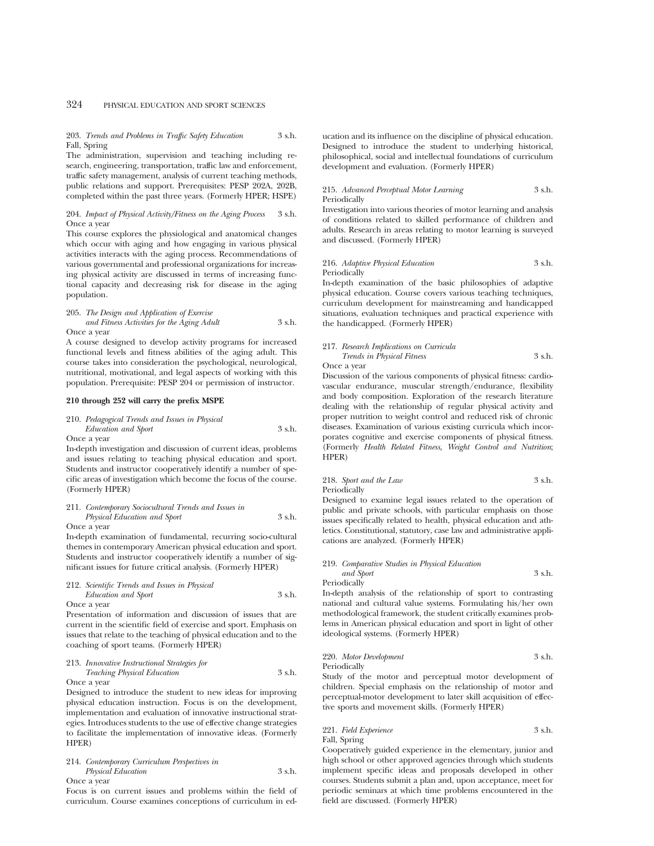203. *Trends and Problems in Traffic Safety Education* 3 s.h. Fall, Spring

The administration, supervision and teaching including research, engineering, transportation, traffic law and enforcement, traffic safety management, analysis of current teaching methods, public relations and support. Prerequisites: PESP 202A, 202B, completed within the past three years. (Formerly HPER; HSPE)

204. *Impact of Physical Activity/Fitness on the Aging Process* 3 s.h. Once a year

This course explores the physiological and anatomical changes which occur with aging and how engaging in various physical activities interacts with the aging process. Recommendations of various governmental and professional organizations for increasing physical activity are discussed in terms of increasing functional capacity and decreasing risk for disease in the aging population.

205. *The Design and Application of Exercise and Fitness Activities for the Aging Adult* 3 s.h. Once a year

A course designed to develop activity programs for increased functional levels and fitness abilities of the aging adult. This course takes into consideration the psychological, neurological, nutritional, motivational, and legal aspects of working with this population. Prerequisite: PESP 204 or permission of instructor.

## **210 through 252 will carry the prefix MSPE**

## 210. *Pedagogical Trends and Issues in Physical Education and Sport* 3 s.h.

Once a year

In-depth investigation and discussion of current ideas, problems and issues relating to teaching physical education and sport. Students and instructor cooperatively identify a number of specific areas of investigation which become the focus of the course. (Formerly HPER)

## 211. *Contemporary Sociocultural Trends and Issues in Physical Education and Sport* 3 s.h.

Once a year

In-depth examination of fundamental, recurring socio-cultural themes in contemporary American physical education and sport. Students and instructor cooperatively identify a number of significant issues for future critical analysis. (Formerly HPER)

### 212. *Scientific Trends and Issues in Physical Education and Sport* 3 s.h.

Once a year

Presentation of information and discussion of issues that are current in the scientific field of exercise and sport. Emphasis on issues that relate to the teaching of physical education and to the coaching of sport teams. (Formerly HPER)

## 213. *Innovative Instructional Strategies for Teaching Physical Education* 3 s.h.

Once a year

Designed to introduce the student to new ideas for improving physical education instruction. Focus is on the development, implementation and evaluation of innovative instructional strategies. Introduces students to the use of effective change strategies to facilitate the implementation of innovative ideas. (Formerly HPER)

#### 214. *Contemporary Curriculum Perspectives in Physical Education* 3 s.h. Once a year

Focus is on current issues and problems within the field of curriculum. Course examines conceptions of curriculum in education and its influence on the discipline of physical education. Designed to introduce the student to underlying historical, philosophical, social and intellectual foundations of curriculum development and evaluation. (Formerly HPER)

### 215. *Advanced Perceptual Motor Learning* 3 s.h. Periodically

Investigation into various theories of motor learning and analysis of conditions related to skilled performance of children and adults. Research in areas relating to motor learning is surveyed and discussed. (Formerly HPER)

#### 216. *Adaptive Physical Education* 3 s.h. Periodically

In-depth examination of the basic philosophies of adaptive physical education. Course covers various teaching techniques, curriculum development for mainstreaming and handicapped situations, evaluation techniques and practical experience with the handicapped. (Formerly HPER)

#### 217. *Research Implications on Curricula Trends in Physical Fitness* 3 s.h. Once a year

Discussion of the various components of physical fitness: cardiovascular endurance, muscular strength/endurance, flexibility and body composition. Exploration of the research literature dealing with the relationship of regular physical activity and proper nutrition to weight control and reduced risk of chronic diseases. Examination of various existing curricula which incorporates cognitive and exercise components of physical fitness. (Formerly *Health Related Fitness, Weight Control and Nutrition*; HPER)

218. *Sport and the Law* 3 s.h. Periodically

Designed to examine legal issues related to the operation of public and private schools, with particular emphasis on those issues specifically related to health, physical education and athletics. Constitutional, statutory, case law and administrative applications are analyzed. (Formerly HPER)

#### 219. *Comparative Studies in Physical Education and Sport* 3 s.h.

Periodically

In-depth analysis of the relationship of sport to contrasting national and cultural value systems. Formulating his/her own methodological framework, the student critically examines problems in American physical education and sport in light of other ideological systems. (Formerly HPER)

## 220. *Motor Development* 3 s.h. Periodically

Study of the motor and perceptual motor development of children. Special emphasis on the relationship of motor and perceptual-motor development to later skill acquisition of effective sports and movement skills. (Formerly HPER)

## 221. *Field Experience* 3 s.h. Fall, Spring

Cooperatively guided experience in the elementary, junior and high school or other approved agencies through which students implement specific ideas and proposals developed in other courses. Students submit a plan and, upon acceptance, meet for periodic seminars at which time problems encountered in the field are discussed. (Formerly HPER)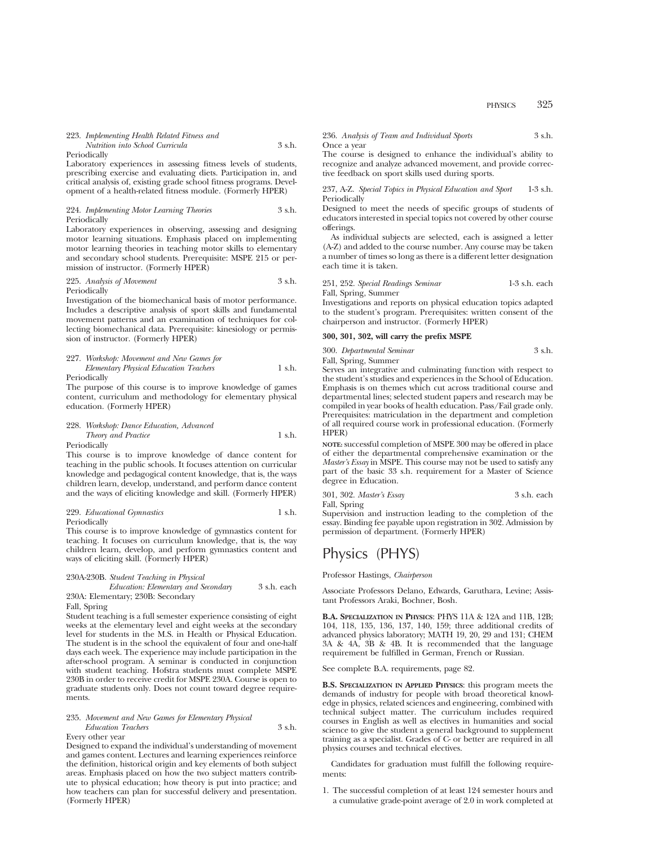## 223. *Implementing Health Related Fitness and Nutrition into School Curricula* 3 s.h.

Periodically

Laboratory experiences in assessing fitness levels of students, prescribing exercise and evaluating diets. Participation in, and critical analysis of, existing grade school fitness programs. Development of a health-related fitness module. (Formerly HPER)

#### 224. *Implementing Motor Learning Theories* 3 s.h. Periodically

Laboratory experiences in observing, assessing and designing motor learning situations. Emphasis placed on implementing motor learning theories in teaching motor skills to elementary and secondary school students. Prerequisite: MSPE 215 or permission of instructor. (Formerly HPER)

#### 225. *Analysis of Movement* 3 s.h. Periodically

Investigation of the biomechanical basis of motor performance. Includes a descriptive analysis of sport skills and fundamental movement patterns and an examination of techniques for collecting biomechanical data. Prerequisite: kinesiology or permission of instructor. (Formerly HPER)

#### 227. *Workshop: Movement and New Games for Elementary Physical Education Teachers* 1 s.h. Periodically

The purpose of this course is to improve knowledge of games content, curriculum and methodology for elementary physical education. (Formerly HPER)

#### 228. *Workshop: Dance Education, Advanced Theory and Practice* 1 s.h. Periodically

This course is to improve knowledge of dance content for teaching in the public schools. It focuses attention on curricular knowledge and pedagogical content knowledge, that is, the ways children learn, develop, understand, and perform dance content and the ways of eliciting knowledge and skill. (Formerly HPER)

## 229. *Educational Gymnastics* 1 s.h. Periodically

This course is to improve knowledge of gymnastics content for teaching. It focuses on curriculum knowledge, that is, the way children learn, develop, and perform gymnastics content and ways of eliciting skill. (Formerly HPER)

## 230A-230B. *Student Teaching in Physical*

*Education: Elementary and Secondary* 3 s.h. each 230A: Elementary; 230B: Secondary

Fall, Spring

Student teaching is a full semester experience consisting of eight weeks at the elementary level and eight weeks at the secondary level for students in the M.S. in Health or Physical Education. The student is in the school the equivalent of four and one-half days each week. The experience may include participation in the after-school program. A seminar is conducted in conjunction with student teaching. Hofstra students must complete MSPE 230B in order to receive credit for MSPE 230A. Course is open to graduate students only. Does not count toward degree requirements.

## 235. *Movement and New Games for Elementary Physical Education Teachers* 3 s.h.

Every other year

Designed to expand the individual's understanding of movement and games content. Lectures and learning experiences reinforce the definition, historical origin and key elements of both subject areas. Emphasis placed on how the two subject matters contribute to physical education; how theory is put into practice; and how teachers can plan for successful delivery and presentation. (Formerly HPER)

236. *Analysis of Team and Individual Sports* 3 s.h. Once a year

The course is designed to enhance the individual's ability to recognize and analyze advanced movement, and provide corrective feedback on sport skills used during sports.

237, A-Z. *Special Topics in Physical Education and Sport* 1-3 s.h. Periodically

Designed to meet the needs of specific groups of students of educators interested in special topics not covered by other course offerings.

As individual subjects are selected, each is assigned a letter (A-Z) and added to the course number. Any course may be taken a number of times so long as there is a different letter designation each time it is taken.

251, 252. *Special Readings Seminar* 1-3 s.h. each Fall, Spring, Summer

Investigations and reports on physical education topics adapted to the student's program. Prerequisites: written consent of the chairperson and instructor. (Formerly HPER)

#### **300, 301, 302, will carry the prefix MSPE**

300. *Departmental Seminar* 3 s.h.

Fall, Spring, Summer Serves an integrative and culminating function with respect to the student's studies and experiences in the School of Education. Emphasis is on themes which cut across traditional course and departmental lines; selected student papers and research may be compiled in year books of health education. Pass/Fail grade only. Prerequisites: matriculation in the department and completion of all required course work in professional education. (Formerly HPER)

**NOTE:** successful completion of MSPE 300 may be offered in place of either the departmental comprehensive examination or the *Master's Essay* in MSPE. This course may not be used to satisfy any part of the basic 33 s.h. requirement for a Master of Science degree in Education.

301, 302. *Master's Essay* 3 s.h. each Fall, Spring

Supervision and instruction leading to the completion of the essay. Binding fee payable upon registration in 302. Admission by permission of department. (Formerly HPER)

# Physics (PHYS)

Professor Hastings, *Chairperson*

Associate Professors Delano, Edwards, Garuthara, Levine; Assistant Professors Araki, Bochner, Bosh.

**B.A. SPECIALIZATION IN PHYSICS**: PHYS 11A & 12A and 11B, 12B; 104, 118, 135, 136, 137, 140, 159; three additional credits of advanced physics laboratory; MATH 19, 20, 29 and 131; CHEM 3A & 4A, 3B & 4B. It is recommended that the language requirement be fulfilled in German, French or Russian.

See complete B.A. requirements, page 82.

**B.S. SPECIALIZATION IN APPLIED PHYSICS**: this program meets the demands of industry for people with broad theoretical knowledge in physics, related sciences and engineering, combined with technical subject matter. The curriculum includes required courses in English as well as electives in humanities and social science to give the student a general background to supplement training as a specialist. Grades of C- or better are required in all physics courses and technical electives.

Candidates for graduation must fulfill the following requirements:

1. The successful completion of at least 124 semester hours and a cumulative grade-point average of 2.0 in work completed at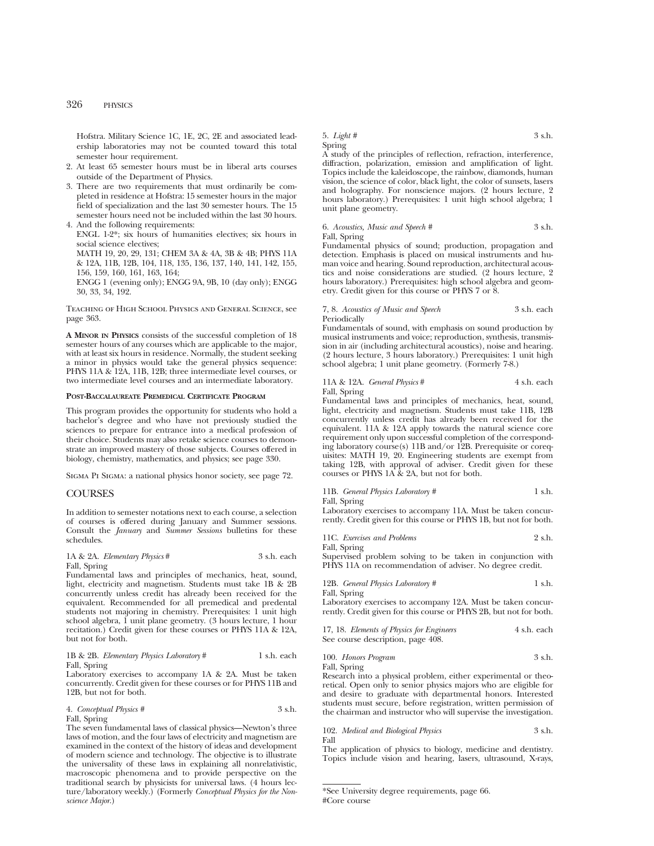Hofstra. Military Science 1C, 1E, 2C, 2E and associated leadership laboratories may not be counted toward this total semester hour requirement.

- 2. At least 65 semester hours must be in liberal arts courses outside of the Department of Physics.
- 3. There are two requirements that must ordinarily be completed in residence at Hofstra: 15 semester hours in the major field of specialization and the last 30 semester hours. The 15 semester hours need not be included within the last 30 hours. 4. And the following requirements:

ENGL 1-2\*; six hours of humanities electives; six hours in social science electives; MATH 19, 20, 29, 131; CHEM 3A & 4A, 3B & 4B; PHYS 11A & 12A, 11B, 12B, 104, 118, 135, 136, 137, 140, 141, 142, 155,

156, 159, 160, 161, 163, 164; ENGG 1 (evening only); ENGG 9A, 9B, 10 (day only); ENGG 30, 33, 34, 192.

Teaching of High School Physics and General Science, see page 363.

**A MINOR IN PHYSICS** consists of the successful completion of 18 semester hours of any courses which are applicable to the major, with at least six hours in residence. Normally, the student seeking a minor in physics would take the general physics sequence: PHYS 11A & 12A, 11B, 12B; three intermediate level courses, or two intermediate level courses and an intermediate laboratory.

#### **POST-BACCALAUREATE PREMEDICAL CERTIFICATE PROGRAM**

This program provides the opportunity for students who hold a bachelor's degree and who have not previously studied the sciences to prepare for entrance into a medical profession of their choice. Students may also retake science courses to demonstrate an improved mastery of those subjects. Courses offered in biology, chemistry, mathematics, and physics; see page 330.

Sigma Pi Sigma: a national physics honor society, see page 72.

#### **COURSES**

In addition to semester notations next to each course, a selection of courses is offered during January and Summer sessions. Consult the *January* and *Summer Sessions* bulletins for these schedules.

#### 1A & 2A. *Elementary Physics* # 3 s.h. each Fall, Spring

Fundamental laws and principles of mechanics, heat, sound, light, electricity and magnetism. Students must take 1B & 2B concurrently unless credit has already been received for the equivalent. Recommended for all premedical and predental students not majoring in chemistry. Prerequisites: 1 unit high school algebra, 1 unit plane geometry. (3 hours lecture, 1 hour recitation.) Credit given for these courses or PHYS 11A & 12A, but not for both.

#### 1B & 2B. *Elementary Physics Laboratory* # 1 s.h. each Fall, Spring

Laboratory exercises to accompany 1A & 2A. Must be taken concurrently. Credit given for these courses or for PHYS 11B and 12B, but not for both.

4. *Conceptual Physics #* 3 s.h. Fall, Spring

The seven fundamental laws of classical physics—Newton's three laws of motion, and the four laws of electricity and magnetism are examined in the context of the history of ideas and development of modern science and technology. The objective is to illustrate the universality of these laws in explaining all nonrelativistic, macroscopic phenomena and to provide perspective on the traditional search by physicists for universal laws. (4 hours lecture/laboratory weekly.) (Formerly *Conceptual Physics for the Nonscience Major*.)

5. *Light #* 3 s.h.

Spring

A study of the principles of reflection, refraction, interference, diffraction, polarization, emission and amplification of light. Topics include the kaleidoscope, the rainbow, diamonds, human vision, the science of color, black light, the color of sunsets, lasers and holography. For nonscience majors. (2 hours lecture, 2 hours laboratory.) Prerequisites: 1 unit high school algebra; 1 unit plane geometry.

## 6. *Acoustics, Music and Speech #* 3 s.h.

Fall, Spring

Fundamental physics of sound; production, propagation and detection. Emphasis is placed on musical instruments and human voice and hearing. Sound reproduction, architectural acoustics and noise considerations are studied. (2 hours lecture, 2 hours laboratory.) Prerequisites: high school algebra and geometry. Credit given for this course or PHYS 7 or 8.

#### 7, 8. *Acoustics of Music and Speech* 3 s.h. each Periodically

Fundamentals of sound, with emphasis on sound production by musical instruments and voice; reproduction, synthesis, transmission in air (including architectural acoustics), noise and hearing. (2 hours lecture, 3 hours laboratory.) Prerequisites: 1 unit high school algebra; 1 unit plane geometry. (Formerly 7-8.)

## 11A & 12A. *General Physics* # 4 s.h. each Fall, Spring

Fundamental laws and principles of mechanics, heat, sound, light, electricity and magnetism. Students must take 11B, 12B concurrently unless credit has already been received for the equivalent. 11A & 12A apply towards the natural science core requirement only upon successful completion of the corresponding laboratory course(s) 11B and/or 12B. Prerequisite or corequisites: MATH 19, 20. Engineering students are exempt from taking 12B, with approval of adviser. Credit given for these courses or PHYS 1A & 2A, but not for both.

#### 11B. *General Physics Laboratory* # 1 s.h.

Fall, Spring

Laboratory exercises to accompany 11A. Must be taken concurrently. Credit given for this course or PHYS 1B, but not for both.

|  |  | 11C. Exercises and Problems |  | 2 s.h. |
|--|--|-----------------------------|--|--------|
|--|--|-----------------------------|--|--------|

Fall, Spring

Supervised problem solving to be taken in conjunction with PHYS 11A on recommendation of adviser. No degree credit.

12B. *General Physics Laboratory* # 1 s.h. Fall, Spring

Laboratory exercises to accompany 12A. Must be taken concurrently. Credit given for this course or PHYS 2B, but not for both.

17, 18. *Elements of Physics for Engineers* 4 s.h. each See course description, page 408.

100. *Honors Program* 3 s.h. Fall, Spring

Research into a physical problem, either experimental or theoretical. Open only to senior physics majors who are eligible for and desire to graduate with departmental honors. Interested students must secure, before registration, written permission of the chairman and instructor who will supervise the investigation.

102. *Medical and Biological Physics* 3 s.h. Fall

The application of physics to biology, medicine and dentistry. Topics include vision and hearing, lasers, ultrasound, X-rays,

<sup>\*</sup>See University degree requirements, page 66. #Core course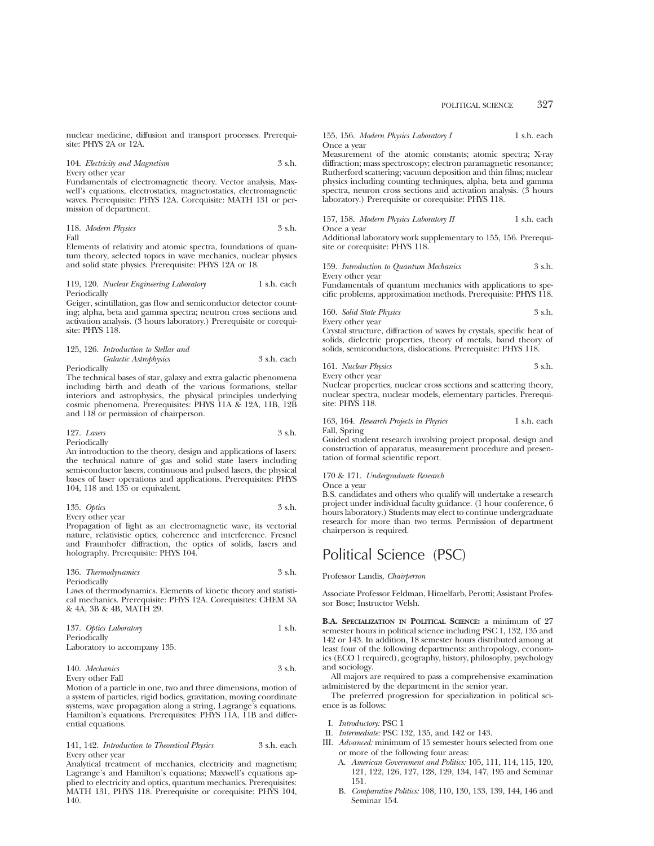nuclear medicine, diffusion and transport processes. Prerequisite: PHYS 2A or 12A.

104. *Electricity and Magnetism* 3 s.h. Every other year

Fundamentals of electromagnetic theory. Vector analysis, Maxwell's equations, electrostatics, magnetostatics, electromagnetic waves. Prerequisite: PHYS 12A. Corequisite: MATH 131 or permission of department.

118. *Modern Physics* 3 s.h. Fall

Elements of relativity and atomic spectra, foundations of quantum theory, selected topics in wave mechanics, nuclear physics and solid state physics. Prerequisite: PHYS 12A or 18.

119, 120. *Nuclear Engineering Laboratory* 1 s.h. each Periodically

Geiger, scintillation, gas flow and semiconductor detector counting; alpha, beta and gamma spectra; neutron cross sections and activation analysis. (3 hours laboratory.) Prerequisite or corequisite: PHYS 118.

## 125, 126. *Introduction to Stellar and Galactic Astrophysics* 3 s.h. each

Periodically

The technical bases of star, galaxy and extra galactic phenomena including birth and death of the various formations, stellar interiors and astrophysics, the physical principles underlying cosmic phenomena. Prerequisites: PHYS 11A & 12A, 11B, 12B and 118 or permission of chairperson.

127. *Lasers* 3 s.h. Periodically

An introduction to the theory, design and applications of lasers: the technical nature of gas and solid state lasers including semi-conductor lasers, continuous and pulsed lasers, the physical bases of laser operations and applications. Prerequisites: PHYS 104, 118 and 135 or equivalent.

| 135. Optics | $3 \,$ s.h. |
|-------------|-------------|
|             |             |

Every other year

& 4A, 3B & 4B, MATH 29.

Propagation of light as an electromagnetic wave, its vectorial nature, relativistic optics, coherence and interference. Fresnel and Fraunhofer diffraction, the optics of solids, lasers and holography. Prerequisite: PHYS 104.

136. *Thermodynamics* 3 s.h. Periodically Laws of thermodynamics. Elements of kinetic theory and statistical mechanics. Prerequisite: PHYS 12A. Corequisites: CHEM 3A

| 137. Optics Laboratory       | 1 s.h. |
|------------------------------|--------|
| Periodically                 |        |
| Laboratory to accompany 135. |        |

140. *Mechanics* 3 s.h. Every other Fall

Motion of a particle in one, two and three dimensions, motion of a system of particles, rigid bodies, gravitation, moving coordinate systems, wave propagation along a string, Lagrange's equations. Hamilton's equations. Prerequisites: PHYS 11A, 11B and differential equations.

141, 142. *Introduction to Theoretical Physics* 3 s.h. each Every other year

Analytical treatment of mechanics, electricity and magnetism; Lagrange's and Hamilton's equations; Maxwell's equations applied to electricity and optics, quantum mechanics. Prerequisites: MATH 131, PHYS 118. Prerequisite or corequisite: PHYS 104, 140.

155, 156. *Modern Physics Laboratory I* 1 s.h. each Once a year

Measurement of the atomic constants; atomic spectra; X-ray diffraction; mass spectroscopy; electron paramagnetic resonance; Rutherford scattering; vacuum deposition and thin films; nuclear physics including counting techniques, alpha, beta and gamma spectra, neuron cross sections and activation analysis. (3 hours laboratory.) Prerequisite or corequisite: PHYS 118.

157, 158. *Modern Physics Laboratory II* 1 s.h. each Once a year

Additional laboratory work supplementary to 155, 156. Prerequisite or corequisite: PHYS 118.

159. *Introduction to Quantum Mechanics* 3 s.h. Every other year

Fundamentals of quantum mechanics with applications to specific problems, approximation methods. Prerequisite: PHYS 118.

160. *Solid State Physics* 3 s.h.

Every other year

Crystal structure, diffraction of waves by crystals, specific heat of solids, dielectric properties, theory of metals, band theory of solids, semiconductors, dislocations. Prerequisite: PHYS 118.

161. *Nuclear Physics* 3 s.h. Every other year

Nuclear properties, nuclear cross sections and scattering theory, nuclear spectra, nuclear models, elementary particles. Prerequisite: PHYS 118.

163, 164. *Research Projects in Physics* 1 s.h. each Fall, Spring

Guided student research involving project proposal, design and construction of apparatus, measurement procedure and presentation of formal scientific report.

170 & 171. *Undergraduate Research*

Once a year

B.S. candidates and others who qualify will undertake a research project under individual faculty guidance. (1 hour conference, 6 hours laboratory.) Students may elect to continue undergraduate research for more than two terms. Permission of department chairperson is required.

# Political Science (PSC)

Professor Landis, *Chairperson*

Associate Professor Feldman, Himelfarb, Perotti; Assistant Professor Bose; Instructor Welsh.

**B.A. SPECIALIZATION IN POLITICAL SCIENCE:** a minimum of 27 semester hours in political science including PSC 1, 132, 135 and 142 or 143. In addition, 18 semester hours distributed among at least four of the following departments: anthropology, economics (ECO 1 required), geography, history, philosophy, psychology and sociology.

All majors are required to pass a comprehensive examination administered by the department in the senior year.

The preferred progression for specialization in political science is as follows:

- I. *Introductory:* PSC 1
- II. *Intermediate:* PSC 132, 135, and 142 or 143.
- III. *Advanced:* minimum of 15 semester hours selected from one or more of the following four areas:
	- A. *American Government and Politics:* 105, 111, 114, 115, 120, 121, 122, 126, 127, 128, 129, 134, 147, 195 and Seminar 151.
	- B. *Comparative Politics:* 108, 110, 130, 133, 139, 144, 146 and Seminar 154.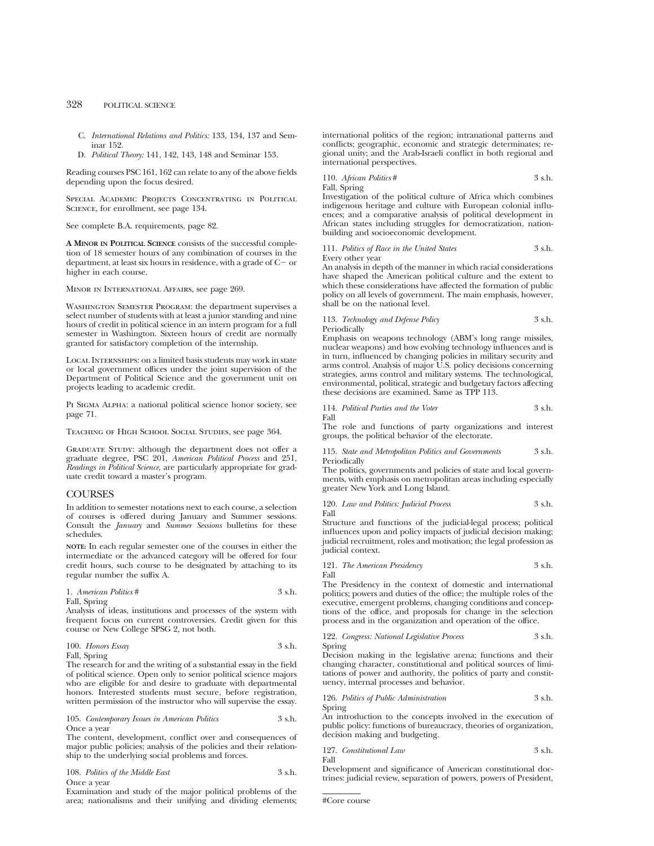- C. *International Relations and Politics:* 133, 134, 137 and Seminar 152.
- D. *Political Theory:* 141, 142, 143, 148 and Seminar 153.

Reading courses PSC 161, 162 can relate to any of the above fields depending upon the focus desired.

Special Academic Projects Concentrating in Political Science, for enrollment, see page 134.

See complete B.A. requirements, page 82.

**A MINOR IN POLITICAL SCIENCE** consists of the successful completion of 18 semester hours of any combination of courses in the department, at least six hours in residence, with a grade of  $C-$  or higher in each course.

Minor in International Affairs, see page 269.

Washington Semester Program: the department supervises a select number of students with at least a junior standing and nine hours of credit in political science in an intern program for a full semester in Washington. Sixteen hours of credit are normally granted for satisfactory completion of the internship.

Local Internships: on a limited basis students may work in state or local government offices under the joint supervision of the Department of Political Science and the government unit on projects leading to academic credit.

PI SIGMA ALPHA: a national political science honor society, see page 71.

Teaching of High School Social Studies, see page 364.

GRADUATE STUDY: although the department does not offer a graduate degree, PSC 201, *American Political Process* and 251, *Readings in Political Science,* are particularly appropriate for graduate credit toward a master's program.

## **COURSES**

In addition to semester notations next to each course, a selection of courses is offered during January and Summer sessions. Consult the *January* and *Summer Sessions* bulletins for these schedules.

**NOTE:** In each regular semester one of the courses in either the intermediate or the advanced category will be offered for four credit hours, such course to be designated by attaching to its regular number the suffix A.

| 1. American Politics # | 3 s.h. |
|------------------------|--------|
| Fall, Spring           |        |

Analysis of ideas, institutions and processes of the system with frequent focus on current controversies. Credit given for this course or New College SPSG 2, not both.

100. *Honors Essay* 3 s.h. Fall, Spring

The research for and the writing of a substantial essay in the field of political science. Open only to senior political science majors who are eligible for and desire to graduate with departmental honors. Interested students must secure, before registration, written permission of the instructor who will supervise the essay.

#### 105. *Contemporary Issues in American Politics* 3 s.h. Once a year

The content, development, conflict over and consequences of major public policies; analysis of the policies and their relationship to the underlying social problems and forces.

| 108. Politics of the Middle East | 3 s.h. |  |
|----------------------------------|--------|--|
| Once a year                      |        |  |

Examination and study of the major political problems of the area; nationalisms and their unifying and dividing elements; international politics of the region; intranational patterns and conflicts; geographic, economic and strategic determinates; regional unity; and the Arab-Israeli conflict in both regional and international perspectives.

$$
110. \textit{African Politics} \# \qquad \qquad 3 \text{ s.h.}
$$

Fall, Spring

Investigation of the political culture of Africa which combines indigenous heritage and culture with European colonial influences; and a comparative analysis of political development in African states including struggles for democratization, nationbuilding and socioeconomic development.

111. *Politics of Race in the United States* 3 s.h. Every other year

An analysis in depth of the manner in which racial considerations have shaped the American political culture and the extent to which these considerations have affected the formation of public policy on all levels of government. The main emphasis, however, shall be on the national level.

#### 113. *Technology and Defense Policy* 3 s.h. Periodically

Emphasis on weapons technology (ABM's long range missiles, nuclear weapons) and how evolving technology influences and is in turn, influenced by changing policies in military security and arms control. Analysis of major U.S. policy decisions concerning strategies, arms control and military systems. The technological, environmental, political, strategic and budgetary factors affecting these decisions are examined. Same as TPP 113.

114. *Political Parties and the Voter* 3 s.h. Fall

The role and functions of party organizations and interest groups, the political behavior of the electorate.

115. *State and Metropolitan Politics and Governments* 3 s.h. Periodically

The politics, governments and policies of state and local governments, with emphasis on metropolitan areas including especially greater New York and Long Island.

120. *Law and Politics: Judicial Process* 3 s.h. Fall

Structure and functions of the judicial-legal process; political influences upon and policy impacts of judicial decision making; judicial recruitment, roles and motivation; the legal profession as judicial context.

121. *The American Presidency* 3 s.h. Fall

The Presidency in the context of domestic and international politics; powers and duties of the office; the multiple roles of the executive, emergent problems, changing conditions and conceptions of the office, and proposals for change in the selection process and in the organization and operation of the office.

122. *Congress: National Legislative Process* 3 s.h. Spring

Decision making in the legislative arena; functions and their changing character, constitutional and political sources of limitations of power and authority, the politics of party and constituency, internal processes and behavior.

126. *Politics of Public Administration* 3 s.h. Spring

An introduction to the concepts involved in the execution of public policy: functions of bureaucracy, theories of organization, decision making and budgeting.

$$
127. \ \ \, Constantional \,\, Law \,\,\\ \qquad \qquad 3 \,\, \text{s.h.}
$$
  $\qquad \qquad 3$   $\qquad \qquad 3$ 

Development and significance of American constitutional doctrines: judicial review, separation of powers, powers of President,

#Core course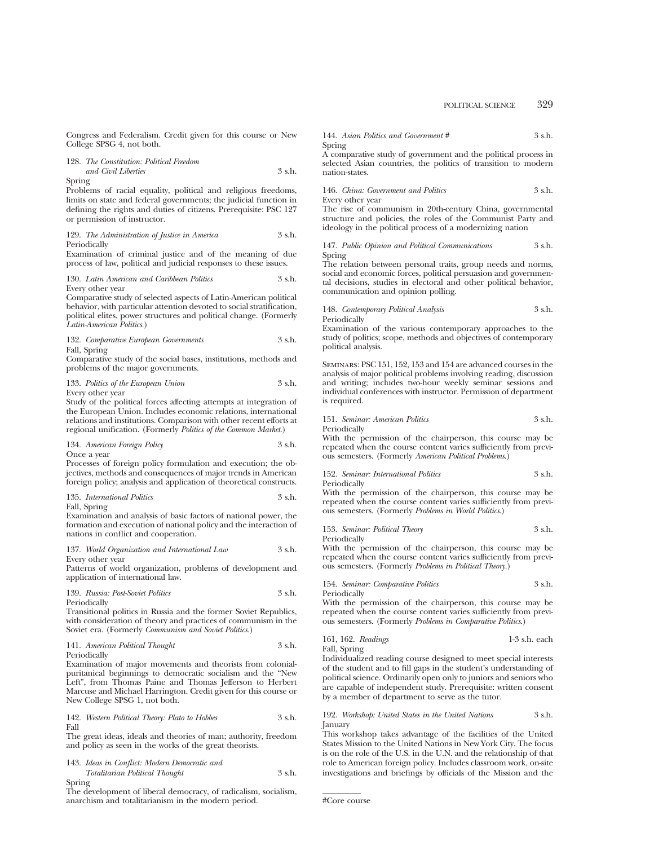Congress and Federalism. Credit given for this course or New College SPSG 4, not both.

|        | 128. The Constitution: Political Freedom |          |
|--------|------------------------------------------|----------|
|        | and Civil Liberties                      | $3$ s.h. |
| Spring |                                          |          |

Problems of racial equality, political and religious freedoms, limits on state and federal governments; the judicial function in defining the rights and duties of citizens. Prerequisite: PSC 127 or permission of instructor.

129. *The Administration of Justice in America* 3 s.h. Periodically

Examination of criminal justice and of the meaning of due process of law, political and judicial responses to these issues.

130. *Latin American and Caribbean Politics* 3 s.h. Every other year

Comparative study of selected aspects of Latin-American political behavior, with particular attention devoted to social stratification, political elites, power structures and political change. (Formerly *Latin-American Politics*.)

132. *Comparative European Governments* 3 s.h. Fall, Spring

Comparative study of the social bases, institutions, methods and problems of the major governments.

133. Politics of the European Union 3 s.h. Every other year

Study of the political forces affecting attempts at integration of the European Union. Includes economic relations, international relations and institutions. Comparison with other recent efforts at regional unification. (Formerly *Politics of the Common Market*.)

134. *American Foreign Policy* 3 s.h. Once a year

Processes of foreign policy formulation and execution; the objectives, methods and consequences of major trends in American foreign policy; analysis and application of theoretical constructs.

### 135. *International Politics* 3 s.h. Fall, Spring

Examination and analysis of basic factors of national power, the formation and execution of national policy and the interaction of nations in conflict and cooperation.

#### 137. *World Organization and International Law* 3 s.h. Every other year

Patterns of world organization, problems of development and application of international law.

#### 139. *Russia: Post-Soviet Politics* 3 s.h. Periodically

Transitional politics in Russia and the former Soviet Republics, with consideration of theory and practices of communism in the Soviet era. (Formerly *Communism and Soviet Politics.*)

#### 141. *American Political Thought* 3 s.h. Periodically

Examination of major movements and theorists from colonialpuritanical beginnings to democratic socialism and the "New Left", from Thomas Paine and Thomas Jefferson to Herbert Marcuse and Michael Harrington. Credit given for this course or New College SPSG 1, not both.

#### 142. *Western Political Theory: Plato to Hobbes* 3 s.h. Fall

The great ideas, ideals and theories of man; authority, freedom and policy as seen in the works of the great theorists.

143. *Ideas in Conflict: Modern Democratic and Totalitarian Political Thought* 3 s.h.

Spring

The development of liberal democracy, of radicalism, socialism, anarchism and totalitarianism in the modern period.

144. *Asian Politics and Government #* 3 s.h. Spring

A comparative study of government and the political process in selected Asian countries, the politics of transition to modern nation-states.

146. *China: Government and Politics* 3 s.h. Every other year

The rise of communism in 20th-century China, governmental structure and policies, the roles of the Communist Party and ideology in the political process of a modernizing nation

147. *Public Opinion and Political Communications* 3 s.h. Spring

The relation between personal traits, group needs and norms, social and economic forces, political persuasion and governmental decisions, studies in electoral and other political behavior, communication and opinion polling.

148. *Contemporary Political Analysis* 3 s.h. Periodically

Examination of the various contemporary approaches to the study of politics; scope, methods and objectives of contemporary political analysis.

Seminars: PSC 151, 152, 153 and 154 are advanced courses in the analysis of major political problems involving reading, discussion and writing; includes two-hour weekly seminar sessions and individual conferences with instructor. Permission of department is required.

151. *Seminar: American Politics* 3 s.h. Periodically

With the permission of the chairperson, this course may be repeated when the course content varies sufficiently from previous semesters. (Formerly *American Political Problems*.)

## 152. *Seminar: International Politics* 3 s.h.

Periodically

With the permission of the chairperson, this course may be repeated when the course content varies sufficiently from previous semesters. (Formerly *Problems in World Politics*.)

153. *Seminar: Political Theory* 3 s.h. Periodically

With the permission of the chairperson, this course may be repeated when the course content varies sufficiently from previous semesters. (Formerly *Problems in Political Theory.*)

154. *Seminar: Comparative Politics* 3 s.h. Periodically

With the permission of the chairperson, this course may be repeated when the course content varies sufficiently from previous semesters. (Formerly *Problems in Comparative Politics*.)

161, 162. *Readings* 1-3 s.h. each Fall, Spring

Individualized reading course designed to meet special interests of the student and to fill gaps in the student's understanding of political science. Ordinarily open only to juniors and seniors who are capable of independent study. Prerequisite: written consent by a member of department to serve as the tutor.

192. *Workshop: United States in the United Nations* 3 s.h. January

This workshop takes advantage of the facilities of the United States Mission to the United Nations in New York City. The focus is on the role of the U.S. in the U.N. and the relationship of that role to American foreign policy. Includes classroom work, on-site investigations and briefings by officials of the Mission and the

```
#Core course
```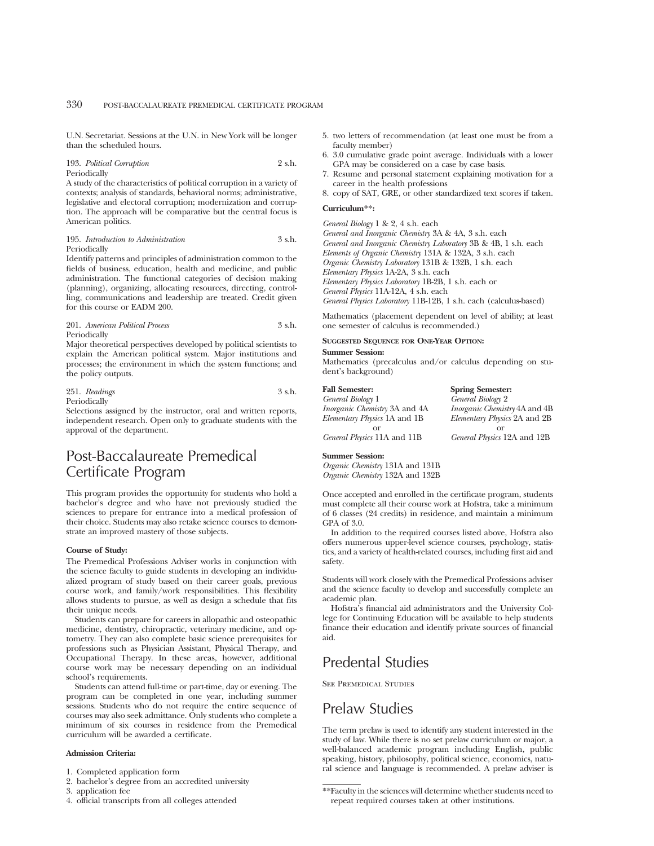U.N. Secretariat. Sessions at the U.N. in New York will be longer than the scheduled hours.

## 193. *Political Corruption* 2 s.h. Periodically

A study of the characteristics of political corruption in a variety of contexts; analysis of standards, behavioral norms; administrative, legislative and electoral corruption; modernization and corruption. The approach will be comparative but the central focus is American politics.

#### 195. *Introduction to Administration* 3 s.h. Periodically

Identify patterns and principles of administration common to the fields of business, education, health and medicine, and public administration. The functional categories of decision making (planning), organizing, allocating resources, directing, controlling, communications and leadership are treated. Credit given for this course or EADM 200.

## 201. *American Political Process* 3 s.h. Periodically

Major theoretical perspectives developed by political scientists to explain the American political system. Major institutions and processes; the environment in which the system functions; and the policy outputs.

#### 251. *Readings* 3 s.h. Periodically

Selections assigned by the instructor, oral and written reports, independent research. Open only to graduate students with the approval of the department.

# Post-Baccalaureate Premedical Certificate Program

This program provides the opportunity for students who hold a bachelor's degree and who have not previously studied the sciences to prepare for entrance into a medical profession of their choice. Students may also retake science courses to demonstrate an improved mastery of those subjects.

#### **Course of Study:**

The Premedical Professions Adviser works in conjunction with the science faculty to guide students in developing an individualized program of study based on their career goals, previous course work, and family/work responsibilities. This flexibility allows students to pursue, as well as design a schedule that fits their unique needs.

Students can prepare for careers in allopathic and osteopathic medicine, dentistry, chiropractic, veterinary medicine, and optometry. They can also complete basic science prerequisites for professions such as Physician Assistant, Physical Therapy, and Occupational Therapy. In these areas, however, additional course work may be necessary depending on an individual school's requirements.

Students can attend full-time or part-time, day or evening. The program can be completed in one year, including summer sessions. Students who do not require the entire sequence of courses may also seek admittance. Only students who complete a minimum of six courses in residence from the Premedical curriculum will be awarded a certificate.

## **Admission Criteria:**

1. Completed application form

- 2. bachelor's degree from an accredited university
- 3. application fee
- 4. official transcripts from all colleges attended
- 5. two letters of recommendation (at least one must be from a faculty member)
- 6. 3.0 cumulative grade point average. Individuals with a lower GPA may be considered on a case by case basis.
- 7. Resume and personal statement explaining motivation for a career in the health professions
- 8. copy of SAT, GRE, or other standardized text scores if taken.

## **Curriculum\*\*:**

*General Biology* 1 & 2, 4 s.h. each *General and Inorganic Chemistry* 3A & 4A, 3 s.h. each *General and Inorganic Chemistry Laboratory* 3B & 4B, 1 s.h. each *Elements of Organic Chemistry* 131A & 132A, 3 s.h. each *Organic Chemistry Laboratory* 131B & 132B, 1 s.h. each *Elementary Physics* 1A-2A, 3 s.h. each *Elementary Physics Laboratory* 1B-2B, 1 s.h. each or *General Physics* 11A-12A, 4 s.h. each *General Physics Laboratory* 11B-12B, 1 s.h. each (calculus-based)

Mathematics (placement dependent on level of ability; at least one semester of calculus is recommended.)

#### **SUGGESTED SEQUENCE FOR ONE-YEAR OPTION:**

#### **Summer Session:**

Mathematics (precalculus and/or calculus depending on student's background)

|  | <b>Fall Semester:</b> |  |
|--|-----------------------|--|
|  | General Biology 1     |  |

| <i>Inorganic Chemistry</i> 3A and 4A |
|--------------------------------------|
| Elementary Physics 1A and 1B         |
| or                                   |
| General Physics 11A and 11B          |

**Spring Semester:** *General Biology* 2 *Inorganic Chemistry* 4A and 4B *Elementary Physics* 2A and 2B or *General Physics* 12A and 12B

#### **Summer Session:**

*Organic Chemistry* 131A and 131B *Organic Chemistry* 132A and 132B

Once accepted and enrolled in the certificate program, students must complete all their course work at Hofstra, take a minimum of 6 classes (24 credits) in residence, and maintain a minimum GPA of 3.0.

In addition to the required courses listed above, Hofstra also offers numerous upper-level science courses, psychology, statistics, and a variety of health-related courses, including first aid and safety.

Students will work closely with the Premedical Professions adviser and the science faculty to develop and successfully complete an academic plan.

Hofstra's financial aid administrators and the University College for Continuing Education will be available to help students finance their education and identify private sources of financial aid.

# Predental Studies

See Premedical Studies

# Prelaw Studies

The term prelaw is used to identify any student interested in the study of law. While there is no set prelaw curriculum or major, a well-balanced academic program including English, public speaking, history, philosophy, political science, economics, natural science and language is recommended. A prelaw adviser is

<sup>\*\*</sup>Faculty in the sciences will determine whether students need to repeat required courses taken at other institutions.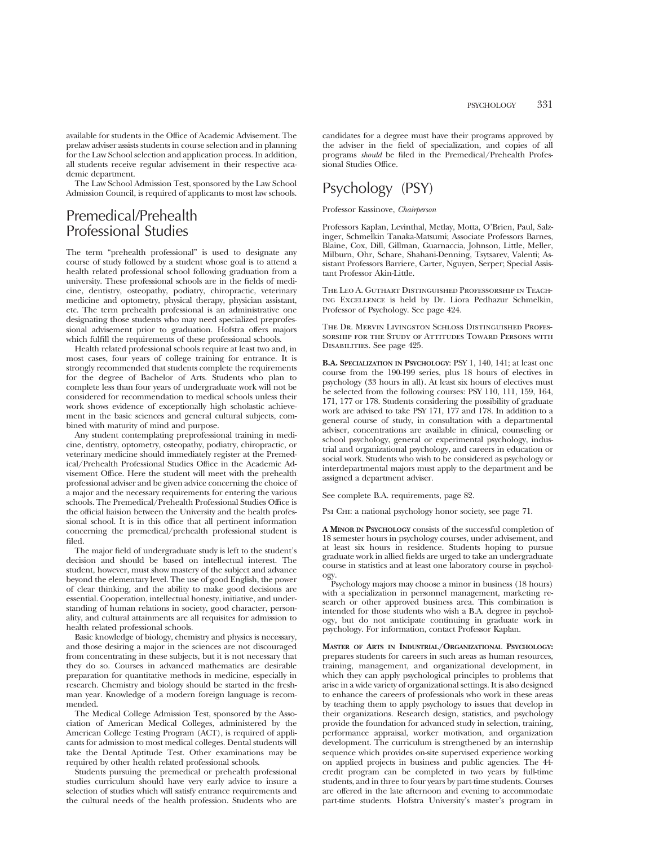available for students in the Office of Academic Advisement. The prelaw adviser assists students in course selection and in planning for the Law School selection and application process. In addition, all students receive regular advisement in their respective academic department.

The Law School Admission Test, sponsored by the Law School Admission Council, is required of applicants to most law schools.

# Premedical/Prehealth Professional Studies

The term "prehealth professional" is used to designate any course of study followed by a student whose goal is to attend a health related professional school following graduation from a university. These professional schools are in the fields of medicine, dentistry, osteopathy, podiatry, chiropractic, veterinary medicine and optometry, physical therapy, physician assistant, etc. The term prehealth professional is an administrative one designating those students who may need specialized preprofessional advisement prior to graduation. Hofstra offers majors which fulfill the requirements of these professional schools.

Health related professional schools require at least two and, in most cases, four years of college training for entrance. It is strongly recommended that students complete the requirements for the degree of Bachelor of Arts. Students who plan to complete less than four years of undergraduate work will not be considered for recommendation to medical schools unless their work shows evidence of exceptionally high scholastic achievement in the basic sciences and general cultural subjects, combined with maturity of mind and purpose.

Any student contemplating preprofessional training in medicine, dentistry, optometry, osteopathy, podiatry, chiropractic, or veterinary medicine should immediately register at the Premedical/Prehealth Professional Studies Office in the Academic Advisement Office. Here the student will meet with the prehealth professional adviser and be given advice concerning the choice of a major and the necessary requirements for entering the various schools. The Premedical/Prehealth Professional Studies Office is the official liaision between the University and the health professional school. It is in this office that all pertinent information concerning the premedical/prehealth professional student is filed.

The major field of undergraduate study is left to the student's decision and should be based on intellectual interest. The student, however, must show mastery of the subject and advance beyond the elementary level. The use of good English, the power of clear thinking, and the ability to make good decisions are essential. Cooperation, intellectual honesty, initiative, and understanding of human relations in society, good character, personality, and cultural attainments are all requisites for admission to health related professional schools.

Basic knowledge of biology, chemistry and physics is necessary, and those desiring a major in the sciences are not discouraged from concentrating in these subjects, but it is not necessary that they do so. Courses in advanced mathematics are desirable preparation for quantitative methods in medicine, especially in research. Chemistry and biology should be started in the freshman year. Knowledge of a modern foreign language is recommended.

The Medical College Admission Test, sponsored by the Association of American Medical Colleges, administered by the American College Testing Program (ACT), is required of applicants for admission to most medical colleges. Dental students will take the Dental Aptitude Test. Other examinations may be required by other health related professional schools.

Students pursuing the premedical or prehealth professional studies curriculum should have very early advice to insure a selection of studies which will satisfy entrance requirements and the cultural needs of the health profession. Students who are

candidates for a degree must have their programs approved by the adviser in the field of specialization, and copies of all programs *should* be filed in the Premedical/Prehealth Professional Studies Office.

# Psychology (PSY)

Professor Kassinove, *Chairperson*

Professors Kaplan, Levinthal, Metlay, Motta, O'Brien, Paul, Salzinger, Schmelkin Tanaka-Matsumi; Associate Professors Barnes, Blaine, Cox, Dill, Gillman, Guarnaccia, Johnson, Little, Meller, Milburn, Ohr, Schare, Shahani-Denning, Tsytsarev, Valenti; Assistant Professors Barriere, Carter, Nguyen, Serper; Special Assistant Professor Akin-Little.

The Leo A. Guthart Distinguished Professorship in Teaching Excellence is held by Dr. Liora Pedhazur Schmelkin, Professor of Psychology. See page 424.

The Dr. Mervin Livingston Schloss Distinguished Professorship for the Study of Attitudes Toward Persons with Disabilities. See page 425.

**B.A. SPECIALIZATION IN PSYCHOLOGY**: PSY 1, 140, 141; at least one course from the 190-199 series, plus 18 hours of electives in psychology (33 hours in all). At least six hours of electives must be selected from the following courses: PSY 110, 111, 159, 164, 171, 177 or 178. Students considering the possibility of graduate work are advised to take PSY 171, 177 and 178. In addition to a general course of study, in consultation with a departmental adviser, concentrations are available in clinical, counseling or school psychology, general or experimental psychology, industrial and organizational psychology, and careers in education or social work. Students who wish to be considered as psychology or interdepartmental majors must apply to the department and be assigned a department adviser.

See complete B.A. requirements, page 82.

Psi CHI: a national psychology honor society, see page 71.

**A MINOR IN PSYCHOLOGY** consists of the successful completion of 18 semester hours in psychology courses, under advisement, and at least six hours in residence. Students hoping to pursue graduate work in allied fields are urged to take an undergraduate course in statistics and at least one laboratory course in psychology.

Psychology majors may choose a minor in business (18 hours) with a specialization in personnel management, marketing research or other approved business area. This combination is intended for those students who wish a B.A. degree in psychology, but do not anticipate continuing in graduate work in psychology. For information, contact Professor Kaplan.

**MASTER OF ARTS IN INDUSTRIAL/ORGANIZATIONAL PSYCHOLOGY:** prepares students for careers in such areas as human resources, training, management, and organizational development, in which they can apply psychological principles to problems that arise in a wide variety of organizational settings. It is also designed to enhance the careers of professionals who work in these areas by teaching them to apply psychology to issues that develop in their organizations. Research design, statistics, and psychology provide the foundation for advanced study in selection, training, performance appraisal, worker motivation, and organization development. The curriculum is strengthened by an internship sequence which provides on-site supervised experience working on applied projects in business and public agencies. The 44 credit program can be completed in two years by full-time students, and in three to four years by part-time students. Courses are offered in the late afternoon and evening to accommodate part-time students. Hofstra University's master's program in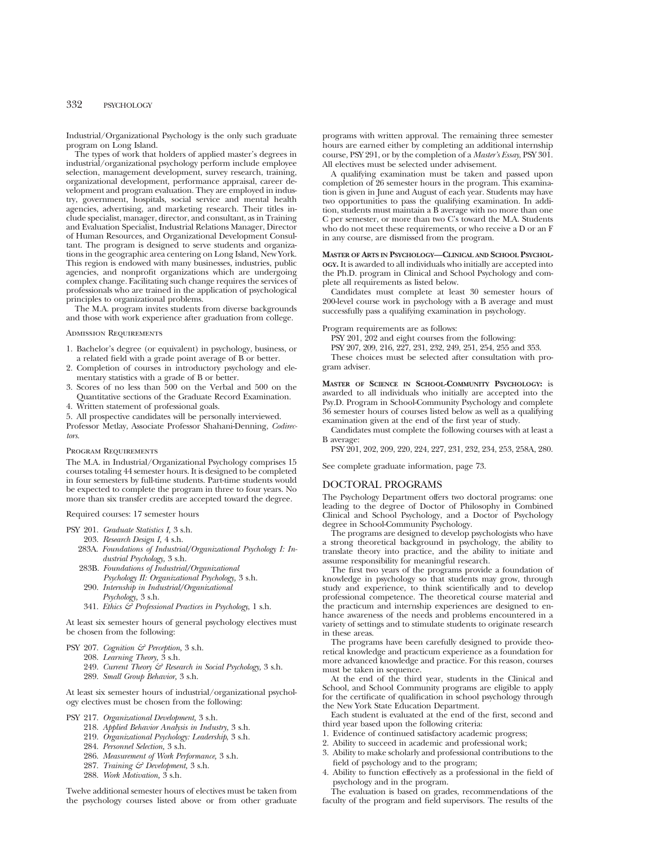Industrial/Organizational Psychology is the only such graduate program on Long Island.

The types of work that holders of applied master's degrees in industrial/organizational psychology perform include employee selection, management development, survey research, training, organizational development, performance appraisal, career development and program evaluation. They are employed in industry, government, hospitals, social service and mental health agencies, advertising, and marketing research. Their titles include specialist, manager, director, and consultant, as in Training and Evaluation Specialist, Industrial Relations Manager, Director of Human Resources, and Organizational Development Consultant. The program is designed to serve students and organizations in the geographic area centering on Long Island, New York. This region is endowed with many businesses, industries, public agencies, and nonprofit organizations which are undergoing complex change. Facilitating such change requires the services of professionals who are trained in the application of psychological principles to organizational problems.

The M.A. program invites students from diverse backgrounds and those with work experience after graduation from college.

#### Admission Requirements

- 1. Bachelor's degree (or equivalent) in psychology, business, or a related field with a grade point average of B or better.
- 2. Completion of courses in introductory psychology and elementary statistics with a grade of B or better.
- 3. Scores of no less than 500 on the Verbal and 500 on the Quantitative sections of the Graduate Record Examination.
- 4. Written statement of professional goals.
- 5. All prospective candidates will be personally interviewed.

Professor Metlay, Associate Professor Shahani-Denning, *Codirectors.*

#### Program Requirements

The M.A. in Industrial/Organizational Psychology comprises 15 courses totaling 44 semester hours. It is designed to be completed in four semesters by full-time students. Part-time students would be expected to complete the program in three to four years. No more than six transfer credits are accepted toward the degree.

Required courses: 17 semester hours

- PSY 201. *Graduate Statistics I,* 3 s.h.
	- 203. *Research Design I,* 4 s.h.
	- 283A. *Foundations of Industrial/Organizational Psychology I: Industrial Psychology,* 3 s.h.
	- 283B. *Foundations of Industrial/Organizational Psychology II: Organizational Psychology,* 3 s.h. 290. *Internship in Industrial/Organizational*
		- *Psychology,* 3 s.h.
	- 341. *Ethics & Professional Practices in Psychology*, 1 s.h.

At least six semester hours of general psychology electives must be chosen from the following:

- PSY 207. *Cognition & Perception,* 3 s.h.
	- 208. *Learning Theory,* 3 s.h.
	- 249. *Current Theory & Research in Social Psychology,* 3 s.h.
	- 289. *Small Group Behavior,* 3 s.h.

At least six semester hours of industrial/organizational psychology electives must be chosen from the following:

- PSY 217. *Organizational Development,* 3 s.h.
	- 218. *Applied Behavior Analysis in Industry,* 3 s.h.
	- 219. *Organizational Psychology: Leadership*, 3 s.h.
	- 284. *Personnel Selection,* 3 s.h.
	- 286. *Measurement of Work Performance,* 3 s.h.
	- 287. *Training & Development,* 3 s.h.
	- 288. *Work Motivation,* 3 s.h.

Twelve additional semester hours of electives must be taken from the psychology courses listed above or from other graduate

programs with written approval. The remaining three semester hours are earned either by completing an additional internship course, PSY 291, or by the completion of a *Master's Essay*, PSY 301. All electives must be selected under advisement.

A qualifying examination must be taken and passed upon completion of 26 semester hours in the program. This examination is given in June and August of each year. Students may have two opportunities to pass the qualifying examination. In addition, students must maintain a B average with no more than one C per semester, or more than two C's toward the M.A. Students who do not meet these requirements, or who receive a D or an F in any course, are dismissed from the program.

#### **MASTER OF ARTS IN PSYCHOLOGY—CLINICAL AND SCHOOL PSYCHOL-OGY.** It is awarded to all individuals who initially are accepted into the Ph.D. program in Clinical and School Psychology and complete all requirements as listed below.

Candidates must complete at least 30 semester hours of 200-level course work in psychology with a B average and must successfully pass a qualifying examination in psychology.

Program requirements are as follows:

PSY 201, 202 and eight courses from the following:

PSY 207, 209, 216, 227, 231, 232, 249, 251, 254, 255 and 353.

These choices must be selected after consultation with program adviser.

**MASTER OF SCIENCE IN SCHOOL-COMMUNITY PSYCHOLOGY:** is awarded to all individuals who initially are accepted into the Psy.D. Program in School-Community Psychology and complete 36 semester hours of courses listed below as well as a qualifying examination given at the end of the first year of study.

Candidates must complete the following courses with at least a B average:

PSY 201, 202, 209, 220, 224, 227, 231, 232, 234, 253, 258A, 280.

See complete graduate information, page 73.

## DOCTORAL PROGRAMS

The Psychology Department offers two doctoral programs: one leading to the degree of Doctor of Philosophy in Combined Clinical and School Psychology, and a Doctor of Psychology degree in School-Community Psychology.

The programs are designed to develop psychologists who have a strong theoretical background in psychology, the ability to translate theory into practice, and the ability to initiate and assume responsibility for meaningful research.

The first two years of the programs provide a foundation of knowledge in psychology so that students may grow, through study and experience, to think scientifically and to develop professional competence. The theoretical course material and the practicum and internship experiences are designed to enhance awareness of the needs and problems encountered in a variety of settings and to stimulate students to originate research in these areas.

The programs have been carefully designed to provide theoretical knowledge and practicum experience as a foundation for more advanced knowledge and practice. For this reason, courses must be taken in sequence.

At the end of the third year, students in the Clinical and School, and School Community programs are eligible to apply for the certificate of qualification in school psychology through the New York State Education Department.

Each student is evaluated at the end of the first, second and third year based upon the following criteria:

- 1. Evidence of continued satisfactory academic progress;
- 2. Ability to succeed in academic and professional work;
- 3. Ability to make scholarly and professional contributions to the field of psychology and to the program;
- 4. Ability to function effectively as a professional in the field of psychology and in the program.

The evaluation is based on grades, recommendations of the faculty of the program and field supervisors. The results of the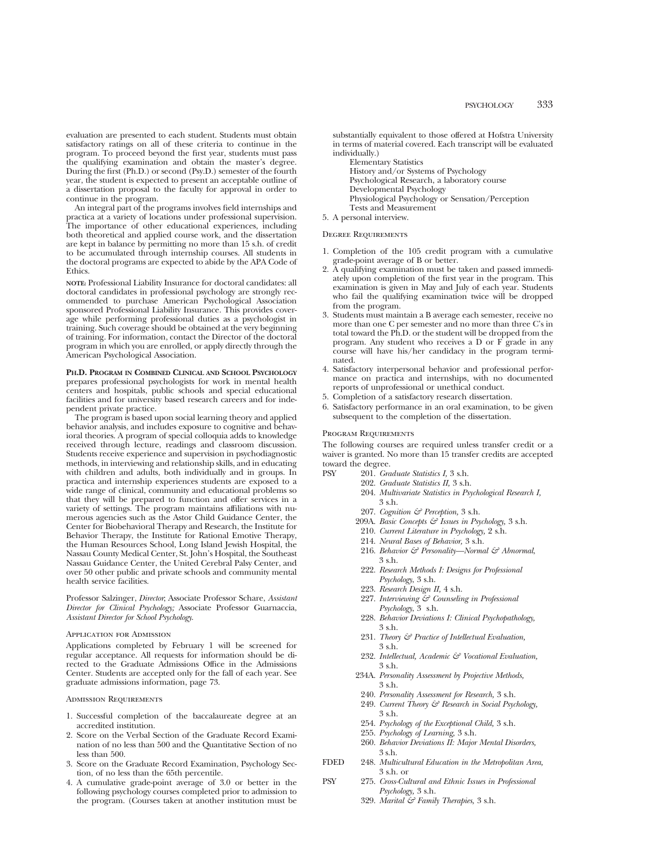evaluation are presented to each student. Students must obtain satisfactory ratings on all of these criteria to continue in the program. To proceed beyond the first year, students must pass the qualifying examination and obtain the master's degree. During the first (Ph.D.) or second (Psy.D.) semester of the fourth year, the student is expected to present an acceptable outline of a dissertation proposal to the faculty for approval in order to continue in the program.

An integral part of the programs involves field internships and practica at a variety of locations under professional supervision. The importance of other educational experiences, including both theoretical and applied course work, and the dissertation are kept in balance by permitting no more than 15 s.h. of credit to be accumulated through internship courses. All students in the doctoral programs are expected to abide by the APA Code of Ethics.

**NOTE:** Professional Liability Insurance for doctoral candidates: all doctoral candidates in professional psychology are strongly recommended to purchase American Psychological Association sponsored Professional Liability Insurance. This provides coverage while performing professional duties as a psychologist in training. Such coverage should be obtained at the very beginning of training. For information, contact the Director of the doctoral program in which you are enrolled, or apply directly through the American Psychological Association.

**PH.D. PROGRAM IN COMBINED CLINICAL AND SCHOOL PSYCHOLOGY** prepares professional psychologists for work in mental health centers and hospitals, public schools and special educational facilities and for university based research careers and for independent private practice.

The program is based upon social learning theory and applied behavior analysis, and includes exposure to cognitive and behavioral theories. A program of special colloquia adds to knowledge received through lecture, readings and classroom discussion. Students receive experience and supervision in psychodiagnostic methods, in interviewing and relationship skills, and in educating with children and adults, both individually and in groups. In practica and internship experiences students are exposed to a wide range of clinical, community and educational problems so that they will be prepared to function and offer services in a variety of settings. The program maintains affiliations with numerous agencies such as the Astor Child Guidance Center, the Center for Biobehavioral Therapy and Research, the Institute for Behavior Therapy, the Institute for Rational Emotive Therapy, the Human Resources School, Long Island Jewish Hospital, the Nassau County Medical Center, St. John's Hospital, the Southeast Nassau Guidance Center, the United Cerebral Palsy Center, and over 50 other public and private schools and community mental health service facilities.

Professor Salzinger, *Director*; Associate Professor Schare, *Assistant Director for Clinical Psychology;* Associate Professor Guarnaccia, *Assistant Director for School Psychology*.

#### Application for Admission

Applications completed by February 1 will be screened for regular acceptance. All requests for information should be directed to the Graduate Admissions Office in the Admissions Center. Students are accepted only for the fall of each year. See graduate admissions information, page 73.

Admission Requirements

- 1. Successful completion of the baccalaureate degree at an accredited institution.
- 2. Score on the Verbal Section of the Graduate Record Examination of no less than 500 and the Quantitative Section of no less than 500.
- 3. Score on the Graduate Record Examination, Psychology Section, of no less than the 65th percentile.
- 4. A cumulative grade-point average of 3.0 or better in the following psychology courses completed prior to admission to the program. (Courses taken at another institution must be

substantially equivalent to those offered at Hofstra University in terms of material covered. Each transcript will be evaluated individually.)

Elementary Statistics History and/or Systems of Psychology Psychological Research, a laboratory course Developmental Psychology Physiological Psychology or Sensation/Perception Tests and Measurement

5. A personal interview.

#### Degree Requirements

- 1. Completion of the 105 credit program with a cumulative grade-point average of B or better.
- 2. A qualifying examination must be taken and passed immediately upon completion of the first year in the program. This examination is given in May and July of each year. Students who fail the qualifying examination twice will be dropped from the program.
- 3. Students must maintain a B average each semester, receive no more than one C per semester and no more than three C's in total toward the Ph.D. or the student will be dropped from the program. Any student who receives a D or  $\overrightarrow{F}$  grade in any course will have his/her candidacy in the program terminated.
- 4. Satisfactory interpersonal behavior and professional performance on practica and internships, with no documented reports of unprofessional or unethical conduct.
- 5. Completion of a satisfactory research dissertation.
- 6. Satisfactory performance in an oral examination, to be given subsequent to the completion of the dissertation.

#### Program Requirements

The following courses are required unless transfer credit or a waiver is granted. No more than 15 transfer credits are accepted toward the degree.

- PSY 201. *Graduate Statistics I,* 3 s.h.
	- 202. *Graduate Statistics II,* 3 s.h.
	- 204. *Multivariate Statistics in Psychological Research I,* 3 s.h.
	- 207. *Cognition & Perception,* 3 s.h.
	- 209A. *Basic Concepts & Issues in Psychology,* 3 s.h.
	- 210. *Current Literature in Psychology,* 2 s.h.
	- 214. *Neural Bases of Behavior,* 3 s.h.
	- 216. *Behavior & Personality—Normal & Abnormal*, 3 s.h.
	- 222. *Research Methods I: Designs for Professional Psychology*, 3 s.h.
	- 223. *Research Design II,* 4 s.h.
	- 227. *Interviewing & Counseling in Professional Psychology*, 3 s.h.
	- 228. *Behavior Deviations I: Clinical Psychopathology,* 3 s.h.
	- 231. *Theory & Practice of Intellectual Evaluation,* 3 s.h.
	- 232. *Intellectual, Academic & Vocational Evaluation,* 3 s.h.
	- 234A. *Personality Assessment by Projective Methods,* 3 s.h.
	- 240. *Personality Assessment for Research,* 3 s.h.
	- 249. *Current Theory & Research in Social Psychology,* 3 s.h.
	- 254. *Psychology of the Exceptional Child,* 3 s.h.
	- 255. *Psychology of Learning,* 3 s.h.
	- 260. *Behavior Deviations II: Major Mental Disorders,* 3 s.h.
- FDED 248. *Multicultural Education in the Metropolitan Area,* 3 s.h. or
- PSY 275. *Cross-Cultural and Ethnic Issues in Professional Psychology,* 3 s.h.
	- 329. *Marital & Family Therapies,* 3 s.h.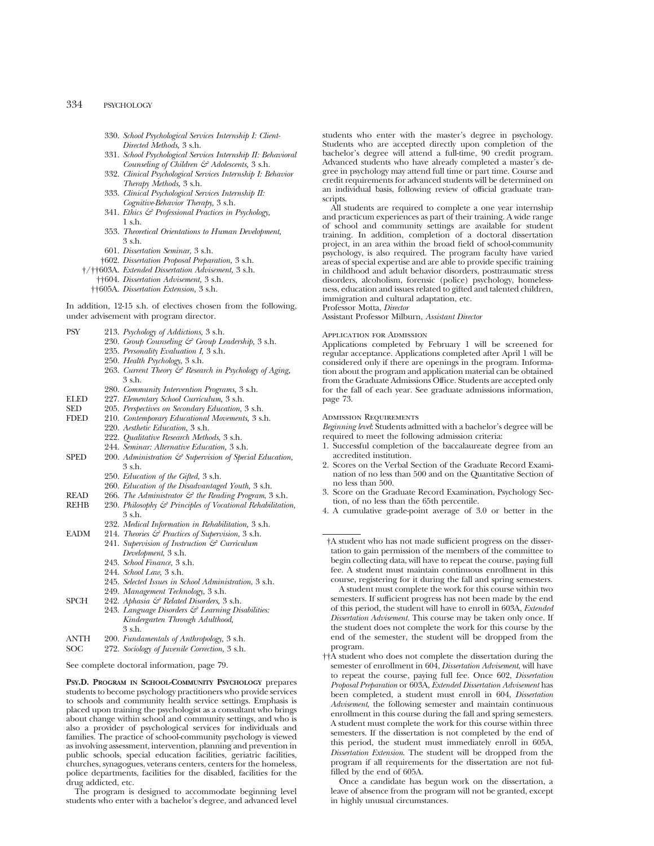- 330. *School Psychological Services Internship I: Client-Directed Methods,* 3 s.h.
- 331. *School Psychological Services Internship II: Behavioral Counseling of Children & Adolescents,* 3 s.h.
- 332. *Clinical Psychological Services Internship I: Behavior Therapy Methods,* 3 s.h.
- 333. *Clinical Psychological Services Internship II: Cognitive-Behavior Therapy,* 3 s.h.
- 341. *Ethics & Professional Practices in Psychology,* 1 s.h.
- 353. *Theoretical Orientations to Human Development,* 3 s.h.
- 601. *Dissertation Seminar,* 3 s.h.
- †602. *Dissertation Proposal Preparation,* 3 s.h.
- †/††603A. *Extended Dissertation Advisement,* 3 s.h.
	- ††604. *Dissertation Advisement,* 3 s.h.
	- ††605A. *Dissertation Extension,* 3 s.h.

In addition, 12-15 s.h. of electives chosen from the following, under advisement with program director.

- PSY 213. *Psychology of Addictions,* 3 s.h.
	- 230. *Group Counseling & Group Leadership,* 3 s.h.
		- 235. *Personality Evaluation I,* 3 s.h.
		- 250. *Health Psychology*, 3 s.h.
		- 263. *Current Theory & Research in Psychology of Aging,* 3 s.h.
	- 280. *Community Intervention Programs,* 3 s.h.
- ELED 227. *Elementary School Curriculum,* 3 s.h.
- 205. Perspectives on Secondary Education, 3 s.h.
- FDED 210. *Contemporary Educational Movements,* 3 s.h.
- 220. *Aesthetic Education,* 3 s.h.
	- 222. *Qualitative Research Methods*, 3 s.h.
	- 244. *Seminar: Alternative Education,* 3 s.h.
- SPED 200. *Administration & Supervision of Special Education*, 3 s.h.
	- 250. *Education of the Gifted,* 3 s.h.
	- 260. *Education of the Disadvantaged Youth,* 3 s.h.
- READ 266. *The Administrator & the Reading Program*, 3 s.h.
- REHB 230. *Philosophy & Principles of Vocational Rehabilitation,* 3 s.h.
	- 232. *Medical Information in Rehabilitation,* 3 s.h.
- EADM 214. *Theories & Practices of Supervision*, 3 s.h. 241. *Supervision of Instruction & Curriculum Development*, 3 s.h.
	- 243. *School Finance,* 3 s.h.
	- 244. *School Law,* 3 s.h.
	-
	- 245. *Selected Issues in School Administration*, 3 s.h.
	- 249. *Management Technology*, 3 s.h.
- SPCH 242. *Aphasia & Related Disorders,* 3 s.h. 243. *Language Disorders & Learning Disabilities: Kindergarten Through Adulthood,* 3 s.h.
- 
- ANTH 200. *Fundamentals of Anthropology,* 3 s.h. 272. Sociology of Juvenile Correction, 3 s.h.

See complete doctoral information, page 79.

**PSY.D. PROGRAM IN SCHOOL-COMMUNITY PSYCHOLOGY** prepares students to become psychology practitioners who provide services to schools and community health service settings. Emphasis is placed upon training the psychologist as a consultant who brings about change within school and community settings, and who is also a provider of psychological services for individuals and families. The practice of school-community psychology is viewed as involving assessment, intervention, planning and prevention in public schools, special education facilities, geriatric facilities, churches, synagogues, veterans centers, centers for the homeless, police departments, facilities for the disabled, facilities for the drug addicted, etc.

The program is designed to accommodate beginning level students who enter with a bachelor's degree, and advanced level students who enter with the master's degree in psychology. Students who are accepted directly upon completion of the bachelor's degree will attend a full-time, 90 credit program. Advanced students who have already completed a master's degree in psychology may attend full time or part time. Course and credit requirements for advanced students will be determined on an individual basis, following review of official graduate transcripts.

All students are required to complete a one year internship and practicum experiences as part of their training. A wide range of school and community settings are available for student training. In addition, completion of a doctoral dissertation project, in an area within the broad field of school-community psychology, is also required. The program faculty have varied areas of special expertise and are able to provide specific training in childhood and adult behavior disorders, posttraumatic stress disorders, alcoholism, forensic (police) psychology, homelessness, education and issues related to gifted and talented children, immigration and cultural adaptation, etc.

Professor Motta, *Director*

Assistant Professor Milburn, *Assistant Director*

#### Application for Admission

Applications completed by February 1 will be screened for regular acceptance. Applications completed after April 1 will be considered only if there are openings in the program. Information about the program and application material can be obtained from the Graduate Admissions Office. Students are accepted only for the fall of each year. See graduate admissions information, page 73.

#### Admission Requirements

*Beginning level*: Students admitted with a bachelor's degree will be required to meet the following admission criteria:

- 1. Successful completion of the baccalaureate degree from an accredited institution.
- 2. Scores on the Verbal Section of the Graduate Record Examination of no less than 500 and on the Quantitative Section of no less than 500.
- 3. Score on the Graduate Record Examination, Psychology Section, of no less than the 65th percentile.
- 4. A cumulative grade-point average of 3.0 or better in the

†A student who has not made sufficient progress on the dissertation to gain permission of the members of the committee to begin collecting data, will have to repeat the course, paying full fee. A student must maintain continuous enrollment in this course, registering for it during the fall and spring semesters.

A student must complete the work for this course within two semesters. If sufficient progress has not been made by the end of this period, the student will have to enroll in 603A, *Extended Dissertation Advisement.* This course may be taken only once. If the student does not complete the work for this course by the end of the semester, the student will be dropped from the program.

††A student who does not complete the dissertation during the semester of enrollment in 604, *Dissertation Advisement*, will have to repeat the course, paying full fee. Once 602, *Dissertation Proposal Preparation* or 603A, *Extended Dissertation Advisement* has been completed, a student must enroll in 604, *Dissertation Advisement*, the following semester and maintain continuous enrollment in this course during the fall and spring semesters. A student must complete the work for this course within three semesters. If the dissertation is not completed by the end of this period, the student must immediately enroll in 605A, *Dissertation Extension*. The student will be dropped from the program if all requirements for the dissertation are not fulfilled by the end of 605A.

Once a candidate has begun work on the dissertation, a leave of absence from the program will not be granted, except in highly unusual circumstances.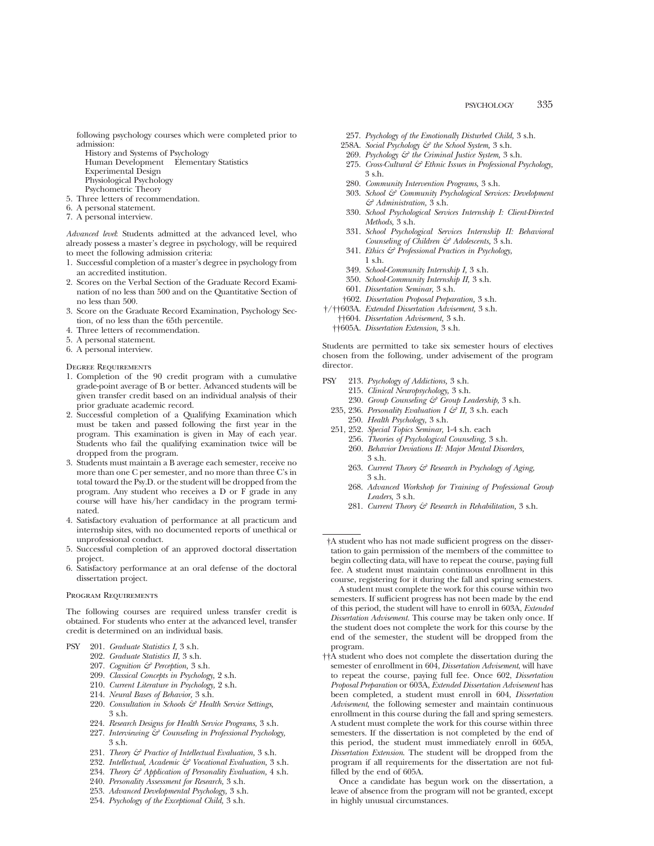following psychology courses which were completed prior to admission:

- History and Systems of Psychology Human Development Elementary Statistics
- Experimental Design
- Physiological Psychology Psychometric Theory
- 5. Three letters of recommendation.
- 6. A personal statement.
- 7. A personal interview.

*Advanced level*: Students admitted at the advanced level, who already possess a master's degree in psychology, will be required to meet the following admission criteria:

- 1. Successful completion of a master's degree in psychology from an accredited institution.
- 2. Scores on the Verbal Section of the Graduate Record Examination of no less than 500 and on the Quantitative Section of no less than 500.
- 3. Score on the Graduate Record Examination, Psychology Section, of no less than the 65th percentile.
- 4. Three letters of recommendation.
- 5. A personal statement.
- 6. A personal interview.

Degree Requirements

- 1. Completion of the 90 credit program with a cumulative grade-point average of B or better. Advanced students will be given transfer credit based on an individual analysis of their prior graduate academic record.
- 2. Successful completion of a Qualifying Examination which must be taken and passed following the first year in the program. This examination is given in May of each year. Students who fail the qualifying examination twice will be dropped from the program.
- 3. Students must maintain a B average each semester, receive no more than one C per semester, and no more than three C's in total toward the Psy.D. or the student will be dropped from the program. Any student who receives a D or F grade in any course will have his/her candidacy in the program terminated.
- 4. Satisfactory evaluation of performance at all practicum and internship sites, with no documented reports of unethical or unprofessional conduct.
- 5. Successful completion of an approved doctoral dissertation project.
- 6. Satisfactory performance at an oral defense of the doctoral dissertation project.

#### Program Requirements

The following courses are required unless transfer credit is obtained. For students who enter at the advanced level, transfer credit is determined on an individual basis.

- PSY 201. *Graduate Statistics I,* 3 s.h.
	- 202. *Graduate Statistics II,* 3 s.h.
	- 207. *Cognition & Perception,* 3 s.h.
	- 209. *Classical Concepts in Psychology,* 2 s.h.
	- 210. *Current Literature in Psychology,* 2 s.h.
	- 214. *Neural Bases of Behavior,* 3 s.h.
	- 220. *Consultation in Schools & Health Service Settings,* 3 s.h.
	- 224. *Research Designs for Health Service Programs,* 3 s.h.
	- 227. *Interviewing & Counseling in Professional Psychology,* 3 s.h.
	- 231. *Theory & Practice of Intellectual Evaluation,* 3 s.h.
	- 232. *Intellectual, Academic & Vocational Evaluation,* 3 s.h.
	- 234. *Theory & Application of Personality Evaluation,* 4 s.h.
	- 240. *Personality Assessment for Research,* 3 s.h.
	- 253. *Advanced Developmental Psychology,* 3 s.h.
	- 254. *Psychology of the Exceptional Child,* 3 s.h.
- 257. *Psychology of the Emotionally Disturbed Child,* 3 s.h.
- 258A. *Social Psychology & the School System,* 3 s.h.
- 269. *Psychology & the Criminal Justice System,* 3 s.h.
- 275. *Cross-Cultural & Ethnic Issues in Professional Psychology,* 3 s.h.
- 280. *Community Intervention Programs,* 3 s.h.
- 303. *School & Community Psychological Services: Development & Administration,* 3 s.h.
- 330. *School Psychological Services Internship I: Client-Directed Methods,* 3 s.h.
- 331. *School Psychological Services Internship II: Behavioral Counseling of Children & Adolescents,* 3 s.h.
- 341. *Ethics & Professional Practices in Psychology,* 1 s.h.
- 349. *School-Community Internship I,* 3 s.h.
- 350. *School-Community Internship II,* 3 s.h.
- 601. *Dissertation Seminar,* 3 s.h.
- †602. *Dissertation Proposal Preparation,* 3 s.h.
- †/††603A. *Extended Dissertation Advisement,* 3 s.h.
	- ††604. *Dissertation Advisement,* 3 s.h.
	- ††605A. *Dissertation Extension,* 3 s.h.

Students are permitted to take six semester hours of electives chosen from the following, under advisement of the program director.

- PSY 213. *Psychology of Addictions,* 3 s.h.
	- 215. *Clinical Neuropsychology,* 3 s.h. 230. *Group Counseling & Group Leadership,* 3 s.h.
	- 235, 236. *Personality Evaluation I & II,* 3 s.h. each 250. *Health Psychology,* 3 s.h.
	- 251, 252. *Special Topics Seminar,* 1-4 s.h. each
		- 256. *Theories of Psychological Counseling,* 3 s.h. 260. *Behavior Deviations II: Major Mental Disorders,* 3 s.h.
		- 263. *Current Theory & Research in Psychology of Aging,* 3 s.h.
		- 268. *Advanced Workshop for Training of Professional Group Leaders,* 3 s.h.
		- 281. *Current Theory & Research in Rehabilitation,* 3 s.h.

†A student who has not made sufficient progress on the dissertation to gain permission of the members of the committee to begin collecting data, will have to repeat the course, paying full fee. A student must maintain continuous enrollment in this course, registering for it during the fall and spring semesters.

A student must complete the work for this course within two semesters. If sufficient progress has not been made by the end of this period, the student will have to enroll in 603A, *Extended Dissertation Advisement.* This course may be taken only once. If the student does not complete the work for this course by the end of the semester, the student will be dropped from the program.

††A student who does not complete the dissertation during the semester of enrollment in 604, *Dissertation Advisement*, will have to repeat the course, paying full fee. Once 602, *Dissertation Proposal Preparation* or 603A, *Extended Dissertation Advisement* has been completed, a student must enroll in 604, *Dissertation Advisement*, the following semester and maintain continuous enrollment in this course during the fall and spring semesters. A student must complete the work for this course within three semesters. If the dissertation is not completed by the end of this period, the student must immediately enroll in 605A, *Dissertation Extension*. The student will be dropped from the program if all requirements for the dissertation are not fulfilled by the end of 605A.

Once a candidate has begun work on the dissertation, a leave of absence from the program will not be granted, except in highly unusual circumstances.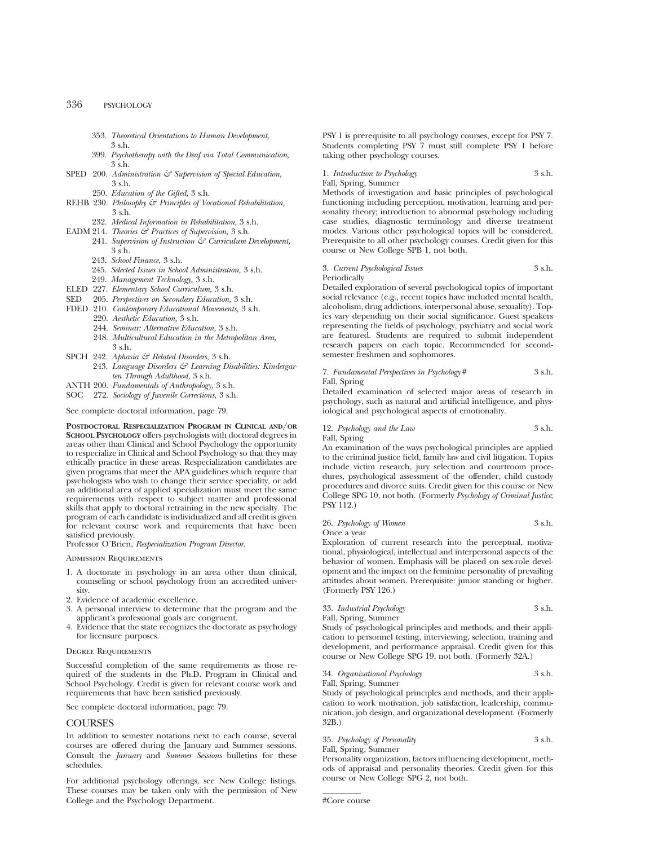- 353. *Theoretical Orientations to Human Development,* 3 s.h.
- 399. *Psychotherapy with the Deaf via Total Communication,* 3 s.h.
- SPED 200. *Administration*  $G$  Supervision of Special Education, 3 s.h.
- 250. *Education of the Gifted,* 3 s.h.
- REHB 230. *Philosophy & Principles of Vocational Rehabilitation,* 3 s.h.
	- 232. *Medical Information in Rehabilitation,* 3 s.h.
- EADM 214. *Theories & Practices of Supervision,* 3 s.h.
	- 241. *Supervision of Instruction & Curriculum Development,* 3 s.h.
	- 243. *School Finance,* 3 s.h.
	- 245. *Selected Issues in School Administration,* 3 s.h.
	- 249. *Management Technology,* 3 s.h.
- ELED 227. *Elementary School Curriculum,* 3 s.h.
- SED 205. *Perspectives on Secondary Education,* 3 s.h.
- FDED 210. *Contemporary Educational Movements,* 3 s.h.
	- 220. *Aesthetic Education,* 3 s.h.
	- 244. *Seminar: Alternative Education,* 3 s.h.
	- 248. *Multicultural Education in the Metropolitan Area,* 3 s.h.
- SPCH 242. *Aphasia & Related Disorders,* 3 s.h.
- 243. *Language Disorders & Learning Disabilities: Kindergarten Through Adulthood,* 3 s.h.
- ANTH 200. *Fundamentals of Anthropology,* 3 s.h.
- SOC 272. *Sociology of Juvenile Corrections,* 3 s.h.

See complete doctoral information, page 79.

**POSTDOCTORAL RESPECIALIZATION PROGRAM IN CLINICAL AND/OR SCHOOL PSYCHOLOGY** offers psychologists with doctoral degrees in areas other than Clinical and School Psychology the opportunity to respecialize in Clinical and School Psychology so that they may ethically practice in these areas. Respecialization candidates are given programs that meet the APA guidelines which require that psychologists who wish to change their service speciality, or add an additional area of applied specialization must meet the same requirements with respect to subject matter and professional skills that apply to doctoral retraining in the new specialty. The program of each candidate is individualized and all credit is given for relevant course work and requirements that have been satisfied previously.

Professor O'Brien, *Respecialization Program Director.*

Admission Requirements

- 1. A doctorate in psychology in an area other than clinical, counseling or school psychology from an accredited university.
- 2. Evidence of academic excellence.
- 3. A personal interview to determine that the program and the applicant's professional goals are congruent.
- 4. Evidence that the state recognizes the doctorate as psychology for licensure purposes.

#### Degree Requirements

Successful completion of the same requirements as those required of the students in the Ph.D. Program in Clinical and School Psychology. Credit is given for relevant course work and requirements that have been satisfied previously.

See complete doctoral information, page 79.

### **COURSES**

In addition to semester notations next to each course, several courses are offered during the January and Summer sessions. Consult the *January* and *Summer Sessions* bulletins for these schedules.

For additional psychology offerings, see New College listings. These courses may be taken only with the permission of New College and the Psychology Department.

PSY 1 is prerequisite to all psychology courses, except for PSY 7. Students completing PSY 7 must still complete PSY 1 before taking other psychology courses.

### 1. *Introduction to Psychology* 3 s.h. Fall, Spring, Summer

Methods of investigation and basic principles of psychological functioning including perception, motivation, learning and personality theory; introduction to abnormal psychology including case studies, diagnostic terminology and diverse treatment modes. Various other psychological topics will be considered. Prerequisite to all other psychology courses. Credit given for this course or New College SPB 1, not both.

#### 3. *Current Psychological Issues* 3 s.h. Periodically

Detailed exploration of several psychological topics of important social relevance (e.g., recent topics have included mental health, alcoholism, drug addictions, interpersonal abuse, sexuality). Topics vary depending on their social significance. Guest speakers representing the fields of psychology, psychiatry and social work are featured. Students are required to submit independent research papers on each topic. Recommended for secondsemester freshmen and sophomores.

#### 7. *Fundamental Perspectives in Psychology* # 3 s.h. Fall, Spring

Detailed examination of selected major areas of research in psychology, such as natural and artificial intelligence, and physiological and psychological aspects of emotionality.

#### 12. *Psychology and the Law* 3 s.h.

Fall, Spring

An examination of the ways psychological principles are applied to the criminal justice field, family law and civil litigation. Topics include victim research, jury selection and courtroom procedures, psychological assessment of the offender, child custody procedures and divorce suits. Credit given for this course or New College SPG 10, not both. (Formerly *Psychology of Criminal Justice*; PSY 112.)

| 26. Psychology of Women |  | 3 s.h. |
|-------------------------|--|--------|
|                         |  |        |

Once a year

Exploration of current research into the perceptual, motivational, physiological, intellectual and interpersonal aspects of the behavior of women. Emphasis will be placed on sex-role development and the impact on the feminine personality of prevailing attitudes about women. Prerequisite: junior standing or higher. (Formerly PSY 126.)

#### 33. *Industrial Psychology* 3 s.h. Fall, Spring, Summer

Study of psychological principles and methods, and their application to personnel testing, interviewing, selection, training and development, and performance appraisal. Credit given for this course or New College SPG 19, not both. (Formerly 32A.)

#### 34. *Organizational Psychology* 3 s.h.

Fall, Spring, Summer Study of psychological principles and methods, and their application to work motivation, job satisfaction, leadership, communication, job design, and organizational development. (Formerly 32B.)

## 35. *Psychology of Personality* 3 s.h.

Fall, Spring, Summer

Personality organization, factors influencing development, methods of appraisal and personality theories. Credit given for this course or New College SPG 2, not both.

#Core course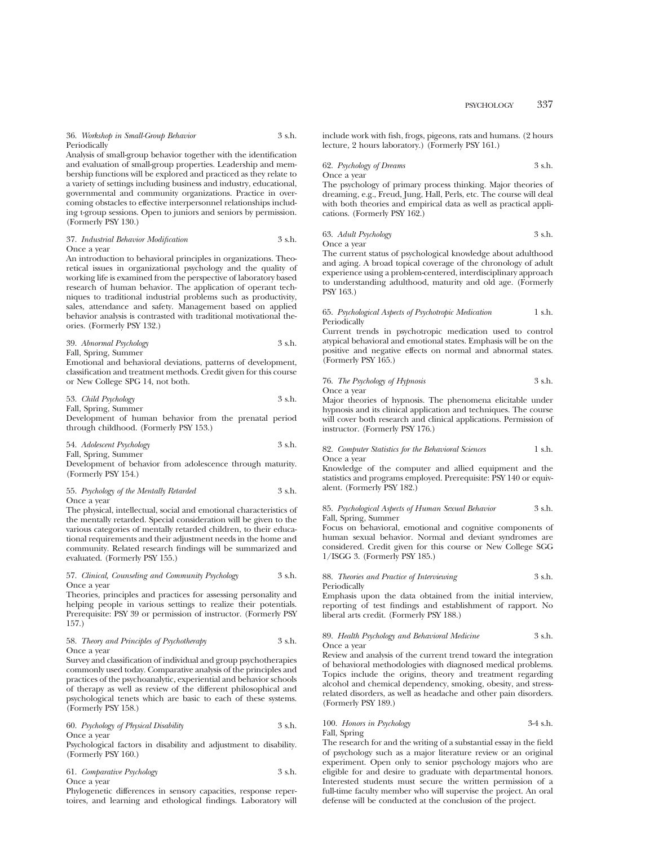36. *Workshop in Small-Group Behavior* 3 s.h. Periodically

Analysis of small-group behavior together with the identification and evaluation of small-group properties. Leadership and membership functions will be explored and practiced as they relate to a variety of settings including business and industry, educational, governmental and community organizations. Practice in overcoming obstacles to effective interpersonnel relationships including t-group sessions. Open to juniors and seniors by permission. (Formerly PSY 130.)

37. *Industrial Behavior Modification* 3 s.h. Once a year

An introduction to behavioral principles in organizations. Theoretical issues in organizational psychology and the quality of working life is examined from the perspective of laboratory based research of human behavior. The application of operant techniques to traditional industrial problems such as productivity, sales, attendance and safety. Management based on applied behavior analysis is contrasted with traditional motivational theories. (Formerly PSY 132.)

39. *Abnormal Psychology* 3 s.h. Fall, Spring, Summer

Emotional and behavioral deviations, patterns of development, classification and treatment methods. Credit given for this course or New College SPG 14, not both.

53. *Child Psychology* 3 s.h. Fall, Spring, Summer

Development of human behavior from the prenatal period through childhood. (Formerly PSY 153.)

54. *Adolescent Psychology* 3 s.h. Fall, Spring, Summer Development of behavior from adolescence through maturity.

55. *Psychology of the Mentally Retarded* 3 s.h.

Once a year

(Formerly PSY 154.)

The physical, intellectual, social and emotional characteristics of the mentally retarded. Special consideration will be given to the various categories of mentally retarded children, to their educational requirements and their adjustment needs in the home and community. Related research findings will be summarized and evaluated. (Formerly PSY 155.)

#### 57. *Clinical, Counseling and Community Psychology* 3 s.h. Once a year

Theories, principles and practices for assessing personality and helping people in various settings to realize their potentials. Prerequisite: PSY 39 or permission of instructor. (Formerly PSY 157.)

#### 58. *Theory and Principles of Psychotherapy* 3 s.h. Once a year

Survey and classification of individual and group psychotherapies commonly used today. Comparative analysis of the principles and practices of the psychoanalytic, experiential and behavior schools of therapy as well as review of the different philosophical and psychological tenets which are basic to each of these systems. (Formerly PSY 158.)

## 60. *Psychology of Physical Disability* 3 s.h. Once a year

Psychological factors in disability and adjustment to disability. (Formerly PSY 160.)

61. *Comparative Psychology* 3 s.h. Once a year

Phylogenetic differences in sensory capacities, response repertoires, and learning and ethological findings. Laboratory will include work with fish, frogs, pigeons, rats and humans. (2 hours lecture, 2 hours laboratory.) (Formerly PSY 161.)

62. *Psychology of Dreams* 3 s.h. Once a year

The psychology of primary process thinking. Major theories of dreaming, e.g., Freud, Jung, Hall, Perls, etc. The course will deal with both theories and empirical data as well as practical applications. (Formerly PSY 162.)

| 63. Adult Psychology | 3 s.h. |
|----------------------|--------|
| Once a year          |        |

The current status of psychological knowledge about adulthood and aging. A broad topical coverage of the chronology of adult experience using a problem-centered, interdisciplinary approach to understanding adulthood, maturity and old age. (Formerly PSY 163.)

65. *Psychological Aspects of Psychotropic Medication* 1 s.h. Periodically

Current trends in psychotropic medication used to control atypical behavioral and emotional states. Emphasis will be on the positive and negative effects on normal and abnormal states. (Formerly PSY 165.)

76. *The Psychology of Hypnosis* 3 s.h. Once a year

Major theories of hypnosis. The phenomena elicitable under hypnosis and its clinical application and techniques. The course will cover both research and clinical applications. Permission of instructor. (Formerly PSY 176.)

82. *Computer Statistics for the Behavioral Sciences* 1 s.h. Once a year

Knowledge of the computer and allied equipment and the statistics and programs employed. Prerequisite: PSY 140 or equivalent. (Formerly PSY 182.)

### 85. *Psychological Aspects of Human Sexual Behavior* 3 s.h. Fall, Spring, Summer

Focus on behavioral, emotional and cognitive components of human sexual behavior. Normal and deviant syndromes are considered. Credit given for this course or New College SGG 1/ISGG 3. (Formerly PSY 185.)

88. *Theories and Practice of Interviewing* 3 s.h.

Periodically

Emphasis upon the data obtained from the initial interview, reporting of test findings and establishment of rapport. No liberal arts credit. (Formerly PSY 188.)

#### 89. *Health Psychology and Behavioral Medicine* 3 s.h. Once a year

Review and analysis of the current trend toward the integration of behavioral methodologies with diagnosed medical problems. Topics include the origins, theory and treatment regarding alcohol and chemical dependency, smoking, obesity, and stressrelated disorders, as well as headache and other pain disorders. (Formerly PSY 189.)

## 100. *Honors in Psychology* 3-4 s.h.

Fall, Spring

The research for and the writing of a substantial essay in the field of psychology such as a major literature review or an original experiment. Open only to senior psychology majors who are eligible for and desire to graduate with departmental honors. Interested students must secure the written permission of a full-time faculty member who will supervise the project. An oral defense will be conducted at the conclusion of the project.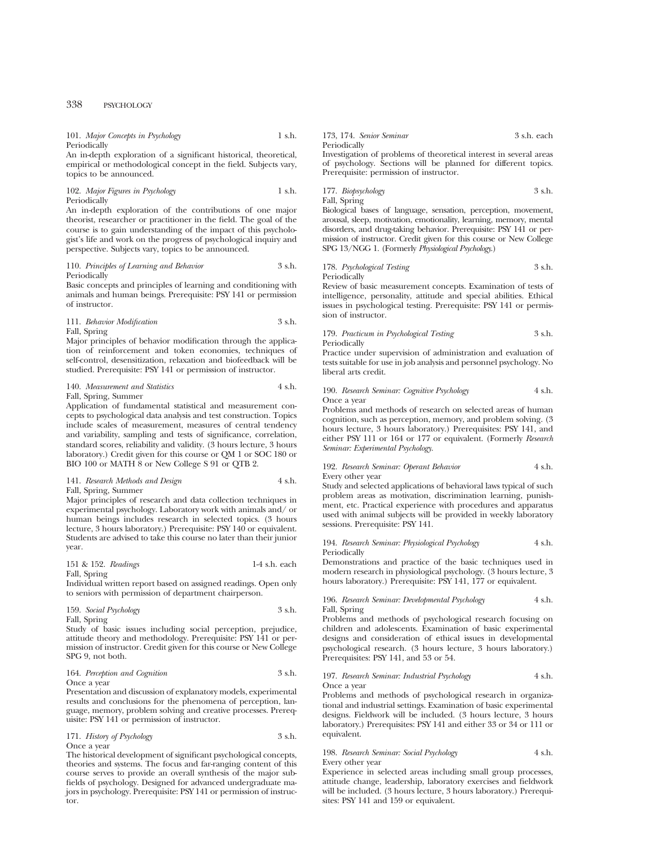| 101. Major Concepts in Psychology | 1 s.h. |
|-----------------------------------|--------|
| Periodically                      |        |

An in-depth exploration of a significant historical, theoretical, empirical or methodological concept in the field. Subjects vary, topics to be announced.

## 102. *Major Figures in Psychology* 1 s.h. Periodically

An in-depth exploration of the contributions of one major theorist, researcher or practitioner in the field. The goal of the course is to gain understanding of the impact of this psychologist's life and work on the progress of psychological inquiry and perspective. Subjects vary, topics to be announced.

#### 110. *Principles of Learning and Behavior* 3 s.h. Periodically

Basic concepts and principles of learning and conditioning with animals and human beings. Prerequisite: PSY 141 or permission of instructor.

## 111. *Behavior Modification* 3 s.h. Fall, Spring

Major principles of behavior modification through the application of reinforcement and token economies, techniques of self-control, desensitization, relaxation and biofeedback will be studied. Prerequisite: PSY 141 or permission of instructor.

#### 140. *Measurement and Statistics* 4 s.h. Fall, Spring, Summer

Application of fundamental statistical and measurement concepts to psychological data analysis and test construction. Topics include scales of measurement, measures of central tendency and variability, sampling and tests of significance, correlation, standard scores, reliability and validity. (3 hours lecture, 3 hours laboratory.) Credit given for this course or QM 1 or SOC 180 or BIO 100 or MATH 8 or New College S 91 or QTB 2.

#### 141. *Research Methods and Design* 4 s.h. Fall, Spring, Summer

Major principles of research and data collection techniques in experimental psychology. Laboratory work with animals and/ or human beings includes research in selected topics. (3 hours lecture, 3 hours laboratory.) Prerequisite: PSY 140 or equivalent. Students are advised to take this course no later than their junior year.

151 & 152. *Readings* 1-4 s.h. each Fall, Spring

Individual written report based on assigned readings. Open only to seniors with permission of department chairperson.

159. *Social Psychology* 3 s.h. Fall, Spring

Study of basic issues including social perception, prejudice, attitude theory and methodology. Prerequisite: PSY 141 or permission of instructor. Credit given for this course or New College SPG 9, not both.

#### 164. *Perception and Cognition* 3 s.h. Once a year

Presentation and discussion of explanatory models, experimental results and conclusions for the phenomena of perception, language, memory, problem solving and creative processes. Prerequisite: PSY 141 or permission of instructor.

#### 171. *History of Psychology* 3 s.h. Once a year

The historical development of significant psychological concepts, theories and systems. The focus and far-ranging content of this course serves to provide an overall synthesis of the major subfields of psychology. Designed for advanced undergraduate majors in psychology. Prerequisite: PSY 141 or permission of instructor.

173, 174. *Senior Seminar* 3 s.h. each Periodically

Investigation of problems of theoretical interest in several areas of psychology. Sections will be planned for different topics. Prerequisite: permission of instructor.

177. *Biopsychology* 3 s.h.

Fall, Spring

Biological bases of language, sensation, perception, movement, arousal, sleep, motivation, emotionality, learning, memory, mental disorders, and drug-taking behavior. Prerequisite: PSY 141 or permission of instructor. Credit given for this course or New College SPG 13/NGG 1. (Formerly *Physiological Psychology*.)

178. *Psychological Testing* 3 s.h. Periodically

Review of basic measurement concepts. Examination of tests of intelligence, personality, attitude and special abilities. Ethical issues in psychological testing. Prerequisite: PSY 141 or permission of instructor.

#### 179. *Practicum in Psychological Testing* 3 s.h. Periodically

Practice under supervision of administration and evaluation of tests suitable for use in job analysis and personnel psychology. No liberal arts credit.

#### 190. *Research Seminar: Cognitive Psychology* 4 s.h. Once a year

Problems and methods of research on selected areas of human cognition, such as perception, memory, and problem solving. (3 hours lecture, 3 hours laboratory.) Prerequisites: PSY 141, and either PSY 111 or 164 or 177 or equivalent. (Formerly *Research Seminar: Experimental Psychology.*

#### 192. *Research Seminar: Operant Behavior* 4 s.h. Every other year

Study and selected applications of behavioral laws typical of such problem areas as motivation, discrimination learning, punishment, etc. Practical experience with procedures and apparatus used with animal subjects will be provided in weekly laboratory sessions. Prerequisite: PSY 141.

#### 194. *Research Seminar: Physiological Psychology* 4 s.h. Periodically

Demonstrations and practice of the basic techniques used in modern research in physiological psychology. (3 hours lecture, 3 hours laboratory.) Prerequisite: PSY 141, 177 or equivalent.

### 196. *Research Seminar: Developmental Psychology* 4 s.h. Fall, Spring

Problems and methods of psychological research focusing on children and adolescents. Examination of basic experimental designs and consideration of ethical issues in developmental psychological research. (3 hours lecture, 3 hours laboratory.) Prerequisites: PSY 141, and 53 or 54.

#### 197. *Research Seminar: Industrial Psychology* 4 s.h. Once a year

Problems and methods of psychological research in organizational and industrial settings. Examination of basic experimental designs. Fieldwork will be included. (3 hours lecture, 3 hours laboratory.) Prerequisites: PSY 141 and either 33 or 34 or 111 or equivalent.

#### 198. *Research Seminar: Social Psychology* 4 s.h. Every other year

Experience in selected areas including small group processes, attitude change, leadership, laboratory exercises and fieldwork will be included. (3 hours lecture, 3 hours laboratory.) Prerequisites: PSY 141 and 159 or equivalent.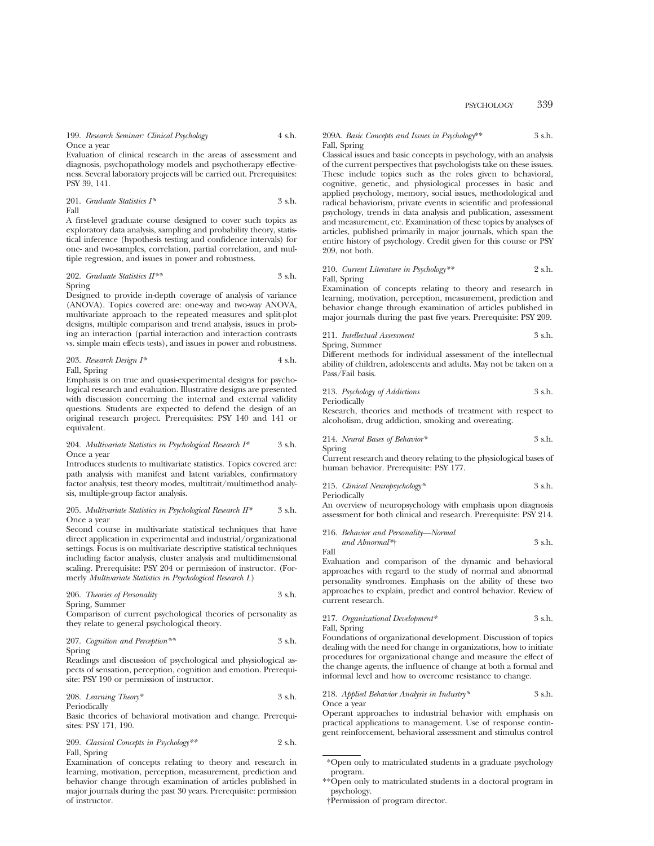199. *Research Seminar: Clinical Psychology* 4 s.h. Once a year

Evaluation of clinical research in the areas of assessment and diagnosis, psychopathology models and psychotherapy effectiveness. Several laboratory projects will be carried out. Prerequisites: PSY 39, 141.

201. *Graduate Statistics I\** 3 s.h. Fall

A first-level graduate course designed to cover such topics as exploratory data analysis, sampling and probability theory, statistical inference (hypothesis testing and confidence intervals) for one- and two-samples, correlation, partial correlation, and multiple regression, and issues in power and robustness.

202. *Graduate Statistics II*<sup>\*\*</sup> 
$$
3 \text{ s.h.}
$$

Spring

Designed to provide in-depth coverage of analysis of variance (ANOVA). Topics covered are: one-way and two-way ANOVA, multivariate approach to the repeated measures and split-plot designs, multiple comparison and trend analysis, issues in probing an interaction (partial interaction and interaction contrasts vs. simple main effects tests), and issues in power and robustness.

203. *Research Design I\** 4 s.h. Fall, Spring

Emphasis is on true and quasi-experimental designs for psychological research and evaluation. Illustrative designs are presented with discussion concerning the internal and external validity questions. Students are expected to defend the design of an original research project. Prerequisites: PSY 140 and 141 or equivalent.

### 204. *Multivariate Statistics in Psychological Research I\** 3 s.h. Once a year

Introduces students to multivariate statistics. Topics covered are: path analysis with manifest and latent variables, confirmatory factor analysis, test theory modes, multitrait/multimethod analysis, multiple-group factor analysis.

#### 205. *Multivariate Statistics in Psychological Research II\** 3 s.h. Once a year

Second course in multivariate statistical techniques that have direct application in experimental and industrial/organizational settings. Focus is on multivariate descriptive statistical techniques including factor analysis, cluster analysis and multidimensional scaling. Prerequisite: PSY 204 or permission of instructor. (Formerly *Multivariate Statistics in Psychological Research I.*)

206. *Theories of Personality* 3 s.h. Spring, Summer

Comparison of current psychological theories of personality as they relate to general psychological theory.

207. *Cognition and Perception\*\** 3 s.h. Spring

Readings and discussion of psychological and physiological aspects of sensation, perception, cognition and emotion. Prerequisite: PSY 190 or permission of instructor.

208. *Learning Theory\** 3 s.h. Periodically

Basic theories of behavioral motivation and change. Prerequisites: PSY 171, 190.

209. *Classical Concepts in Psychology\*\** 2 s.h. Fall, Spring

Examination of concepts relating to theory and research in learning, motivation, perception, measurement, prediction and behavior change through examination of articles published in major journals during the past 30 years. Prerequisite: permission of instructor.

#### 209A. *Basic Concepts and Issues in Psychology*\*\* 3 s.h. Fall, Spring

Classical issues and basic concepts in psychology, with an analysis of the current perspectives that psychologists take on these issues. These include topics such as the roles given to behavioral, cognitive, genetic, and physiological processes in basic and applied psychology, memory, social issues, methodological and radical behaviorism, private events in scientific and professional psychology, trends in data analysis and publication, assessment and measurement, etc. Examination of these topics by analyses of articles, published primarily in major journals, which span the entire history of psychology. Credit given for this course or PSY 209, not both.

#### 210. *Current Literature in Psychology\*\** 2 s.h. Fall, Spring

Examination of concepts relating to theory and research in learning, motivation, perception, measurement, prediction and behavior change through examination of articles published in major journals during the past five years. Prerequisite: PSY 209.

211. *Intellectual Assessment* 3 s.h.

Spring, Summer

Different methods for individual assessment of the intellectual ability of children, adolescents and adults. May not be taken on a Pass/Fail basis.

213. *Psychology of Addictions* 3 s.h.

Periodically

Research, theories and methods of treatment with respect to alcoholism, drug addiction, smoking and overeating.

214. *Neural Bases of Behavior\** 3 s.h. Spring

Current research and theory relating to the physiological bases of human behavior. Prerequisite: PSY 177.

215. *Clinical Neuropsychology\** 3 s.h. Periodically

An overview of neuropsychology with emphasis upon diagnosis assessment for both clinical and research. Prerequisite: PSY 214.

216. *Behavior and Personality—Normal and Abnormal\**† 3 s.h.

Fall

Evaluation and comparison of the dynamic and behavioral approaches with regard to the study of normal and abnormal personality syndromes. Emphasis on the ability of these two approaches to explain, predict and control behavior. Review of current research.

## 217. *Organizational Development\** 3 s.h. Fall, Spring

Foundations of organizational development. Discussion of topics dealing with the need for change in organizations, how to initiate procedures for organizational change and measure the effect of the change agents, the influence of change at both a formal and informal level and how to overcome resistance to change.

218. *Applied Behavior Analysis in Industry\** 3 s.h. Once a year

Operant approaches to industrial behavior with emphasis on practical applications to management. Use of response contingent reinforcement, behavioral assessment and stimulus control

<sup>\*</sup>Open only to matriculated students in a graduate psychology program.

<sup>\*\*</sup>Open only to matriculated students in a doctoral program in psychology.

<sup>†</sup>Permission of program director.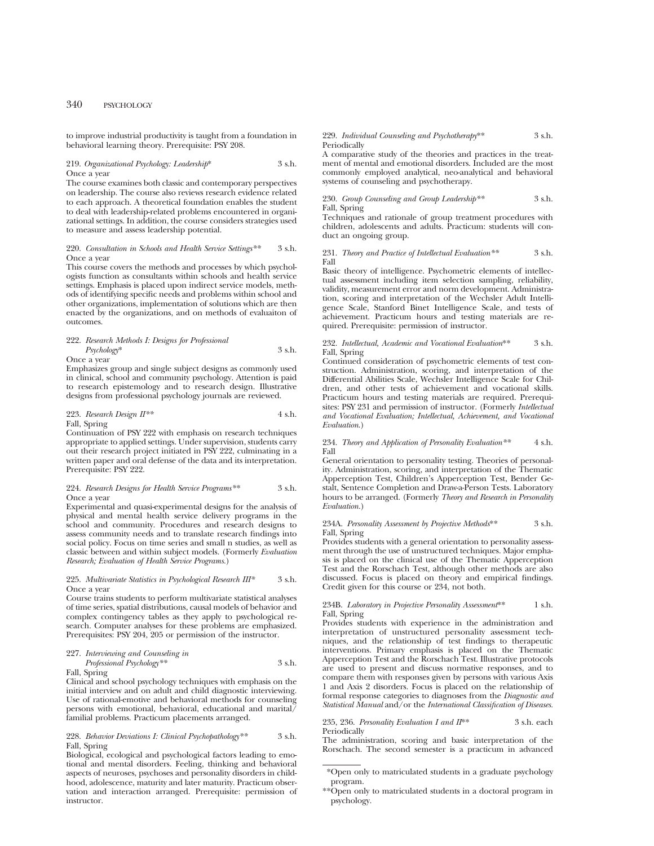to improve industrial productivity is taught from a foundation in behavioral learning theory. Prerequisite: PSY 208.

## 219. *Organizational Psychology: Leadership*\* 3 s.h. Once a year

The course examines both classic and contemporary perspectives on leadership. The course also reviews research evidence related to each approach. A theoretical foundation enables the student to deal with leadership-related problems encountered in organizational settings. In addition, the course considers strategies used to measure and assess leadership potential.

#### 220. *Consultation in Schools and Health Service Settings\*\** 3 s.h. Once a year

This course covers the methods and processes by which psychologists function as consultants within schools and health service settings. Emphasis is placed upon indirect service models, methods of identifying specific needs and problems within school and other organizations, implementation of solutions which are then enacted by the organizations, and on methods of evaluaiton of outcomes.

## 222. *Research Methods I: Designs for Professional Psychology*\* 3 s.h. Once a year

Emphasizes group and single subject designs as commonly used in clinical, school and community psychology. Attention is paid to research epistemology and to research design. Illustrative designs from professional psychology journals are reviewed.

#### 223. *Research Design II\*\** 4 s.h. Fall, Spring

Continuation of PSY 222 with emphasis on research techniques appropriate to applied settings. Under supervision, students carry out their research project initiated in PSY 222, culminating in a written paper and oral defense of the data and its interpretation. Prerequisite: PSY 222.

#### 224. *Research Designs for Health Service Programs\**\* 3 s.h. Once a year

Experimental and quasi-experimental designs for the analysis of physical and mental health service delivery programs in the school and community. Procedures and research designs to assess community needs and to translate research findings into social policy. Focus on time series and small n studies, as well as classic between and within subject models. (Formerly *Evaluation Research; Evaluation of Health Service Programs.*)

#### 225. *Multivariate Statistics in Psychological Research III\** 3 s.h. Once a year

Course trains students to perform multivariate statistical analyses of time series, spatial distributions, causal models of behavior and complex contingency tables as they apply to psychological research. Computer analyses for these problems are emphasized. Prerequisites: PSY 204, 205 or permission of the instructor.

#### 227. *Interviewing and Counseling in Professional Psychology\*\** 3 s.h.

Fall, Spring

Clinical and school psychology techniques with emphasis on the initial interview and on adult and child diagnostic interviewing. Use of rational-emotive and behavioral methods for counseling persons with emotional, behavioral, educational and marital $\bar{\lambda}$ familial problems. Practicum placements arranged.

#### 228. *Behavior Deviations I: Clinical Psychopathology\*\** 3 s.h. Fall, Spring

Biological, ecological and psychological factors leading to emotional and mental disorders. Feeling, thinking and behavioral aspects of neuroses, psychoses and personality disorders in childhood, adolescence, maturity and later maturity. Practicum observation and interaction arranged. Prerequisite: permission of instructor.

#### 229. *Individual Counseling and Psychotherapy*\*\* 3 s.h. Periodically

A comparative study of the theories and practices in the treatment of mental and emotional disorders. Included are the most commonly employed analytical, neo-analytical and behavioral systems of counseling and psychotherapy.

#### 230. *Group Counseling and Group Leadership\*\** 3 s.h. Fall, Spring

Techniques and rationale of group treatment procedures with children, adolescents and adults. Practicum: students will conduct an ongoing group.

#### 231. *Theory and Practice of Intellectual Evaluation\*\** 3 s.h. Fall

Basic theory of intelligence. Psychometric elements of intellectual assessment including item selection sampling, reliability, validity, measurement error and norm development. Administration, scoring and interpretation of the Wechsler Adult Intelligence Scale, Stanford Binet Intelligence Scale, and tests of achievement. Practicum hours and testing materials are required. Prerequisite: permission of instructor.

#### 232. *Intellectual, Academic and Vocational Evaluation*\*\* 3 s.h. Fall, Spring

Continued consideration of psychometric elements of test construction. Administration, scoring, and interpretation of the Differential Abilities Scale, Wechsler Intelligence Scale for Children, and other tests of achievement and vocational skills. Practicum hours and testing materials are required. Prerequisites: PSY 231 and permission of instructor. (Formerly *Intellectual and Vocational Evaluation; Intellectual, Achievement, and Vocational Evaluation*.)

#### 234. *Theory and Application of Personality Evaluation\*\** 4 s.h. Fall

General orientation to personality testing. Theories of personality. Administration, scoring, and interpretation of the Thematic Apperception Test, Children's Apperception Test, Bender Gestalt, Sentence Completion and Draw-a-Person Tests. Laboratory hours to be arranged. (Formerly *Theory and Research in Personality Evaluation.*)

#### 234A. *Personality Assessment by Projective Methods*\*\* 3 s.h. Fall, Spring

Provides students with a general orientation to personality assessment through the use of unstructured techniques. Major emphasis is placed on the clinical use of the Thematic Apperception Test and the Rorschach Test, although other methods are also discussed. Focus is placed on theory and empirical findings. Credit given for this course or 234, not both.

#### 234B. *Laboratory in Projective Personality Assessment*\*\* 1 s.h. Fall, Spring

Provides students with experience in the administration and interpretation of unstructured personality assessment techniques, and the relationship of test findings to therapeutic interventions. Primary emphasis is placed on the Thematic Apperception Test and the Rorschach Test. Illustrative protocols are used to present and discuss normative responses, and to compare them with responses given by persons with various Axis 1 and Axis 2 disorders. Focus is placed on the relationship of formal response categories to diagnoses from the *Diagnostic and Statistical Manual* and/or the *International Classification of Diseases.*

#### 235, 236. *Personality Evaluation I and II*\*\* 3 s.h. each Periodically

The administration, scoring and basic interpretation of the Rorschach. The second semester is a practicum in advanced

<sup>\*</sup>Open only to matriculated students in a graduate psychology program.

<sup>\*\*</sup>Open only to matriculated students in a doctoral program in psychology.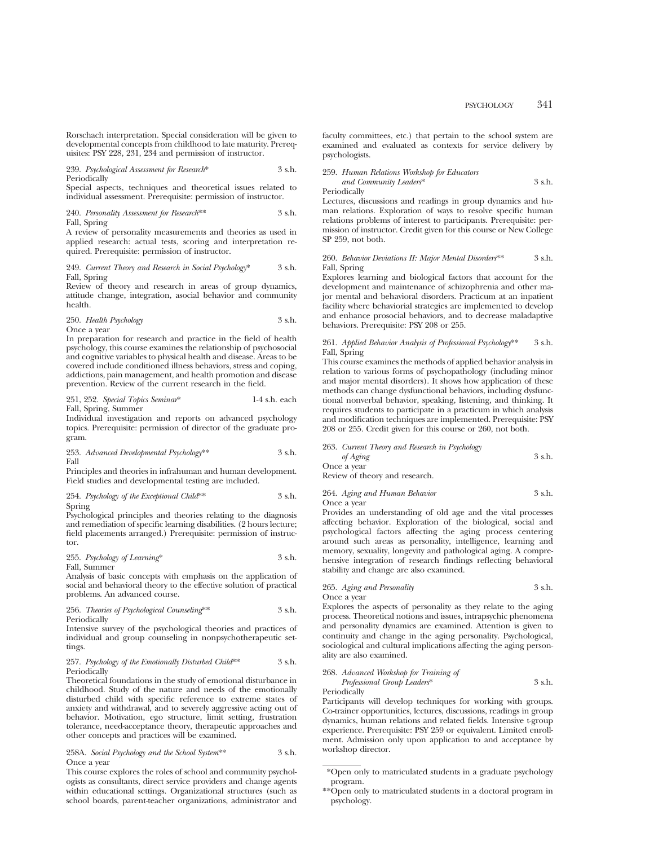Rorschach interpretation. Special consideration will be given to developmental concepts from childhood to late maturity. Prerequisites: PSY 228, 231, 234 and permission of instructor.

239. *Psychological Assessment for Research*\* 3 s.h. Periodically

Special aspects, techniques and theoretical issues related to individual assessment. Prerequisite: permission of instructor.

240. *Personality Assessment for Research*\*\* 3 s.h. Fall, Spring

A review of personality measurements and theories as used in applied research: actual tests, scoring and interpretation required. Prerequisite: permission of instructor.

#### 249. *Current Theory and Research in Social Psychology*\* 3 s.h. Fall, Spring

Review of theory and research in areas of group dynamics, attitude change, integration, asocial behavior and community health.

250. *Health Psychology* 3 s.h. Once a year

In preparation for research and practice in the field of health psychology, this course examines the relationship of psychosocial and cognitive variables to physical health and disease. Areas to be covered include conditioned illness behaviors, stress and coping, addictions, pain management, and health promotion and disease prevention. Review of the current research in the field.

251, 252. *Special Topics Seminar*\* 1-4 s.h. each Fall, Spring, Summer

Individual investigation and reports on advanced psychology topics. Prerequisite: permission of director of the graduate program.

253. *Advanced Developmental Psychology*\*\* 3 s.h. Fall

Principles and theories in infrahuman and human development. Field studies and developmental testing are included.

254. *Psychology of the Exceptional Child*\*\* 3 s.h. Spring

Psychological principles and theories relating to the diagnosis and remediation of specific learning disabilities. (2 hours lecture; field placements arranged.) Prerequisite: permission of instructor.

255. *Psychology of Learning*\* 3 s.h.

Fall, Summer

Analysis of basic concepts with emphasis on the application of social and behavioral theory to the effective solution of practical problems. An advanced course.

256. *Theories of Psychological Counseling*\*\* 3 s.h. Periodically

Intensive survey of the psychological theories and practices of individual and group counseling in nonpsychotherapeutic settings.

#### 257. *Psychology of the Emotionally Disturbed Child*\*\* 3 s.h. Periodically

Theoretical foundations in the study of emotional disturbance in childhood. Study of the nature and needs of the emotionally disturbed child with specific reference to extreme states of anxiety and withdrawal, and to severely aggressive acting out of behavior. Motivation, ego structure, limit setting, frustration tolerance, need-acceptance theory, therapeutic approaches and other concepts and practices will be examined.

#### 258A. *Social Psychology and the School System*\*\* 3 s.h. Once a year

This course explores the roles of school and community psychologists as consultants, direct service providers and change agents within educational settings. Organizational structures (such as school boards, parent-teacher organizations, administrator and faculty committees, etc.) that pertain to the school system are examined and evaluated as contexts for service delivery by psychologists.

259. *Human Relations Workshop for Educators and Community Leaders*\* 3 s.h.

Periodically

Lectures, discussions and readings in group dynamics and human relations. Exploration of ways to resolve specific human relations problems of interest to participants. Prerequisite: permission of instructor. Credit given for this course or New College SP 259, not both.

#### 260. *Behavior Deviations II: Major Mental Disorders*\*\* 3 s.h. Fall, Spring

Explores learning and biological factors that account for the development and maintenance of schizophrenia and other major mental and behavioral disorders. Practicum at an inpatient facility where behaviorial strategies are implemented to develop and enhance prosocial behaviors, and to decrease maladaptive behaviors. Prerequisite: PSY 208 or 255.

#### 261. *Applied Behavior Analysis of Professional Psychology*\*\* 3 s.h. Fall, Spring

This course examines the methods of applied behavior analysis in relation to various forms of psychopathology (including minor and major mental disorders). It shows how application of these methods can change dysfunctional behaviors, including dysfunctional nonverbal behavior, speaking, listening, and thinking. It requires students to participate in a practicum in which analysis and modification techniques are implemented. Prerequisite: PSY 208 or 255. Credit given for this course or 260, not both.

263. *Current Theory and Research in Psychology of Aging* 3 s.h. Once a year Review of theory and research.

# 264. *Aging and Human Behavior* 3 s.h.

Once a year

Provides an understanding of old age and the vital processes affecting behavior. Exploration of the biological, social and psychological factors affecting the aging process centering around such areas as personality, intelligence, learning and memory, sexuality, longevity and pathological aging. A comprehensive integration of research findings reflecting behavioral stability and change are also examined.

## 265. *Aging and Personality* 3 s.h.

Once a year

Explores the aspects of personality as they relate to the aging process. Theoretical notions and issues, intrapsychic phenomena and personality dynamics are examined. Attention is given to continuity and change in the aging personality. Psychological, sociological and cultural implications affecting the aging personality are also examined.

268. *Advanced Workshop for Training of Professional Group Leaders*\* 3 s.h. Periodically

Participants will develop techniques for working with groups. Co-trainer opportunities, lectures, discussions, readings in group dynamics, human relations and related fields. Intensive t-group experience. Prerequisite: PSY 259 or equivalent. Limited enrollment. Admission only upon application to and acceptance by workshop director.

<sup>\*</sup>Open only to matriculated students in a graduate psychology program.

<sup>\*\*</sup>Open only to matriculated students in a doctoral program in psychology.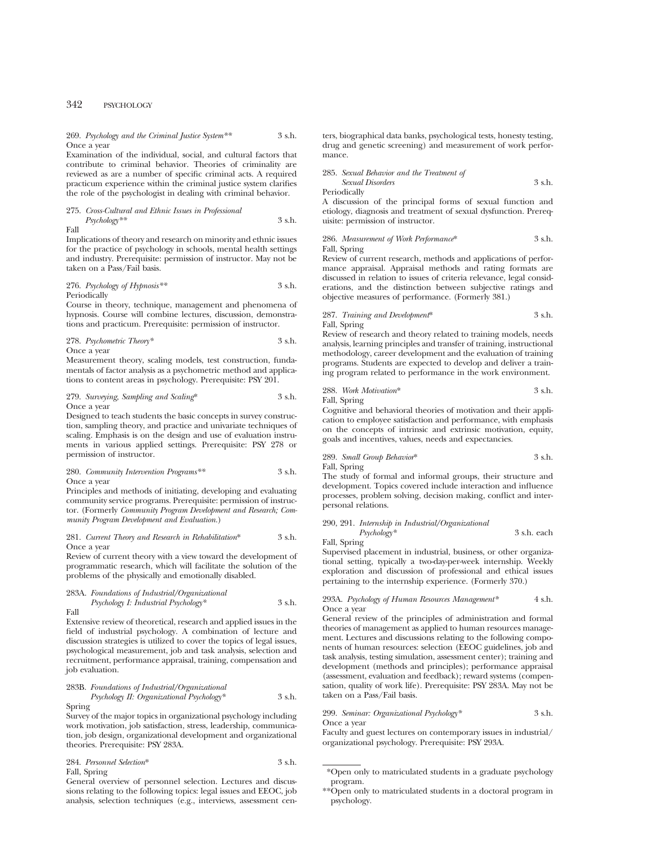269. *Psychology and the Criminal Justice System\*\** 3 s.h. Once a year

Examination of the individual, social, and cultural factors that contribute to criminal behavior. Theories of criminality are reviewed as are a number of specific criminal acts. A required practicum experience within the criminal justice system clarifies the role of the psychologist in dealing with criminal behavior.

275. *Cross-Cultural and Ethnic Issues in Professional Psychology\*\** 3 s.h. Fall

Implications of theory and research on minority and ethnic issues for the practice of psychology in schools, mental health settings and industry. Prerequisite: permission of instructor. May not be taken on a Pass/Fail basis.

276. *Psychology of Hypnosis\*\** 3 s.h. Periodically

Course in theory, technique, management and phenomena of hypnosis. Course will combine lectures, discussion, demonstrations and practicum. Prerequisite: permission of instructor.

278. *Psychometric Theory\** 3 s.h. Once a year

Measurement theory, scaling models, test construction, fundamentals of factor analysis as a psychometric method and applications to content areas in psychology. Prerequisite: PSY 201.

279. *Surveying, Sampling and Scaling*\* 3 s.h. Once a year

Designed to teach students the basic concepts in survey construction, sampling theory, and practice and univariate techniques of scaling. Emphasis is on the design and use of evaluation instruments in various applied settings. Prerequisite: PSY 278 or permission of instructor.

280. *Community Intervention Programs\*\** 3 s.h. Once a year

Principles and methods of initiating, developing and evaluating community service programs. Prerequisite: permission of instructor. (Formerly *Community Program Development and Research; Community Program Development and Evaluation.*)

281. *Current Theory and Research in Rehabilitation*\* 3 s.h. Once a year

Review of current theory with a view toward the development of programmatic research, which will facilitate the solution of the problems of the physically and emotionally disabled.

283A. *Foundations of Industrial/Organizational Psychology I: Industrial Psychology\** 3 s.h. Fall

Extensive review of theoretical, research and applied issues in the field of industrial psychology. A combination of lecture and discussion strategies is utilized to cover the topics of legal issues, psychological measurement, job and task analysis, selection and recruitment, performance appraisal, training, compensation and job evaluation.

283B. *Foundations of Industrial/Organizational Psychology II: Organizational Psychology\** 3 s.h.

Spring

Survey of the major topics in organizational psychology including work motivation, job satisfaction, stress, leadership, communication, job design, organizational development and organizational theories. Prerequisite: PSY 283A.

284. *Personnel Selection*\* 3 s.h. Fall, Spring

General overview of personnel selection. Lectures and discussions relating to the following topics: legal issues and EEOC, job analysis, selection techniques (e.g., interviews, assessment centers, biographical data banks, psychological tests, honesty testing, drug and genetic screening) and measurement of work performance.

285. *Sexual Behavior and the Treatment of Sexual Disorders* 3 s.h.

Periodically

A discussion of the principal forms of sexual function and etiology, diagnosis and treatment of sexual dysfunction. Prerequisite: permission of instructor.

286. *Measurement of Work Performance*\* 3 s.h. Fall, Spring

Review of current research, methods and applications of performance appraisal. Appraisal methods and rating formats are discussed in relation to issues of criteria relevance, legal considerations, and the distinction between subjective ratings and objective measures of performance. (Formerly 381.)

287. *Training and Development*\* 3 s.h. Fall, Spring

Review of research and theory related to training models, needs analysis, learning principles and transfer of training, instructional methodology, career development and the evaluation of training programs. Students are expected to develop and deliver a training program related to performance in the work environment.

288. *Work Motivation*\* 3 s.h. Fall, Spring

Cognitive and behavioral theories of motivation and their application to employee satisfaction and performance, with emphasis on the concepts of intrinsic and extrinsic motivation, equity, goals and incentives, values, needs and expectancies.

## 289. *Small Group Behavior*\* 3 s.h.

Fall, Spring

The study of formal and informal groups, their structure and development. Topics covered include interaction and influence processes, problem solving, decision making, conflict and interpersonal relations.

290, 291. *Internship in Industrial/Organizational*

*Psychology\** 3 s.h. each Fall, Spring

Supervised placement in industrial, business, or other organizational setting, typically a two-day-per-week internship. Weekly exploration and discussion of professional and ethical issues pertaining to the internship experience. (Formerly 370.)

293A. *Psychology of Human Resources Management\** 4 s.h. Once a year

General review of the principles of administration and formal theories of management as applied to human resources management. Lectures and discussions relating to the following components of human resources: selection (EEOC guidelines, job and task analysis, testing simulation, assessment center); training and development (methods and principles); performance appraisal (assessment, evaluation and feedback); reward systems (compensation, quality of work life). Prerequisite: PSY 283A. May not be taken on a Pass/Fail basis.

299. *Seminar: Organizational Psychology\** 3 s.h. Once a year

Faculty and guest lectures on contemporary issues in industrial/ organizational psychology. Prerequisite: PSY 293A.

<sup>\*</sup>Open only to matriculated students in a graduate psychology program.

<sup>\*\*</sup>Open only to matriculated students in a doctoral program in psychology.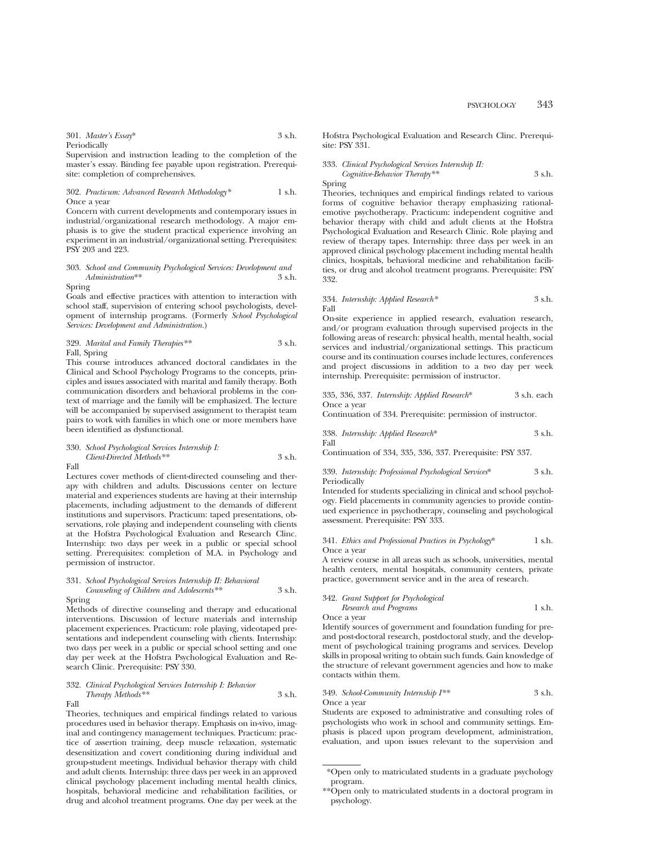301. *Master's Essay*\* 3 s.h. Periodically

Supervision and instruction leading to the completion of the master's essay. Binding fee payable upon registration. Prerequisite: completion of comprehensives.

#### 302. *Practicum: Advanced Research Methodology\** 1 s.h. Once a year

Concern with current developments and contemporary issues in industrial/organizational research methodology. A major emphasis is to give the student practical experience involving an experiment in an industrial/organizational setting. Prerequisites: PSY 203 and 223.

## 303. *School and Community Psychological Services: Development and Administration*\*\* 3 s.h.

Spring

Goals and effective practices with attention to interaction with school staff, supervision of entering school psychologists, development of internship programs. (Formerly *School Psychological Services: Development and Administration.*)

### 329. *Marital and Family Therapies\*\** 3 s.h. Fall, Spring

This course introduces advanced doctoral candidates in the Clinical and School Psychology Programs to the concepts, principles and issues associated with marital and family therapy. Both communication disorders and behavioral problems in the context of marriage and the family will be emphasized. The lecture will be accompanied by supervised assignment to therapist team pairs to work with families in which one or more members have been identified as dysfunctional.

## 330. *School Psychological Services Internship I: Client-Directed Methods\*\** 3 s.h.

Fall

Lectures cover methods of client-directed counseling and therapy with children and adults. Discussions center on lecture material and experiences students are having at their internship placements, including adjustment to the demands of different institutions and supervisors. Practicum: taped presentations, observations, role playing and independent counseling with clients at the Hofstra Psychological Evaluation and Research Clinc. Internship: two days per week in a public or special school setting. Prerequisites: completion of M.A. in Psychology and permission of instructor.

## 331. *School Psychological Services Internship II: Behavioral Counseling of Children and Adolescents\*\** 3 s.h.

Spring

Methods of directive counseling and therapy and educational interventions. Discussion of lecture materials and internship placement experiences. Practicum: role playing, videotaped presentations and independent counseling with clients. Internship: two days per week in a public or special school setting and one day per week at the Hofstra Psychological Evaluation and Research Clinic. Prerequisite: PSY 330.

#### 332. *Clinical Psychological Services Internship I: Behavior Therapy Methods\*\** 3 s.h. Fall

Theories, techniques and empirical findings related to various procedures used in behavior therapy. Emphasis on in-vivo, imaginal and contingency management techniques. Practicum: practice of assertion training, deep muscle relaxation, systematic desensitization and covert conditioning during individual and group-student meetings. Individual behavior therapy with child and adult clients. Internship: three days per week in an approved clinical psychology placement including mental health clinics, hospitals, behavioral medicine and rehabilitation facilities, or drug and alcohol treatment programs. One day per week at the Hofstra Psychological Evaluation and Research Clinc. Prerequisite: PSY 331.

## 333. *Clinical Psychological Services Internship II: Cognitive-Behavior Therapy\*\** 3 s.h.

Spring

Theories, techniques and empirical findings related to various forms of cognitive behavior therapy emphasizing rationalemotive psychotherapy. Practicum: independent cognitive and behavior therapy with child and adult clients at the Hofstra Psychological Evaluation and Research Clinic. Role playing and review of therapy tapes. Internship: three days per week in an approved clinical psychology placement including mental health clinics, hospitals, behavioral medicine and rehabilitation facilities, or drug and alcohol treatment programs. Prerequisite: PSY 332.

#### 334. *Internship: Applied Research\** 3 s.h. Fall

On-site experience in applied research, evaluation research, and/or program evaluation through supervised projects in the following areas of research: physical health, mental health, social services and industrial/organizational settings. This practicum course and its continuation courses include lectures, conferences and project discussions in addition to a two day per week internship. Prerequisite: permission of instructor.

#### 335, 336, 337. *Internship: Applied Research*\* 3 s.h. each Once a year

Continuation of 334. Prerequisite: permission of instructor.

338. *Internship: Applied Research*\* 3 s.h. Fall

Continuation of 334, 335, 336, 337. Prerequisite: PSY 337.

#### 339. *Internship: Professional Psychological Services*\* 3 s.h. Periodically

Intended for students specializing in clinical and school psychology. Field placements in community agencies to provide continued experience in psychotherapy, counseling and psychological assessment. Prerequisite: PSY 333.

#### 341. *Ethics and Professional Practices in Psychology*\* 1 s.h. Once a year

A review course in all areas such as schools, universities, mental health centers, mental hospitals, community centers, private practice, government service and in the area of research.

## 342. *Grant Support for Psychological Research and Programs* 1 s.h.

Once a year

Identify sources of government and foundation funding for preand post-doctoral research, postdoctoral study, and the development of psychological training programs and services. Develop skills in proposal writing to obtain such funds. Gain knowledge of the structure of relevant government agencies and how to make contacts within them.

#### 349. *School-Community Internship I\*\** 3 s.h. Once a year

Students are exposed to administrative and consulting roles of psychologists who work in school and community settings. Emphasis is placed upon program development, administration, evaluation, and upon issues relevant to the supervision and

<sup>\*</sup>Open only to matriculated students in a graduate psychology program.

<sup>\*\*</sup>Open only to matriculated students in a doctoral program in psychology.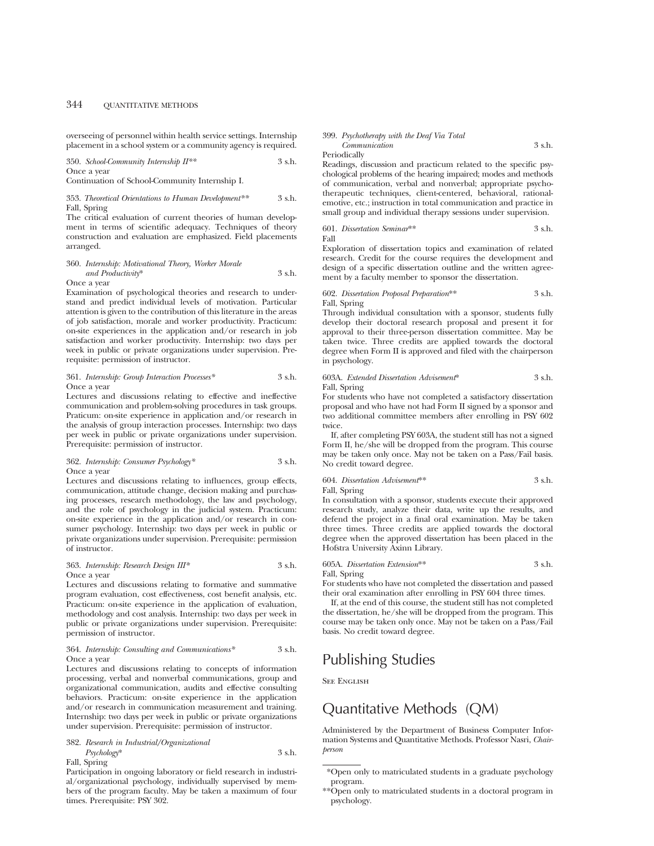overseeing of personnel within health service settings. Internship placement in a school system or a community agency is required.

350. *School-Community Internship II\*\** 3 s.h. Once a year

Continuation of School-Community Internship I.

#### 353. *Theoretical Orientations to Human Development\*\** 3 s.h. Fall, Spring

The critical evaluation of current theories of human development in terms of scientific adequacy. Techniques of theory construction and evaluation are emphasized. Field placements arranged.

## 360. *Internship: Motivational Theory, Worker Morale and Productivity*\* 3 s.h.

Once a year

Examination of psychological theories and research to understand and predict individual levels of motivation. Particular attention is given to the contribution of this literature in the areas of job satisfaction, morale and worker productivity. Practicum: on-site experiences in the application and/or research in job satisfaction and worker productivity. Internship: two days per week in public or private organizations under supervision. Prerequisite: permission of instructor.

#### 361. *Internship: Group Interaction Processes\** 3 s.h. Once a year

Lectures and discussions relating to effective and ineffective communication and problem-solving procedures in task groups. Praticum: on-site experience in application and/or research in the analysis of group interaction processes. Internship: two days per week in public or private organizations under supervision. Prerequisite: permission of instructor.

## 362. *Internship: Consumer Psychology\** 3 s.h. Once a year

Lectures and discussions relating to influences, group effects, communication, attitude change, decision making and purchasing processes, research methodology, the law and psychology, and the role of psychology in the judicial system. Practicum: on-site experience in the application and/or research in consumer psychology. Internship: two days per week in public or private organizations under supervision. Prerequisite: permission of instructor.

#### 363. *Internship: Research Design III\** 3 s.h. Once a year

Lectures and discussions relating to formative and summative program evaluation, cost effectiveness, cost benefit analysis, etc. Practicum: on-site experience in the application of evaluation, methodology and cost analysis. Internship: two days per week in public or private organizations under supervision. Prerequisite: permission of instructor.

#### 364. *Internship: Consulting and Communications\** 3 s.h. Once a year

Lectures and discussions relating to concepts of information processing, verbal and nonverbal communications, group and organizational communication, audits and effective consulting behaviors. Practicum: on-site experience in the application and/or research in communication measurement and training. Internship: two days per week in public or private organizations under supervision. Prerequisite: permission of instructor.

#### 382. *Research in Industrial/Organizational Psychology*\* 3 s.h. Fall, Spring

Participation in ongoing laboratory or field research in industrial/organizational psychology, individually supervised by members of the program faculty. May be taken a maximum of four times. Prerequisite: PSY 302.

## 399. *Psychotherapy with the Deaf Via Total Communication* 3 s.h.

Periodically

Readings, discussion and practicum related to the specific psychological problems of the hearing impaired; modes and methods of communication, verbal and nonverbal; appropriate psychotherapeutic techniques, client-centered, behavioral, rationalemotive, etc.; instruction in total communication and practice in small group and individual therapy sessions under supervision.

#### 601. *Dissertation Seminar*\*\* 3 s.h. Fall

Exploration of dissertation topics and examination of related research. Credit for the course requires the development and design of a specific dissertation outline and the written agreement by a faculty member to sponsor the dissertation.

#### 602. *Dissertation Proposal Preparation*\*\* 3 s.h. Fall, Spring

Through individual consultation with a sponsor, students fully develop their doctoral research proposal and present it for approval to their three-person dissertation committee. May be taken twice. Three credits are applied towards the doctoral degree when Form II is approved and filed with the chairperson in psychology.

603A. *Extended Dissertation Advisement*\* 3 s.h. Fall, Spring

For students who have not completed a satisfactory dissertation proposal and who have not had Form II signed by a sponsor and two additional committee members after enrolling in PSY 602 twice.

If, after completing PSY 603A, the student still has not a signed Form II, he/she will be dropped from the program. This course may be taken only once. May not be taken on a Pass/Fail basis. No credit toward degree.

## 604. *Dissertation Advisement*\*\* 3 s.h.

Fall, Spring

In consultation with a sponsor, students execute their approved research study, analyze their data, write up the results, and defend the project in a final oral examination. May be taken three times. Three credits are applied towards the doctoral degree when the approved dissertation has been placed in the Hofstra University Axinn Library.

605A. *Dissertation Extension*\*\* 3 s.h. Fall, Spring

For students who have not completed the dissertation and passed their oral examination after enrolling in PSY 604 three times.

If, at the end of this course, the student still has not completed the dissertation, he/she will be dropped from the program. This course may be taken only once. May not be taken on a Pass/Fail basis. No credit toward degree.

# Publishing Studies

See English

# Quantitative Methods (QM)

Administered by the Department of Business Computer Information Systems and Quantitative Methods. Professor Nasri, *Chairperson*

<sup>\*</sup>Open only to matriculated students in a graduate psychology program.

<sup>\*\*</sup>Open only to matriculated students in a doctoral program in psychology.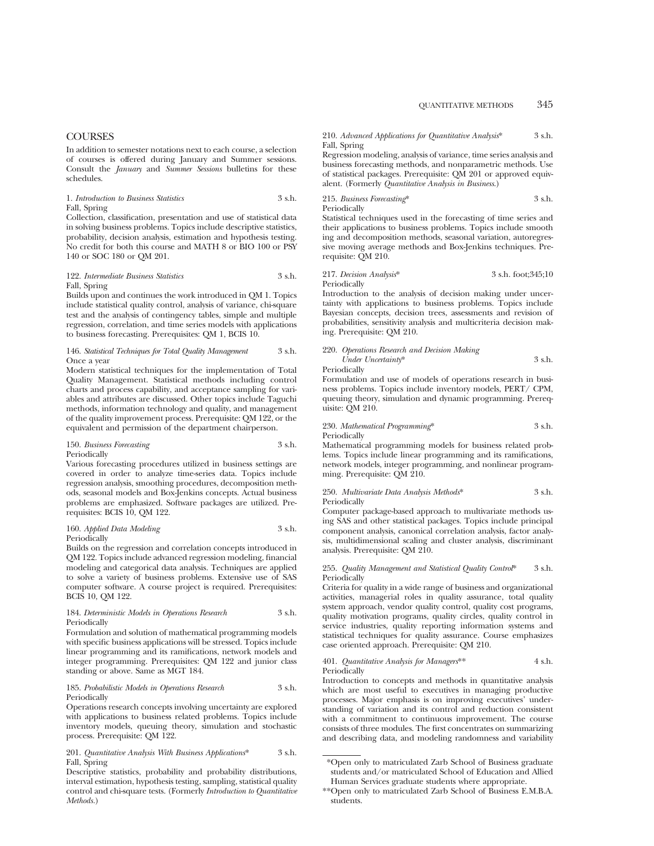In addition to semester notations next to each course, a selection of courses is offered during January and Summer sessions. Consult the *January* and *Summer Sessions* bulletins for these schedules.

#### 1. *Introduction to Business Statistics* 3 s.h. Fall, Spring

Collection, classification, presentation and use of statistical data in solving business problems. Topics include descriptive statistics, probability, decision analysis, estimation and hypothesis testing. No credit for both this course and MATH 8 or BIO 100 or PSY 140 or SOC 180 or QM 201.

#### 122. *Intermediate Business Statistics* 3 s.h. Fall, Spring

Builds upon and continues the work introduced in QM 1. Topics include statistical quality control, analysis of variance, chi-square test and the analysis of contingency tables, simple and multiple regression, correlation, and time series models with applications to business forecasting. Prerequisites: QM 1, BCIS 10.

#### 146. *Statistical Techniques for Total Quality Management* 3 s.h. Once a year

Modern statistical techniques for the implementation of Total Quality Management. Statistical methods including control charts and process capability, and acceptance sampling for variables and attributes are discussed. Other topics include Taguchi methods, information technology and quality, and management of the quality improvement process. Prerequisite: QM 122, or the equivalent and permission of the department chairperson.

#### 150. *Business Forecasting* 3 s.h. Periodically

Various forecasting procedures utilized in business settings are covered in order to analyze time-series data. Topics include regression analysis, smoothing procedures, decomposition methods, seasonal models and Box-Jenkins concepts. Actual business problems are emphasized. Software packages are utilized. Prerequisites: BCIS 10, QM 122.

#### 160. *Applied Data Modeling* 3 s.h. Periodically

Builds on the regression and correlation concepts introduced in QM 122. Topics include advanced regression modeling, financial modeling and categorical data analysis. Techniques are applied to solve a variety of business problems. Extensive use of SAS computer software. A course project is required. Prerequisites: BCIS 10, QM 122.

#### 184. *Deterministic Models in Operations Research* 3 s.h. Periodically

Formulation and solution of mathematical programming models with specific business applications will be stressed. Topics include linear programming and its ramifications, network models and integer programming. Prerequisites: QM 122 and junior class standing or above. Same as MGT 184.

#### 185. *Probabilistic Models in Operations Research* 3 s.h. Periodically

Operations research concepts involving uncertainty are explored with applications to business related problems. Topics include inventory models, queuing theory, simulation and stochastic process. Prerequisite: QM 122.

#### 201. *Quantitative Analysis With Business Applications*\* 3 s.h. Fall, Spring

Descriptive statistics, probability and probability distributions, interval estimation, hypothesis testing, sampling, statistical quality control and chi-square tests. (Formerly *Introduction to Quantitative Methods.*)

#### 210. *Advanced Applications for Quantitative Analysis*\* 3 s.h. Fall, Spring

Regression modeling, analysis of variance, time series analysis and business forecasting methods, and nonparametric methods. Use of statistical packages. Prerequisite: QM 201 or approved equivalent. (Formerly *Quantitative Analysis in Business*.)

215. *Business Forecasting*\* 3 s.h. Periodically

Statistical techniques used in the forecasting of time series and their applications to business problems. Topics include smooth ing and decomposition methods, seasonal variation, autoregressive moving average methods and Box-Jenkins techniques. Prerequisite: QM 210.

#### 217. *Decision Analysis*\* 3 s.h. foot;345;10 Periodically

Introduction to the analysis of decision making under uncertainty with applications to business problems. Topics include Bayesian concepts, decision trees, assessments and revision of probabilities, sensitivity analysis and multicriteria decision making. Prerequisite: QM 210.

220. *Operations Research and Decision Making Under Uncertainty*\* 3 s.h.

Periodically

Formulation and use of models of operations research in business problems. Topics include inventory models, PERT/ CPM, queuing theory, simulation and dynamic programming. Prerequisite: QM 210.

#### 230. *Mathematical Programming*\* 3 s.h. Periodically

Mathematical programming models for business related problems. Topics include linear programming and its ramifications, network models, integer programming, and nonlinear programming. Prerequisite: QM 210.

#### 250. *Multivariate Data Analysis Methods*\* 3 s.h. Periodically

Computer package-based approach to multivariate methods using SAS and other statistical packages. Topics include principal component analysis, canonical correlation analysis, factor analysis, multidimensional scaling and cluster analysis, discriminant analysis. Prerequisite: QM 210.

#### 255. *Quality Management and Statistical Quality Control*\* 3 s.h. Periodically

Criteria for quality in a wide range of business and organizational activities, managerial roles in quality assurance, total quality system approach, vendor quality control, quality cost programs, quality motivation programs, quality circles, quality control in service industries, quality reporting information systems and statistical techniques for quality assurance. Course emphasizes case oriented approach. Prerequisite: QM 210.

#### 401. *Quantitative Analysis for Managers*\*\* 4 s.h. Periodically

Introduction to concepts and methods in quantitative analysis which are most useful to executives in managing productive processes. Major emphasis is on improving executives' understanding of variation and its control and reduction consistent with a commitment to continuous improvement. The course consists of three modules. The first concentrates on summarizing and describing data, and modeling randomness and variability

<sup>\*</sup>Open only to matriculated Zarb School of Business graduate students and/or matriculated School of Education and Allied Human Services graduate students where appropriate.

<sup>\*\*</sup>Open only to matriculated Zarb School of Business E.M.B.A. students.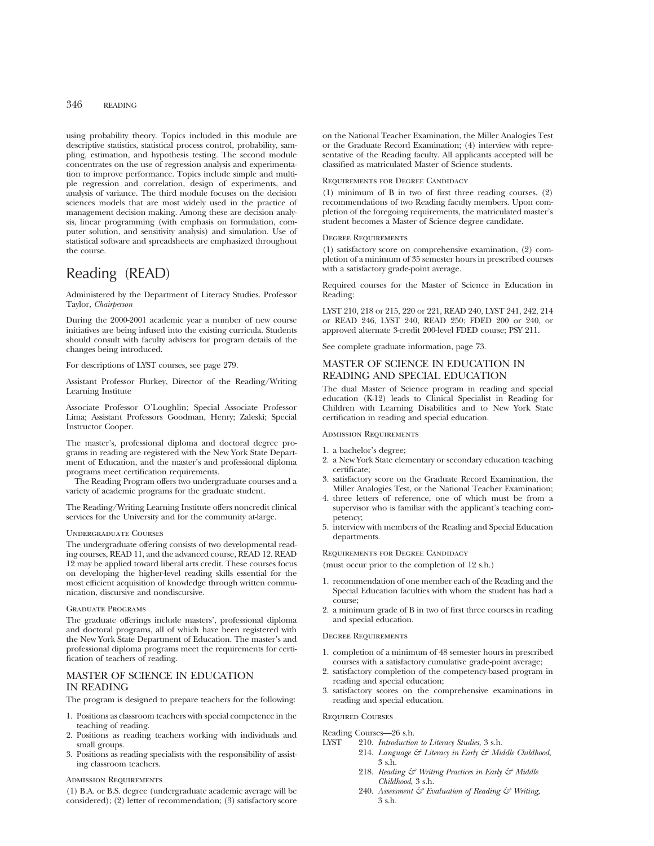using probability theory. Topics included in this module are descriptive statistics, statistical process control, probability, sampling, estimation, and hypothesis testing. The second module concentrates on the use of regression analysis and experimentation to improve performance. Topics include simple and multiple regression and correlation, design of experiments, and analysis of variance. The third module focuses on the decision sciences models that are most widely used in the practice of management decision making. Among these are decision analysis, linear programming (with emphasis on formulation, computer solution, and sensitivity analysis) and simulation. Use of statistical software and spreadsheets are emphasized throughout the course.

# Reading (READ)

Administered by the Department of Literacy Studies. Professor Taylor, *Chairperson*

During the 2000-2001 academic year a number of new course initiatives are being infused into the existing curricula. Students should consult with faculty advisers for program details of the changes being introduced.

For descriptions of LYST courses, see page 279.

Assistant Professor Flurkey, Director of the Reading/Writing Learning Institute

Associate Professor O'Loughlin; Special Associate Professor Lima; Assistant Professors Goodman, Henry; Zaleski; Special Instructor Cooper.

The master's, professional diploma and doctoral degree programs in reading are registered with the New York State Department of Education, and the master's and professional diploma programs meet certification requirements.

The Reading Program offers two undergraduate courses and a variety of academic programs for the graduate student.

The Reading/Writing Learning Institute offers noncredit clinical services for the University and for the community at-large.

#### Undergraduate Courses

The undergraduate offering consists of two developmental reading courses, READ 11, and the advanced course, READ 12. READ 12 may be applied toward liberal arts credit. These courses focus on developing the higher-level reading skills essential for the most efficient acquisition of knowledge through written communication, discursive and nondiscursive.

#### Graduate Programs

The graduate offerings include masters', professional diploma and doctoral programs, all of which have been registered with the New York State Department of Education. The master's and professional diploma programs meet the requirements for certification of teachers of reading.

## MASTER OF SCIENCE IN EDUCATION IN READING

The program is designed to prepare teachers for the following:

- 1. Positions as classroom teachers with special competence in the teaching of reading.
- 2. Positions as reading teachers working with individuals and small groups.
- 3. Positions as reading specialists with the responsibility of assisting classroom teachers.

### Admission Requirements

(1) B.A. or B.S. degree (undergraduate academic average will be considered); (2) letter of recommendation; (3) satisfactory score on the National Teacher Examination, the Miller Analogies Test or the Graduate Record Examination; (4) interview with representative of the Reading faculty. All applicants accepted will be classified as matriculated Master of Science students.

#### Requirements for Degree Candidacy

(1) minimum of B in two of first three reading courses, (2) recommendations of two Reading faculty members. Upon completion of the foregoing requirements, the matriculated master's student becomes a Master of Science degree candidate.

#### Degree Requirements

(1) satisfactory score on comprehensive examination, (2) completion of a minimum of 35 semester hours in prescribed courses with a satisfactory grade-point average.

Required courses for the Master of Science in Education in Reading:

LYST 210, 218 or 215, 220 or 221, READ 240, LYST 241, 242, 214 or READ 246, LYST 240, READ 250; FDED 200 or 240, or approved alternate 3-credit 200-level FDED course; PSY 211.

See complete graduate information, page 73.

## MASTER OF SCIENCE IN EDUCATION IN READING AND SPECIAL EDUCATION

The dual Master of Science program in reading and special education (K-12) leads to Clinical Specialist in Reading for Children with Learning Disabilities and to New York State certification in reading and special education.

#### Admission Requirements

- 1. a bachelor's degree;
- 2. a New York State elementary or secondary education teaching certificate;
- 3. satisfactory score on the Graduate Record Examination, the Miller Analogies Test, or the National Teacher Examination;
- 4. three letters of reference, one of which must be from a supervisor who is familiar with the applicant's teaching competency;
- 5. interview with members of the Reading and Special Education departments.

Requirements for Degree Candidacy

(must occur prior to the completion of 12 s.h.)

- 1. recommendation of one member each of the Reading and the Special Education faculties with whom the student has had a course;
- 2. a minimum grade of B in two of first three courses in reading and special education.

#### Degree Requirements

- 1. completion of a minimum of 48 semester hours in prescribed courses with a satisfactory cumulative grade-point average;
- 2. satisfactory completion of the competency-based program in reading and special education;
- 3. satisfactory scores on the comprehensive examinations in reading and special education.

#### Required Courses

#### Reading Courses—26 s.h.

- LYST 210. *Introduction to Literacy Studies*, 3 s.h.
	- 214. *Language & Literacy in Early & Middle Childhood*, 3 s.h.
	- 218. *Reading & Writing Practices in Early & Middle Childhood*, 3 s.h.
	- 240. *Assessment & Evaluation of Reading & Writing,* 3 s.h.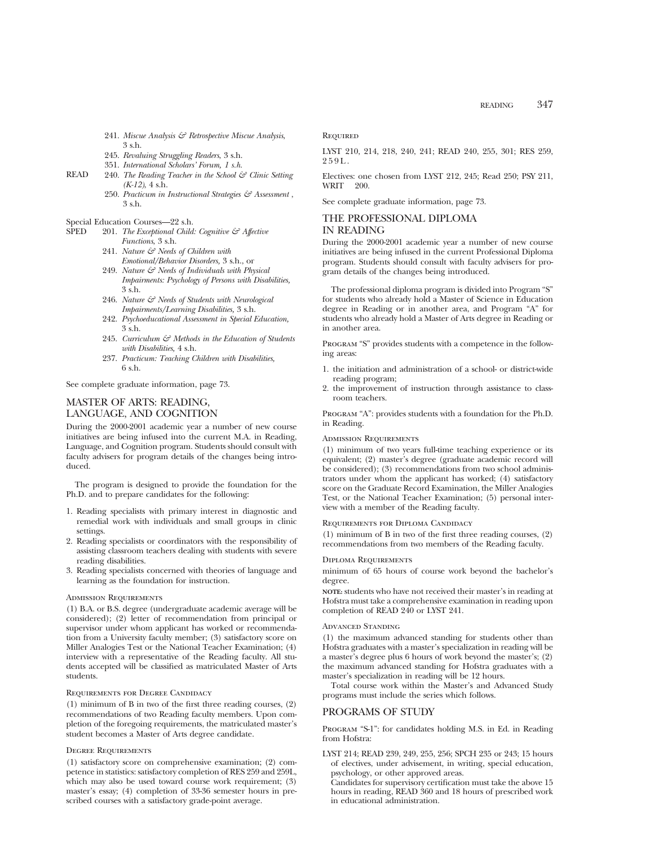- 241. *Miscue Analysis & Retrospective Miscue Analysis*, 3 s.h.
- 245. *Revaluing Struggling Readers*, 3 s.h.
- 351. *International Scholars' Forum, 1 s.h.*
- READ 240. *The Reading Teacher in the School & Clinic Setting (K-12)*, 4 s.h.
	- 250. *Practicum in Instructional Strategies & Assessment* , 3 s.h.
- Special Education Courses—22 s.h.<br>SPED 201 The Exceptional Child:
- 201. *The Exceptional Child: Cognitive & Affective Functions*, 3 s.h.
	- 241. *Nature & Needs of Children with Emotional/Behavior Disorders,* 3 s.h., or
	- 249. *Nature & Needs of Individuals with Physical Impairments: Psychology of Persons with Disabilities,* 3 s.h.
	- 246. *Nature & Needs of Students with Neurological Impairments/Learning Disabilities,* 3 s.h.
	- 242. *Psychoeducational Assessment in Special Education,* 3 s.h.
	- 245. *Curriculum & Methods in the Education of Students with Disabilities,* 4 s.h.
	- 237. *Practicum: Teaching Children with Disabilities,* 6 s.h.

See complete graduate information, page 73.

## MASTER OF ARTS: READING, LANGUAGE, AND COGNITION

During the 2000-2001 academic year a number of new course

initiatives are being infused into the current M.A. in Reading, Language, and Cognition program. Students should consult with faculty advisers for program details of the changes being introduced.

The program is designed to provide the foundation for the Ph.D. and to prepare candidates for the following:

- 1. Reading specialists with primary interest in diagnostic and remedial work with individuals and small groups in clinic settings.
- 2. Reading specialists or coordinators with the responsibility of assisting classroom teachers dealing with students with severe reading disabilities.
- 3. Reading specialists concerned with theories of language and learning as the foundation for instruction.

#### Admission Requirements

(1) B.A. or B.S. degree (undergraduate academic average will be considered); (2) letter of recommendation from principal or supervisor under whom applicant has worked or recommendation from a University faculty member; (3) satisfactory score on Miller Analogies Test or the National Teacher Examination; (4) interview with a representative of the Reading faculty. All students accepted will be classified as matriculated Master of Arts students.

#### Requirements for Degree Candidacy

(1) minimum of B in two of the first three reading courses, (2) recommendations of two Reading faculty members. Upon completion of the foregoing requirements, the matriculated master's student becomes a Master of Arts degree candidate.

#### Degree Requirements

(1) satisfactory score on comprehensive examination; (2) competence in statistics: satisfactory completion of RES 259 and 259L, which may also be used toward course work requirement; (3) master's essay; (4) completion of 33-36 semester hours in prescribed courses with a satisfactory grade-point average.

**REQUIRED** 

LYST 210, 214, 218, 240, 241; READ 240, 255, 301; RES 259, 259L.

Electives: one chosen from LYST 212, 245; Read 250; PSY 211, WRIT 200.

See complete graduate information, page 73.

## THE PROFESSIONAL DIPLOMA IN READING

During the 2000-2001 academic year a number of new course initiatives are being infused in the current Professional Diploma program. Students should consult with faculty advisers for program details of the changes being introduced.

The professional diploma program is divided into Program "S" for students who already hold a Master of Science in Education degree in Reading or in another area, and Program "A" for students who already hold a Master of Arts degree in Reading or in another area.

PROGRAM "S" provides students with a competence in the following areas:

- 1. the initiation and administration of a school- or district-wide reading program;
- 2. the improvement of instruction through assistance to classroom teachers.

Program "A": provides students with a foundation for the Ph.D. in Reading.

#### Admission Requirements

(1) minimum of two years full-time teaching experience or its equivalent; (2) master's degree (graduate academic record will be considered); (3) recommendations from two school administrators under whom the applicant has worked; (4) satisfactory score on the Graduate Record Examination, the Miller Analogies Test, or the National Teacher Examination; (5) personal interview with a member of the Reading faculty.

Requirements for Diploma Candidacy

(1) minimum of B in two of the first three reading courses, (2) recommendations from two members of the Reading faculty.

#### Diploma Requirements

minimum of 65 hours of course work beyond the bachelor's degree.

**NOTE:** students who have not received their master's in reading at Hofstra must take a comprehensive examination in reading upon completion of READ 240 or LYST 241.

#### Advanced Standing

(1) the maximum advanced standing for students other than Hofstra graduates with a master's specialization in reading will be a master's degree plus 6 hours of work beyond the master's; (2) the maximum advanced standing for Hofstra graduates with a master's specialization in reading will be 12 hours.

Total course work within the Master's and Advanced Study programs must include the series which follows.

## PROGRAMS OF STUDY

Program "S-1": for candidates holding M.S. in Ed. in Reading from Hofstra:

LYST 214; READ 239, 249, 255, 256; SPCH 235 or 243; 15 hours of electives, under advisement, in writing, special education, psychology, or other approved areas.

Candidates for supervisory certification must take the above 15 hours in reading, READ 360 and 18 hours of prescribed work in educational administration.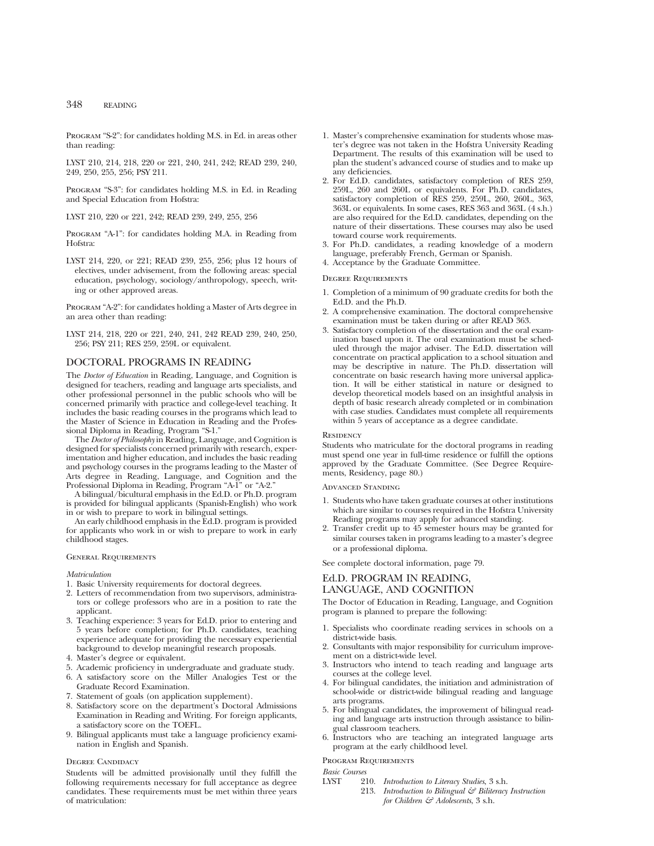Program "S-2": for candidates holding M.S. in Ed. in areas other than reading:

LYST 210, 214, 218, 220 or 221, 240, 241, 242; READ 239, 240, 249, 250, 255, 256; PSY 211.

Program "S-3": for candidates holding M.S. in Ed. in Reading and Special Education from Hofstra:

LYST 210, 220 or 221, 242; READ 239, 249, 255, 256

Program "A-1": for candidates holding M.A. in Reading from Hofstra:

LYST 214, 220, or 221; READ 239, 255, 256; plus 12 hours of electives, under advisement, from the following areas: special education, psychology, sociology/anthropology, speech, writing or other approved areas.

Program "A-2": for candidates holding a Master of Arts degree in an area other than reading:

LYST 214, 218, 220 or 221, 240, 241, 242 READ 239, 240, 250, 256; PSY 211; RES 259, 259L or equivalent.

## DOCTORAL PROGRAMS IN READING

The *Doctor of Education* in Reading, Language, and Cognition is designed for teachers, reading and language arts specialists, and other professional personnel in the public schools who will be concerned primarily with practice and college-level teaching. It includes the basic reading courses in the programs which lead to the Master of Science in Education in Reading and the Professional Diploma in Reading, Program "S-1."

The *Doctor of Philosophy* in Reading, Language, and Cognition is designed for specialists concerned primarily with research, experimentation and higher education, and includes the basic reading and psychology courses in the programs leading to the Master of Arts degree in Reading, Language, and Cognition and the Professional Diploma in Reading, Program "A-1" or "A-2."

A bilingual/bicultural emphasis in the Ed.D. or Ph.D. program is provided for bilingual applicants (Spanish-English) who work in or wish to prepare to work in bilingual settings.

An early childhood emphasis in the Ed.D. program is provided for applicants who work in or wish to prepare to work in early childhood stages.

#### General Requirements

*Matriculation*

- 1. Basic University requirements for doctoral degrees.
- 2. Letters of recommendation from two supervisors, administrators or college professors who are in a position to rate the applicant.
- 3. Teaching experience: 3 years for Ed.D. prior to entering and 5 years before completion; for Ph.D. candidates, teaching experience adequate for providing the necessary experiential background to develop meaningful research proposals.
- 4. Master's degree or equivalent.
- 5. Academic proficiency in undergraduate and graduate study.
- 6. A satisfactory score on the Miller Analogies Test or the Graduate Record Examination.
- 7. Statement of goals (on application supplement).
- 8. Satisfactory score on the department's Doctoral Admissions Examination in Reading and Writing. For foreign applicants, a satisfactory score on the TOEFL.
- 9. Bilingual applicants must take a language proficiency examination in English and Spanish.

## DEGREE CANDIDACY

Students will be admitted provisionally until they fulfill the following requirements necessary for full acceptance as degree candidates. These requirements must be met within three years of matriculation:

- 1. Master's comprehensive examination for students whose master's degree was not taken in the Hofstra University Reading Department. The results of this examination will be used to plan the student's advanced course of studies and to make up any deficiencies.
- 2. For Ed.D. candidates, satisfactory completion of RES 259, 259L, 260 and 260L or equivalents. For Ph.D. candidates, satisfactory completion of RES 259, 259L, 260, 260L, 363, 363L or equivalents. In some cases, RES 363 and 363L (4 s.h.) are also required for the Ed.D. candidates, depending on the nature of their dissertations. These courses may also be used toward course work requirements.
- 3. For Ph.D. candidates, a reading knowledge of a modern language, preferably French, German or Spanish.
- 4. Acceptance by the Graduate Committee.

#### Degree Requirements

- 1. Completion of a minimum of 90 graduate credits for both the Ed.D. and the Ph.D.
- 2. A comprehensive examination. The doctoral comprehensive examination must be taken during or after READ 363.
- 3. Satisfactory completion of the dissertation and the oral examination based upon it. The oral examination must be scheduled through the major adviser. The Ed.D. dissertation will concentrate on practical application to a school situation and may be descriptive in nature. The Ph.D. dissertation will concentrate on basic research having more universal application. It will be either statistical in nature or designed to develop theoretical models based on an insightful analysis in depth of basic research already completed or in combination with case studies. Candidates must complete all requirements within 5 years of acceptance as a degree candidate.

#### **RESIDENCY**

Students who matriculate for the doctoral programs in reading must spend one year in full-time residence or fulfill the options approved by the Graduate Committee. (See Degree Requirements, Residency, page 80.)

#### Advanced Standing

- 1. Students who have taken graduate courses at other institutions which are similar to courses required in the Hofstra University Reading programs may apply for advanced standing.
- 2. Transfer credit up to 45 semester hours may be granted for similar courses taken in programs leading to a master's degree or a professional diploma.

See complete doctoral information, page 79.

## Ed.D. PROGRAM IN READING,

## LANGUAGE, AND COGNITION

The Doctor of Education in Reading, Language, and Cognition program is planned to prepare the following:

- 1. Specialists who coordinate reading services in schools on a district-wide basis.
- 2. Consultants with major responsibility for curriculum improvement on a district-wide level.
- 3. Instructors who intend to teach reading and language arts courses at the college level.
- 4. For bilingual candidates, the initiation and administration of school-wide or district-wide bilingual reading and language arts programs.
- 5. For bilingual candidates, the improvement of bilingual reading and language arts instruction through assistance to bilingual classroom teachers.
- 6. Instructors who are teaching an integrated language arts program at the early childhood level.

#### Program Requirements

*Basic Courses*

LYST 210. *Introduction to Literacy Studies*, 3 s.h. 213. *Introduction to Bilingual & Biliteracy Instruction for Children & Adolescents*, 3 s.h.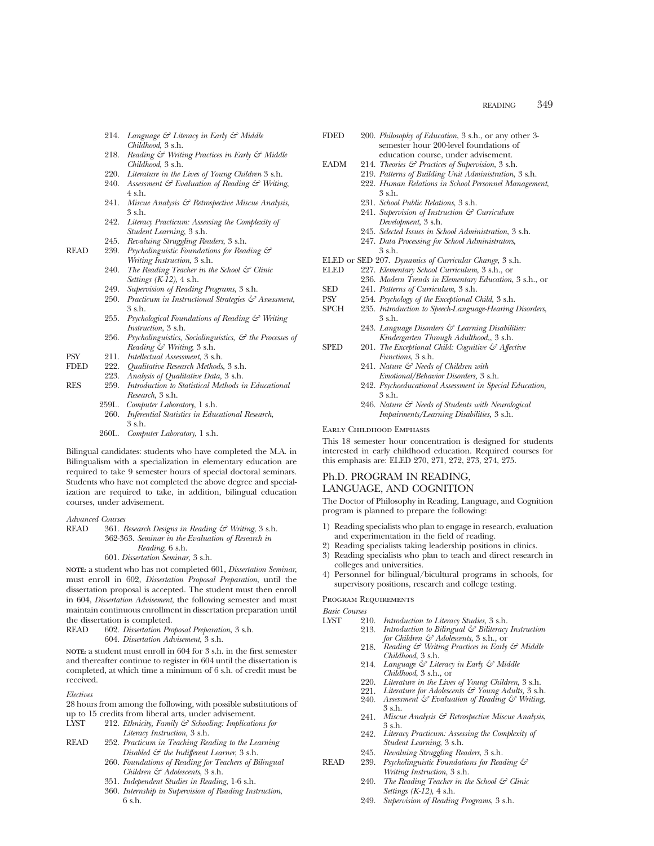- 214. *Language & Literacy in Early & Middle Childhood*, 3 s.h.
- 218. *Reading & Writing Practices in Early & Middle Childhood*, 3 s.h.
- 220. *Literature in the Lives of Young Children* 3 s.h.
- 240. *Assessment & Evaluation of Reading & Writing*, 4 s.h.
- 241. *Miscue Analysis & Retrospective Miscue Analysis*, 3 s.h.
- 242. *Literacy Practicum: Assessing the Complexity of Student Learning*, 3 s.h.
- 245. *Revaluing Struggling Readers*, 3 s.h.
- READ 239. *Psycholinguistic Foundations for Reading & Writing Instruction*, 3 s.h.
	- 240. *The Reading Teacher in the School & Clinic Settings (K-12)*, 4 s.h.
	- 249. *Supervision of Reading Programs*, 3 s.h.
	- 250. *Practicum in Instructional Strategies & Assessment*, 3 s.h.
	- 255. *Psychological Foundations of Reading & Writing Instruction*, 3 s.h.
	- 256. *Psycholinguistics, Sociolinguistics, & the Processes of Reading & Writing*, 3 s.h.
- PSY 211. *Intellectual Assessment*, 3 s.h.
	- FDED 222. *Qualitative Research Methods*, 3 s.h.
	- 223. *Analysis of Qualitative Data,* 3 s.h.
- RES 259. *Introduction to Statistical Methods in Educational Research*, 3 s.h.
	- 259L. *Computer Laboratory*, 1 s.h.
	- 260. *Inferential Statistics in Educational Research*, 3 s.h.
		- 260L. *Computer Laboratory*, 1 s.h.

Bilingual candidates: students who have completed the M.A. in Bilingualism with a specialization in elementary education are required to take 9 semester hours of special doctoral seminars. Students who have not completed the above degree and specialization are required to take, in addition, bilingual education courses, under advisement.

#### *Advanced Courses*

READ 361. *Research Designs in Reading & Writing*, 3 s.h. 362-363. *Seminar in the Evaluation of Research in Reading*, 6 s.h. 601. *Dissertation Seminar,* 3 s.h.

**NOTE:** a student who has not completed 601, *Dissertation Seminar*, must enroll in 602, *Dissertation Proposal Preparation*, until the dissertation proposal is accepted. The student must then enroll in 604, *Dissertation Advisement*, the following semester and must maintain continuous enrollment in dissertation preparation until the dissertation is completed.

READ 602. *Dissertation Proposal Preparation*, 3 s.h. 604. *Dissertation Advisement*, 3 s.h.

**NOTE:** a student must enroll in 604 for 3 s.h. in the first semester and thereafter continue to register in 604 until the dissertation is completed, at which time a minimum of 6 s.h. of credit must be received.

#### *Electives*

28 hours from among the following, with possible substitutions of up to 15 credits from liberal arts, under advisement.

- LYST 212. *Ethnicity, Family & Schooling: Implications for Literacy Instruction,* 3 s.h.
- READ 252. *Practicum in Teaching Reading to the Learning Disabled & the Indifferent Learner*, 3 s.h.
	- 260. *Foundations of Reading for Teachers of Bilingual Children & Adolescents*, 3 s.h.
	- 351. *Independent Studies in Reading*, 1-6 s.h.
	- 360. *Internship in Supervision of Reading Instruction*, 6 s.h.
- FDED 200. *Philosophy of Education*, 3 s.h., or any other 3 semester hour 200-level foundations of education course, under advisement.
- EADM 214. *Theories & Practices of Supervision*, 3 s.h.
	- 219. *Patterns of Building Unit Administration*, 3 s.h.
		- 222. *Human Relations in School Personnel Management*, 3 s.h.
			- 231. *School Public Relations*, 3 s.h.
			- 241. *Supervision of Instruction & Curriculum Development*, 3 s.h.
			- 245. *Selected Issues in School Administration*, 3 s.h.
			- 247. *Data Processing for School Administrators*, 3 s.h.
- 
- ELED or SED 207. *Dynamics of Curricular Change*, 3 s.h. 227. *Elementary School Curriculum*, 3 s.h., or
	- 236. *Modern Trends in Elementary Education*, 3 s.h., or
- SED 241. *Patterns of Curriculum*, 3 s.h.
- PSY 254. *Psychology of the Exceptional Child*, 3 s.h. 235. *Introduction to Speech-Language-Hearing Disorders*, 3 s.h.
	- 243. *Language Disorders & Learning Disabilities: Kindergarten Through Adulthood,*, 3 s.h.
- SPED 201. *The Exceptional Child: Cognitive & Affective Functions*, 3 s.h.
	- 241. *Nature & Needs of Children with Emotional/Behavior Disorders,* 3 s.h.
	- 242. *Psychoeducational Assessment in Special Education,* 3 s.h.
	- 246. *Nature & Needs of Students with Neurological Impairments/Learning Disabilities,* 3 s.h.

#### Early Childhood Emphasis

This 18 semester hour concentration is designed for students interested in early childhood education. Required courses for this emphasis are: ELED 270, 271, 272, 273, 274, 275.

## Ph.D. PROGRAM IN READING, LANGUAGE, AND COGNITION

The Doctor of Philosophy in Reading, Language, and Cognition program is planned to prepare the following:

- 1) Reading specialists who plan to engage in research, evaluation and experimentation in the field of reading.
- Reading specialists taking leadership positions in clinics.
- 3) Reading specialists who plan to teach and direct research in colleges and universities.
- 4) Personnel for bilingual/bicultural programs in schools, for supervisory positions, research and college testing.

#### Program Requirements

*Basic Courses*

- 210. *Introduction to Literacy Studies*, 3 s.h.<br>213. *Introduction to Bilingual & Biliteracy* 
	- 213. *Introduction to Bilingual & Biliteracy Instruction for Children & Adolescents*, 3 s.h., or
- 218. *Reading & Writing Practices in Early & Middle Childhood*, 3 s.h.
- 214. *Language & Literacy in Early & Middle Childhood*, 3 s.h., or
- 220. *Literature in the Lives of Young Children*, 3 s.h.
- 221. *Literature for Adolescents & Young Adults,* 3 s.h.
- 240. *Assessment & Evaluation of Reading & Writing*, 3 s.h.
- 241. *Miscue Analysis & Retrospective Miscue Analysis*, 3 s.h.
- 242. *Literacy Practicum: Assessing the Complexity of Student Learning*, 3 s.h.
- 245. *Revaluing Struggling Readers*, 3 s.h.
- READ 239. *Psycholinguistic Foundations for Reading & Writing Instruction*, 3 s.h.
	- 240. *The Reading Teacher in the School & Clinic Settings (K-12)*, 4 s.h.
	- 249. *Supervision of Reading Programs*, 3 s.h.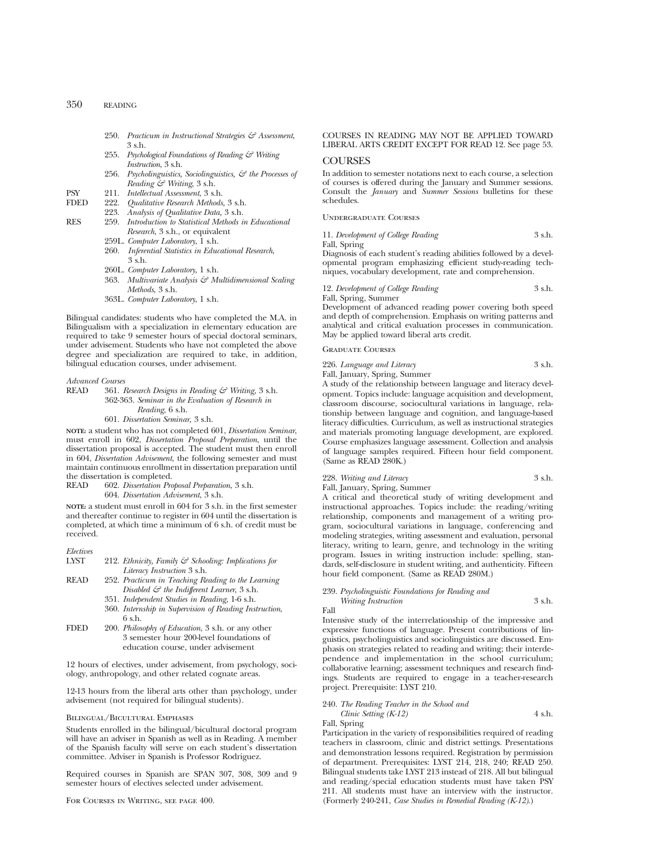- 250. *Practicum in Instructional Strategies & Assessment*, 3 s.h.
- 255. *Psychological Foundations of Reading & Writing Instruction*, 3 s.h.
- 256. *Psycholinguistics, Sociolinguistics, & the Processes of Reading & Writing*, 3 s.h.
- PSY 211. *Intellectual Assessment*, 3 s.h.
- FDED 222. *Qualitative Research Methods,* 3 s.h.
- 223. *Analysis of Qualitative Data,* 3 s.h.
- RES 259. *Introduction to Statistical Methods in Educational Research*, 3 s.h., or equivalent
	- 259L. *Computer Laboratory*, 1 s.h.
	- 260. *Inferential Statistics in Educational Research*, 3 s.h.
	- 260L. *Computer Laboratory*, 1 s.h.
	- 363. *Multivariate Analysis & Multidimensional Scaling Methods*, 3 s.h.
	- 363L. *Computer Laboratory*, 1 s.h.

Bilingual candidates: students who have completed the M.A. in Bilingualism with a specialization in elementary education are required to take 9 semester hours of special doctoral seminars, under advisement. Students who have not completed the above degree and specialization are required to take, in addition, bilingual education courses, under advisement.

#### *Advanced Courses*

READ 361. *Research Designs in Reading & Writing,* 3 s.h. 362-363. *Seminar in the Evaluation of Research in Reading*, 6 s.h. 601. *Dissertation Seminar,* 3 s.h.

**NOTE:** a student who has not completed 601, *Dissertation Seminar*, must enroll in 602, *Dissertation Proposal Preparation*, until the dissertation proposal is accepted. The student must then enroll in 604, *Dissertation Advisement*, the following semester and must maintain continuous enrollment in dissertation preparation until the dissertation is completed.<br>READ 602. Dissertation Pre

READ 602. *Dissertation Proposal Preparation*, 3 s.h. 604. *Dissertation Advisement*, 3 s.h.

**NOTE:** a student must enroll in 604 for 3 s.h. in the first semester and thereafter continue to register in 604 until the dissertation is completed, at which time a minimum of 6 s.h. of credit must be received.

| Electives |                                                                  |
|-----------|------------------------------------------------------------------|
| LYST      | 212. Ethnicity, Family $\mathcal{C}$ Schooling: Implications for |
|           | Literacy Instruction 3 s.h.                                      |
| READ      | 252. Practicum in Teaching Reading to the Learning               |
|           |                                                                  |

- *Disabled & the Indifferent Learner*, 3 s.h. 351. *Independent Studies in Reading*, 1-6 s.h.
- 360. *Internship in Supervision of Reading Instruction*,
- 6 s.h.
- FDED 200. *Philosophy of Education*, 3 s.h. or any other 3 semester hour 200-level foundations of education course, under advisement

12 hours of electives, under advisement, from psychology, sociology, anthropology, and other related cognate areas.

12-13 hours from the liberal arts other than psychology, under advisement (not required for bilingual students).

#### Bilingual/Bicultural Emphases

Students enrolled in the bilingual/bicultural doctoral program will have an adviser in Spanish as well as in Reading. A member of the Spanish faculty will serve on each student's dissertation committee. Adviser in Spanish is Professor Rodriguez.

Required courses in Spanish are SPAN 307, 308, 309 and 9 semester hours of electives selected under advisement.

For Courses in Writing, see page 400.

## COURSES IN READING MAY NOT BE APPLIED TOWARD LIBERAL ARTS CREDIT EXCEPT FOR READ 12. See page 53.

#### COURSES

In addition to semester notations next to each course, a selection of courses is offered during the January and Summer sessions. Consult the *January* and *Summer Sessions* bulletins for these schedules.

Undergraduate Courses

11. *Development of College Reading* 3 s.h. Fall, Spring

Diagnosis of each student's reading abilities followed by a developmental program emphasizing efficient study-reading techniques, vocabulary development, rate and comprehension.

#### 12. *Development of College Reading* 3 s.h. Fall, Spring, Summer

Development of advanced reading power covering both speed and depth of comprehension. Emphasis on writing patterns and analytical and critical evaluation processes in communication. May be applied toward liberal arts credit.

## Graduate Courses

226. *Language and Literacy* 3 s.h.

Fall, January, Spring, Summer A study of the relationship between language and literacy development. Topics include: language acquisition and development, classroom discourse, sociocultural variations in language, relationship between language and cognition, and language-based literacy difficulties. Curriculum, as well as instructional strategies and materials promoting language development, are explored. Course emphasizes language assessment. Collection and analysis of language samples required. Fifteen hour field component. (Same as READ 280K.)

|             | 228. Writing and Literacy |  |  | 3 s.h. |
|-------------|---------------------------|--|--|--------|
| <b>11 T</b> |                           |  |  |        |

Fall, January, Spring, Summer

A critical and theoretical study of writing development and instructional approaches. Topics include: the reading/writing relationship, components and management of a writing program, sociocultural variations in language, conferencing and modeling strategies, writing assessment and evaluation, personal literacy, writing to learn, genre, and technology in the writing program. Issues in writing instruction include: spelling, standards, self-disclosure in student writing, and authenticity. Fifteen hour field component. (Same as READ 280M.)

## 239. *Psycholinguistic Foundations for Reading and*

*Writing Instruction* 3 s.h. Fall

Intensive study of the interrelationship of the impressive and expressive functions of language. Present contributions of linguistics, psycholinguistics and sociolinguistics are discussed. Emphasis on strategies related to reading and writing; their interdependence and implementation in the school curriculum; collaborative learning; assessment techniques and research findings. Students are required to engage in a teacher-research project. Prerequisite: LYST 210.

## 240. *The Reading Teacher in the School and*

*Clinic Setting (K-12)* 4 s.h. Fall, Spring

Participation in the variety of responsibilities required of reading teachers in classroom, clinic and district settings. Presentations and demonstration lessons required. Registration by permission of department. Prerequisites: LYST 214, 218, 240; READ 250. Bilingual students take LYST 213 instead of 218. All but bilingual and reading/special education students must have taken PSY 211. All students must have an interview with the instructor. (Formerly 240-241, *Case Studies in Remedial Reading (K-12)*.)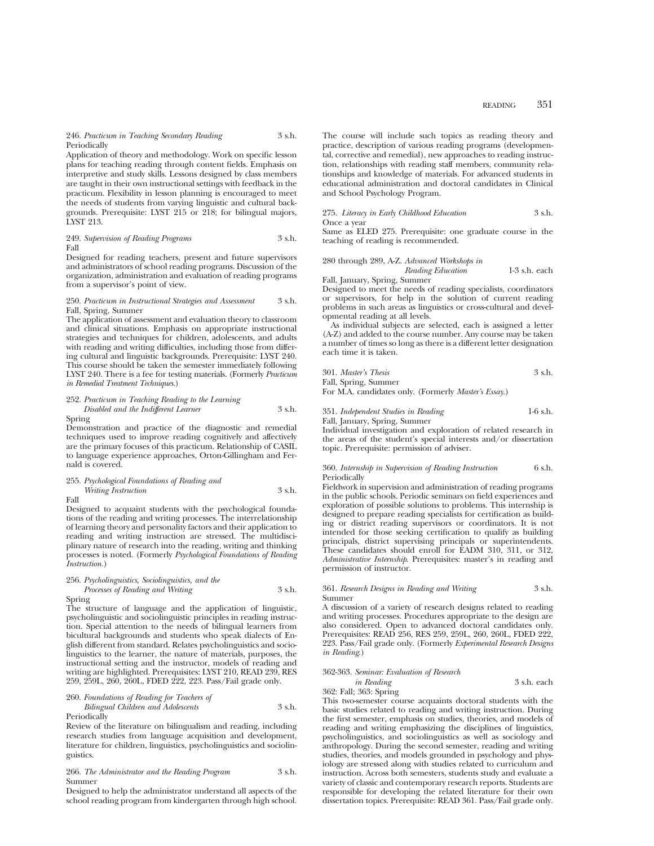246. *Practicum in Teaching Secondary Reading* 3 s.h. Periodically

Application of theory and methodology. Work on specific lesson plans for teaching reading through content fields. Emphasis on interpretive and study skills. Lessons designed by class members are taught in their own instructional settings with feedback in the practicum. Flexibility in lesson planning is encouraged to meet the needs of students from varying linguistic and cultural backgrounds. Prerequisite: LYST 215 or 218; for bilingual majors, LYST 213.

249. *Supervision of Reading Programs* 3 s.h. Fall

Designed for reading teachers, present and future supervisors and administrators of school reading programs. Discussion of the organization, administration and evaluation of reading programs from a supervisor's point of view.

#### 250. *Practicum in Instructional Strategies and Assessment* 3 s.h. Fall, Spring, Summer

The application of assessment and evaluation theory to classroom and clinical situations. Emphasis on appropriate instructional strategies and techniques for children, adolescents, and adults with reading and writing difficulties, including those from differing cultural and linguistic backgrounds. Prerequisite: LYST 240. This course should be taken the semester immediately following LYST 240. There is a fee for testing materials. (Formerly *Practicum in Remedial Treatment Techniques.*)

## 252. *Practicum in Teaching Reading to the Learning Disabled and the Indifferent Learner* 3 s.h.

Spring

Demonstration and practice of the diagnostic and remedial techniques used to improve reading cognitively and affectively are the primary focuses of this practicum. Relationship of CASIL to language experience approaches, Orton-Gillingham and Fernald is covered.

## 255. *Psychological Foundations of Reading and Writing Instruction* 3 s.h.

Fall

#### Designed to acquaint students with the psychological foundations of the reading and writing processes. The interrelationship of learning theory and personality factors and their application to reading and writing instruction are stressed. The multidisciplinary nature of research into the reading, writing and thinking processes is noted. (Formerly *Psychological Foundations of Reading Instruction.*)

### 256. *Psycholinguistics, Sociolinguistics, and the Processes of Reading and Writing* 3 s.h.

Spring

The structure of language and the application of linguistic, psycholinguistic and sociolinguistic principles in reading instruction. Special attention to the needs of bilingual learners from bicultural backgrounds and students who speak dialects of English different from standard. Relates psycholinguistics and sociolinguistics to the learner, the nature of materials, purposes, the instructional setting and the instructor, models of reading and writing are highlighted. Prerequisites: LYST 210, READ 239, RES 259, 259L, 260, 260L, FDED 222, 223. Pass/Fail grade only.

# 260. *Foundations of Reading for Teachers of*

*Bilingual Children and Adolescents* 3 s.h. Periodically

Review of the literature on bilingualism and reading, including research studies from language acquisition and development, literature for children, linguistics, psycholinguistics and sociolinguistics.

#### 266. *The Administrator and the Reading Program* 3 s.h. Summer

Designed to help the administrator understand all aspects of the school reading program from kindergarten through high school. The course will include such topics as reading theory and practice, description of various reading programs (developmental, corrective and remedial), new approaches to reading instruction, relationships with reading staff members, community relationships and knowledge of materials. For advanced students in educational administration and doctoral candidates in Clinical and School Psychology Program.

#### 275. *Literacy in Early Childhood Education* 3 s.h. Once a year

Same as ELED 275. Prerequisite: one graduate course in the teaching of reading is recommended.

280 through 289, A-Z. *Advanced Workshops in*

*Reading Education* 1-3 s.h. each

#### Fall, January, Spring, Summer Designed to meet the needs of reading specialists, coordinators or supervisors, for help in the solution of current reading problems in such areas as linguistics or cross-cultural and developmental reading at all levels.

As individual subjects are selected, each is assigned a letter (A-Z) and added to the course number. Any course may be taken a number of times so long as there is a different letter designation each time it is taken.

| 301. Master's Thesis | 3 s.h. |
|----------------------|--------|
| Fall, Spring, Summer |        |

For M.A. candidates only. (Formerly *Master's Essay.*)

#### 351. *Independent Studies in Reading* 1-6 s.h.

Fall, January, Spring, Summer

Individual investigation and exploration of related research in the areas of the student's special interests and/or dissertation topic. Prerequisite: permission of adviser.

#### 360. *Internship in Supervision of Reading Instruction* 6 s.h. Periodically

Fieldwork in supervision and administration of reading programs in the public schools. Periodic seminars on field experiences and exploration of possible solutions to problems. This internship is designed to prepare reading specialists for certification as building or district reading supervisors or coordinators. It is not intended for those seeking certification to qualify as building principals, district supervising principals or superintendents. These candidates should enroll for EADM 310, 311, or 312, *Administrative Internship*. Prerequisites: master's in reading and permission of instructor.

#### 361. *Research Designs in Reading and Writing* 3 s.h. Summer

A discussion of a variety of research designs related to reading and writing processes. Procedures appropriate to the design are also considered. Open to advanced doctoral candidates only. Prerequisites: READ 256, RES 259, 259L, 260, 260L, FDED 222, 223. Pass/Fail grade only. (Formerly *Experimental Research Designs in Reading*.)

## 362-363. *Seminar: Evaluation of Research*

*in Reading* 3 s.h. each 362: Fall; 363: Spring

This two-semester course acquaints doctoral students with the basic studies related to reading and writing instruction. During the first semester, emphasis on studies, theories, and models of reading and writing emphasizing the disciplines of linguistics, psycholinguistics, and sociolinguistics as well as sociology and anthropology. During the second semester, reading and writing studies, theories, and models grounded in psychology and physiology are stressed along with studies related to curriculum and instruction. Across both semesters, students study and evaluate a variety of classic and contemporary research reports. Students are responsible for developing the related literature for their own dissertation topics. Prerequisite: READ 361. Pass/Fail grade only.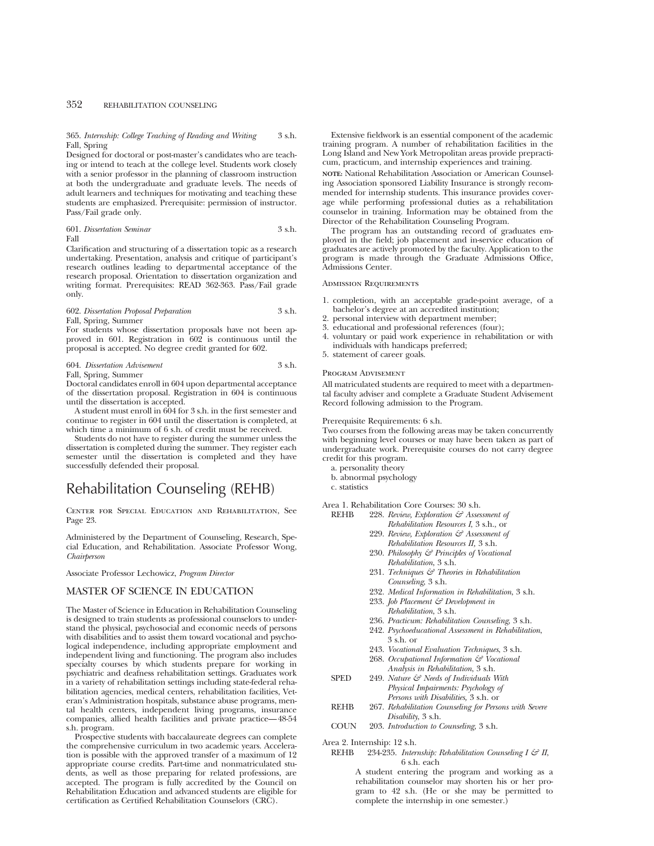365. *Internship: College Teaching of Reading and Writing* 3 s.h. Fall, Spring

Designed for doctoral or post-master's candidates who are teaching or intend to teach at the college level. Students work closely with a senior professor in the planning of classroom instruction at both the undergraduate and graduate levels. The needs of adult learners and techniques for motivating and teaching these students are emphasized. Prerequisite: permission of instructor. Pass/Fail grade only.

### 601. *Dissertation Seminar* 3 s.h. Fall

Clarification and structuring of a dissertation topic as a research undertaking. Presentation, analysis and critique of participant's research outlines leading to departmental acceptance of the research proposal. Orientation to dissertation organization and writing format. Prerequisites: READ 362-363. Pass/Fail grade only.

# 602. *Dissertation Proposal Preparation* 3 s.h. Fall, Spring, Summer

For students whose dissertation proposals have not been approved in 601. Registration in 602 is continuous until the proposal is accepted. No degree credit granted for 602.

#### 604. *Dissertation Advisement* 3 s.h. Fall, Spring, Summer

Doctoral candidates enroll in 604 upon departmental acceptance of the dissertation proposal. Registration in 604 is continuous until the dissertation is accepted.

A student must enroll in 604 for 3 s.h. in the first semester and continue to register in 604 until the dissertation is completed, at which time a minimum of 6 s.h. of credit must be received.

Students do not have to register during the summer unless the dissertation is completed during the summer. They register each semester until the dissertation is completed and they have successfully defended their proposal.

# Rehabilitation Counseling (REHB)

Center for Special Education and Rehabilitation, See Page 23.

Administered by the Department of Counseling, Research, Special Education, and Rehabilitation. Associate Professor Wong, *Chairperson*

Associate Professor Lechowicz, *Program Director*

## MASTER OF SCIENCE IN EDUCATION

The Master of Science in Education in Rehabilitation Counseling is designed to train students as professional counselors to understand the physical, psychosocial and economic needs of persons with disabilities and to assist them toward vocational and psychological independence, including appropriate employment and independent living and functioning. The program also includes specialty courses by which students prepare for working in psychiatric and deafness rehabilitation settings. Graduates work in a variety of rehabilitation settings including state-federal rehabilitation agencies, medical centers, rehabilitation facilities, Veteran's Administration hospitals, substance abuse programs, mental health centers, independent living programs, insurance companies, allied health facilities and private practice—48-54 s.h. program.

Prospective students with baccalaureate degrees can complete the comprehensive curriculum in two academic years. Acceleration is possible with the approved transfer of a maximum of 12 appropriate course credits. Part-time and nonmatriculated students, as well as those preparing for related professions, are accepted. The program is fully accredited by the Council on Rehabilitation Education and advanced students are eligible for certification as Certified Rehabilitation Counselors (CRC).

Extensive fieldwork is an essential component of the academic training program. A number of rehabilitation facilities in the Long Island and New York Metropolitan areas provide prepracticum, practicum, and internship experiences and training.

**NOTE:** National Rehabilitation Association or American Counseling Association sponsored Liability Insurance is strongly recommended for internship students. This insurance provides coverage while performing professional duties as a rehabilitation counselor in training. Information may be obtained from the Director of the Rehabilitation Counseling Program.

The program has an outstanding record of graduates employed in the field; job placement and in-service education of graduates are actively promoted by the faculty. Application to the program is made through the Graduate Admissions Office, Admissions Center.

#### Admission Requirements

- 1. completion, with an acceptable grade-point average, of a bachelor's degree at an accredited institution;
- 2. personal interview with department member;
- 3. educational and professional references (four);
- 4. voluntary or paid work experience in rehabilitation or with individuals with handicaps preferred;
- 5. statement of career goals.

#### Program Advisement

All matriculated students are required to meet with a departmental faculty adviser and complete a Graduate Student Advisement Record following admission to the Program.

#### Prerequisite Requirements: 6 s.h.

Two courses from the following areas may be taken concurrently with beginning level courses or may have been taken as part of undergraduate work. Prerequisite courses do not carry degree credit for this program.

- a. personality theory
- b. abnormal psychology
- c. statistics

Area 1. Rehabilitation Core Courses: 30 s.h.

- REHB 228. *Review, Exploration & Assessment of Rehabilitation Resources I*, 3 s.h., or
	- 229. *Review, Exploration & Assessment of Rehabilitation Resources II,* 3 s.h.
	- 230. *Philosophy & Principles of Vocational Rehabilitation*, 3 s.h.
	- 231. *Techniques & Theories in Rehabilitation Counseling*, 3 s.h.
	- 232. *Medical Information in Rehabilitation*, 3 s.h.
	- 233. *Job Placement & Development in Rehabilitation*, 3 s.h.
	- 236. *Practicum: Rehabilitation Counseling*, 3 s.h.
	- 242. *Psychoeducational Assessment in Rehabilitation*, 3 s.h. or
	- 243. *Vocational Evaluation Techniques*, 3 s.h.
	- 268. *Occupational Information & Vocational Analysis in Rehabilitation*, 3 s.h.
- SPED 249. *Nature & Needs of Individuals With Physical Impairments: Psychology of Persons with Disabilities,* 3 s.h. or
- REHB 267. *Rehabilitation Counseling for Persons with Severe Disability*, 3 s.h.
- COUN 203. *Introduction to Counseling*, 3 s.h.

Area 2. Internship: 12 s.h.

REHB 234-235. *Internship: Rehabilitation Counseling I & II*, 6 s.h. each

> A student entering the program and working as a rehabilitation counselor may shorten his or her program to 42 s.h. (He or she may be permitted to complete the internship in one semester.)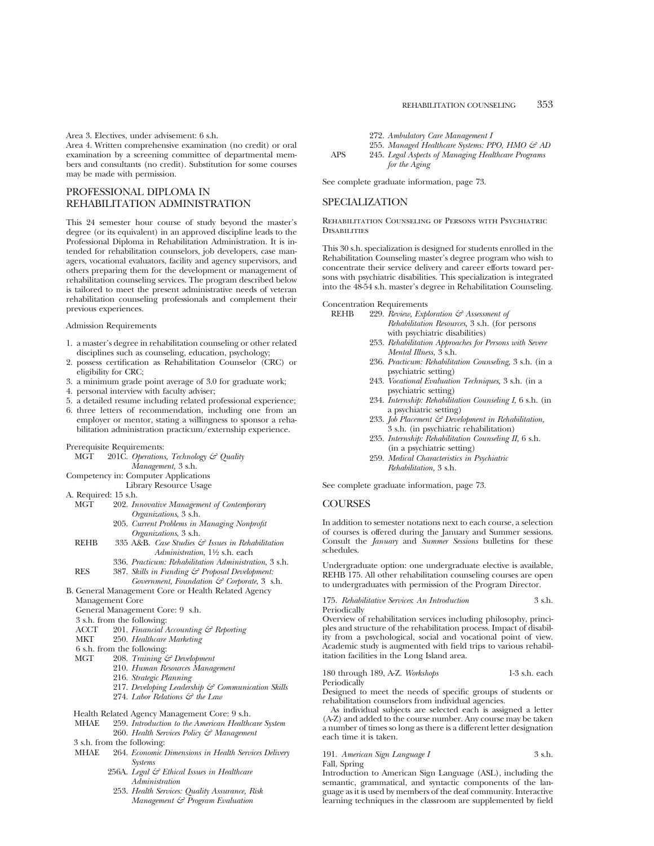Area 3. Electives, under advisement: 6 s.h.

Area 4. Written comprehensive examination (no credit) or oral examination by a screening committee of departmental members and consultants (no credit). Substitution for some courses may be made with permission.

# PROFESSIONAL DIPLOMA IN REHABILITATION ADMINISTRATION

This 24 semester hour course of study beyond the master's degree (or its equivalent) in an approved discipline leads to the Professional Diploma in Rehabilitation Administration. It is intended for rehabilitation counselors, job developers, case managers, vocational evaluators, facility and agency supervisors, and others preparing them for the development or management of rehabilitation counseling services. The program described below is tailored to meet the present administrative needs of veteran rehabilitation counseling professionals and complement their previous experiences.

#### Admission Requirements

- 1. a master's degree in rehabilitation counseling or other related disciplines such as counseling, education, psychology;
- 2. possess certification as Rehabilitation Counselor (CRC) or eligibility for CRC;
- 3. a minimum grade point average of 3.0 for graduate work;
- 4. personal interview with faculty adviser;
- 5. a detailed resume including related professional experience;
- 6. three letters of recommendation, including one from an employer or mentor, stating a willingness to sponsor a rehabilitation administration practicum/externship experience.

# Prerequisite Requirements:<br>MGT 201C. Oberations

- 201C. *Operations, Technology & Quality Management,* 3 s.h.
- Competency in: Computer Applications
	- Library Resource Usage
- A. Required: 15 s.h.<br>MGT 202. In
	- 202. *Innovative Management of Contemporary Organizations*, 3 s.h.
		- 205. *Current Problems in Managing Nonprofit Organizations*, 3 s.h.
	- REHB 335 A&B. *Case Studies & Issues in Rehabilitation Administration*, 1<sup>1</sup>/<sub>2</sub> s.h. each
	- 336. *Practicum: Rehabilitation Administration*, 3 s.h. RES 387. *Skills in Funding & Proposal Development:*
- *Government, Foundation & Corporate*, 3 s.h. B. General Management Core or Health Related Agency
	- Management Core
	- General Management Core: 9 s.h.
	- 3 s.h. from the following:<br>ACCT 201. Financial  $\angle$
	- ACCT 201. *Financial Accounting & Reporting*
	- 250. Healthcare Marketing
	- 6 s.h. from the following:<br>MGT 208. Training  $\zeta$ 
		- 208. *Training & Development* 
			- 210. *Human Resources Management*
			- 216. *Strategic Planning*
			- 217. *Developing Leadership & Communication Skills*
			- 274. *Labor Relations & the Law*
	- Health Related Agency Management Core: 9 s.h.
	- MHAE 259. *Introduction to the American Healthcare System* 260. *Health Services Policy & Management*
	- 3 s.h. from the following:
	- MHAE 264. *Economic Dimensions in Health Services Delivery Systems*
		- 256A. *Legal & Ethical Issues in Healthcare Administration*
		- 253. *Health Services: Quality Assurance, Risk Management & Program Evaluation*
- 272. *Ambulatory Care Management I*
- 255. *Managed Healthcare Systems: PPO, HMO & AD*
- APS 245. *Legal Aspects of Managing Healthcare Programs for the Aging*

See complete graduate information, page 73.

## SPECIALIZATION

#### Rehabilitation Counseling of Persons with Psychiatric **DISABILITIES**

This 30 s.h. specialization is designed for students enrolled in the Rehabilitation Counseling master's degree program who wish to concentrate their service delivery and career efforts toward persons with psychiatric disabilities. This specialization is integrated into the 48-54 s.h. master's degree in Rehabilitation Counseling.

Concentration Requirements<br>REHB 999 Review Exhi

- REHB 229. *Review, Exploration & Assessment of Rehabilitation Resources,* 3 s.h. (for persons with psychiatric disabilities)
	- 253. *Rehabilitation Approaches for Persons with Severe Mental Illness,* 3 s.h.
	- 236. *Practicum: Rehabilitation Counseling,* 3 s.h. (in a psychiatric setting)
	- 243. *Vocational Evaluation Techniques,* 3 s.h. (in a psychiatric setting)
	- 234. *Internship: Rehabilitation Counseling I,* 6 s.h. (in a psychiatric setting)
	- 233. *Job Placement & Development in Rehabilitation,* 3 s.h. (in psychiatric rehabilitation)
	- 235. *Internship: Rehabilitation Counseling II,* 6 s.h. (in a psychiatric setting)
	- 259. *Medical Characteristics in Psychiatric Rehabilitation,* 3 s.h.

See complete graduate information, page 73.

## **COURSES**

In addition to semester notations next to each course, a selection of courses is offered during the January and Summer sessions. Consult the *January* and *Summer Sessions* bulletins for these schedules.

Undergraduate option: one undergraduate elective is available, REHB 175. All other rehabilitation counseling courses are open to undergraduates with permission of the Program Director.

175. *Rehabilitative Services*: *An Introduction* 3 s.h. Periodically

Overview of rehabilitation services including philosophy, principles and structure of the rehabilitation process. Impact of disability from a psychological, social and vocational point of view. Academic study is augmented with field trips to various rehabilitation facilities in the Long Island area.

180 through 189, A-Z. *Workshops* 1-3 s.h. each **Periodically** 

Designed to meet the needs of specific groups of students or rehabilitation counselors from individual agencies.

As individual subjects are selected each is assigned a letter (A-Z) and added to the course number. Any course may be taken a number of times so long as there is a different letter designation each time it is taken.

#### 191. *American Sign Language I* 3 s.h. Fall, Spring

Introduction to American Sign Language (ASL), including the semantic, grammatical, and syntactic components of the language as it is used by members of the deaf community. Interactive learning techniques in the classroom are supplemented by field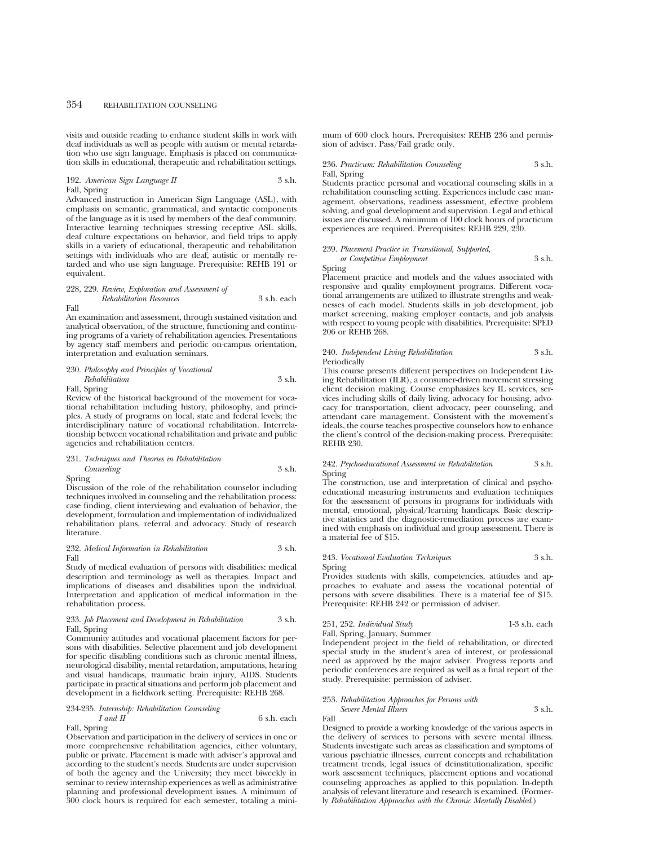visits and outside reading to enhance student skills in work with deaf individuals as well as people with autism or mental retardation who use sign language. Emphasis is placed on communication skills in educational, therapeutic and rehabilitation settings.

#### 192. *American Sign Language II* 3 s.h. Fall, Spring

Advanced instruction in American Sign Language (ASL), with emphasis on semantic, grammatical, and syntactic components of the language as it is used by members of the deaf community. Interactive learning techniques stressing receptive ASL skills, deaf culture expectations on behavior, and field trips to apply skills in a variety of educational, therapeutic and rehabilitation settings with individuals who are deaf, autistic or mentally retarded and who use sign language. Prerequisite: REHB 191 or equivalent.

## 228, 229. *Review, Exploration and Assessment of*

*Rehabilitation Resources* 3 s.h. each Fall

An examination and assessment, through sustained visitation and analytical observation, of the structure, functioning and continuing programs of a variety of rehabilitation agencies. Presentations by agency staff members and periodic on-campus orientation, interpretation and evaluation seminars.

#### 230. *Philosophy and Principles of Vocational Rehabilitation* 3 s.h. Fall, Spring

Review of the historical background of the movement for vocational rehabilitation including history, philosophy, and principles. A study of programs on local, state and federal levels; the interdisciplinary nature of vocational rehabilitation. Interrelationship between vocational rehabilitation and private and public agencies and rehabilitation centers.

## 231. *Techniques and Theories in Rehabilitation*

#### *Counseling* 3 s.h. Spring

Discussion of the role of the rehabilitation counselor including techniques involved in counseling and the rehabilitation process: case finding, client interviewing and evaluation of behavior, the development, formulation and implementation of individualized rehabilitation plans, referral and advocacy. Study of research literature.

#### 232. *Medical Information in Rehabilitation* 3 s.h. Fall

Study of medical evaluation of persons with disabilities: medical description and terminology as well as therapies. Impact and implications of diseases and disabilities upon the individual. Interpretation and application of medical information in the rehabilitation process.

#### 233. *Job Placement and Development in Rehabilitation* 3 s.h. Fall, Spring

Community attitudes and vocational placement factors for persons with disabilities. Selective placement and job development for specific disabling conditions such as chronic mental illness, neurological disability, mental retardation, amputations, hearing and visual handicaps, traumatic brain injury, AIDS. Students participate in practical situations and perform job placement and development in a fieldwork setting. Prerequisite: REHB 268.

### 234-235. *Internship: Rehabilitation Counseling I and II* 6 s.h. each Fall, Spring

Observation and participation in the delivery of services in one or more comprehensive rehabilitation agencies, either voluntary, public or private. Placement is made with adviser's approval and according to the student's needs. Students are under supervision of both the agency and the University; they meet biweekly in seminar to review internship experiences as well as administrative planning and professional development issues. A minimum of 300 clock hours is required for each semester, totaling a minimum of 600 clock hours. Prerequisites: REHB 236 and permission of adviser. Pass/Fail grade only.

#### 236. *Practicum: Rehabilitation Counseling* 3 s.h. Fall, Spring

Students practice personal and vocational counseling skills in a rehabilitation counseling setting. Experiences include case management, observations, readiness assessment, effective problem solving, and goal development and supervision. Legal and ethical issues are discussed. A minimum of 100 clock hours of practicum experiences are required. Prerequisites: REHB 229, 230.

## 239. *Placement Practice in Transitional, Supported, or Competitive Employment* 3 s.h.

Spring

Placement practice and models and the values associated with responsive and quality employment programs. Different vocational arrangements are utilized to illustrate strengths and weaknesses of each model. Students skills in job development, job market screening, making employer contacts, and job analysis with respect to young people with disabilities. Prerequisite: SPED 206 or REHB 268.

#### 240. *Independent Living Rehabilitation* 3 s.h. Periodically

This course presents different perspectives on Independent Living Rehabilitation (ILR), a consumer-driven movement stressing client decision making. Course emphasizes key IL services, services including skills of daily living, advocacy for housing, advocacy for transportation, client advocacy, peer counseling, and attendant care management. Consistent with the movement's ideals, the course teaches prospective counselors how to enhance the client's control of the decision-making process. Prerequisite: REHB 230.

#### 242. *Psychoeducational Assessment in Rehabilitation* 3 s.h. Spring

The construction, use and interpretation of clinical and psychoeducational measuring instruments and evaluation techniques for the assessment of persons in programs for individuals with mental, emotional, physical/learning handicaps. Basic descriptive statistics and the diagnostic-remediation process are examined with emphasis on individual and group assessment. There is a material fee of \$15.

#### 243. *Vocational Evaluation Techniques* 3 s.h. Spring

Provides students with skills, competencies, attitudes and approaches to evaluate and assess the vocational potential of persons with severe disabilities. There is a material fee of \$15. Prerequisite: REHB 242 or permission of adviser.

# 251, 252. *Individual Study*

Fall, Spring, January, Summer

Independent project in the field of rehabilitation, or directed

special study in the student's area of interest, or professional need as approved by the major adviser. Progress reports and periodic conferences are required as well as a final report of the study. Prerequisite: permission of adviser.

## 253. *Rehabilitation Approaches for Persons with Severe Mental Illness* 3 s.h.

Fall

Designed to provide a working knowledge of the various aspects in the delivery of services to persons with severe mental illness. Students investigate such areas as classification and symptoms of various psychiatric illnesses, current concepts and rehabilitation treatment trends, legal issues of deinstitutionalization, specific work assessment techniques, placement options and vocational counseling approaches as applied to this population. In-depth analysis of relevant literature and research is examined. (Formerly *Rehabilitation Approaches with the Chronic Mentally Disabled*.)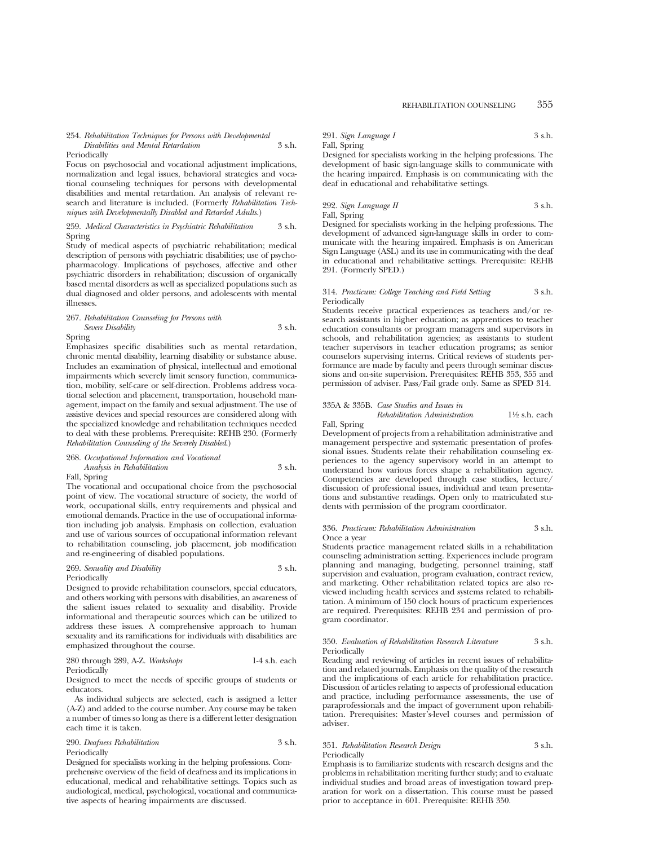### 254. *Rehabilitation Techniques for Persons with Developmental Disabilities and Mental Retardation* 3 s.h.

#### Periodically

Focus on psychosocial and vocational adjustment implications, normalization and legal issues, behavioral strategies and vocational counseling techniques for persons with developmental disabilities and mental retardation. An analysis of relevant research and literature is included. (Formerly *Rehabilitation Techniques with Developmentally Disabled and Retarded Adults.*)

## 259. *Medical Characteristics in Psychiatric Rehabilitation* 3 s.h. Spring

Study of medical aspects of psychiatric rehabilitation; medical description of persons with psychiatric disabilities; use of psychopharmacology. Implications of psychoses, affective and other psychiatric disorders in rehabilitation; discussion of organically based mental disorders as well as specialized populations such as dual diagnosed and older persons, and adolescents with mental illnesses.

#### 267. *Rehabilitation Counseling for Persons with Severe Disability* 3 s.h.

Spring

Emphasizes specific disabilities such as mental retardation, chronic mental disability, learning disability or substance abuse. Includes an examination of physical, intellectual and emotional impairments which severely limit sensory function, communication, mobility, self-care or self-direction. Problems address vocational selection and placement, transportation, household management, impact on the family and sexual adjustment. The use of assistive devices and special resources are considered along with the specialized knowledge and rehabilitation techniques needed to deal with these problems. Prerequisite: REHB 230. (Formerly *Rehabilitation Counseling of the Severely Disabled*.)

#### 268. *Occupational Information and Vocational Analysis in Rehabilitation* 3 s.h.

## Fall, Spring

The vocational and occupational choice from the psychosocial point of view. The vocational structure of society, the world of work, occupational skills, entry requirements and physical and emotional demands. Practice in the use of occupational information including job analysis. Emphasis on collection, evaluation and use of various sources of occupational information relevant to rehabilitation counseling, job placement, job modification and re-engineering of disabled populations.

#### 269. *Sexuality and Disability* 3 s.h. Periodically

Designed to provide rehabilitation counselors, special educators, and others working with persons with disabilities, an awareness of the salient issues related to sexuality and disability. Provide informational and therapeutic sources which can be utilized to address these issues. A comprehensive approach to human sexuality and its ramifications for individuals with disabilities are emphasized throughout the course.

280 through 289, A-Z. *Workshops* 1-4 s.h. each Periodically

Designed to meet the needs of specific groups of students or educators.

As individual subjects are selected, each is assigned a letter (A-Z) and added to the course number. Any course may be taken a number of times so long as there is a different letter designation each time it is taken.

## 290. *Deafness Rehabilitation* 3 s.h. Periodically

Designed for specialists working in the helping professions. Comprehensive overview of the field of deafness and its implications in educational, medical and rehabilitative settings. Topics such as audiological, medical, psychological, vocational and communicative aspects of hearing impairments are discussed.

291. *Sign Language I* 3 s.h. Fall, Spring

Designed for specialists working in the helping professions. The development of basic sign-language skills to communicate with the hearing impaired. Emphasis is on communicating with the deaf in educational and rehabilitative settings.

## 292. *Sign Language II* 3 s.h. Fall, Spring

Designed for specialists working in the helping professions. The development of advanced sign-language skills in order to communicate with the hearing impaired. Emphasis is on American Sign Language (ASL) and its use in communicating with the deaf in educational and rehabilitative settings. Prerequisite: REHB 291. (Formerly SPED.)

#### 314. *Practicum: College Teaching and Field Setting* 3 s.h. Periodically

Students receive practical experiences as teachers and/or research assistants in higher education; as apprentices to teacher education consultants or program managers and supervisors in schools, and rehabilitation agencies; as assistants to student teacher supervisors in teacher education programs; as senior counselors supervising interns. Critical reviews of students performance are made by faculty and peers through seminar discussions and on-site supervision. Prerequisites: REHB 353, 355 and permission of adviser. Pass/Fail grade only. Same as SPED 314.

#### 335A & 335B. *Case Studies and Issues in Rehabilitation Administration* 11⁄2 s.h. each

Fall, Spring

Development of projects from a rehabilitation administrative and management perspective and systematic presentation of professional issues. Students relate their rehabilitation counseling experiences to the agency supervisory world in an attempt to understand how various forces shape a rehabilitation agency. Competencies are developed through case studies, lecture/ discussion of professional issues, individual and team presentations and substantive readings. Open only to matriculated students with permission of the program coordinator.

#### 336. *Practicum: Rehabilitation Administration* 3 s.h. Once a year

Students practice management related skills in a rehabilitation counseling administration setting. Experiences include program planning and managing, budgeting, personnel training, staff supervision and evaluation, program evaluation, contract review, and marketing. Other rehabilitation related topics are also reviewed including health services and systems related to rehabilitation. A minimum of 150 clock hours of practicum experiences are required. Prerequisites: REHB 234 and permission of program coordinator.

#### 350. *Evaluation of Rehabilitation Research Literature* 3 s.h. Periodically

Reading and reviewing of articles in recent issues of rehabilitation and related journals. Emphasis on the quality of the research and the implications of each article for rehabilitation practice. Discussion of articles relating to aspects of professional education and practice, including performance assessments, the use of paraprofessionals and the impact of government upon rehabilitation. Prerequisites: Master's-level courses and permission of adviser.

#### 351. *Rehabilitation Research Design* 3 s.h. Periodically

Emphasis is to familiarize students with research designs and the problems in rehabilitation meriting further study; and to evaluate individual studies and broad areas of investigation toward preparation for work on a dissertation. This course must be passed prior to acceptance in 601. Prerequisite: REHB 350.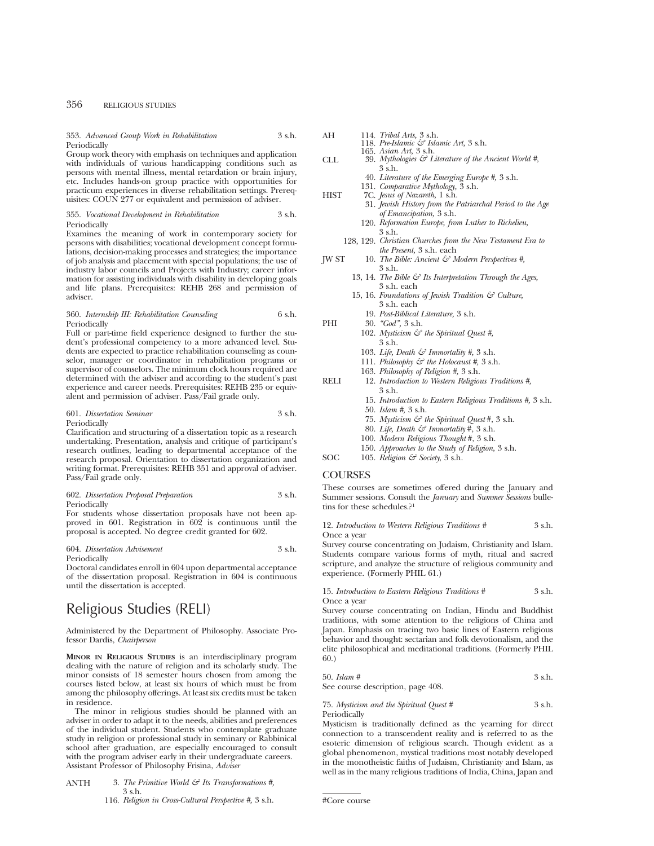353. *Advanced Group Work in Rehabilitation* 3 s.h. Periodically

Group work theory with emphasis on techniques and application with individuals of various handicapping conditions such as persons with mental illness, mental retardation or brain injury, etc. Includes hands-on group practice with opportunities for practicum experiences in diverse rehabilitation settings. Prerequisites: COUN 277 or equivalent and permission of adviser.

#### 355. *Vocational Development in Rehabilitation* 3 s.h. Periodically

Examines the meaning of work in contemporary society for persons with disabilities; vocational development concept formulations, decision-making processes and strategies; the importance of job analysis and placement with special populations; the use of industry labor councils and Projects with Industry; career information for assisting individuals with disability in developing goals and life plans. Prerequisites: REHB 268 and permission of adviser.

#### 360. *Internship III: Rehabilitation Counseling* 6 s.h. Periodically

Full or part-time field experience designed to further the student's professional competency to a more advanced level. Students are expected to practice rehabilitation counseling as counselor, manager or coordinator in rehabilitation programs or supervisor of counselors. The minimum clock hours required are determined with the adviser and according to the student's past experience and career needs. Prerequisites: REHB 235 or equivalent and permission of adviser. Pass/Fail grade only.

#### 601. *Dissertation Seminar* 3 s.h. Periodically

Clarification and structuring of a dissertation topic as a research undertaking. Presentation, analysis and critique of participant's research outlines, leading to departmental acceptance of the research proposal. Orientation to dissertation organization and writing format. Prerequisites: REHB 351 and approval of adviser. Pass/Fail grade only.

#### 602. *Dissertation Proposal Preparation* 3 s.h. Periodically

For students whose dissertation proposals have not been approved in 601. Registration in 602 is continuous until the proposal is accepted. No degree credit granted for 602.

604. *Dissertation Advisement* 3 s.h. Periodically

Doctoral candidates enroll in 604 upon departmental acceptance of the dissertation proposal. Registration in 604 is continuous until the dissertation is accepted.

# Religious Studies (RELI)

Administered by the Department of Philosophy. Associate Professor Dardis, *Chairperson*

**MINOR IN RELIGIOUS STUDIES** is an interdisciplinary program dealing with the nature of religion and its scholarly study. The minor consists of 18 semester hours chosen from among the courses listed below, at least six hours of which must be from among the philosophy offerings. At least six credits must be taken in residence.

The minor in religious studies should be planned with an adviser in order to adapt it to the needs, abilities and preferences of the individual student. Students who contemplate graduate study in religion or professional study in seminary or Rabbinical school after graduation, are especially encouraged to consult with the program adviser early in their undergraduate careers. Assistant Professor of Philosophy Frisina, *Adviser*

- ANTH 3. *The Primitive World & Its Transformations #,* 3 s.h.
	- 116. *Religion in Cross-Cultural Perspective #,* 3 s.h.

| AH          | 114. Tribal Arts, 3 s.h.                                         |
|-------------|------------------------------------------------------------------|
|             | 118. Pre-Islamic & Islamic Art, 3 s.h.                           |
|             | 165. Asian Art, 3 s.h.                                           |
| CLL         | 39. Mythologies $\mathcal{F}$ Literature of the Ancient World #, |
|             | 3 s.h.                                                           |
|             | 40. Literature of the Emerging Europe #, 3 s.h.                  |
|             | 131. Comparative Mythology, 3 s.h.                               |
| <b>HIST</b> | 7C. Jesus of Nazareth, 1 s.h.                                    |
|             | 31. Jewish History from the Patriarchal Period to the Age        |
|             | of Emancipation, 3 s.h.                                          |
|             | י <i>ו יות הד</i> ור זיה די היים ממו                             |

- 120. *Reformation Europe, from Luther to Richelieu,* 3 s.h.
- 128, 129. *Christian Churches from the New Testament Era to the Present,* 3 s.h. each
- JW ST 10. *The Bible: Ancient & Modern Perspectives #,* 3 s.h.
	- 13, 14. *The Bible & Its Interpretation Through the Ages,* 3 s.h. each
	- 15, 16. *Foundations of Jewish Tradition & Culture,* 3 s.h. each
		- 19. *Post-Biblical Literature,* 3 s.h.
- PHI 30. *"God",* 3 s.h. 102. *Mysticism & the Spiritual Quest #,* 3 s.h. 103. *Life, Death & Immortality #,* 3 s.h. 111. *Philosophy & the Holocaust #,* 3 s.h. 163. *Philosophy of Religion #,* 3 s.h. RELI 12. *Introduction to Western Religious Traditions #,* 3 s.h. 15. *Introduction to Eastern Religious Traditions #,* 3 s.h. 50. *Islam #,* 3 s.h. 75. *Mysticism & the Spiritual Quest* #, 3 s.h. 80. *Life, Death & Immortality* #, 3 s.h.
	- 100. *Modern Religious Thought* #, 3 s.h.
	- 150. *Approaches to the Study of Religion*, 3 s.h.

SOC 105. *Religion & Society*, 3 s.h.

## **COURSES**

These courses are sometimes offered during the January and Summer sessions. Consult the *January* and *Summer Sessions* bulletins for these schedules.?1

12. *Introduction to Western Religious Traditions #* 3 s.h. Once a year

Survey course concentrating on Judaism, Christianity and Islam. Students compare various forms of myth, ritual and sacred scripture, and analyze the structure of religious community and experience. (Formerly PHIL 61.)

#### 15. *Introduction to Eastern Religious Traditions #* 3 s.h. Once a year

Survey course concentrating on Indian, Hindu and Buddhist traditions, with some attention to the religions of China and Japan. Emphasis on tracing two basic lines of Eastern religious behavior and thought: sectarian and folk devotionalism, and the elite philosophical and meditational traditions. (Formerly PHIL 60.)

| $50.$ Islam #                     | 3 s.h. |
|-----------------------------------|--------|
| See course description, page 408. |        |

75. *Mysticism and the Spiritual Quest #* 3 s.h. Periodically

Mysticism is traditionally defined as the yearning for direct connection to a transcendent reality and is referred to as the esoteric dimension of religious search. Though evident as a global phenomenon, mystical traditions most notably developed in the monotheistic faiths of Judaism, Christianity and Islam, as well as in the many religious traditions of India, China, Japan and

<sup>#</sup>Core course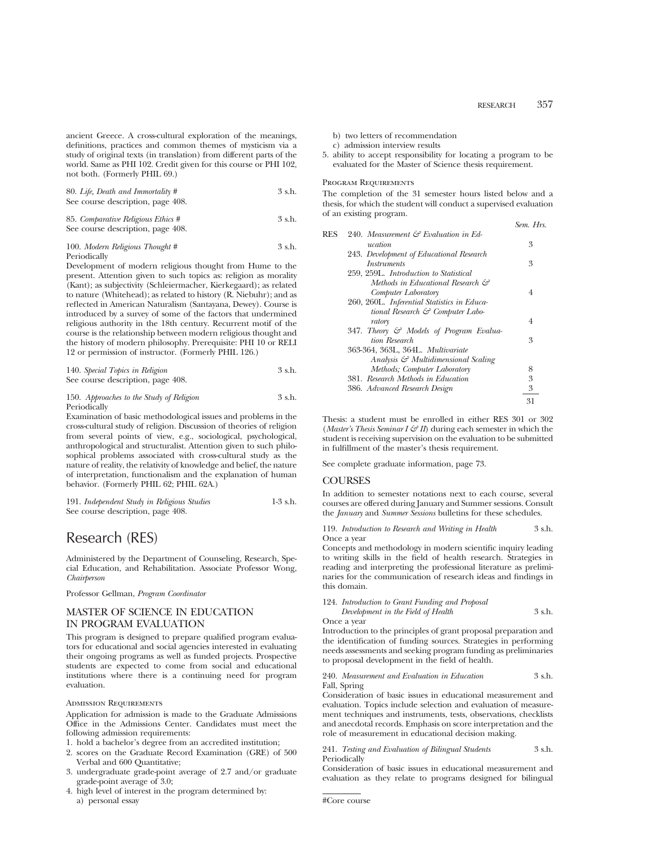ancient Greece. A cross-cultural exploration of the meanings, definitions, practices and common themes of mysticism via a study of original texts (in translation) from different parts of the world. Same as PHI 102. Credit given for this course or PHI 102, not both. (Formerly PHIL 69.)

80. *Life, Death and Immortality #* 3 s.h. See course description, page 408.

85. *Comparative Religious Ethics* # 3 s.h. See course description, page 408.

100. *Modern Religious Thought* # 3 s.h. Periodically

Development of modern religious thought from Hume to the present. Attention given to such topics as: religion as morality (Kant); as subjectivity (Schleiermacher, Kierkegaard); as related to nature (Whitehead); as related to history (R. Niebuhr); and as reflected in American Naturalism (Santayana, Dewey). Course is introduced by a survey of some of the factors that undermined religious authority in the 18th century. Recurrent motif of the course is the relationship between modern religious thought and the history of modern philosophy. Prerequisite: PHI 10 or RELI 12 or permission of instructor. (Formerly PHIL 126.)

| 140. Special Topics in Religion   | 3 s.h. |
|-----------------------------------|--------|
| See course description, page 408. |        |

150. *Approaches to the Study of Religion* 3 s.h. Periodically

Examination of basic methodological issues and problems in the cross-cultural study of religion. Discussion of theories of religion from several points of view, e.g., sociological, psychological, anthropological and structuralist. Attention given to such philosophical problems associated with cross-cultural study as the nature of reality, the relativity of knowledge and belief, the nature of interpretation, functionalism and the explanation of human behavior. (Formerly PHIL 62; PHIL 62A.)

| 191. Independent Study in Religious Studies | $1-3$ s.h. |
|---------------------------------------------|------------|
| See course description, page 408.           |            |

# Research (RES)

Administered by the Department of Counseling, Research, Special Education, and Rehabilitation. Associate Professor Wong, *Chairperson*

Professor Gellman, *Program Coordinator*

# MASTER OF SCIENCE IN EDUCATION IN PROGRAM EVALUATION

This program is designed to prepare qualified program evaluators for educational and social agencies interested in evaluating their ongoing programs as well as funded projects. Prospective students are expected to come from social and educational institutions where there is a continuing need for program evaluation.

## Admission Requirements

Application for admission is made to the Graduate Admissions Office in the Admissions Center. Candidates must meet the following admission requirements:

- 1. hold a bachelor's degree from an accredited institution;
- 2. scores on the Graduate Record Examination (GRE) of 500 Verbal and 600 Quantitative;
- 3. undergraduate grade-point average of 2.7 and/or graduate grade-point average of 3.0;
- 4. high level of interest in the program determined by: a) personal essay
- b) two letters of recommendation
- c) admission interview results
- 5. ability to accept responsibility for locating a program to be evaluated for the Master of Science thesis requirement.

## PROGRAM REQUIREMENTS

The completion of the 31 semester hours listed below and a thesis, for which the student will conduct a supervised evaluation of an existing program.

|     |                                              | Sem. Hrs. |
|-----|----------------------------------------------|-----------|
| RES | 240. Measurement & Evaluation in Ed-         |           |
|     | ucation                                      | 3         |
|     | 243. Development of Educational Research     |           |
|     | <i>Instruments</i>                           | 3         |
|     | 259, 259L. Introduction to Statistical       |           |
|     | Methods in Educational Research &            |           |
|     | Computer Laboratory                          | 4         |
|     | 260, 260L. Inferential Statistics in Educa-  |           |
|     | tional Research $\mathcal{C}$ Computer Labo- |           |
|     | ratory                                       | 4         |
|     | 347. Theory & Models of Program Evalua-      |           |
|     | tion Research                                | 3         |
|     | 363-364, 363L, 364L, Multivariate            |           |
|     | Analysis & Multidimensional Scaling          |           |
|     | Methods; Computer Laboratory                 | 8         |
|     | 381. Research Methods in Education           | 3         |
|     | 386. Advanced Research Design                | 3         |
|     |                                              | 31        |
|     |                                              |           |

Thesis: a student must be enrolled in either RES 301 or 302 (*Master's Thesis Seminar I & II*) during each semester in which the student is receiving supervision on the evaluation to be submitted in fulfillment of the master's thesis requirement.

See complete graduate information, page 73.

# **COURSES**

In addition to semester notations next to each course, several courses are offered during January and Summer sessions. Consult the *January* and *Summer Sessions* bulletins for these schedules.

119. *Introduction to Research and Writing in Health* 3 s.h. Once a year

Concepts and methodology in modern scientific inquiry leading to writing skills in the field of health research. Strategies in reading and interpreting the professional literature as preliminaries for the communication of research ideas and findings in this domain.

|  | 124. Introduction to Grant Funding and Proposal |        |
|--|-------------------------------------------------|--------|
|  | Development in the Field of Health              | 3 s.h. |

Once a year

Introduction to the principles of grant proposal preparation and the identification of funding sources. Strategies in performing needs assessments and seeking program funding as preliminaries to proposal development in the field of health.

#### 240. *Measurement and Evaluation in Education* 3 s.h. Fall, Spring

Consideration of basic issues in educational measurement and evaluation. Topics include selection and evaluation of measurement techniques and instruments, tests, observations, checklists and anecdotal records. Emphasis on score interpretation and the role of measurement in educational decision making.

#### 241. *Testing and Evaluation of Bilingual Students* 3 s.h. Periodically

Consideration of basic issues in educational measurement and evaluation as they relate to programs designed for bilingual

#Core course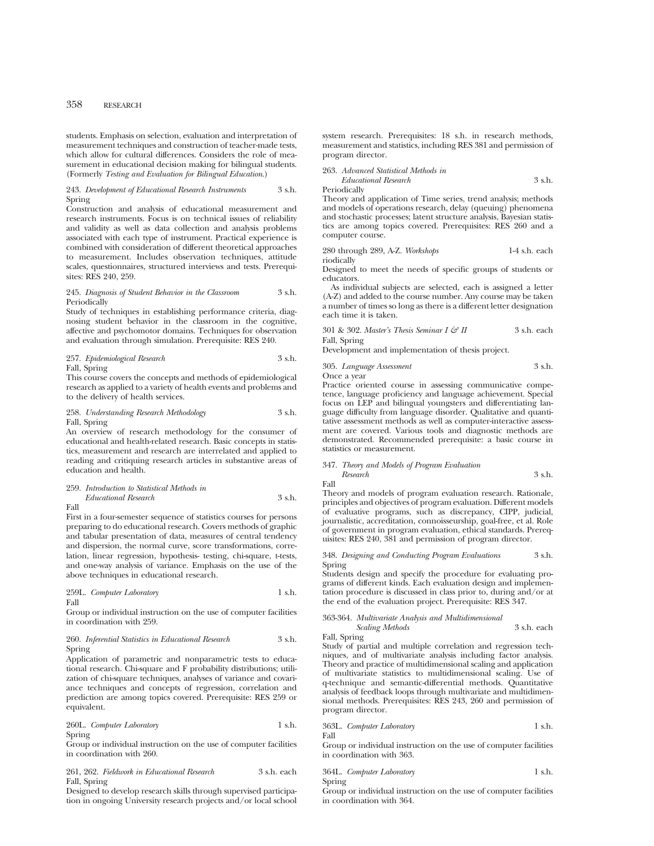students. Emphasis on selection, evaluation and interpretation of measurement techniques and construction of teacher-made tests, which allow for cultural differences. Considers the role of measurement in educational decision making for bilingual students. (Formerly *Testing and Evaluation for Bilingual Education*.)

#### 243. *Development of Educational Research Instruments* 3 s.h. Spring

Construction and analysis of educational measurement and research instruments. Focus is on technical issues of reliability and validity as well as data collection and analysis problems associated with each type of instrument. Practical experience is combined with consideration of different theoretical approaches to measurement. Includes observation techniques, attitude scales, questionnaires, structured interviews and tests. Prerequisites: RES 240, 259.

#### 245. *Diagnosis of Student Behavior in the Classroom* 3 s.h. Periodically

Study of techniques in establishing performance criteria, diagnosing student behavior in the classroom in the cognitive, affective and psychomotor domains. Techniques for observation and evaluation through simulation. Prerequisite: RES 240.

## 257. *Epidemiological Research* 3 s.h. Fall, Spring

This course covers the concepts and methods of epidemiological research as applied to a variety of health events and problems and to the delivery of health services.

258. *Understanding Research Methodology* 3 s.h. Fall, Spring

An overview of research methodology for the consumer of educational and health-related research. Basic concepts in statistics, measurement and research are interrelated and applied to reading and critiquing research articles in substantive areas of education and health.

*Educational Research* 3 s.h.

## 259. *Introduction to Statistical Methods in*

Fall

First in a four-semester sequence of statistics courses for persons preparing to do educational research. Covers methods of graphic and tabular presentation of data, measures of central tendency and dispersion, the normal curve, score transformations, correlation, linear regression, hypothesis- testing, chi-square, t-tests, and one-way analysis of variance. Emphasis on the use of the above techniques in educational research.

#### 259L. *Computer Laboratory* 1 s.h. Fall

Group or individual instruction on the use of computer facilities in coordination with 259.

#### 260. *Inferential Statistics in Educational Research* 3 s.h. Spring

Application of parametric and nonparametric tests to educational research. Chi-square and F probability distributions; utilization of chi-square techniques, analyses of variance and covariance techniques and concepts of regression, correlation and prediction are among topics covered. Prerequisite: RES 259 or equivalent.

#### 260L. *Computer Laboratory* 1 s.h. Spring

Group or individual instruction on the use of computer facilities in coordination with 260.

261, 262. *Fieldwork in Educational Research* 3 s.h. each Fall, Spring

Designed to develop research skills through supervised participation in ongoing University research projects and/or local school system research. Prerequisites: 18 s.h. in research methods, measurement and statistics, including RES 381 and permission of program director.

263. *Advanced Statistical Methods in Educational Research* 3 s.h. Periodically

Theory and application of Time series, trend analysis; methods and models of operations research, delay (queuing) phenomena and stochastic processes; latent structure analysis, Bayesian statistics are among topics covered. Prerequisites: RES 260 and a computer course.

280 through 289, A-Z. *Workshops* 1-4 s.h. each riodically

Designed to meet the needs of specific groups of students or educators.

As individual subjects are selected, each is assigned a letter (A-Z) and added to the course number. Any course may be taken a number of times so long as there is a different letter designation each time it is taken.

301 & 302. *Master's Thesis Seminar I & II* 3 s.h. each Fall, Spring

Development and implementation of thesis project.

305. *Language Assessment* 3 s.h. Once a year

Practice oriented course in assessing communicative competence, language proficiency and language achievement. Special focus on LEP and bilingual youngsters and differentiating language difficulty from language disorder. Qualitative and quantitative assessment methods as well as computer-interactive assessment are covered. Various tools and diagnostic methods are demonstrated. Recommended prerequisite: a basic course in statistics or measurement.

### 347. *Theory and Models of Program Evaluation Research* 3 s.h.

Fall

Theory and models of program evaluation research. Rationale, principles and objectives of program evaluation. Different models of evaluative programs, such as discrepancy, CIPP, judicial, journalistic, accreditation, connoisseurship, goal-free, et al. Role of government in program evaluation, ethical standards. Prerequisites: RES 240, 381 and permission of program director.

348. *Designing and Conducting Program Evaluations* 3 s.h. Spring

Students design and specify the procedure for evaluating programs of different kinds. Each evaluation design and implementation procedure is discussed in class prior to, during and/or at the end of the evaluation project. Prerequisite: RES 347.

363-364. *Multivariate Analysis and Multidimensional Scaling Methods* 3 s.h. each Fall, Spring

Study of partial and multiple correlation and regression techniques, and of multivariate analysis including factor analysis. Theory and practice of multidimensional scaling and application of multivariate statistics to multidimensional scaling. Use of q-technique and semantic-differential methods. Quantitative analysis of feedback loops through multivariate and multidimensional methods. Prerequisites: RES 243, 260 and permission of program director.

#### 363L. *Computer Laboratory* 1 s.h. Fall

Group or individual instruction on the use of computer facilities in coordination with 363.

|        | 364L. Computer Laboratory | 1 s.h. |
|--------|---------------------------|--------|
| Spring |                           |        |

Group or individual instruction on the use of computer facilities in coordination with 364.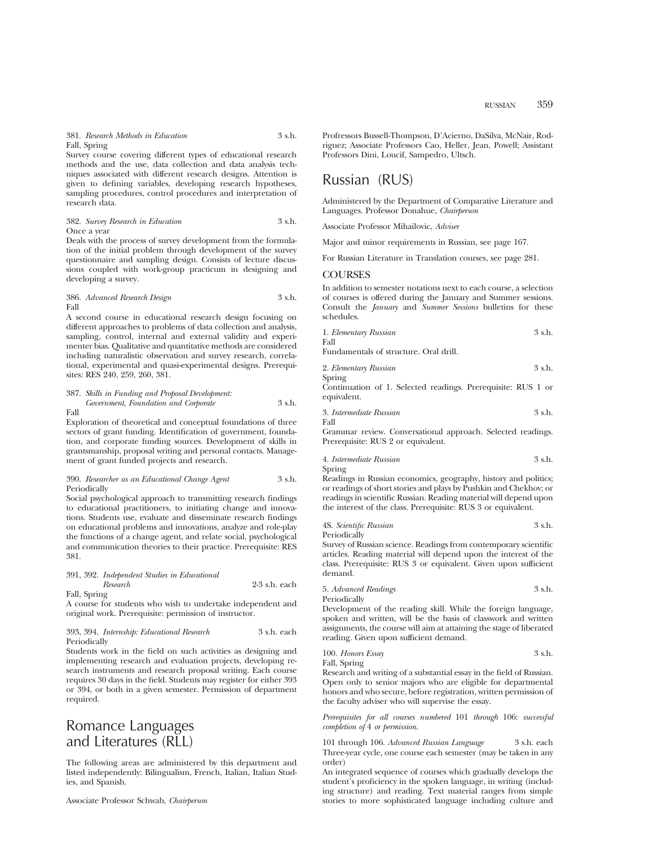Survey course covering different types of educational research methods and the use, data collection and data analysis techniques associated with different research designs. Attention is given to defining variables, developing research hypotheses, sampling procedures, control procedures and interpretation of research data.

#### 382. *Survey Research in Education* 3 s.h. Once a year

Deals with the process of survey development from the formulation of the initial problem through development of the survey questionnaire and sampling design. Consists of lecture discussions coupled with work-group practicum in designing and developing a survey.

## 386. *Advanced Research Design* 3 s.h. Fall

A second course in educational research design focusing on different approaches to problems of data collection and analysis, sampling, control, internal and external validity and experimenter bias. Qualitative and quantitative methods are considered including naturalistic observation and survey research, correlational, experimental and quasi-experimental designs. Prerequisites: RES 240, 259, 260, 381.

387. *Skills in Funding and Proposal Development: Government, Foundation and Corporate* 3 s.h. Fall

Exploration of theoretical and conceptual foundations of three sectors of grant funding. Identification of government, foundation, and corporate funding sources. Development of skills in grantsmanship, proposal writing and personal contacts. Management of grant funded projects and research.

#### 390. *Researcher as an Educational Change Agent* 3 s.h. Periodically

Social psychological approach to transmitting research findings to educational practitioners, to initiating change and innovations. Students use, evaluate and disseminate research findings on educational problems and innovations, analyze and role-play the functions of a change agent, and relate social, psychological and communication theories to their practice. Prerequisite: RES 381.

#### 391, 392. *Independent Studies in Educational Research* 2-3 s.h. each Fall, Spring

A course for students who wish to undertake independent and original work. Prerequisite: permission of instructor.

#### 393, 394. *Internship: Educational Research* 3 s.h. each Periodically

Students work in the field on such activities as designing and implementing research and evaluation projects, developing research instruments and research proposal writing. Each course requires 30 days in the field. Students may register for either 393 or 394, or both in a given semester. Permission of department required.

# Romance Languages and Literatures (RLL)

The following areas are administered by this department and listed independently: Bilingualism, French, Italian, Italian Studies, and Spanish.

Profressors Bussell-Thompson, D'Acierno, DaSilva, McNair, Rodriguez; Associate Professors Cao, Heller, Jean, Powell; Assistant Professors Dini, Loucif, Sampedro, Ultsch.

# Russian (RUS)

Administered by the Department of Comparative Literature and Languages. Professor Donahue, *Chairperson*

Associate Professor Mihailovic, *Adviser*

Major and minor requirements in Russian, see page 167.

For Russian Literature in Translation courses, see page 281.

# **COURSES**

In addition to semester notations next to each course, a selection of courses is offered during the January and Summer sessions. Consult the *January* and *Summer Sessions* bulletins for these schedules.

| 1. Elementary Russian | 3 s.h. |
|-----------------------|--------|
| Fall                  |        |

Fundamentals of structure. Oral drill.

2. *Elementary Russian* 3 s.h. Spring

Continuation of 1. Selected readings. Prerequisite: RUS 1 or equivalent.

3. *Intermediate Russian* 3 s.h.

Fall

Grammar review. Conversational approach. Selected readings. Prerequisite: RUS 2 or equivalent.

4. *Intermediate Russian* 3 s.h. Spring

Readings in Russian economics, geography, history and politics; or readings of short stories and plays by Pushkin and Chekhov; or readings in scientific Russian. Reading material will depend upon the interest of the class. Prerequisite: RUS 3 or equivalent.

| 4S. Scientific Russian | 3 s.h. |
|------------------------|--------|
| Periodically           |        |

Survey of Russian science. Readings from contemporary scientific articles. Reading material will depend upon the interest of the class. Prerequisite: RUS 3 or equivalent. Given upon sufficient demand.

## 5. *Advanced Readings* 3 s.h.

Periodically

Development of the reading skill. While the foreign language, spoken and written, will be the basis of classwork and written assignments, the course will aim at attaining the stage of liberated reading. Given upon sufficient demand.

100. *Honors Essay* 3 s.h. Fall, Spring

Research and writing of a substantial essay in the field of Russian. Open only to senior majors who are eligible for departmental honors and who secure, before registration, written permission of the faculty adviser who will supervise the essay.

*Prerequisites for all courses numbered* 101 *through* 106: *successful completion of* 4 *or permission*.

101 through 106. *Advanced Russian Language* 3 s.h. each Three-year cycle, one course each semester (may be taken in any order)

An integrated sequence of courses which gradually develops the student's proficiency in the spoken language, in writing (including structure) and reading. Text material ranges from simple stories to more sophisticated language including culture and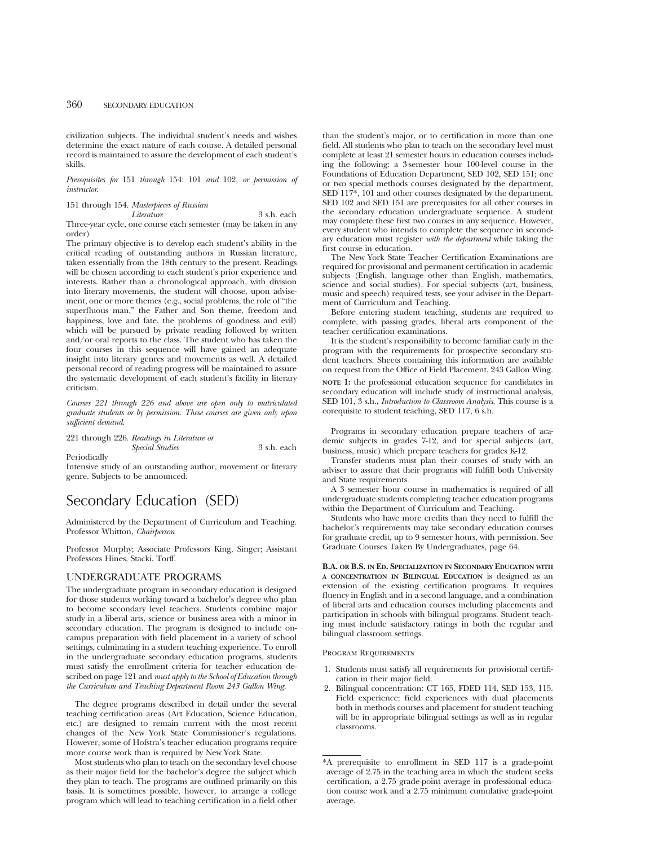civilization subjects. The individual student's needs and wishes determine the exact nature of each course. A detailed personal record is maintained to assure the development of each student's skills.

*Prerequisites for* 151 *through* 154: 101 *and* 102*, or permission of instructor*.

# 151 through 154. *Masterpieces of Russian*

*Literature* 3 s.h. each Three-year cycle, one course each semester (may be taken in any order)

The primary objective is to develop each student's ability in the critical reading of outstanding authors in Russian literature, taken essentially from the 18th century to the present. Readings will be chosen according to each student's prior experience and interests. Rather than a chronological approach, with division into literary movements, the student will choose, upon advisement, one or more themes (e.g., social problems, the role of "the superfluous man," the Father and Son theme, freedom and happiness, love and fate, the problems of goodness and evil) which will be pursued by private reading followed by written and/or oral reports to the class. The student who has taken the four courses in this sequence will have gained an adequate insight into literary genres and movements as well. A detailed personal record of reading progress will be maintained to assure the systematic development of each student's facility in literary criticism.

*Courses 221 through 226 and above are open only to matriculated graduate students or by permission. These courses are given only upon sufficient demand*.

221 through 226. *Readings in Literature or*

*Special Studies* 3 s.h. each Periodically

Intensive study of an outstanding author, movement or literary genre. Subjects to be announced.

# Secondary Education (SED)

Administered by the Department of Curriculum and Teaching. Professor Whitton, *Chairperson*

Professor Murphy; Associate Professors King, Singer; Assistant Professors Hines, Stacki, Torff.

# UNDERGRADUATE PROGRAMS

The undergraduate program in secondary education is designed for those students working toward a bachelor's degree who plan to become secondary level teachers. Students combine major study in a liberal arts, science or business area with a minor in secondary education. The program is designed to include oncampus preparation with field placement in a variety of school settings, culminating in a student teaching experience. To enroll in the undergraduate secondary education programs, students must satisfy the enrollment criteria for teacher education described on page 121 and *must apply to the School of Education through the Curriculum and Teaching Department Room 243 Gallon Wing.*

The degree programs described in detail under the several teaching certification areas (Art Education, Science Education, etc.) are designed to remain current with the most recent changes of the New York State Commissioner's regulations. However, some of Hofstra's teacher education programs require more course work than is required by New York State.

Most students who plan to teach on the secondary level choose as their major field for the bachelor's degree the subject which they plan to teach. The programs are outlined primarily on this basis. It is sometimes possible, however, to arrange a college program which will lead to teaching certification in a field other than the student's major, or to certification in more than one field. All students who plan to teach on the secondary level must complete at least 21 semester hours in education courses including the following: a 3-semester hour 100-level course in the Foundations of Education Department, SED 102, SED 151; one or two special methods courses designated by the department, SED 117<sup>\*</sup>, 101 and other courses designated by the department. SED 102 and SED 151 are prerequisites for all other courses in the secondary education undergraduate sequence. A student may complete these first two courses in any sequence. However, every student who intends to complete the sequence in secondary education must register *with the department* while taking the first course in education.

The New York State Teacher Certification Examinations are required for provisional and permanent certification in academic subjects (English, language other than English, mathematics, science and social studies). For special subjects (art, business, music and speech) required tests, see your adviser in the Department of Curriculum and Teaching.

Before entering student teaching, students are required to complete, with passing grades, liberal arts component of the teacher certification examinations.

It is the student's responsibility to become familiar early in the program with the requirements for prospective secondary student teachers. Sheets containing this information are available on request from the Office of Field Placement, 243 Gallon Wing. **NOTE 1:** the professional education sequence for candidates in secondary education will include study of instructional analysis, SED 101, 3 s.h., *Introduction to Classroom Analysis*. This course is a corequisite to student teaching, SED 117, 6 s.h.

Programs in secondary education prepare teachers of academic subjects in grades 7-12, and for special subjects (art, business, music) which prepare teachers for grades K-12.

Transfer students must plan their courses of study with an adviser to assure that their programs will fulfill both University and State requirements.

A 3 semester hour course in mathematics is required of all undergraduate students completing teacher education programs within the Department of Curriculum and Teaching.

Students who have more credits than they need to fulfill the bachelor's requirements may take secondary education courses for graduate credit, up to 9 semester hours, with permission. See Graduate Courses Taken By Undergraduates, page 64.

**B.A. OR B.S. IN ED. SPECIALIZATION IN SECONDARY EDUCATION WITH A CONCENTRATION IN BILINGUAL EDUCATION** is designed as an extension of the existing certification programs. It requires fluency in English and in a second language, and a combination of liberal arts and education courses including placements and participation in schools with bilingual programs. Student teaching must include satisfactory ratings in both the regular and bilingual classroom settings.

## Program Requirements

- 1. Students must satisfy all requirements for provisional certification in their major field.
- 2. Bilingual concentration: CT 165, FDED 114, SED 153, 115. Field experience: field experiences with dual placements both in methods courses and placement for student teaching will be in appropriate bilingual settings as well as in regular classrooms.

<sup>\*</sup>A prerequisite to enrollment in SED 117 is a grade-point average of 2.75 in the teaching area in which the student seeks certification, a 2.75 grade-point average in professional education course work and a 2.75 minimum cumulative grade-point average.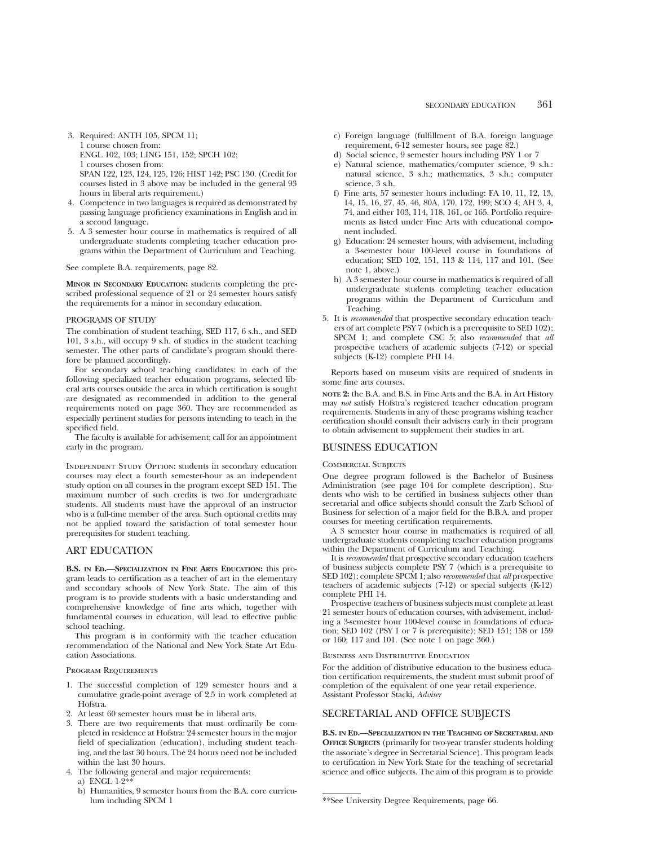- 3. Required: ANTH 105, SPCM 11; 1 course chosen from: ENGL 102, 103; LING 151, 152; SPCH 102; 1 courses chosen from: SPAN 122, 123, 124, 125, 126; HIST 142; PSC 130. (Credit for courses listed in 3 above may be included in the general 93 hours in liberal arts requirement.)
- 4. Competence in two languages is required as demonstrated by passing language proficiency examinations in English and in a second language.
- 5. A 3 semester hour course in mathematics is required of all undergraduate students completing teacher education programs within the Department of Curriculum and Teaching.

See complete B.A. requirements, page 82.

**MINOR IN SECONDARY EDUCATION:** students completing the prescribed professional sequence of 21 or 24 semester hours satisfy the requirements for a minor in secondary education.

#### PROGRAMS OF STUDY

The combination of student teaching, SED 117, 6 s.h., and SED 101, 3 s.h., will occupy 9 s.h. of studies in the student teaching semester. The other parts of candidate's program should therefore be planned accordingly.

For secondary school teaching candidates: in each of the following specialized teacher education programs, selected liberal arts courses outside the area in which certification is sought are designated as recommended in addition to the general requirements noted on page 360. They are recommended as especially pertinent studies for persons intending to teach in the specified field.

The faculty is available for advisement; call for an appointment early in the program.

INDEPENDENT STUDY OPTION: students in secondary education courses may elect a fourth semester-hour as an independent study option on all courses in the program except SED 151. The maximum number of such credits is two for undergraduate students. All students must have the approval of an instructor who is a full-time member of the area. Such optional credits may not be applied toward the satisfaction of total semester hour prerequisites for student teaching.

# ART EDUCATION

**B.S. IN ED.—SPECIALIZATION IN FINE ARTS EDUCATION:** this program leads to certification as a teacher of art in the elementary and secondary schools of New York State. The aim of this program is to provide students with a basic understanding and comprehensive knowledge of fine arts which, together with fundamental courses in education, will lead to effective public school teaching.

This program is in conformity with the teacher education recommendation of the National and New York State Art Education Associations.

#### Program Requirements

- 1. The successful completion of 129 semester hours and a cumulative grade-point average of 2.5 in work completed at Hofstra.
- 2. At least 60 semester hours must be in liberal arts.
- 3. There are two requirements that must ordinarily be completed in residence at Hofstra: 24 semester hours in the major field of specialization (education), including student teaching, and the last 30 hours. The 24 hours need not be included within the last 30 hours.
- 4. The following general and major requirements:
	- a) ENGL 1-2\*
	- b) Humanities, 9 semester hours from the B.A. core curriculum including SPCM 1
- c) Foreign language (fulfillment of B.A. foreign language requirement, 6-12 semester hours, see page 82.)
- d) Social science, 9 semester hours including PSY 1 or 7
- e) Natural science, mathematics/computer science, 9 s.h.: natural science, 3 s.h.; mathematics, 3 s.h.; computer science, 3 s.h.
- f) Fine arts, 57 semester hours including: FA 10, 11, 12, 13, 14, 15, 16, 27, 45, 46, 80A, 170, 172, 199; SCO 4; AH 3, 4, 74, and either 103, 114, 118, 161, or 165. Portfolio requirements as listed under Fine Arts with educational component included.
- g) Education: 24 semester hours, with advisement, including a 3-semester hour 100-level course in foundations of education; SED 102, 151, 113 & 114, 117 and 101. (See note 1, above.)
- h) A 3 semester hour course in mathematics is required of all undergraduate students completing teacher education programs within the Department of Curriculum and Teaching.
- 5. It is *recommended* that prospective secondary education teachers of art complete PSY 7 (which is a prerequisite to SED 102); SPCM 1; and complete CSC 5; also *recommended* that *all* prospective teachers of academic subjects (7-12) or special subjects (K-12) complete PHI 14.

Reports based on museum visits are required of students in some fine arts courses.

**NOTE 2:** the B.A. and B.S. in Fine Arts and the B.A. in Art History may *not* satisfy Hofstra's registered teacher education program requirements. Students in any of these programs wishing teacher certification should consult their advisers early in their program to obtain advisement to supplement their studies in art.

## BUSINESS EDUCATION

### Commercial Subjects

One degree program followed is the Bachelor of Business Administration (see page 104 for complete description). Students who wish to be certified in business subjects other than secretarial and office subjects should consult the Zarb School of Business for selection of a major field for the B.B.A. and proper courses for meeting certification requirements.

A 3 semester hour course in mathematics is required of all undergraduate students completing teacher education programs within the Department of Curriculum and Teaching.

It is *recommended* that prospective secondary education teachers of business subjects complete PSY 7 (which is a prerequisite to SED 102); complete SPCM 1; also *recommended* that *all* prospective teachers of academic subjects (7-12) or special subjects (K-12) complete PHI 14.

Prospective teachers of business subjects must complete at least 21 semester hours of education courses, with advisement, including a 3-semester hour 100-level course in foundations of education; SED 102 (PSY 1 or 7 is prerequisite); SED 151; 158 or 159 or 160; 117 and 101. (See note 1 on page 360.)

#### Business and Distributive Education

For the addition of distributive education to the business education certification requirements, the student must submit proof of completion of the equivalent of one year retail experience. Assistant Professor Stacki, *Adviser*

## SECRETARIAL AND OFFICE SUBJECTS

**B.S. IN ED.—SPECIALIZATION IN THE TEACHING OF SECRETARIAL AND OFFICE SUBJECTS** (primarily for two-year transfer students holding the associate's degree in Secretarial Science). This program leads to certification in New York State for the teaching of secretarial science and office subjects. The aim of this program is to provide

<sup>\*\*</sup>See University Degree Requirements, page 66.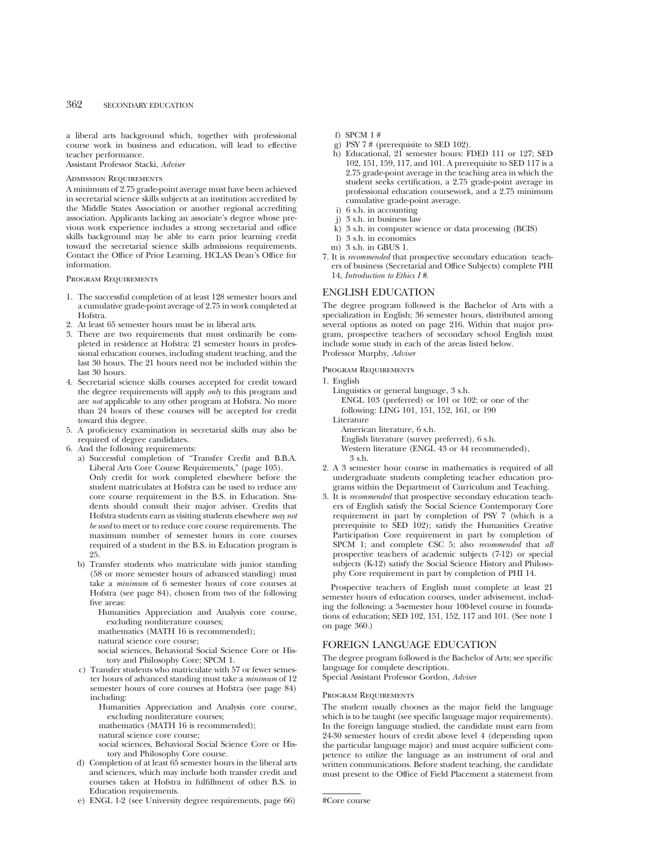a liberal arts background which, together with professional course work in business and education, will lead to effective teacher performance.

Assistant Professor Stacki, *Adviser*

## Admission Requirements

A minimum of 2.75 grade-point average must have been achieved in secretarial science skills subjects at an institution accredited by the Middle States Association or another regional accrediting association. Applicants lacking an associate's degree whose previous work experience includes a strong secretarial and office skills background may be able to earn prior learning credit toward the secretarial science skills admissions requirements. Contact the Office of Prior Learning, HCLAS Dean's Office for information.

Program Requirements

- 1. The successful completion of at least 128 semester hours and a cumulative grade-point average of 2.75 in work completed at Hofstra.
- 2. At least 65 semester hours must be in liberal arts.
- 3. There are two requirements that must ordinarily be completed in residence at Hofstra: 21 semester hours in professional education courses, including student teaching, and the last 30 hours. The 21 hours need not be included within the last 30 hours.
- 4. Secretarial science skills courses accepted for credit toward the degree requirements will apply *only* to this program and are *not* applicable to any other program at Hofstra. No more than 24 hours of these courses will be accepted for credit toward this degree.
- 5. A proficiency examination in secretarial skills may also be required of degree candidates.
- 6. And the following requirements:
	- a) Successful completion of "Transfer Credit and B.B.A. Liberal Arts Core Course Requirements," (page 105). Only credit for work completed elsewhere before the student matriculates at Hofstra can be used to reduce any core course requirement in the B.S. in Education. Students should consult their major adviser. Credits that Hofstra students earn as visiting students elsewhere *may not be used* to meet or to reduce core course requirements. The maximum number of semester hours in core courses required of a student in the B.S. in Education program is
	- 25. b) Transfer students who matriculate with junior standing (58 or more semester hours of advanced standing) must take a *minimum* of 6 semester hours of core courses at Hofstra (see page 84), chosen from two of the following five areas:
		- Humanities Appreciation and Analysis core course, excluding nonliterature courses;

mathematics (MATH 16 is recommended);

natural science core course;

social sciences, Behavioral Social Science Core or History and Philosophy Core; SPCM 1.

- c) Transfer students who matriculate with 57 or fewer semester hours of advanced standing must take a *minimum* of 12 semester hours of core courses at Hofstra (see page 84) including:
	- Humanities Appreciation and Analysis core course, excluding nonliterature courses;
	- mathematics (MATH 16 is recommended);
	- natural science core course;

social sciences, Behavioral Social Science Core or History and Philosophy Core course.

- d) Completion of at least 65 semester hours in the liberal arts and sciences, which may include both transfer credit and courses taken at Hofstra in fulfillment of other B.S. in Education requirements.
- e) ENGL 1-2 (see University degree requirements, page 66)
- f) SPCM 1 #
- g) PSY 7 # (prerequisite to SED 102).
- h) Educational, 21 semester hours: FDED 111 or 127; SED 102, 151, 159, 117, and 101. A prerequisite to SED 117 is a 2.75 grade-point average in the teaching area in which the student seeks certification, a 2.75 grade-point average in professional education coursework, and a 2.75 minimum cumulative grade-point average.
- i) 6 s.h. in accounting
- j) 3 s.h. in business law
- k) 3 s.h. in computer science or data processing (BCIS)
- l) 3 s.h. in economics
- m) 3 s.h. in GBUS 1.
- 7. It is *recommended* that prospective secondary education teachers of business (Secretarial and Office Subjects) complete PHI 14, *Introduction to Ethics I #*.

## ENGLISH EDUCATION

The degree program followed is the Bachelor of Arts with a specialization in English; 36 semester hours, distributed among several options as noted on page 216. Within that major program, prospective teachers of secondary school English must include some study in each of the areas listed below. Professor Murphy, *Adviser*

Program Requirements

1. English

- Linguistics or general language, 3 s.h. ENGL 103 (preferred) or 101 or 102; or one of the following: LING 101, 151, 152, 161, or 190
- Literature
	- American literature, 6 s.h.

English literature (survey preferred), 6 s.h.

- Western literature (ENGL 43 or 44 recommended), 3 s.h.
- 2. A 3 semester hour course in mathematics is required of all undergraduate students completing teacher education programs within the Department of Curriculum and Teaching.
- 3. It is *recommended* that prospective secondary education teachers of English satisfy the Social Science Contemporary Core requirement in part by completion of PSY 7 (which is a prerequisite to SED 102); satisfy the Humanities Creative Participation Core requirement in part by completion of SPCM 1; and complete CSC 5; also *recommended* that *all* prospective teachers of academic subjects (7-12) or special subjects (K-12) satisfy the Social Science History and Philosophy Core requirement in part by completion of PHI 14.

Prospective teachers of English must complete at least 21 semester hours of education courses, under advisement, including the following: a 3-semester hour 100-level course in foundations of education; SED 102, 151, 152, 117 and 101. (See note 1 on page 360.)

## FOREIGN LANGUAGE EDUCATION

The degree program followed is the Bachelor of Arts; see specific language for complete description.

Special Assistant Professor Gordon, *Adviser*

## Program Requirements

The student usually chooses as the major field the language which is to be taught (see specific language major requirements). In the foreign language studied, the candidate must earn from 24-30 semester hours of credit above level 4 (depending upon the particular language major) and must acquire sufficient competence to utilize the language as an instrument of oral and written communications. Before student teaching, the candidate must present to the Office of Field Placement a statement from

<sup>#</sup>Core course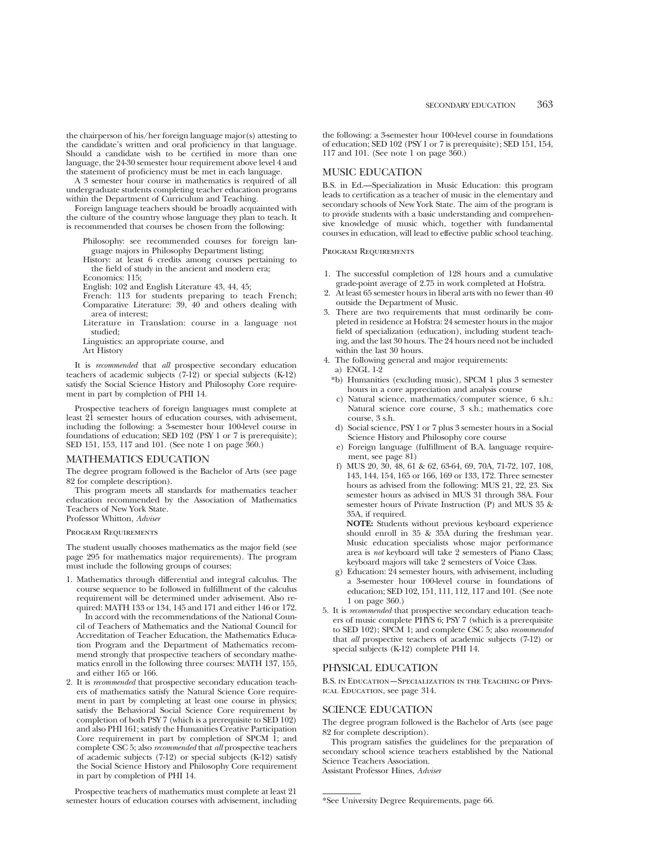the chairperson of his/her foreign language major(s) attesting to the candidate's written and oral proficiency in that language. Should a candidate wish to be certified in more than one language, the 24-30 semester hour requirement above level 4 and the statement of proficiency must be met in each language.

A 3 semester hour course in mathematics is required of all undergraduate students completing teacher education programs within the Department of Curriculum and Teaching.

Foreign language teachers should be broadly acquainted with the culture of the country whose language they plan to teach. It is recommended that courses be chosen from the following:

Philosophy: see recommended courses for foreign language majors in Philosophy Department listing;

History: at least 6 credits among courses pertaining to the field of study in the ancient and modern era; Economics: 115;

English: 102 and English Literature 43, 44, 45;

- French: 113 for students preparing to teach French; Comparative Literature: 39, 40 and others dealing with area of interest;
- Literature in Translation: course in a language not studied;

Linguistics: an appropriate course, and

Art History

It is *recommended* that *all* prospective secondary education teachers of academic subjects  $(7-12)$  or special subjects  $(K-12)$ satisfy the Social Science History and Philosophy Core requirement in part by completion of PHI 14.

Prospective teachers of foreign languages must complete at least 21 semester hours of education courses, with advisement, including the following: a 3-semester hour 100-level course in foundations of education; SED 102 (PSY 1 or 7 is prerequisite); SED 151, 153, 117 and 101. (See note 1 on page 360.)

#### MATHEMATICS EDUCATION

The degree program followed is the Bachelor of Arts (see page 82 for complete description).

This program meets all standards for mathematics teacher education recommended by the Association of Mathematics Teachers of New York State.

Professor Whitton, *Adviser*

Program Requirements

The student usually chooses mathematics as the major field (see page 295 for mathematics major requirements). The program must include the following groups of courses:

1. Mathematics through differential and integral calculus. The course sequence to be followed in fulfillment of the calculus requirement will be determined under advisement. Also required: MATH 133 or 134, 145 and 171 and either 146 or 172. In accord with the recommendations of the National Coun-

cil of Teachers of Mathematics and the National Council for Accreditation of Teacher Education, the Mathematics Education Program and the Department of Mathematics recommend strongly that prospective teachers of secondary mathematics enroll in the following three courses: MATH 137, 155, and either 165 or 166.

2. It is *recommended* that prospective secondary education teachers of mathematics satisfy the Natural Science Core requirement in part by completing at least one course in physics; satisfy the Behavioral Social Science Core requirement by completion of both PSY 7 (which is a prerequisite to SED 102) and also PHI 161; satisfy the Humanities Creative Participation Core requirement in part by completion of SPCM  $\hat{1}$ ; and complete CSC 5; also *recommended* that *all* prospective teachers of academic subjects (7-12) or special subjects (K-12) satisfy the Social Science History and Philosophy Core requirement in part by completion of PHI 14.

Prospective teachers of mathematics must complete at least 21 semester hours of education courses with advisement, including the following: a 3-semester hour 100-level course in foundations of education; SED 102 (PSY 1 or 7 is prerequisite); SED 151, 154, 117 and 101. (See note 1 on page 360.)

# MUSIC EDUCATION

B.S. in Ed.—Specialization in Music Education: this program leads to certification as a teacher of music in the elementary and secondary schools of New York State. The aim of the program is to provide students with a basic understanding and comprehensive knowledge of music which, together with fundamental courses in education, will lead to effective public school teaching.

#### Program Requirements

- 1. The successful completion of 128 hours and a cumulative grade-point average of 2.75 in work completed at Hofstra.
- 2. At least 65 semester hours in liberal arts with no fewer than 40 outside the Department of Music.
- 3. There are two requirements that must ordinarily be completed in residence at Hofstra: 24 semester hours in the major field of specialization (education), including student teaching, and the last 30 hours. The 24 hours need not be included within the last 30 hours.
- 4. The following general and major requirements: a) ENGL 1-2
	- \*b) Humanities (excluding music), SPCM 1 plus 3 semester hours in a core appreciation and analysis course
	- c) Natural science, mathematics/computer science, 6 s.h.: Natural science core course, 3 s.h.; mathematics core course, 3 s.h.
	- d) Social science, PSY 1 or 7 plus 3 semester hours in a Social Science History and Philosophy core course
	- e) Foreign language (fulfillment of B.A. language requirement, see page 81)
	- f) MUS 20, 30, 48, 61 & 62, 63-64, 69, 70A, 71-72, 107, 108, 143, 144, 154, 165 or 166, 169 or 133, 172. Three semester hours as advised from the following: MUS 21, 22, 23. Six semester hours as advised in MUS 31 through 38A. Four semester hours of Private Instruction (P) and MUS 35 & 35A, if required.

**NOTE:** Students without previous keyboard experience should enroll in 35 & 35A during the freshman year. Music education specialists whose major performance area is *not* keyboard will take 2 semesters of Piano Class; keyboard majors will take 2 semesters of Voice Class.

- g) Education: 24 semester hours, with advisement, including a 3-semester hour 100-level course in foundations of education; SED 102, 151, 111, 112, 117 and 101. (See note 1 on page 360.)
- 5. It is *recommended* that prospective secondary education teachers of music complete PHYS 6; PSY 7 (which is a prerequisite to SED 102); SPCM 1; and complete CSC 5; also *recommended* that *all* prospective teachers of academic subjects (7-12) or special subjects (K-12) complete PHI 14.

## PHYSICAL EDUCATION

B.S. in Education—Specialization in the Teaching of Physical Education, see page 314.

# SCIENCE EDUCATION

The degree program followed is the Bachelor of Arts (see page 82 for complete description).

This program satisfies the guidelines for the preparation of secondary school science teachers established by the National Science Teachers Association. Assistant Professor Hines, *Adviser*

<sup>\*</sup>See University Degree Requirements, page 66.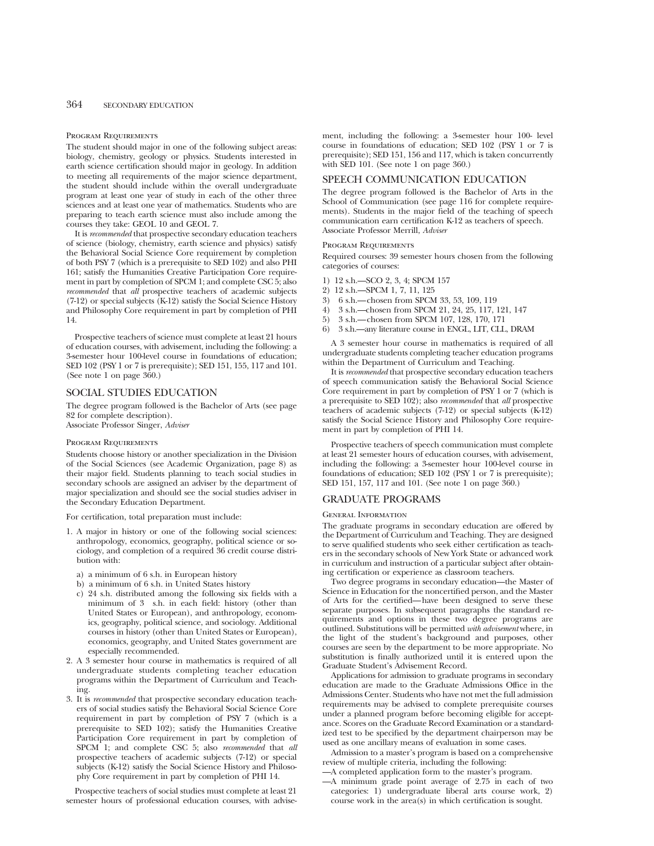#### Program Requirements

The student should major in one of the following subject areas: biology, chemistry, geology or physics. Students interested in earth science certification should major in geology. In addition to meeting all requirements of the major science department, the student should include within the overall undergraduate program at least one year of study in each of the other three sciences and at least one year of mathematics. Students who are preparing to teach earth science must also include among the courses they take: GEOL 10 and GEOL 7.

It is *recommended* that prospective secondary education teachers of science (biology, chemistry, earth science and physics) satisfy the Behavioral Social Science Core requirement by completion of both PSY 7 (which is a prerequisite to SED 102) and also PHI 161; satisfy the Humanities Creative Participation Core requirement in part by completion of SPCM 1; and complete CSC 5; also *recommended* that *all* prospective teachers of academic subjects (7-12) or special subjects (K-12) satisfy the Social Science History and Philosophy Core requirement in part by completion of PHI 14.

Prospective teachers of science must complete at least 21 hours of education courses, with advisement, including the following: a 3-semester hour 100-level course in foundations of education; SED 102 (PSY 1 or 7 is prerequisite); SED 151, 155, 117 and 101. (See note 1 on page 360.)

## SOCIAL STUDIES EDUCATION

The degree program followed is the Bachelor of Arts (see page 82 for complete description). Associate Professor Singer, *Adviser*

#### Program Requirements

Students choose history or another specialization in the Division of the Social Sciences (see Academic Organization, page 8) as their major field. Students planning to teach social studies in secondary schools are assigned an adviser by the department of major specialization and should see the social studies adviser in the Secondary Education Department.

For certification, total preparation must include:

- 1. A major in history or one of the following social sciences: anthropology, economics, geography, political science or sociology, and completion of a required 36 credit course distribution with:
	- a) a minimum of 6 s.h. in European history
	- b) a minimum of 6 s.h. in United States history
	- c) 24 s.h. distributed among the following six fields with a minimum of 3 s.h. in each field: history (other than United States or European), and anthropology, economics, geography, political science, and sociology. Additional courses in history (other than United States or European), economics, geography, and United States government are especially recommended.
- 2. A 3 semester hour course in mathematics is required of all undergraduate students completing teacher education programs within the Department of Curriculum and Teaching.
- 3. It is *recommended* that prospective secondary education teachers of social studies satisfy the Behavioral Social Science Core requirement in part by completion of PSY 7 (which is a prerequisite to SED 102); satisfy the Humanities Creative Participation Core requirement in part by completion of SPCM 1; and complete CSC 5; also *recommended* that *all* prospective teachers of academic subjects (7-12) or special subjects (K-12) satisfy the Social Science History and Philosophy Core requirement in part by completion of PHI 14.

Prospective teachers of social studies must complete at least 21 semester hours of professional education courses, with advise-

ment, including the following: a 3-semester hour 100- level course in foundations of education; SED 102 (PSY 1 or 7 is prerequisite); SED 151, 156 and 117, which is taken concurrently with SED 101. (See note 1 on page 360.)

## SPEECH COMMUNICATION EDUCATION

The degree program followed is the Bachelor of Arts in the School of Communication (see page 116 for complete requirements). Students in the major field of the teaching of speech communication earn certification K-12 as teachers of speech. Associate Professor Merrill, *Adviser*

#### Program Requirements

Required courses: 39 semester hours chosen from the following categories of courses:

- 1) 12 s.h.—SCO 2, 3, 4; SPCM 157
- 2) 12 s.h.—SPCM 1, 7, 11, 125
- 3) 6 s.h.—chosen from SPCM 33, 53, 109, 119
- 4) 3 s.h.—chosen from SPCM 21, 24, 25, 117, 121, 147
- 5) 3 s.h.—chosen from SPCM 107, 128, 170, 171
- 6) 3 s.h.—any literature course in ENGL, LIT, CLL, DRAM

A 3 semester hour course in mathematics is required of all undergraduate students completing teacher education programs within the Department of Curriculum and Teaching.

It is *recommended* that prospective secondary education teachers of speech communication satisfy the Behavioral Social Science Core requirement in part by completion of PSY 1 or 7 (which is a prerequisite to SED 102); also *recommended* that *all* prospective teachers of academic subjects (7-12) or special subjects (K-12) satisfy the Social Science History and Philosophy Core requirement in part by completion of PHI 14.

Prospective teachers of speech communication must complete at least 21 semester hours of education courses, with advisement, including the following: a 3-semester hour 100-level course in foundations of education; SED 102 (PSY 1 or 7 is prerequisite); SED 151, 157, 117 and 101. (See note 1 on page 360.)

## GRADUATE PROGRAMS

#### General Information

The graduate programs in secondary education are offered by the Department of Curriculum and Teaching. They are designed to serve qualified students who seek either certification as teachers in the secondary schools of New York State or advanced work in curriculum and instruction of a particular subject after obtaining certification or experience as classroom teachers.

Two degree programs in secondary education—the Master of Science in Education for the noncertified person, and the Master of Arts for the certified—have been designed to serve these separate purposes. In subsequent paragraphs the standard requirements and options in these two degree programs are outlined. Substitutions will be permitted *with advisement* where, in the light of the student's background and purposes, other courses are seen by the department to be more appropriate. No substitution is finally authorized until it is entered upon the Graduate Student's Advisement Record.

Applications for admission to graduate programs in secondary education are made to the Graduate Admissions Office in the Admissions Center. Students who have not met the full admission requirements may be advised to complete prerequisite courses under a planned program before becoming eligible for acceptance. Scores on the Graduate Record Examination or a standardized test to be specified by the department chairperson may be used as one ancillary means of evaluation in some cases.

Admission to a master's program is based on a comprehensive review of multiple criteria, including the following:

- —A completed application form to the master's program.
- —A minimum grade point average of 2.75 in each of two categories: 1) undergraduate liberal arts course work, 2) course work in the area(s) in which certification is sought.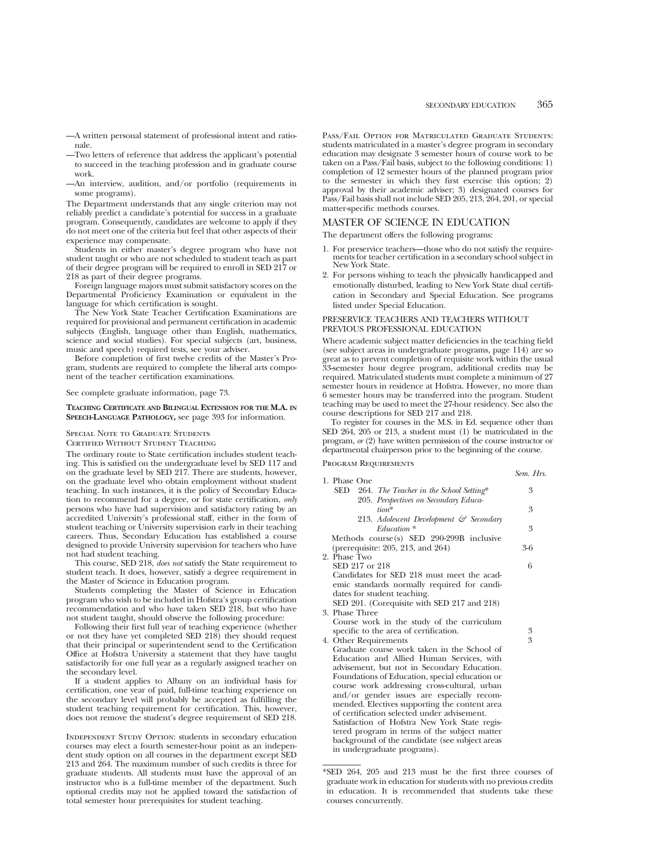- —A written personal statement of professional intent and rationale.
- —Two letters of reference that address the applicant's potential to succeed in the teaching profession and in graduate course work.
- —An interview, audition, and/or portfolio (requirements in some programs).

The Department understands that any single criterion may not reliably predict a candidate's potential for success in a graduate program. Consequently, candidates are welcome to apply if they do not meet one of the criteria but feel that other aspects of their experience may compensate.

Students in either master's degree program who have not student taught or who are not scheduled to student teach as part of their degree program will be required to enroll in SED 217 or 218 as part of their degree programs.

Foreign language majors must submit satisfactory scores on the Departmental Proficiency Examination or equivalent in the language for which certification is sought.

The New York State Teacher Certification Examinations are required for provisional and permanent certification in academic subjects (English, language other than English, mathematics, science and social studies). For special subjects (art, business, music and speech) required tests, see your adviser.

Before completion of first twelve credits of the Master's Program, students are required to complete the liberal arts component of the teacher certification examinations.

See complete graduate information, page 73.

## **TEACHING CERTIFICATE AND BILINGUAL EXTENSION FOR THE M.A. IN SPEECH-LANGUAGE PATHOLOGY,** see page 393 for information.

#### Special Note to Graduate Students

Certified Without Student Teaching

The ordinary route to State certification includes student teaching. This is satisfied on the undergraduate level by SED 117 and on the graduate level by SED 217. There are students, however, on the graduate level who obtain employment without student teaching. In such instances, it is the policy of Secondary Education to recommend for a degree, or for state certification, *only* persons who have had supervision and satisfactory rating by an accredited University's professional staff, either in the form of student teaching or University supervision early in their teaching careers. Thus, Secondary Education has established a course designed to provide University supervision for teachers who have not had student teaching.

This course, SED 218, *does not* satisfy the State requirement to student teach. It does, however, satisfy a degree requirement in the Master of Science in Education program.

Students completing the Master of Science in Education program who wish to be included in Hofstra's group certification recommendation and who have taken SED 218, but who have not student taught, should observe the following procedure:

Following their first full year of teaching experience (whether or not they have yet completed SED 218) they should request that their principal or superintendent send to the Certification Office at Hofstra University a statement that they have taught satisfactorily for one full year as a regularly assigned teacher on the secondary level.

If a student applies to Albany on an individual basis for certification, one year of paid, full-time teaching experience on the secondary level will probably be accepted as fulfilling the student teaching requirement for certification. This, however, does not remove the student's degree requirement of SED 218.

INDEPENDENT STUDY OPTION: students in secondary education courses may elect a fourth semester-hour point as an independent study option on all courses in the department except SED 213 and 264. The maximum number of such credits is three for graduate students. All students must have the approval of an instructor who is a full-time member of the department. Such optional credits may not be applied toward the satisfaction of total semester hour prerequisites for student teaching.

Pass/Fail Option for Matriculated Graduate Students: students matriculated in a master's degree program in secondary education may designate 3 semester hours of course work to be taken on a Pass/Fail basis, subject to the following conditions: 1) completion of 12 semester hours of the planned program prior to the semester in which they first exercise this option; 2) approval by their academic adviser; 3) designated courses for Pass/Fail basis shall not include SED 205, 213, 264, 201, or special matter-specific methods courses.

## MASTER OF SCIENCE IN EDUCATION

The department offers the following programs:

- 1. For preservice teachers—those who do not satisfy the require- ments for teacher certification in a secondary school subject in New York State.
- 2. For persons wishing to teach the physically handicapped and emotionally disturbed, leading to New York State dual certification in Secondary and Special Education. See programs listed under Special Education.

## PRESERVICE TEACHERS AND TEACHERS WITHOUT PREVIOUS PROFESSIONAL EDUCATION

Where academic subject matter deficiencies in the teaching field (see subject areas in undergraduate programs, page 114) are so great as to prevent completion of requisite work within the usual 33-semester hour degree program, additional credits may be required. Matriculated students must complete a minimum of 27 semester hours in residence at Hofstra. However, no more than 6 semester hours may be transferred into the program. Student teaching may be used to meet the 27-hour residency. See also the course descriptions for SED 217 and 218.

To register for courses in the M.S. in Ed. sequence other than SED 264, 205 or 213, a student must (1) be matriculated in the program, *or* (2) have written permission of the course instructor or departmental chairperson prior to the beginning of the course.

Program Requirements

|                                                                                               | Sem. Hrs. |
|-----------------------------------------------------------------------------------------------|-----------|
| 1. Phase One<br>SED                                                                           | 3         |
| 264. The Teacher in the School Setting*                                                       |           |
| 205. Perspectives on Secondary Educa-<br>$tion*$                                              | 3         |
| 213. Adolescent Development & Secondary                                                       |           |
| $Eduction*$                                                                                   | 3         |
| Methods course(s) SED 290-299B inclusive                                                      |           |
| (prerequisite: 205, 213, and 264)                                                             | $3-6$     |
| 2. Phase Two                                                                                  |           |
| SED 217 or 218                                                                                | 6         |
| Candidates for SED 218 must meet the acad-                                                    |           |
| emic standards normally required for candi-                                                   |           |
| dates for student teaching.                                                                   |           |
| SED 201. (Corequisite with SED 217 and 218)                                                   |           |
| 3. Phase Three                                                                                |           |
| Course work in the study of the curriculum                                                    |           |
| specific to the area of certification.                                                        | 3         |
| 4. Other Requirements                                                                         | 3         |
| Graduate course work taken in the School of                                                   |           |
| Education and Allied Human Services, with                                                     |           |
| advisement, but not in Secondary Education.<br>Foundations of Education, special education or |           |
| course work addressing cross-cultural, urban                                                  |           |
| and/or gender issues are especially recom-                                                    |           |
| mended. Electives supporting the content area                                                 |           |
| of certification selected under advisement.                                                   |           |
| Satisfaction of Hofstra New York State regis-                                                 |           |
|                                                                                               |           |

tered program in terms of the subject matter background of the candidate (see subject areas in undergraduate programs).

<sup>\*</sup>SED 264, 205 and 213 must be the first three courses of graduate work in education for students with no previous credits in education. It is recommended that students take these courses concurrently.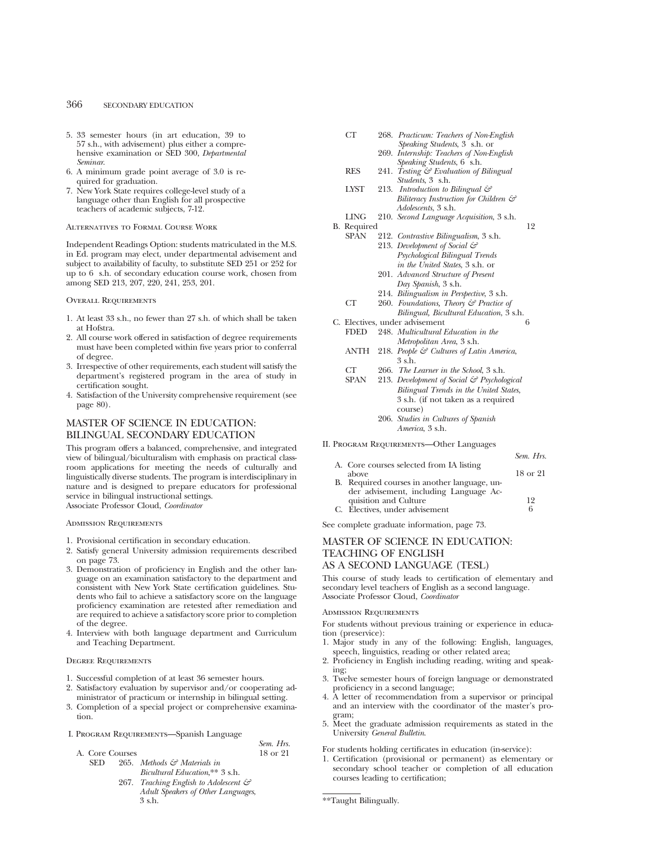- 5. 33 semester hours (in art education, 39 to 57 s.h., with advisement) plus either a comprehensive examination or SED 300, *Departmental Seminar*.
- 6. A minimum grade point average of 3.0 is required for graduation.
- 7. New York State requires college-level study of a language other than English for all prospective teachers of academic subjects, 7-12.

## Alternatives to Formal Course Work

Independent Readings Option: students matriculated in the M.S. in Ed. program may elect, under departmental advisement and subject to availability of faculty, to substitute SED 251 or 252 for up to 6 s.h. of secondary education course work, chosen from among SED 213, 207, 220, 241, 253, 201.

#### Overall Requirements

- 1. At least 33 s.h., no fewer than 27 s.h. of which shall be taken at Hofstra.
- 2. All course work offered in satisfaction of degree requirements must have been completed within five years prior to conferral of degree.
- 3. Irrespective of other requirements, each student will satisfy the department's registered program in the area of study in certification sought.
- 4. Satisfaction of the University comprehensive requirement (see page 80).

# MASTER OF SCIENCE IN EDUCATION: BILINGUAL SECONDARY EDUCATION

This program offers a balanced, comprehensive, and integrated view of bilingual/biculturalism with emphasis on practical classroom applications for meeting the needs of culturally and linguistically diverse students. The program is interdisciplinary in nature and is designed to prepare educators for professional service in bilingual instructional settings.

Associate Professor Cloud, *Coordinator*

## Admission Requirements

- 1. Provisional certification in secondary education.
- 2. Satisfy general University admission requirements described on page 73.
- 3. Demonstration of proficiency in English and the other language on an examination satisfactory to the department and consistent with New York State certification guidelines. Students who fail to achieve a satisfactory score on the language proficiency examination are retested after remediation and are required to achieve a satisfactory score prior to completion of the degree.
- 4. Interview with both language department and Curriculum and Teaching Department.

#### Degree Requirements

- 1. Successful completion of at least 36 semester hours.
- 2. Satisfactory evaluation by supervisor and/or cooperating administrator of practicum or internship in bilingual setting.
- 3. Completion of a special project or comprehensive examination.
- I. Program Requirements—Spanish Language

|                 | I ROGRAM REQUIREMENTS-Spatified Language          |           |
|-----------------|---------------------------------------------------|-----------|
|                 |                                                   | Sem. Hrs. |
| A. Core Courses |                                                   | 18 or 21  |
| SED.            | 265. Methods & Materials in                       |           |
|                 | <i>Bicultural Education</i> .** 3 s.h.            |           |
|                 | 267. Teaching English to Adolescent $\mathcal{C}$ |           |
|                 | Adult Speakers of Other Languages,                |           |
|                 | 3 s.h.                                            |           |

| CТ | 268. Practicum: Teachers of Non-English  |
|----|------------------------------------------|
|    | <i>Speaking Students</i> , 3 s.h. or     |
|    | 269. Internship: Teachers of Non-English |

- *Speaking Students*, 6 s.h. RES 241. *Testing & Evaluation of Bilingual Students*, 3 s.h.
- LYST 213. *Introduction to Bilingual & Biliteracy Instruction for Children & Adolescents*, 3 s.h.
- LING 210. *Second Language Acquisition*, 3 s.h.
- B. Required 12
	- SPAN 212. *Contrastive Bilingualism*, 3 s.h. 213. *Development of Social & Psychological Bilingual Trends in the United States*, 3 s.h. or 201. *Advanced Structure of Present Day Spanish*, 3 s.h.
		- 214. *Bilingualism in Perspective*, 3 s.h.
	- CT 260. *Foundations, Theory & Practice of Bilingual, Bicultural Education*, 3 s.h.
- C. Electives, under advisement 6 FDED 248. *Multicultural Education in the Metropolitan Area*, 3 s.h.
	- ANTH 218. *People & Cultures of Latin America*, 3 s.h.
	- CT 266. *The Learner in the School*, 3 s.h.
	- 213. *Development of Social & Psychological Bilingual Trends in the United States*, 3 s.h. (if not taken as a required course) 206. *Studies in Cultures of Spanish America*, 3 s.h.

#### II. Program Requirements—Other Languages

|                                              | Sem. Hrs. |
|----------------------------------------------|-----------|
| A. Core courses selected from IA listing     |           |
| above                                        | 18 or 21  |
| B. Required courses in another language, un- |           |
| der advisement, including Language Ac-       |           |
| quisition and Culture                        | 19        |
| C. Électives, under advisement               |           |

See complete graduate information, page 73.

# MASTER OF SCIENCE IN EDUCATION: TEACHING OF ENGLISH AS A SECOND LANGUAGE (TESL)

This course of study leads to certification of elementary and secondary level teachers of English as a second language. Associate Professor Cloud, *Coordinator*

#### Admission Requirements

For students without previous training or experience in education (preservice):

- 1. Major study in any of the following: English, languages, speech, linguistics, reading or other related area;
- 2. Proficiency in English including reading, writing and speaking;
- 3. Twelve semester hours of foreign language or demonstrated proficiency in a second language;
- 4. A letter of recommendation from a supervisor or principal and an interview with the coordinator of the master's program;
- 5. Meet the graduate admission requirements as stated in the University *General Bulletin*.

For students holding certificates in education (in-service):

1. Certification (provisional or permanent) as elementary or secondary school teacher or completion of all education courses leading to certification;

<sup>\*\*</sup>Taught Bilingually.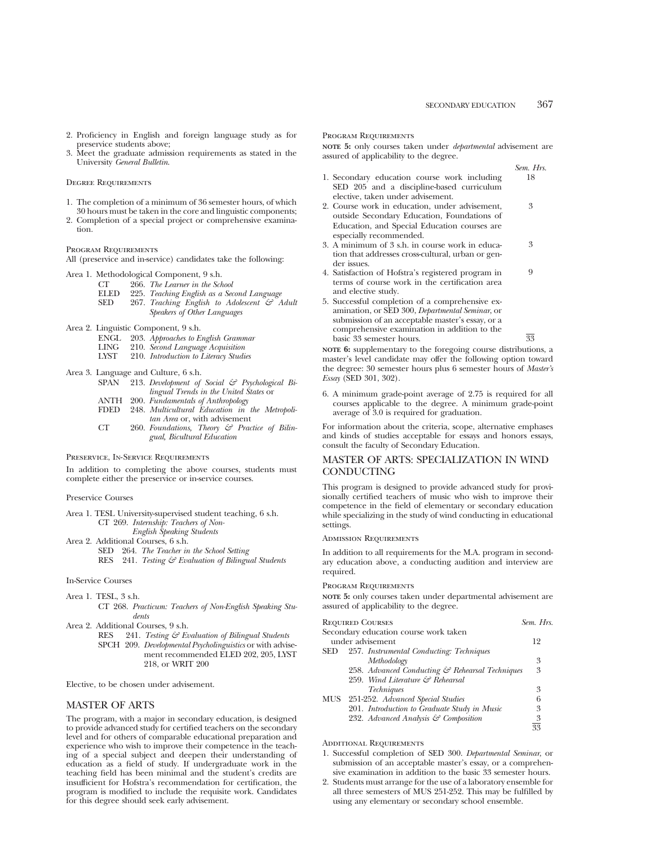- 2. Proficiency in English and foreign language study as for preservice students above;
- 3. Meet the graduate admission requirements as stated in the University *General Bulletin*.

#### Degree Requirements

- 1. The completion of a minimum of 36 semester hours, of which 30 hours must be taken in the core and linguistic components;
- 2. Completion of a special project or comprehensive examination.

#### Program Requirements

All (preservice and in-service) candidates take the following:

Area 1. Methodological Component, 9 s.h.

- CT 266. *The Learner in the School*
- ELED SED 225. *Teaching English as a Second Language* 267. *Teaching English to Adolescent & Adult Speakers of Other Languages*
- Area 2. Linguistic Component, 9 s.h.
	- ENGL 203. *Approaches to English Grammar*
	- LING 210. *Second Language Acquisition*
	- LYST 210. *Introduction to Literacy Studies*

Area 3. Language and Culture, 6 s.h.

- SPAN 213. *Development of Social & Psychological Bilingual Trends in the United States* or
	- ANTH 200. *Fundamentals of Anthropology*
	- FDED 248. *Multicultural Education in the Metropolitan Area* or, with advisement
	- $CT$ 260. *Foundations, Theory & Practice of Bilingual, Bicultural Education*

Preservice, In-Service Requirements

In addition to completing the above courses, students must complete either the preservice or in-service courses.

Preservice Courses

- Area 1. TESL University-supervised student teaching, 6 s.h. CT 269. *Internship: Teachers of Non-English Speaking Students*
- Area 2. Additional Courses, 6 s.h.
	- SED 264. *The Teacher in the School Setting*
	- RES 241. *Testing & Evaluation of Bilingual Students*

In-Service Courses

- Area 1. TESL, 3 s.h. CT 268. *Practicum: Teachers of Non-English Speaking Students*
- Area 2. Additional Courses, 9 s.h.<br>RES 241. Testing  $\mathcal{E}$  Ex
	- 241. *Testing & Evaluation of Bilingual Students* SPCH 209. *Developmental Psycholinguistics* or with advisement recommended ELED 202, 205, LYST 218, or WRIT 200

Elective, to be chosen under advisement.

## MASTER OF ARTS

The program, with a major in secondary education, is designed to provide advanced study for certified teachers on the secondary level and for others of comparable educational preparation and experience who wish to improve their competence in the teaching of a special subject and deepen their understanding of education as a field of study. If undergraduate work in the teaching field has been minimal and the student's credits are insufficient for Hofstra's recommendation for certification, the program is modified to include the requisite work. Candidates for this degree should seek early advisement.

#### Program Requirements

**NOTE 5:** only courses taken under *departmental* advisement are assured of applicability to the degree.

|                                                         | Sem. Hrs. |
|---------------------------------------------------------|-----------|
| 1. Secondary education course work including            | 18        |
| SED 205 and a discipline-based curriculum               |           |
| elective, taken under advisement.                       |           |
| 2. Course work in education, under advisement,          | 3         |
| outside Secondary Education, Foundations of             |           |
| Education, and Special Education courses are            |           |
| especially recommended.                                 |           |
| 3. A minimum of 3 s.h. in course work in educa-         | 3         |
| tion that addresses cross-cultural, urban or gen-       |           |
| der issues.                                             |           |
| 4. Satisfaction of Hofstra's registered program in      | 9         |
| terms of course work in the certification area          |           |
| and elective study.                                     |           |
| 5. Successful completion of a comprehensive ex-         |           |
| amination, or SED 300, <i>Departmental Seminar</i> , or |           |
| submission of an accentable master's essay or a         |           |

submission of an acceptable master's essay, or a comprehensive examination in addition to the basic 33 semester hours.  $\overline{33}$ 

**NOTE 6:** supplementary to the foregoing course distributions, a master's level candidate may offer the following option toward the degree: 30 semester hours plus 6 semester hours of *Master's Essay* (SED 301, 302).

6. A minimum grade-point average of 2.75 is required for all courses applicable to the degree. A minimum grade-point average of 3.0 is required for graduation.

For information about the criteria, scope, alternative emphases and kinds of studies acceptable for essays and honors essays, consult the faculty of Secondary Education.

## MASTER OF ARTS: SPECIALIZATION IN WIND CONDUCTING

This program is designed to provide advanced study for provisionally certified teachers of music who wish to improve their competence in the field of elementary or secondary education while specializing in the study of wind conducting in educational settings.

#### Admission Requirements

In addition to all requirements for the M.A. program in secondary education above, a conducting audition and interview are required.

#### Program Requirements

**NOTE 5:** only courses taken under departmental advisement are assured of applicability to the degree.

| <b>REQUIRED COURSES</b>                         | Sem. Hrs.      |
|-------------------------------------------------|----------------|
| Secondary education course work taken           |                |
| under advisement                                | 12             |
| 257. Instrumental Conducting: Techniques<br>SED |                |
| Methodology                                     | 3              |
| 258. Advanced Conducting & Rehearsal Techniques | 3              |
| 259. Wind Literature & Rehearsal                |                |
| <i>Techniques</i>                               | 3              |
| MUS<br>251-252. Advanced Special Studies        | 6              |
| 201. Introduction to Graduate Study in Music    | 3              |
| 232. Advanced Analysis & Composition            | $\frac{3}{33}$ |
|                                                 |                |

ADDITIONAL REQUIREMENTS

- 1. Successful completion of SED 300. *Departmental Seminar*, or submission of an acceptable master's essay, or a comprehensive examination in addition to the basic 33 semester hours.
- 2. Students must arrange for the use of a laboratory ensemble for all three semesters of MUS 251-252. This may be fulfilled by using any elementary or secondary school ensemble.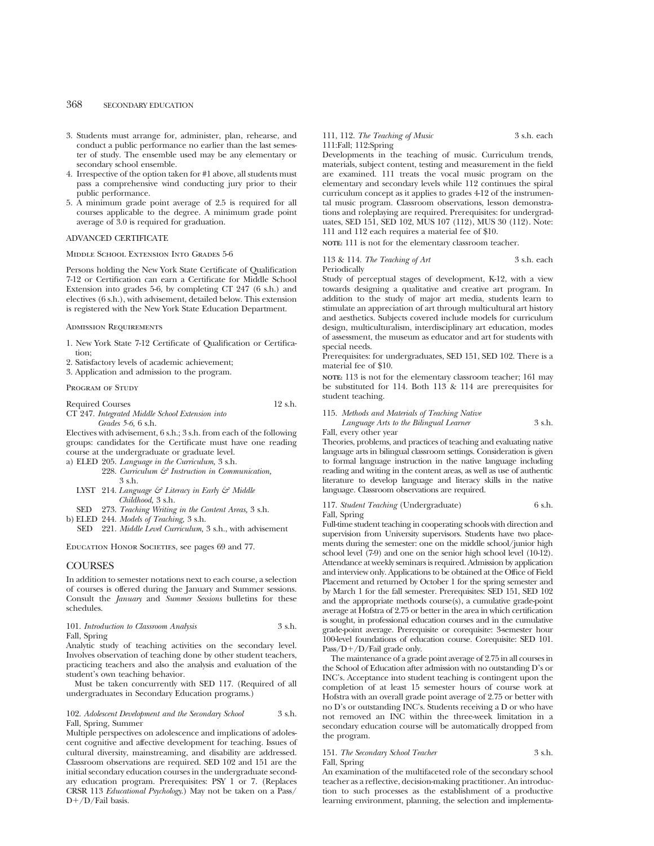- 3. Students must arrange for, administer, plan, rehearse, and conduct a public performance no earlier than the last semester of study. The ensemble used may be any elementary or secondary school ensemble.
- 4. Irrespective of the option taken for #1 above, all students must pass a comprehensive wind conducting jury prior to their public performance.
- 5. A minimum grade point average of 2.5 is required for all courses applicable to the degree. A minimum grade point average of 3.0 is required for graduation.

## ADVANCED CERTIFICATE

Middle School Extension Into Grades 5-6

Persons holding the New York State Certificate of Qualification 7-12 or Certification can earn a Certificate for Middle School Extension into grades 5-6, by completing CT 247 (6 s.h.) and electives (6 s.h.), with advisement, detailed below. This extension is registered with the New York State Education Department.

#### Admission Requirements

- 1. New York State 7-12 Certificate of Qualification or Certification;
- 2. Satisfactory levels of academic achievement;
- 3. Application and admission to the program.

PROGRAM OF STUDY

Required Courses 12 s.h.

CT 247. *Integrated Middle School Extension into Grades 5-6,* 6 s.h.

Electives with advisement, 6 s.h.; 3 s.h. from each of the following groups: candidates for the Certificate must have one reading course at the undergraduate or graduate level.

a) ELED 205. *Language in the Curriculum,* 3 s.h.

- 228. *Curriculum & Instruction in Communication,*  $3 \,$ s.h.
- LYST 214. *Language & Literacy in Early & Middle Childhood,* 3 s.h.
- SED 273. *Teaching Writing in the Content Areas,* 3 s.h.
- b) ELED 244. *Models of Teaching,* 3 s.h.
- SED 221. *Middle Level Curriculum,* 3 s.h., with advisement

EDUCATION HONOR SOCIETIES, see pages 69 and 77.

## **COURSES**

In addition to semester notations next to each course, a selection of courses is offered during the January and Summer sessions. Consult the *January* and *Summer Sessions* bulletins for these schedules.

#### 101. *Introduction to Classroom Analysis* 3 s.h. Fall, Spring

Analytic study of teaching activities on the secondary level. Involves observation of teaching done by other student teachers, practicing teachers and also the analysis and evaluation of the student's own teaching behavior.

Must be taken concurrently with SED 117. (Required of all undergraduates in Secondary Education programs.)

#### 102. *Adolescent Development and the Secondary School* 3 s.h. Fall, Spring, Summer

Multiple perspectives on adolescence and implications of adolescent cognitive and affective development for teaching. Issues of cultural diversity, mainstreaming, and disability are addressed. Classroom observations are required. SED 102 and 151 are the initial secondary education courses in the undergraduate secondary education program. Prerequisites: PSY 1 or 7. (Replaces CRSR 113 *Educational Psychology*.) May not be taken on a Pass/  $D+/D/Fail$  basis.

#### 111, 112. *The Teaching of Music* 3 s.h. each 111:Fall; 112:Spring

Developments in the teaching of music. Curriculum trends, materials, subject content, testing and measurement in the field are examined. 111 treats the vocal music program on the elementary and secondary levels while 112 continues the spiral curriculum concept as it applies to grades 4-12 of the instrumental music program. Classroom observations, lesson demonstrations and roleplaying are required. Prerequisites: for undergraduates, SED 151, SED 102, MUS 107 (112), MUS 30 (112). Note: 111 and 112 each requires a material fee of \$10.

**NOTE:** 111 is not for the elementary classroom teacher.

#### 113 & 114. *The Teaching of Art* 3 s.h. each Periodically

Study of perceptual stages of development, K-12, with a view towards designing a qualitative and creative art program. In addition to the study of major art media, students learn to stimulate an appreciation of art through multicultural art history and aesthetics. Subjects covered include models for curriculum design, multiculturalism, interdisciplinary art education, modes of assessment, the museum as educator and art for students with special needs.

Prerequisites: for undergraduates, SED 151, SED 102. There is a material fee of \$10.

**NOTE:** 113 is not for the elementary classroom teacher; 161 may be substituted for 114. Both 113 & 114 are prerequisites for student teaching.

#### 115. *Methods and Materials of Teaching Native*

*Language Arts to the Bilingual Learner* 3 s.h. Fall, every other year

Theories, problems, and practices of teaching and evaluating native language arts in bilingual classroom settings. Consideration is given to formal language instruction in the native language including reading and writing in the content areas, as well as use of authentic literature to develop language and literacy skills in the native language. Classroom observations are required.

|              | 117. Student Teaching (Undergraduate) | 6 s.h. |
|--------------|---------------------------------------|--------|
| Fall, Spring |                                       |        |

Full-time student teaching in cooperating schools with direction and supervision from University supervisors. Students have two placements during the semester: one on the middle school/junior high school level  $(7-9)$  and one on the senior high school level  $(10-12)$ . Attendance at weekly seminars is required. Admission by application and interview only. Applications to be obtained at the Office of Field Placement and returned by October 1 for the spring semester and by March 1 for the fall semester. Prerequisites: SED 151, SED 102 and the appropriate methods course(s), a cumulative grade-point average at Hofstra of 2.75 or better in the area in which certification is sought, in professional education courses and in the cumulative grade-point average. Prerequisite or corequisite: 3-semester hour 100-level foundations of education course. Corequisite: SED 101.  $\mathrm{Pass}/\mathrm{D+}/\mathrm{D}/\mathrm{fail}$  grade only.

The maintenance of a grade point average of 2.75 in all courses in the School of Education after admission with no outstanding D's or INC's. Acceptance into student teaching is contingent upon the completion of at least 15 semester hours of course work at Hofstra with an overall grade point average of 2.75 or better with no D's or outstanding INC's. Students receiving a D or who have not removed an INC within the three-week limitation in a secondary education course will be automatically dropped from the program.

## 151. *The Secondary School Teacher* 3 s.h.

Fall, Spring

An examination of the multifaceted role of the secondary school teacher as a reflective, decision-making practitioner. An introduction to such processes as the establishment of a productive learning environment, planning, the selection and implementa-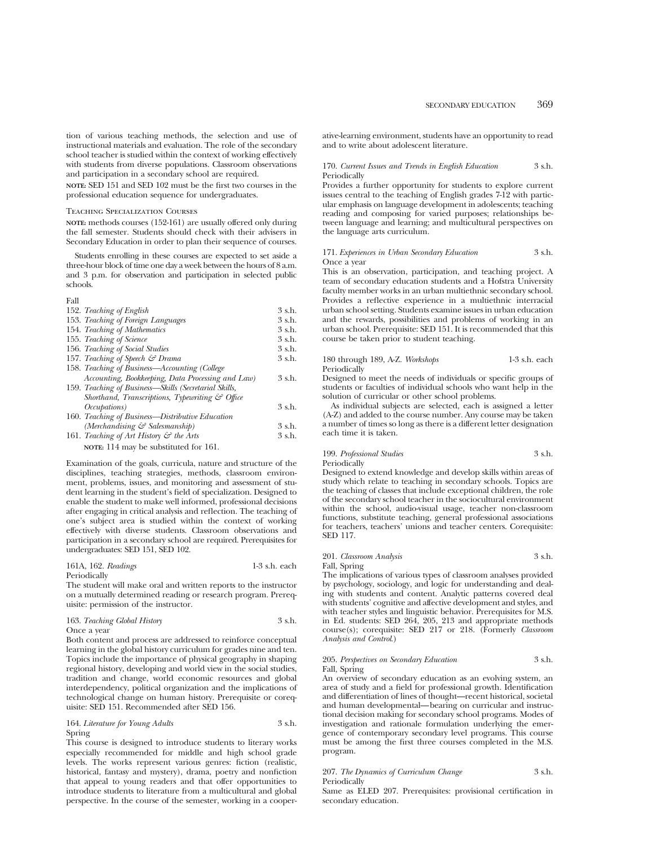tion of various teaching methods, the selection and use of instructional materials and evaluation. The role of the secondary school teacher is studied within the context of working effectively with students from diverse populations. Classroom observations and participation in a secondary school are required.

**NOTE:** SED 151 and SED 102 must be the first two courses in the professional education sequence for undergraduates.

#### Teaching Specialization Courses

**NOTE:** methods courses (152-161) are usually offered only during the fall semester. Students should check with their advisers in Secondary Education in order to plan their sequence of courses.

Students enrolling in these courses are expected to set aside a three-hour block of time one day a week between the hours of 8 a.m. and 3 p.m. for observation and participation in selected public schools.

## Fall

| 152. Teaching of English                                    | $3$ s.h.    |  |
|-------------------------------------------------------------|-------------|--|
| 153. Teaching of Foreign Languages                          | $3 \,$ s.h. |  |
| 154. Teaching of Mathematics                                | 3 s.h.      |  |
| 155. Teaching of Science                                    | $3$ s.h.    |  |
| 156. Teaching of Social Studies                             | $3 \,$ s.h. |  |
| 157. Teaching of Speech & Drama                             | $3 \,$ s.h. |  |
| 158. Teaching of Business—Accounting (College               |             |  |
| Accounting, Bookkeeping, Data Processing and Law)           | 3 s.h.      |  |
| 159. Teaching of Business—Skills (Secretarial Skills,       |             |  |
| Shorthand, Transcriptions, Typewriting $\mathcal{C}$ Office |             |  |
| <i>Occupations</i> )                                        | 3 s.h.      |  |
| 160. Teaching of Business—Distributive Education            |             |  |
| (Merchandising & Salesmanship)                              | 3 s.h.      |  |
| 161. Teaching of Art History $\mathcal{C}$ the Arts         | 3 s.h.      |  |
| NOTE: 114 may be substituted for 161.                       |             |  |

Examination of the goals, curricula, nature and structure of the disciplines, teaching strategies, methods, classroom environment, problems, issues, and monitoring and assessment of student learning in the student's field of specialization. Designed to enable the student to make well informed, professional decisions after engaging in critical analysis and reflection. The teaching of one's subject area is studied within the context of working effectively with diverse students. Classroom observations and participation in a secondary school are required. Prerequisites for undergraduates: SED 151, SED 102.

#### 161A, 162. *Readings* 1-3 s.h. each Periodically

The student will make oral and written reports to the instructor on a mutually determined reading or research program. Prerequisite: permission of the instructor.

| 163. Teaching Global History | 3 s.h. |
|------------------------------|--------|
| Once a vear                  |        |

Both content and process are addressed to reinforce conceptual learning in the global history curriculum for grades nine and ten. Topics include the importance of physical geography in shaping regional history, developing and world view in the social studies, tradition and change, world economic resources and global interdependency, political organization and the implications of technological change on human history. Prerequisite or corequisite: SED 151. Recommended after SED 156.

## 164. *Literature for Young Adults* 3 s.h. Spring

This course is designed to introduce students to literary works especially recommended for middle and high school grade levels. The works represent various genres: fiction (realistic, historical, fantasy and mystery), drama, poetry and nonfiction that appeal to young readers and that offer opportunities to introduce students to literature from a multicultural and global perspective. In the course of the semester, working in a cooperative-learning environment, students have an opportunity to read and to write about adolescent literature.

#### 170. *Current Issues and Trends in English Education* 3 s.h. Periodically

Provides a further opportunity for students to explore current issues central to the teaching of English grades 7-12 with particular emphasis on language development in adolescents; teaching reading and composing for varied purposes; relationships between language and learning; and multicultural perspectives on the language arts curriculum.

#### 171. *Experiences in Urban Secondary Education* 3 s.h. Once a year

This is an observation, participation, and teaching project. A team of secondary education students and a Hofstra University faculty member works in an urban multiethnic secondary school. Provides a reflective experience in a multiethnic interracial urban school setting. Students examine issues in urban education and the rewards, possibilities and problems of working in an urban school. Prerequisite: SED 151. It is recommended that this course be taken prior to student teaching.

## 180 through 189, A-Z. *Workshops* 1-3 s.h. each Periodically

Designed to meet the needs of individuals or specific groups of students or faculties of individual schools who want help in the solution of curricular or other school problems.

As individual subjects are selected, each is assigned a letter (A-Z) and added to the course number. Any course may be taken a number of times so long as there is a different letter designation each time it is taken.

# 199. *Professional Studies* 3 s.h. Periodically

Designed to extend knowledge and develop skills within areas of study which relate to teaching in secondary schools. Topics are the teaching of classes that include exceptional children, the role of the secondary school teacher in the sociocultural environment within the school, audio-visual usage, teacher non-classroom functions, substitute teaching, general professional associations for teachers, teachers' unions and teacher centers. Corequisite: SED 117.

201. *Classroom Analysis* 3 s.h.

Fall, Spring

The implications of various types of classroom analyses provided by psychology, sociology, and logic for understanding and dealing with students and content. Analytic patterns covered deal with students' cognitive and affective development and styles, and with teacher styles and linguistic behavior. Prerequisites for M.S. in Ed. students: SED 264, 205, 213 and appropriate methods course(s); corequisite: SED 217 or 218. (Formerly *Classroom Analysis and Control*.)

#### 205. *Perspectives on Secondary Education* 3 s.h. Fall, Spring

An overview of secondary education as an evolving system, an area of study and a field for professional growth. Identification and differentiation of lines of thought—recent historical, societal and human developmental—bearing on curricular and instructional decision making for secondary school programs. Modes of investigation and rationale formulation underlying the emergence of contemporary secondary level programs. This course must be among the first three courses completed in the M.S. program.

#### 207. *The Dynamics of Curriculum Change* 3 s.h. Periodically

Same as ELED 207. Prerequisites: provisional certification in secondary education.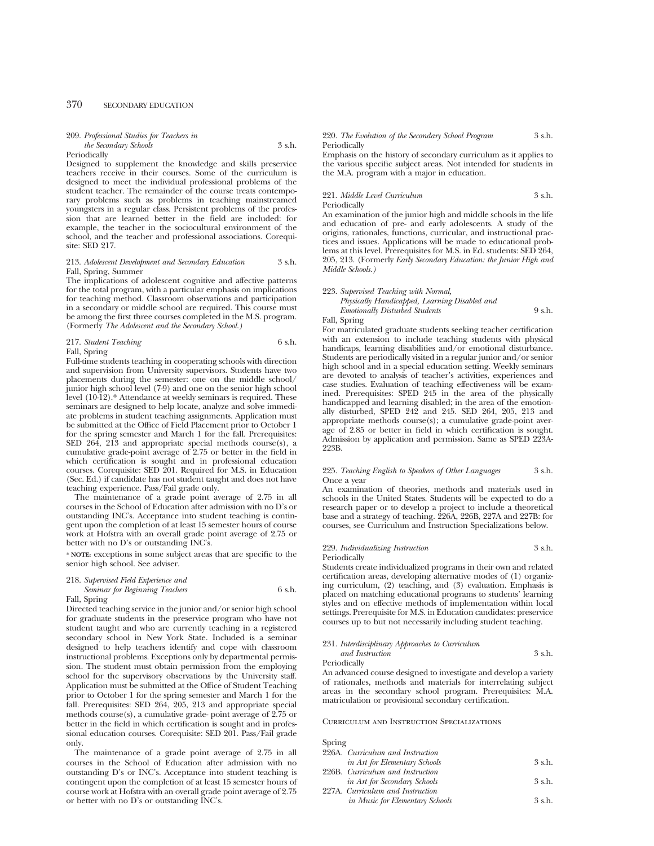#### 209. *Professional Studies for Teachers in the Secondary Schools* 3 s.h.

#### Periodically

Designed to supplement the knowledge and skills preservice teachers receive in their courses. Some of the curriculum is designed to meet the individual professional problems of the student teacher. The remainder of the course treats contemporary problems such as problems in teaching mainstreamed youngsters in a regular class. Persistent problems of the profession that are learned better in the field are included: for example, the teacher in the sociocultural environment of the school, and the teacher and professional associations. Corequisite: SED 217.

#### 213. *Adolescent Development and Secondary Education* 3 s.h. Fall, Spring, Summer

The implications of adolescent cognitive and affective patterns for the total program, with a particular emphasis on implications for teaching method. Classroom observations and participation in a secondary or middle school are required. This course must be among the first three courses completed in the M.S. program. (Formerly *The Adolescent and the Secondary School.)*

#### 217. *Student Teaching* 6 s.h. Fall, Spring

Full-time students teaching in cooperating schools with direction and supervision from University supervisors. Students have two placements during the semester: one on the middle school/ junior high school level (7-9) and one on the senior high school level (10-12).\* Attendance at weekly seminars is required. These seminars are designed to help locate, analyze and solve immediate problems in student teaching assignments. Application must be submitted at the Office of Field Placement prior to October 1 for the spring semester and March 1 for the fall. Prerequisites: SED 264, 213 and appropriate special methods course(s), a cumulative grade-point average of 2.75 or better in the field in which certification is sought and in professional education courses. Corequisite: SED 201. Required for M.S. in Education (Sec. Ed.) if candidate has not student taught and does not have teaching experience. Pass/Fail grade only.

The maintenance of a grade point average of 2.75 in all courses in the School of Education after admission with no D's or outstanding INC's. Acceptance into student teaching is contingent upon the completion of at least 15 semester hours of course work at Hofstra with an overall grade point average of 2.75 or better with no D's or outstanding INC's.

**\* NOTE:** exceptions in some subject areas that are specific to the senior high school. See adviser.

## 218. *Supervised Field Experience and*

#### *Seminar for Beginning Teachers* 6 s.h. Fall, Spring

Directed teaching service in the junior and/or senior high school for graduate students in the preservice program who have not student taught and who are currently teaching in a registered secondary school in New York State. Included is a seminar designed to help teachers identify and cope with classroom instructional problems. Exceptions only by departmental permission. The student must obtain permission from the employing school for the supervisory observations by the University staff. Application must be submitted at the Office of Student Teaching prior to October 1 for the spring semester and March 1 for the fall. Prerequisites: SED 264, 205, 213 and appropriate special methods course(s), a cumulative grade- point average of 2.75 or better in the field in which certification is sought and in professional education courses. Corequisite: SED 201. Pass/Fail grade only.

The maintenance of a grade point average of 2.75 in all courses in the School of Education after admission with no outstanding D's or INC's. Acceptance into student teaching is contingent upon the completion of at least 15 semester hours of course work at Hofstra with an overall grade point average of 2.75 or better with no D's or outstanding INC's.

#### 220. *The Evolution of the Secondary School Program* 3 s.h. Periodically

Emphasis on the history of secondary curriculum as it applies to the various specific subject areas. Not intended for students in the M.A. program with a major in education.

#### 221. *Middle Level Curriculum* 3 s.h. Periodically

An examination of the junior high and middle schools in the life and education of pre- and early adolescents. A study of the origins, rationales, functions, curricular, and instructional practices and issues. Applications will be made to educational problems at this level. Prerequisites for M.S. in Ed. students: SED 264, 205, 213. (Formerly *Early Secondary Education: the Junior High and Middle Schools.)*

#### 223. *Supervised Teaching with Normal,*

*Physically Handicapped, Learning Disabled and Emotionally Disturbed Students* 9 s.h.

Fall, Spring

For matriculated graduate students seeking teacher certification with an extension to include teaching students with physical handicaps, learning disabilities and/or emotional disturbance. Students are periodically visited in a regular junior and/or senior high school and in a special education setting. Weekly seminars are devoted to analysis of teacher's activities, experiences and case studies. Evaluation of teaching effectiveness will be examined. Prerequisites: SPED 245 in the area of the physically handicapped and learning disabled; in the area of the emotionally disturbed, SPED 242 and 245. SED 264, 205, 213 and appropriate methods course(s); a cumulative grade-point average of 2.85 or better in field in which certification is sought. Admission by application and permission. Same as SPED 223A-223B.

#### 225. *Teaching English to Speakers of Other Languages* 3 s.h. Once a year

An examination of theories, methods and materials used in schools in the United States. Students will be expected to do a research paper or to develop a project to include a theoretical base and a strategy of teaching. 226A, 226B, 227A and 227B: for courses, see Curriculum and Instruction Specializations below.

#### 229. *Individualizing Instruction* 3 s.h. Periodically

Students create individualized programs in their own and related certification areas, developing alternative modes of (1) organizing curriculum, (2) teaching, and (3) evaluation. Emphasis is placed on matching educational programs to students' learning styles and on effective methods of implementation within local settings. Prerequisite for M.S. in Education candidates: preservice courses up to but not necessarily including student teaching.

#### 231. *Interdisciplinary Approaches to Curriculum and Instruction* 3 s.h.

Periodically

An advanced course designed to investigate and develop a variety of rationales, methods and materials for interrelating subject areas in the secondary school program. Prerequisites: M.A. matriculation or provisional secondary certification.

#### Curriculum and Instruction Specializations

Spring

| 226A. Curriculum and Instruction |          |
|----------------------------------|----------|
| in Art for Elementary Schools    | $3$ s.h. |
| 226B. Curriculum and Instruction |          |
| in Art for Secondary Schools     | $3$ s.h. |
| 227A. Curriculum and Instruction |          |
| in Music for Elementary Schools  | $3$ s.h. |
|                                  |          |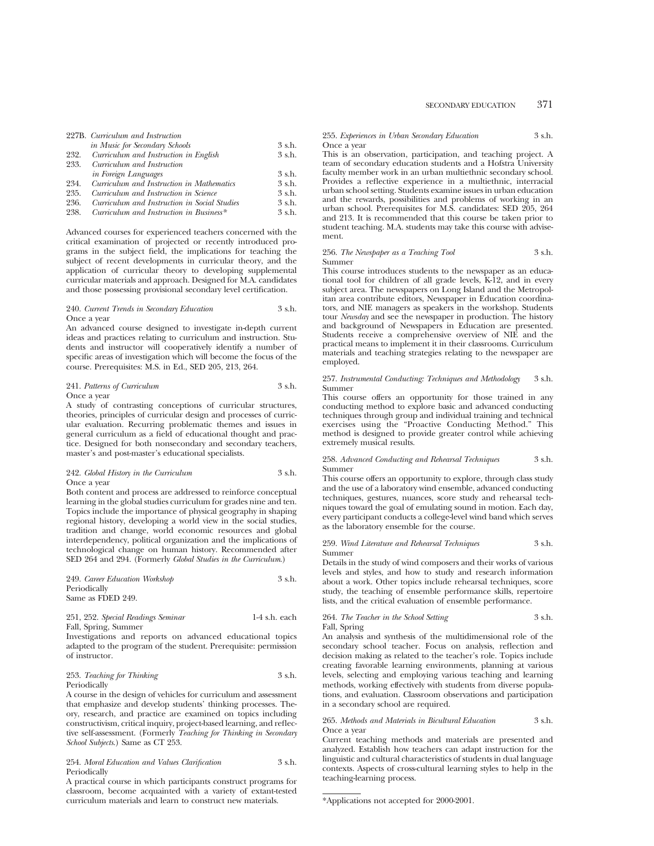|      | 227B. Curriculum and Instruction             |          |
|------|----------------------------------------------|----------|
|      | in Music for Secondary Schools               | 3 s.h.   |
| 232. | Curriculum and Instruction in English        | 3 s.h.   |
| 233. | Curriculum and Instruction                   |          |
|      | in Foreign Languages                         | $3$ s.h. |
| 234. | Curriculum and Instruction in Mathematics    | 3 s.h.   |
| 235. | Curriculum and Instruction in Science        | 3 s.h.   |
| 236. | Curriculum and Instruction in Social Studies | 3 s.h.   |
| 238. | Curriculum and Instruction in Business*      | 3 s.h.   |

Advanced courses for experienced teachers concerned with the critical examination of projected or recently introduced programs in the subject field, the implications for teaching the subject of recent developments in curricular theory, and the application of curricular theory to developing supplemental curricular materials and approach. Designed for M.A. candidates and those possessing provisional secondary level certification.

## 240. *Current Trends in Secondary Education* 3 s.h. Once a year

An advanced course designed to investigate in-depth current ideas and practices relating to curriculum and instruction. Students and instructor will cooperatively identify a number of specific areas of investigation which will become the focus of the course. Prerequisites: M.S. in Ed., SED 205, 213, 264.

# 241. *Patterns of Curriculum* 3 s.h. Once a year

A study of contrasting conceptions of curricular structures, theories, principles of curricular design and processes of curricular evaluation. Recurring problematic themes and issues in general curriculum as a field of educational thought and practice. Designed for both nonsecondary and secondary teachers, master's and post-master's educational specialists.

## 242. *Global History in the Curriculum* 3 s.h. Once a year

Both content and process are addressed to reinforce conceptual learning in the global studies curriculum for grades nine and ten. Topics include the importance of physical geography in shaping regional history, developing a world view in the social studies, tradition and change, world economic resources and global interdependency, political organization and the implications of technological change on human history. Recommended after SED 264 and 294. (Formerly *Global Studies in the Curriculum*.)

| 249. Career Education Workshop | $3$ s.h. |
|--------------------------------|----------|
| Periodically                   |          |
| Same as FDED 249.              |          |

#### 251, 252. *Special Readings Seminar* 1-4 s.h. each Fall, Spring, Summer

Investigations and reports on advanced educational topics adapted to the program of the student. Prerequisite: permission of instructor.

#### 253. *Teaching for Thinking* 3 s.h. Periodically

A course in the design of vehicles for curriculum and assessment that emphasize and develop students' thinking processes. Theory, research, and practice are examined on topics including constructivism, critical inquiry, project-based learning, and reflective self-assessment. (Formerly *Teaching for Thinking in Secondary School Subjects*.) Same as CT 253.

#### 254. *Moral Education and Values Clarification* 3 s.h. Periodically

A practical course in which participants construct programs for classroom, become acquainted with a variety of extant-tested curriculum materials and learn to construct new materials.

#### 255. *Experiences in Urban Secondary Education* 3 s.h. Once a year

This is an observation, participation, and teaching project. A team of secondary education students and a Hofstra University faculty member work in an urban multiethnic secondary school. Provides a reflective experience in a multiethnic, interracial urban school setting. Students examine issues in urban education and the rewards, possibilities and problems of working in an urban school. Prerequisites for M.S. candidates: SED 205, 264 and 213. It is recommended that this course be taken prior to student teaching. M.A. students may take this course with advisement.

#### 256. *The Newspaper as a Teaching Tool* 3 s.h. Summer

This course introduces students to the newspaper as an educational tool for children of all grade levels, K-12, and in every subject area. The newspapers on Long Island and the Metropolitan area contribute editors, Newspaper in Education coordinators, and NIE managers as speakers in the workshop. Students tour *Newsday* and see the newspaper in production. The history and background of Newspapers in Education are presented. Students receive a comprehensive overview of NIE and the practical means to implement it in their classrooms. Curriculum materials and teaching strategies relating to the newspaper are employed.

#### 257. *Instrumental Conducting: Techniques and Methodology* 3 s.h. Summer

This course offers an opportunity for those trained in any conducting method to explore basic and advanced conducting techniques through group and individual training and technical exercises using the "Proactive Conducting Method." This method is designed to provide greater control while achieving extremely musical results.

#### 258. *Advanced Conducting and Rehearsal Techniques* 3 s.h. Summer

This course offers an opportunity to explore, through class study and the use of a laboratory wind ensemble, advanced conducting techniques, gestures, nuances, score study and rehearsal techniques toward the goal of emulating sound in motion. Each day, every participant conducts a college-level wind band which serves as the laboratory ensemble for the course.

#### 259. *Wind Literature and Rehearsal Techniques* 3 s.h. Summer

Details in the study of wind composers and their works of various levels and styles, and how to study and research information about a work. Other topics include rehearsal techniques, score study, the teaching of ensemble performance skills, repertoire lists, and the critical evaluation of ensemble performance.

#### 264. *The Teacher in the School Setting* 3 s.h. Fall, Spring

An analysis and synthesis of the multidimensional role of the secondary school teacher. Focus on analysis, reflection and decision making as related to the teacher's role. Topics include creating favorable learning environments, planning at various levels, selecting and employing various teaching and learning methods, working effectively with students from diverse populations, and evaluation. Classroom observations and participation in a secondary school are required.

#### 265. *Methods and Materials in Bicultural Education* 3 s.h. Once a year

Current teaching methods and materials are presented and analyzed. Establish how teachers can adapt instruction for the linguistic and cultural characteristics of students in dual language contexts. Aspects of cross-cultural learning styles to help in the teaching-learning process.

<sup>\*</sup>Applications not accepted for 2000-2001.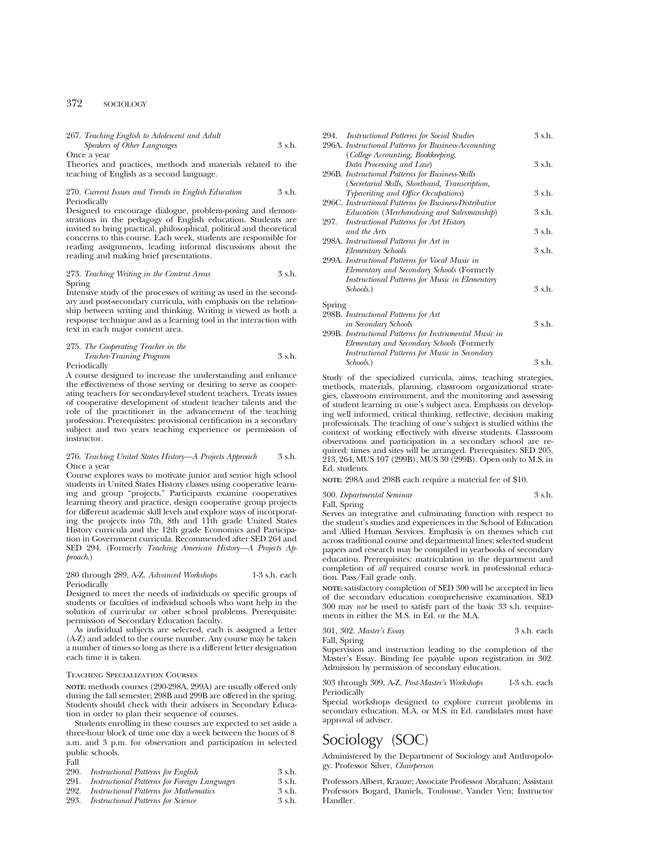## 372 SOCIOLOGY

# 267. *Teaching English to Adolescent and Adult Speakers of Other Languages* 3 s.h.

Once a year

Theories and practices, methods and materials related to the teaching of English as a second language.

#### 270. *Current Issues and Trends in English Education* 3 s.h. Periodically

Designed to encourage dialogue, problem-posing and demonstrations in the pedagogy of English education. Students are invited to bring practical, philosophical, political and theoretical concerns to this course. Each week, students are responsible for reading assignments, leading informal discussions about the reading and making brief presentations.

#### 273. *Teaching Writing in the Content Areas* 3 s.h. Spring

Intensive study of the processes of writing as used in the secondary and post-secondary curricula, with emphasis on the relationship between writing and thinking. Writing is viewed as both a response technique and as a learning tool in the interaction with text in each major content area.

#### 275. *The Cooperating Teacher in the Teacher-Training Program* 3 s.h. **Periodically**

A course designed to increase the understanding and enhance the effectiveness of those serving or desiring to serve as cooperating teachers for secondary-level student teachers. Treats issues of cooperative development of student teacher talents and the role of the practitioner in the advancement of the teaching profession. Prerequisites: provisional certification in a secondary subject and two years teaching experience or permission of instructor.

## 276. *Teaching United States History—A Projects Approach* 3 s.h. Once a year

Course explores ways to motivate junior and senior high school students in United States History classes using cooperative learning and group "projects." Participants examine cooperatives learning theory and practice, design cooperative group projects for different academic skill levels and explore ways of incorporating the projects into 7th, 8th and 11th grade United States History curricula and the 12th grade Economics and Participation in Government curricula. Recommended after SED 264 and SED 294. (Formerly *Teaching American History—A Projects Approach*.)

## 280 through 289, A-Z. *Advanced Workshops* 1-3 s.h. each Periodically

Designed to meet the needs of individuals or specific groups of students or faculties of individual schools who want help in the solution of curricular or other school problems. Prerequisite: permission of Secondary Education faculty.

As individual subjects are selected, each is assigned a letter (A-Z) and added to the course number. Any course may be taken a number of times so long as there is a different letter designation each time it is taken.

## Teaching Specialization Courses

**NOTE:** methods courses (290-298A, 299A) are usually offered only during the fall semester; 298B and 299B are offered in the spring. Students should check with their advisers in Secondary Education in order to plan their sequence of courses.

Students enrolling in these courses are expected to set aside a three-hour block of time one day a week between the hours of 8 a.m. and 3 p.m. for observation and participation in selected public schools.

#### Fall

| 290. | Instructional Patterns for English           | 3 s.h. |
|------|----------------------------------------------|--------|
| 991  | Instructional Patterns for Foreign Languages | 3 ch   |

- 291. *Instructional Patterns for Foreign Languages* 3 s.h. 292. Instructional Patterns for Mathematics
- 293. *Instructional Patterns for Science* 3 s.h.

| <b>Instructional Patterns for Social Studies</b><br>294. | 3 s.h. |
|----------------------------------------------------------|--------|
| 296A. Instructional Patterns for Business-Accounting     |        |
| (College Accounting, Bookkeeping,                        |        |
| Data Processing and Law)                                 | 3 s.h. |
| 296B. Instructional Patterns for Business-Skills         |        |
| (Secretarial Skills, Shorthand, Transcription,           |        |
| Typewriting and Office Occupations)                      | 3 s.h. |
| 296C. Instructional Patterns for Business-Distributive   |        |
| Education (Merchandising and Salesmanship)               | 3 s.h. |
| <i>Instructional Patterns for Art History</i><br>297.    |        |
| and the Arts                                             | 3 s.h. |
| 298A. Instructional Patterns for Art in                  |        |
| Elementary Schools                                       | 3 s.h. |
| 299A. Instructional Patterns for Vocal Music in          |        |
| Elementary and Secondary Schools (Formerly               |        |
| Instructional Patterns for Music in Elementary           |        |
| Schools.)                                                | 3 s.h. |
| Spring                                                   |        |
| 298B. Instructional Patterns for Art                     |        |
| in Secondary Schools                                     | 3 s.h. |
| 299B. Instructional Patterns for Instrumental Music in   |        |
| Elementary and Secondary Schools (Formerly               |        |
| Instructional Patterns for Music in Secondary            |        |
| Schools.)                                                | 3 s.h. |
|                                                          |        |

Study of the specialized curricula, aims, teaching strategies, methods, materials, planning, classroom organizational strategies, classroom environment, and the monitoring and assessing of student learning in one's subject area. Emphasis on developing well informed, critical thinking, reflective, decision making professionals. The teaching of one's subject is studied within the context of working effectively with diverse students. Classroom observations and participation in a secondary school are required: times and sites will be arranged. Prerequisites: SED 205, 213, 264, MUS 107 (299B), MUS 30 (299B). Open only to M.S. in Ed. students.

**NOTE:** 298A and 298B each require a material fee of \$10.

# 300. *Departmental Seminar* 3 s.h.

Fall, Spring

Serves an integrative and culminating function with respect to the student's studies and experiences in the School of Education and Allied Human Services. Emphasis is on themes which cut across traditional course and departmental lines; selected student papers and research may be compiled in yearbooks of secondary education. Prerequisites: matriculation in the department and completion of *all* required course work in professional education. Pass/Fail grade only.

**NOTE:** satisfactory completion of SED 300 will be accepted in lieu of the secondary education comprehensive examination. SED 300 may *not* be used to satisfy part of the basic 33 s.h. requirements in either the M.S. in Ed. or the M.A.

301, 302. *Master's Essay* 3 s.h. each

Fall, Spring

Supervision and instruction leading to the completion of the Master's Essay. Binding fee payable upon registration in 302. Admission by permission of secondary education.

303 through 309, A-Z. *Post-Master's Workshops* 1-3 s.h. each **Periodically** 

Special workshops designed to explore current problems in secondary education. M.A. or M.S. in Ed. candidates must have approval of adviser.

# Sociology (SOC)

Administered by the Department of Sociology and Anthropology. Professor Silver, *Chairperson*

Professors Albert, Krauze; Associate Professor Abraham; Assistant Professors Bogard, Daniels, Toulouse, Vander Ven; Instructor Handler.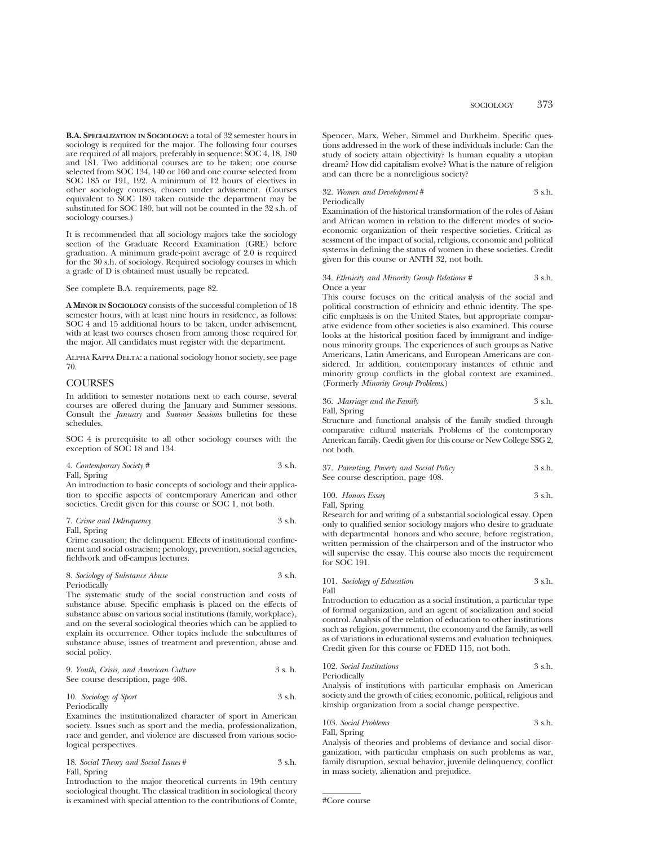**B.A. SPECIALIZATION IN SOCIOLOGY:** a total of 32 semester hours in sociology is required for the major. The following four courses are required of all majors, preferably in sequence: SOC 4, 18, 180 and 181. Two additional courses are to be taken; one course selected from SOC 134, 140 or 160 and one course selected from SOC 185 or 191, 192. A minimum of 12 hours of electives in other sociology courses, chosen under advisement. (Courses equivalent to SOC 180 taken outside the department may be substituted for SOC 180, but will not be counted in the 32 s.h. of sociology courses.)

It is recommended that all sociology majors take the sociology section of the Graduate Record Examination (GRE) before graduation. A minimum grade-point average of 2.0 is required for the 30 s.h. of sociology. Required sociology courses in which a grade of D is obtained must usually be repeated.

See complete B.A. requirements, page 82.

**A MINOR IN SOCIOLOGY** consists of the successful completion of 18 semester hours, with at least nine hours in residence, as follows: SOC 4 and 15 additional hours to be taken, under advisement, with at least two courses chosen from among those required for the major. All candidates must register with the department.

Alpha Kappa Delta: a national sociology honor society, see page 70.

## **COURSES**

In addition to semester notations next to each course, several courses are offered during the January and Summer sessions. Consult the *January* and *Summer Sessions* bulletins for these schedules.

SOC 4 is prerequisite to all other sociology courses with the exception of SOC 18 and 134.

4. *Contemporary Society #* 3 s.h. Fall, Spring

An introduction to basic concepts of sociology and their application to specific aspects of contemporary American and other societies. Credit given for this course or SOC 1, not both.

## 7. *Crime and Delinquency* 3 s.h.

Fall, Spring Crime causation; the delinquent. Effects of institutional confinement and social ostracism; penology, prevention, social agencies, fieldwork and off-campus lectures.

8. *Sociology of Substance Abuse* 3 s.h. Periodically

The systematic study of the social construction and costs of substance abuse. Specific emphasis is placed on the effects of substance abuse on various social institutions (family, workplace), and on the several sociological theories which can be applied to explain its occurrence. Other topics include the subcultures of substance abuse, issues of treatment and prevention, abuse and social policy.

9. *Youth, Crisis, and American Culture* 3 s. h. See course description, page 408.

10. *Sociology of Sport* 3 s.h. Periodically

Examines the institutionalized character of sport in American society. Issues such as sport and the media, professionalization, race and gender, and violence are discussed from various sociological perspectives.

18. *Social Theory and Social Issues* # 3 s.h. Fall, Spring

Introduction to the major theoretical currents in 19th century sociological thought. The classical tradition in sociological theory is examined with special attention to the contributions of Comte, Spencer, Marx, Weber, Simmel and Durkheim. Specific questions addressed in the work of these individuals include: Can the study of society attain objectivity? Is human equality a utopian dream? How did capitalism evolve? What is the nature of religion and can there be a nonreligious society?

## 32. *Women and Development* # 3 s.h.

Periodically

Examination of the historical transformation of the roles of Asian and African women in relation to the different modes of socioeconomic organization of their respective societies. Critical assessment of the impact of social, religious, economic and political systems in defining the status of women in these societies. Credit given for this course or ANTH 32, not both.

#### 34. *Ethnicity and Minority Group Relations #* 3 s.h. Once a year

This course focuses on the critical analysis of the social and political construction of ethnicity and ethnic identity. The specific emphasis is on the United States, but appropriate comparative evidence from other societies is also examined. This course looks at the historical position faced by immigrant and indigenous minority groups. The experiences of such groups as Native Americans, Latin Americans, and European Americans are considered. In addition, contemporary instances of ethnic and minority group conflicts in the global context are examined. (Formerly *Minority Group Problems*.)

36. *Marriage and the Family* 3 s.h. Fall, Spring

Structure and functional analysis of the family studied through comparative cultural materials. Problems of the contemporary American family. Credit given for this course or New College SSG 2, not both.

37. *Parenting, Poverty and Social Policy* 3 s.h. See course description, page 408.

100. *Honors Essay* 3 s.h. Fall, Spring

Research for and writing of a substantial sociological essay. Open only to qualified senior sociology majors who desire to graduate with departmental honors and who secure, before registration, written permission of the chairperson and of the instructor who will supervise the essay. This course also meets the requirement for SOC 191.

101. *Sociology of Education* 3 s.h. Fall

Introduction to education as a social institution, a particular type of formal organization, and an agent of socialization and social control. Analysis of the relation of education to other institutions such as religion, government, the economy and the family, as well as of variations in educational systems and evaluation techniques. Credit given for this course or FDED 115, not both.

102. *Social Institutions* 3 s.h. Periodically

Analysis of institutions with particular emphasis on American society and the growth of cities; economic, political, religious and kinship organization from a social change perspective.

## 103. *Social Problems* 3 s.h. Fall, Spring

Analysis of theories and problems of deviance and social disorganization, with particular emphasis on such problems as war, family disruption, sexual behavior, juvenile delinquency, conflict in mass society, alienation and prejudice.

#Core course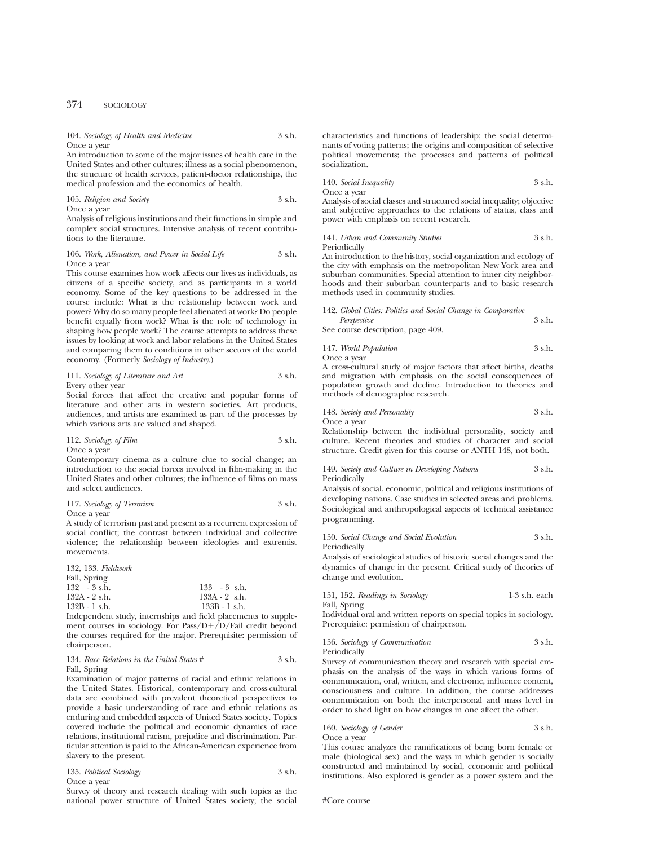104. *Sociology of Health and Medicine* 3 s.h. Once a year

An introduction to some of the major issues of health care in the United States and other cultures; illness as a social phenomenon, the structure of health services, patient-doctor relationships, the medical profession and the economics of health.

105. *Religion and Society* 3 s.h. Once a year

Analysis of religious institutions and their functions in simple and complex social structures. Intensive analysis of recent contributions to the literature.

#### 106. Work, Alienation, and Power in Social Life 3 s.h. Once a year

This course examines how work affects our lives as individuals, as citizens of a specific society, and as participants in a world economy. Some of the key questions to be addressed in the course include: What is the relationship between work and power? Why do so many people feel alienated at work? Do people benefit equally from work? What is the role of technology in shaping how people work? The course attempts to address these issues by looking at work and labor relations in the United States and comparing them to conditions in other sectors of the world economy. (Formerly *Sociology of Industry*.)

111. *Sociology of Literature and Art* 3 s.h. Every other year

Social forces that affect the creative and popular forms of literature and other arts in western societies. Art products, audiences, and artists are examined as part of the processes by which various arts are valued and shaped.

# 112. *Sociology of Film* 3 s.h.

Once a year

Contemporary cinema as a culture clue to social change; an introduction to the social forces involved in film-making in the United States and other cultures; the influence of films on mass and select audiences.

117. *Sociology of Terrorism* 3 s.h. Once a year

A study of terrorism past and present as a recurrent expression of social conflict; the contrast between individual and collective violence; the relationship between ideologies and extremist movements.

| $133 - 3$ s.h.  |
|-----------------|
| $133A - 2$ s.h. |
| $133B - 1$ s.h. |
|                 |

Independent study, internships and field placements to supplement courses in sociology. For Pass/D+/D/Fail credit beyond the courses required for the major. Prerequisite: permission of chairperson.

#### 134. *Race Relations in the United States* # 3 s.h. Fall, Spring

Examination of major patterns of racial and ethnic relations in the United States. Historical, contemporary and cross-cultural data are combined with prevalent theoretical perspectives to provide a basic understanding of race and ethnic relations as enduring and embedded aspects of United States society. Topics covered include the political and economic dynamics of race relations, institutional racism, prejudice and discrimination. Particular attention is paid to the African-American experience from slavery to the present.

| 135. Political Sociology | 3 s.h. |
|--------------------------|--------|
| Once a year              |        |

Survey of theory and research dealing with such topics as the national power structure of United States society; the social characteristics and functions of leadership; the social determinants of voting patterns; the origins and composition of selective political movements; the processes and patterns of political socialization.

140. *Social Inequality* 3 s.h.

Once a year

Analysis of social classes and structured social inequality; objective and subjective approaches to the relations of status, class and power with emphasis on recent research.

141. *Urban and Community Studies* 3 s.h. Periodically

An introduction to the history, social organization and ecology of the city with emphasis on the metropolitan New York area and suburban communities. Special attention to inner city neighborhoods and their suburban counterparts and to basic research methods used in community studies.

142. *Global Cities: Politics and Social Change in Comparative Perspective* 3 s.h.

See course description, page 409.

147. *World Population* 3 s.h.

Once a year A cross-cultural study of major factors that affect births, deaths and migration with emphasis on the social consequences of population growth and decline. Introduction to theories and methods of demographic research.

148. *Society and Personality* 3 s.h.

Once a year

Relationship between the individual personality, society and culture. Recent theories and studies of character and social structure. Credit given for this course or ANTH 148, not both.

#### 149. *Society and Culture in Developing Nations* 3 s.h. Periodically

Analysis of social, economic, political and religious institutions of developing nations. Case studies in selected areas and problems. Sociological and anthropological aspects of technical assistance programming.

150. *Social Change and Social Evolution* 3 s.h. Periodically

Analysis of sociological studies of historic social changes and the dynamics of change in the present. Critical study of theories of change and evolution.

151, 152. *Readings in Sociology* 1-3 s.h. each

Fall, Spring

Individual oral and written reports on special topics in sociology. Prerequisite: permission of chairperson.

156. *Sociology of Communication* 3 s.h. Periodically

Survey of communication theory and research with special emphasis on the analysis of the ways in which various forms of communication, oral, written, and electronic, influence content, consciousness and culture. In addition, the course addresses communication on both the interpersonal and mass level in order to shed light on how changes in one affect the other.

## 160. *Sociology of Gender* 3 s.h. Once a year

This course analyzes the ramifications of being born female or male (biological sex) and the ways in which gender is socially constructed and maintained by social, economic and political institutions. Also explored is gender as a power system and the

#Core course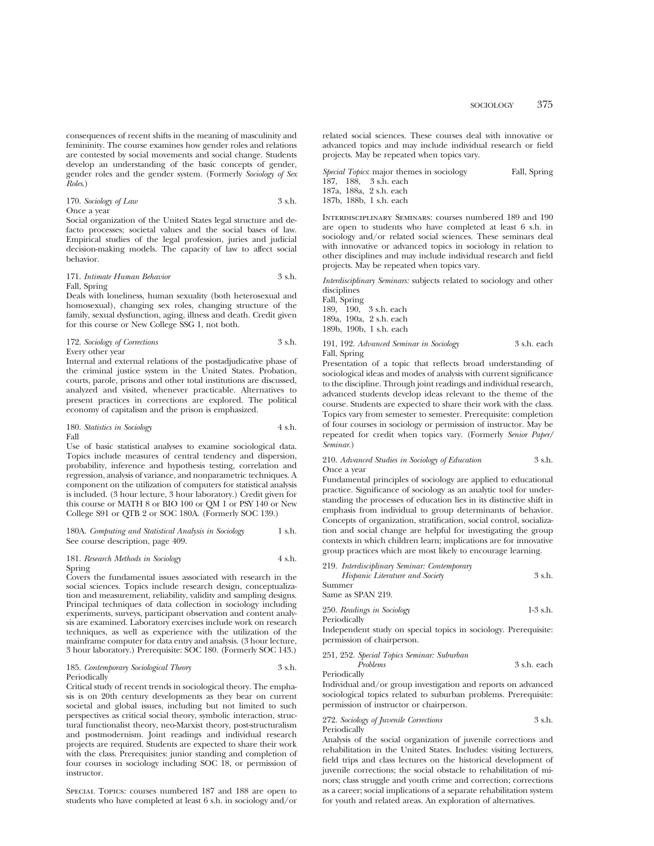consequences of recent shifts in the meaning of masculinity and femininity. The course examines how gender roles and relations are contested by social movements and social change. Students develop an understanding of the basic concepts of gender, gender roles and the gender system. (Formerly *Sociology of Sex Roles*.)

170. *Sociology of Law* 3 s.h. Once a year

Social organization of the United States legal structure and defacto processes; societal values and the social bases of law. Empirical studies of the legal profession, juries and judicial decision-making models. The capacity of law to affect social behavior.

#### 171. *Intimate Human Behavior* 3 s.h. Fall, Spring

Deals with loneliness, human sexuality (both heterosexual and homosexual), changing sex roles, changing structure of the family, sexual dysfunction, aging, illness and death. Credit given for this course or New College SSG 1, not both.

## 172. *Sociology of Corrections* 3 s.h. Every other year

Internal and external relations of the postadjudicative phase of the criminal justice system in the United States. Probation, courts, parole, prisons and other total institutions are discussed, analyzed and visited, whenever practicable. Alternatives to present practices in corrections are explored. The political economy of capitalism and the prison is emphasized.

### 180. *Statistics in Sociology* 4 s.h. Fall

Use of basic statistical analyses to examine sociological data. Topics include measures of central tendency and dispersion, probability, inference and hypothesis testing, correlation and regression, analysis of variance, and nonparametric techniques. A component on the utilization of computers for statistical analysis is included. (3 hour lecture, 3 hour laboratory.) Credit given for this course or MATH 8 or BIO 100 or QM 1 or PSY 140 or New College S91 or QTB 2 or SOC 180A. (Formerly SOC 139.)

#### 180A. *Computing and Statistical Analysis in Sociology* 1 s.h. See course description, page 409.

## 181. *Research Methods in Sociology* 4 s.h. Spring

Covers the fundamental issues associated with research in the social sciences. Topics include research design, conceptualization and measurement, reliability, validity and sampling designs. Principal techniques of data collection in sociology including experiments, surveys, participant observation and content analysis are examined. Laboratory exercises include work on research techniques, as well as experience with the utilization of the mainframe computer for data entry and analysis. (3 hour lecture, 3 hour laboratory.) Prerequisite: SOC 180. (Formerly SOC 143.)

#### 185. *Contemporary Sociological Theory* 3 s.h. Periodically

Critical study of recent trends in sociological theory. The emphasis is on 20th century developments as they bear on current societal and global issues, including but not limited to such perspectives as critical social theory, symbolic interaction, structural functionalist theory, neo-Marxist theory, post-structuralism and postmodernism. Joint readings and individual research projects are required. Students are expected to share their work with the class. Prerequisites: junior standing and completion of four courses in sociology including SOC 18, or permission of instructor.

Special Topics: courses numbered 187 and 188 are open to students who have completed at least 6 s.h. in sociology and/or related social sciences. These courses deal with innovative or advanced topics and may include individual research or field projects. May be repeated when topics vary.

|  | <i>Special Topics</i> : major themes in sociology | Fall, Spring |
|--|---------------------------------------------------|--------------|
|  | 187. 188. 3 s.h. each                             |              |
|  | 187a. 188a. 2 s.h. each                           |              |
|  | 187b, 188b, 1 s.h. each                           |              |

Interdisciplinary Seminars: courses numbered 189 and 190 are open to students who have completed at least 6 s.h. in sociology and/or related social sciences. These seminars deal with innovative or advanced topics in sociology in relation to other disciplines and may include individual research and field projects. May be repeated when topics vary.

*Interdisciplinary Seminars:* subjects related to sociology and other disciplines

Fall, Spring 189, 190, 3 s.h. each 189a, 190a, 2 s.h. each 189b, 190b, 1 s.h. each

#### 191, 192. *Advanced Seminar in Sociology* 3 s.h. each Fall, Spring

Presentation of a topic that reflects broad understanding of sociological ideas and modes of analysis with current significance to the discipline. Through joint readings and individual research, advanced students develop ideas relevant to the theme of the course. Students are expected to share their work with the class. Topics vary from semester to semester. Prerequisite: completion of four courses in sociology or permission of instructor. May be repeated for credit when topics vary. (Formerly *Senior Paper/ Seminar*.)

#### 210. *Advanced Studies in Sociology of Education* 3 s.h. Once a year

Fundamental principles of sociology are applied to educational practice. Significance of sociology as an analytic tool for understanding the processes of education lies in its distinctive shift in emphasis from individual to group determinants of behavior. Concepts of organization, stratification, social control, socialization and social change are helpful for investigating the group contexts in which children learn; implications are for innovative group practices which are most likely to encourage learning.

| 219. Interdisciplinary Seminar: Contemporary |        |
|----------------------------------------------|--------|
| Hispanic Literature and Society              | 3 s.h. |
| Summer                                       |        |
| Same as SPAN 219.                            |        |
|                                              |        |

| 250. Readings in Sociology | $1-3$ s.h. |
|----------------------------|------------|
| Periodically               |            |

Independent study on special topics in sociology. Prerequisite: permission of chairperson.

251, 252. *Special Topics Seminar: Suburban*

*Problems* 3 s.h. each Periodically

Individual and/or group investigation and reports on advanced sociological topics related to suburban problems. Prerequisite: permission of instructor or chairperson.

#### 272. *Sociology of Juvenile Corrections* 3 s.h. Periodically

Analysis of the social organization of juvenile corrections and rehabilitation in the United States. Includes: visiting lecturers, field trips and class lectures on the historical development of juvenile corrections; the social obstacle to rehabilitation of minors; class struggle and youth crime and correction; corrections as a career; social implications of a separate rehabilitation system for youth and related areas. An exploration of alternatives.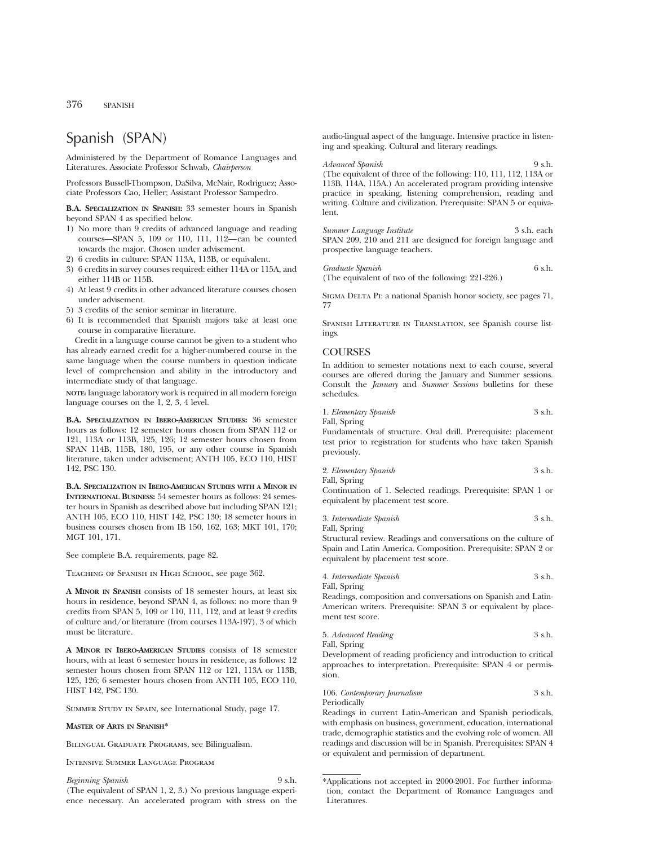# Spanish (SPAN)

Administered by the Department of Romance Languages and Literatures. Associate Professor Schwab, *Chairperson*

Professors Bussell-Thompson, DaSilva, McNair, Rodriguez; Associate Professors Cao, Heller; Assistant Professor Sampedro.

**B.A. SPECIALIZATION IN SPANISH:** 33 semester hours in Spanish beyond SPAN 4 as specified below.

- 1) No more than 9 credits of advanced language and reading courses—SPAN 5, 109 or 110, 111, 112—can be counted towards the major. Chosen under advisement.
- 2) 6 credits in culture: SPAN 113A, 113B, or equivalent.
- 3) 6 credits in survey courses required: either 114A or 115A, and either 114B or 115B.
- 4) At least 9 credits in other advanced literature courses chosen under advisement.
- 5) 3 credits of the senior seminar in literature.
- 6) It is recommended that Spanish majors take at least one course in comparative literature.

Credit in a language course cannot be given to a student who has already earned credit for a higher-numbered course in the same language when the course numbers in question indicate level of comprehension and ability in the introductory and intermediate study of that language.

**NOTE:** language laboratory work is required in all modern foreign language courses on the 1, 2, 3, 4 level.

**B.A. SPECIALIZATION IN IBERO-AMERICAN STUDIES:** 36 semester hours as follows: 12 semester hours chosen from SPAN 112 or 121, 113A or 113B, 125, 126; 12 semester hours chosen from SPAN 114B, 115B, 180, 195, or any other course in Spanish literature, taken under advisement; ANTH 105, ECO 110, HIST 142, PSC 130.

**B.A. SPECIALIZATION IN IBERO-AMERICAN STUDIES WITH A MINOR IN INTERNATIONAL BUSINESS:** 54 semester hours as follows: 24 semester hours in Spanish as described above but including SPAN 121; ANTH 105, ECO 110, HIST 142, PSC 130; 18 semeter hours in business courses chosen from IB 150, 162, 163; MKT 101, 170; MGT 101, 171.

See complete B.A. requirements, page 82.

Teaching of Spanish in High School, see page 362.

**A MINOR IN SPANISH** consists of 18 semester hours, at least six hours in residence, beyond SPAN 4, as follows: no more than 9 credits from SPAN 5, 109 or 110, 111, 112, and at least 9 credits of culture and/or literature (from courses 113A-197), 3 of which must be literature.

**A MINOR IN IBERO-AMERICAN STUDIES** consists of 18 semester hours, with at least 6 semester hours in residence, as follows: 12 semester hours chosen from SPAN 112 or 121, 113A or 113B, 125, 126; 6 semester hours chosen from ANTH 105, ECO 110, HIST 142, PSC 130.

Summer Study in Spain, see International Study, page 17.

#### **MASTER OF ARTS IN SPANISH\***

Bilingual Graduate Programs, see Bilingualism.

Intensive Summer Language Program

## *Beginning Spanish* 9 s.h.

(The equivalent of SPAN 1, 2, 3.) No previous language experience necessary. An accelerated program with stress on the

audio-lingual aspect of the language. Intensive practice in listening and speaking. Cultural and literary readings.

*Advanced Spanish* 9 s.h. (The equivalent of three of the following: 110, 111, 112, 113A or 113B, 114A, 115A.) An accelerated program providing intensive practice in speaking, listening comprehension, reading and writing. Culture and civilization. Prerequisite: SPAN 5 or equivalent.

*Summer Language Institute* 3 s.h. each SPAN 209, 210 and 211 are designed for foreign language and prospective language teachers.

*Graduate Spanish* 6 s.h.

(The equivalent of two of the following: 221-226.)

Sigma Delta Pi: a national Spanish honor society, see pages 71, 77

Spanish Literature in Translation, see Spanish course listings.

## **COURSES**

In addition to semester notations next to each course, several courses are offered during the January and Summer sessions. Consult the *January* and *Summer Sessions* bulletins for these schedules.

| 1. Elementary Spanish | 3 s.h. |  |
|-----------------------|--------|--|
|                       |        |  |

Fall, Spring

Fundamentals of structure. Oral drill. Prerequisite: placement test prior to registration for students who have taken Spanish previously.

2. *Elementary Spanish* 3 s.h. Fall, Spring

Continuation of 1. Selected readings. Prerequisite: SPAN 1 or equivalent by placement test score.

3. *Intermediate Spanish* 3 s.h. Fall, Spring

Structural review. Readings and conversations on the culture of Spain and Latin America. Composition. Prerequisite: SPAN 2 or equivalent by placement test score.

|  | 4. Intermediate Spanish |  | 3 s.h. |  |
|--|-------------------------|--|--------|--|
|--|-------------------------|--|--------|--|

Fall, Spring

Readings, composition and conversations on Spanish and Latin-American writers. Prerequisite: SPAN 3 or equivalent by placement test score.

| 5. Advanced Reading | 3 s.h. |
|---------------------|--------|
| Fall, Spring        |        |

Development of reading proficiency and introduction to critical approaches to interpretation. Prerequisite: SPAN 4 or permission.

## 106. *Contemporary Journalism* 3 s.h. **Periodically**

Readings in current Latin-American and Spanish periodicals, with emphasis on business, government, education, international trade, demographic statistics and the evolving role of women. All readings and discussion will be in Spanish. Prerequisites: SPAN 4 or equivalent and permission of department.

<sup>\*</sup>Applications not accepted in 2000-2001. For further information, contact the Department of Romance Languages and Literatures.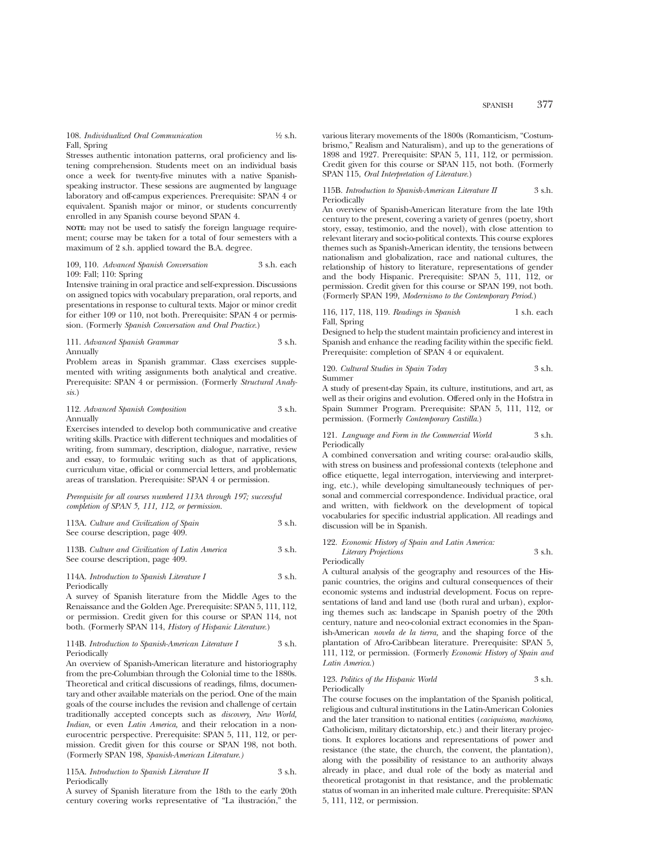108. *Individualized Oral Communication* 1⁄2 s.h. Fall, Spring

Stresses authentic intonation patterns, oral proficiency and listening comprehension. Students meet on an individual basis once a week for twenty-five minutes with a native Spanishspeaking instructor. These sessions are augmented by language laboratory and off-campus experiences. Prerequisite: SPAN 4 or equivalent. Spanish major or minor, or students concurrently enrolled in any Spanish course beyond SPAN 4.

**NOTE:** may not be used to satisfy the foreign language requirement; course may be taken for a total of four semesters with a maximum of 2 s.h. applied toward the B.A. degree.

#### 109, 110. *Advanced Spanish Conversation* 3 s.h. each 109: Fall; 110: Spring

Intensive training in oral practice and self-expression. Discussions on assigned topics with vocabulary preparation, oral reports, and presentations in response to cultural texts. Major or minor credit for either 109 or 110, not both. Prerequisite: SPAN 4 or permission. (Formerly *Spanish Conversation and Oral Practice.*)

111. *Advanced Spanish Grammar* 3 s.h. Annually

Problem areas in Spanish grammar. Class exercises supplemented with writing assignments both analytical and creative. Prerequisite: SPAN 4 or permission. (Formerly *Structural Analysis.*)

## 112. *Advanced Spanish Composition* 3 s.h. Annually

Exercises intended to develop both communicative and creative writing skills. Practice with different techniques and modalities of writing, from summary, description, dialogue, narrative, review and essay, to formulaic writing such as that of applications, curriculum vitae, official or commercial letters, and problematic areas of translation. Prerequisite: SPAN 4 or permission.

*Prerequisite for all courses numbered 113A through 197; successful completion of SPAN 5, 111, 112, or permission.*

| 113A. Culture and Civilization of Spain | 3 s.h. |
|-----------------------------------------|--------|
| See course description, page 409.       |        |

113B. *Culture and Civilization of Latin America* 3 s.h. See course description, page 409.

114A. *Introduction to Spanish Literature I* 3 s.h. Periodically

A survey of Spanish literature from the Middle Ages to the Renaissance and the Golden Age. Prerequisite: SPAN 5, 111, 112, or permission. Credit given for this course or SPAN 114, not both. (Formerly SPAN 114, *History of Hispanic Literature.*)

#### 114B. *Introduction to Spanish-American Literature I* 3 s.h. Periodically

An overview of Spanish-American literature and historiography from the pre-Columbian through the Colonial time to the 1880s. Theoretical and critical discussions of readings, films, documentary and other available materials on the period. One of the main goals of the course includes the revision and challenge of certain traditionally accepted concepts such as *discovery, New World, Indian,* or even *Latin America,* and their relocation in a noneurocentric perspective. Prerequisite: SPAN 5, 111, 112, or permission. Credit given for this course or SPAN 198, not both. (Formerly SPAN 198, *Spanish-American Literature.)*

115A. *Introduction to Spanish Literature II* 3 s.h. Periodically

A survey of Spanish literature from the 18th to the early 20th century covering works representative of "La ilustración," the

various literary movements of the 1800s (Romanticism, "Costumbrismo," Realism and Naturalism), and up to the generations of 1898 and 1927. Prerequisite: SPAN 5, 111, 112, or permission. Credit given for this course or SPAN 115, not both. (Formerly SPAN 115, *Oral Interpretation of Literature.*)

#### 115B. *Introduction to Spanish-American Literature II* 3 s.h. Periodically

An overview of Spanish-American literature from the late 19th century to the present, covering a variety of genres (poetry, short story, essay, testimonio, and the novel), with close attention to relevant literary and socio-political contexts. This course explores themes such as Spanish-American identity, the tensions between nationalism and globalization, race and national cultures, the relationship of history to literature, representations of gender and the body Hispanic. Prerequisite: SPAN 5, 111, 112, or permission. Credit given for this course or SPAN 199, not both. (Formerly SPAN 199, *Modernismo to the Contemporary Period.*)

#### 116, 117, 118, 119. *Readings in Spanish* 1 s.h. each Fall, Spring

Designed to help the student maintain proficiency and interest in Spanish and enhance the reading facility within the specific field. Prerequisite: completion of SPAN 4 or equivalent.

120. *Cultural Studies in Spain Today* 3 s.h. Summer

A study of present-day Spain, its culture, institutions, and art, as well as their origins and evolution. Offered only in the Hofstra in Spain Summer Program. Prerequisite: SPAN 5, 111, 112, or permission. (Formerly *Contemporary Castilla.*)

#### 121. *Language and Form in the Commercial World* 3 s.h. **Periodically**

A combined conversation and writing course: oral-audio skills, with stress on business and professional contexts (telephone and office etiquette, legal interrogation, interviewing and interpreting, etc.), while developing simultaneously techniques of personal and commercial correspondence. Individual practice, oral and written, with fieldwork on the development of topical vocabularies for specific industrial application. All readings and discussion will be in Spanish.

#### 122. *Economic History of Spain and Latin America: Literary Projections* 3 s.h. Periodically

A cultural analysis of the geography and resources of the Hispanic countries, the origins and cultural consequences of their economic systems and industrial development. Focus on representations of land and land use (both rural and urban), exploring themes such as: landscape in Spanish poetry of the 20th century, nature and neo-colonial extract economies in the Spanish-American *novela de la tierra,* and the shaping force of the plantation of Afro-Caribbean literature. Prerequisite: SPAN 5, 111, 112, or permission. (Formerly *Economic History of Spain and Latin America.*)

#### 123. Politics of the Hispanic World 3 s.h. Periodically

The course focuses on the implantation of the Spanish political, religious and cultural institutions in the Latin-American Colonies and the later transition to national entities (*caciquismo, machismo,* Catholicism, military dictatorship, etc.) and their literary projections. It explores locations and representations of power and resistance (the state, the church, the convent, the plantation), along with the possibility of resistance to an authority always already in place, and dual role of the body as material and theoretical protagonist in that resistance, and the problematic status of woman in an inherited male culture. Prerequisite: SPAN 5, 111, 112, or permission.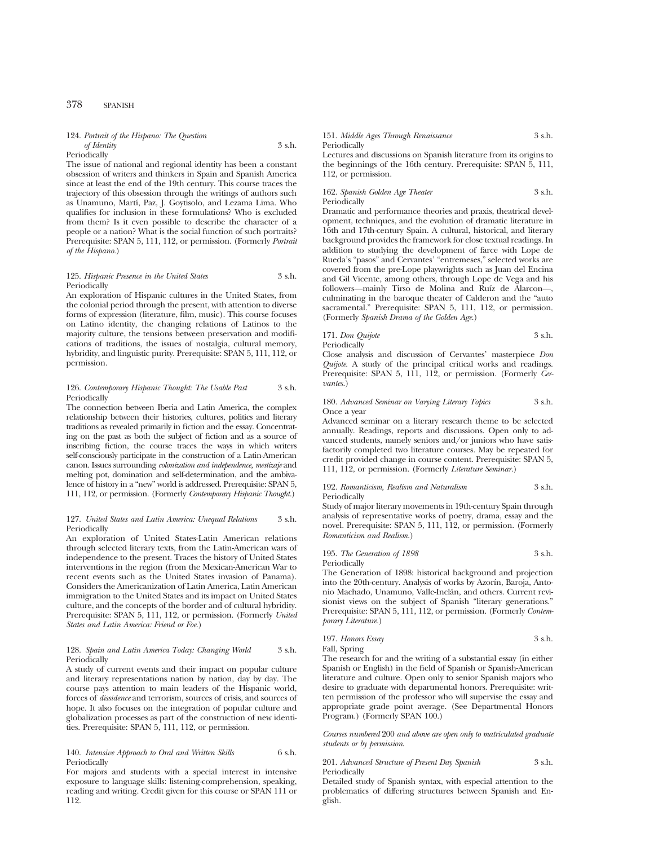#### 124. *Portrait of the Hispano: The Question of Identity* 3 s.h. Periodically

The issue of national and regional identity has been a constant obsession of writers and thinkers in Spain and Spanish America since at least the end of the 19th century. This course traces the trajectory of this obsession through the writings of authors such as Unamuno, Martı´, Paz, J. Goytisolo, and Lezama Lima. Who qualifies for inclusion in these formulations? Who is excluded from them? Is it even possible to describe the character of a people or a nation? What is the social function of such portraits? Prerequisite: SPAN 5, 111, 112, or permission. (Formerly *Portrait of the Hispano.*)

#### 125. *Hispanic Presence in the United States* 3 s.h. Periodically

An exploration of Hispanic cultures in the United States, from the colonial period through the present, with attention to diverse forms of expression (literature, film, music). This course focuses on Latino identity, the changing relations of Latinos to the majority culture, the tensions between preservation and modifications of traditions, the issues of nostalgia, cultural memory, hybridity, and linguistic purity. Prerequisite: SPAN 5, 111, 112, or permission.

## 126. *Contemporary Hispanic Thought: The Usable Past* 3 s.h. Periodically

The connection between Iberia and Latin America, the complex relationship between their histories, cultures, politics and literary traditions as revealed primarily in fiction and the essay. Concentrating on the past as both the subject of fiction and as a source of inscribing fiction, the course traces the ways in which writers self-consciously participate in the construction of a Latin-American canon. Issues surrounding *colonization and independence, mestizaje* and melting pot, domination and self-determination, and the ambivalence of history in a "new" world is addressed. Prerequisite: SPAN 5, 111, 112, or permission. (Formerly *Contemporary Hispanic Thought.*)

#### 127. *United States and Latin America: Unequal Relations* 3 s.h. Periodically

An exploration of United States-Latin American relations through selected literary texts, from the Latin-American wars of independence to the present. Traces the history of United States interventions in the region (from the Mexican-American War to recent events such as the United States invasion of Panama). Considers the Americanization of Latin America, Latin American immigration to the United States and its impact on United States culture, and the concepts of the border and of cultural hybridity. Prerequisite: SPAN 5, 111, 112, or permission. (Formerly *United States and Latin America: Friend or Foe.*)

#### 128. *Spain and Latin America Today: Changing World* 3 s.h. Periodically

A study of current events and their impact on popular culture and literary representations nation by nation, day by day. The course pays attention to main leaders of the Hispanic world, forces of *dissidence* and terrorism, sources of crisis, and sources of hope. It also focuses on the integration of popular culture and globalization processes as part of the construction of new identities. Prerequisite: SPAN 5, 111, 112, or permission.

#### 140. *Intensive Approach to Oral and Written Skills* 6 s.h. Periodically

For majors and students with a special interest in intensive exposure to language skills: listening-comprehension, speaking, reading and writing. Credit given for this course or SPAN 111 or 112.

#### 151. *Middle Ages Through Renaissance* 3 s.h. Periodically

Lectures and discussions on Spanish literature from its origins to the beginnings of the 16th century. Prerequisite: SPAN 5, 111, 112, or permission.

#### 162. *Spanish Golden Age Theater* 3 s.h. Periodically

Dramatic and performance theories and praxis, theatrical development, techniques, and the evolution of dramatic literature in 16th and 17th-century Spain. A cultural, historical, and literary background provides the framework for close textual readings. In addition to studying the development of farce with Lope de Rueda's "pasos" and Cervantes' "entremeses," selected works are covered from the pre-Lope playwrights such as Juan del Encina and Gil Vicente, among others, through Lope de Vega and his followers—mainly Tirso de Molina and Ruíz de Alarcon—, culminating in the baroque theater of Calderon and the "auto sacramental." Prerequisite: SPAN 5, 111, 112, or permission. (Formerly *Spanish Drama of the Golden Age.*)

171. *Don Quijote* 3 s.h. Periodically

Close analysis and discussion of Cervantes' masterpiece *Don Quijote.* A study of the principal critical works and readings. Prerequisite: SPAN 5, 111, 112, or permission. (Formerly *Cervantes.*)

#### 180. *Advanced Seminar on Varying Literary Topics* 3 s.h. Once a year

Advanced seminar on a literary research theme to be selected annually. Readings, reports and discussions. Open only to advanced students, namely seniors and/or juniors who have satisfactorily completed two literature courses. May be repeated for credit provided change in course content. Prerequisite: SPAN 5, 111, 112, or permission. (Formerly *Literature Seminar.*)

#### 192. *Romanticism, Realism and Naturalism* 3 s.h. Periodically

Study of major literary movements in 19th-century Spain through analysis of representative works of poetry, drama, essay and the novel. Prerequisite: SPAN 5, 111, 112, or permission. (Formerly *Romanticism and Realism.*)

195. *The Generation of 1898* 3 s.h. Periodically

The Generation of 1898: historical background and projection into the 20th-century. Analysis of works by Azorín, Baroja, Antonio Machado, Unamuno, Valle-Inclán, and others. Current revisionist views on the subject of Spanish "literary generations." Prerequisite: SPAN 5, 111, 112, or permission. (Formerly *Contemporary Literature.*)

197. *Honors Essay* 3 s.h. Fall, Spring

The research for and the writing of a substantial essay (in either Spanish or English) in the field of Spanish or Spanish-American literature and culture. Open only to senior Spanish majors who desire to graduate with departmental honors. Prerequisite: written permission of the professor who will supervise the essay and appropriate grade point average. (See Departmental Honors Program.) (Formerly SPAN 100.)

*Courses numbered* 200 *and above are open only to matriculated graduate students or by permission*.

201. *Advanced Structure of Present Day Spanish* 3 s.h. Periodically

Detailed study of Spanish syntax, with especial attention to the problematics of differing structures between Spanish and English.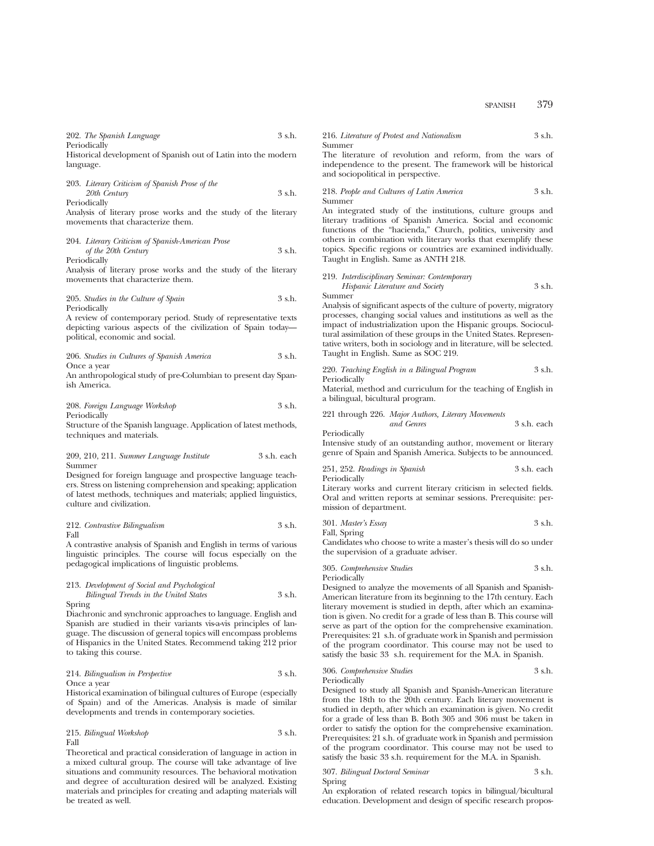SPANISH 379

202. *The Spanish Language* 3 s.h. **Periodically** 

Historical development of Spanish out of Latin into the modern language.

203. *Literary Criticism of Spanish Prose of the 20th Century* 3 s.h. Periodically

Analysis of literary prose works and the study of the literary movements that characterize them.

| 204. Literary Criticism of Spanish-American Prose |        |
|---------------------------------------------------|--------|
| of the 20th Century                               | 3 s.h. |
| Periodically                                      |        |

Analysis of literary prose works and the study of the literary movements that characterize them.

205. *Studies in the Culture of Spain* 3 s.h. Periodically

A review of contemporary period. Study of representative texts depicting various aspects of the civilization of Spain today political, economic and social.

206. *Studies in Cultures of Spanish America* 3 s.h. Once a year

An anthropological study of pre-Columbian to present day Spanish America.

208. *Foreign Language Workshop* 3 s.h. Periodically

Structure of the Spanish language. Application of latest methods, techniques and materials.

#### 209, 210, 211. *Summer Language Institute* 3 s.h. each Summer

Designed for foreign language and prospective language teachers. Stress on listening comprehension and speaking; application of latest methods, techniques and materials; applied linguistics, culture and civilization.

212. *Contrastive Bilingualism* 3 s.h. Fall

A contrastive analysis of Spanish and English in terms of various linguistic principles. The course will focus especially on the pedagogical implications of linguistic problems.

## 213. *Development of Social and Psychological*

*Bilingual Trends in the United States* 3 s.h. Spring

Diachronic and synchronic approaches to language. English and Spanish are studied in their variants vis-a-vis principles of language. The discussion of general topics will encompass problems of Hispanics in the United States. Recommend taking 212 prior to taking this course.

## 214. *Bilingualism in Perspective* 3 s.h. Once a year

Historical examination of bilingual cultures of Europe (especially of Spain) and of the Americas. Analysis is made of similar developments and trends in contemporary societies.

215. *Bilingual Workshop* 3 s.h. Fall

Theoretical and practical consideration of language in action in a mixed cultural group. The course will take advantage of live situations and community resources. The behavioral motivation and degree of acculturation desired will be analyzed. Existing materials and principles for creating and adapting materials will be treated as well.

216. *Literature of Protest and Nationalism* 3 s.h. Summer

The literature of revolution and reform, from the wars of independence to the present. The framework will be historical and sociopolitical in perspective.

218. *People and Cultures of Latin America* 3 s.h. Summer

An integrated study of the institutions, culture groups and literary traditions of Spanish America. Social and economic functions of the "hacienda," Church, politics, university and others in combination with literary works that exemplify these topics. Specific regions or countries are examined individually. Taught in English. Same as ANTH 218.

219. *Interdisciplinary Seminar: Contemporary Hispanic Literature and Society* 3 s.h. Summer

Analysis of significant aspects of the culture of poverty, migratory processes, changing social values and institutions as well as the impact of industrialization upon the Hispanic groups. Sociocultural assimilation of these groups in the United States. Representative writers, both in sociology and in literature, will be selected. Taught in English. Same as SOC 219.

220. *Teaching English in a Bilingual Program* 3 s.h. Periodically

Material, method and curriculum for the teaching of English in a bilingual, bicultural program.

221 through 226. *Major Authors, Literary Movements and Genres* 3 s.h. each

Periodically

Intensive study of an outstanding author, movement or literary genre of Spain and Spanish America. Subjects to be announced.

251, 252. *Readings in Spanish* 3 s.h. each Periodically

Literary works and current literary criticism in selected fields. Oral and written reports at seminar sessions. Prerequisite: permission of department.

301. *Master's Essay* 3 s.h.

Fall, Spring

Candidates who choose to write a master's thesis will do so under the supervision of a graduate adviser.

305. *Comprehensive Studies* 3 s.h. Periodically

Designed to analyze the movements of all Spanish and Spanish-American literature from its beginning to the 17th century. Each literary movement is studied in depth, after which an examination is given. No credit for a grade of less than B. This course will serve as part of the option for the comprehensive examination. Prerequisites: 21 s.h. of graduate work in Spanish and permission of the program coordinator. This course may not be used to satisfy the basic 33 s.h. requirement for the M.A. in Spanish.

# 306. *Comprehensive Studies* 3 s.h.

Periodically

Designed to study all Spanish and Spanish-American literature from the 18th to the 20th century. Each literary movement is studied in depth, after which an examination is given. No credit for a grade of less than B. Both 305 and 306 must be taken in order to satisfy the option for the comprehensive examination. Prerequisites: 21 s.h. of graduate work in Spanish and permission of the program coordinator. This course may not be used to satisfy the basic 33 s.h. requirement for the M.A. in Spanish.

307. *Bilingual Doctoral Seminar* 3 s.h. Spring

An exploration of related research topics in bilingual/bicultural education. Development and design of specific research propos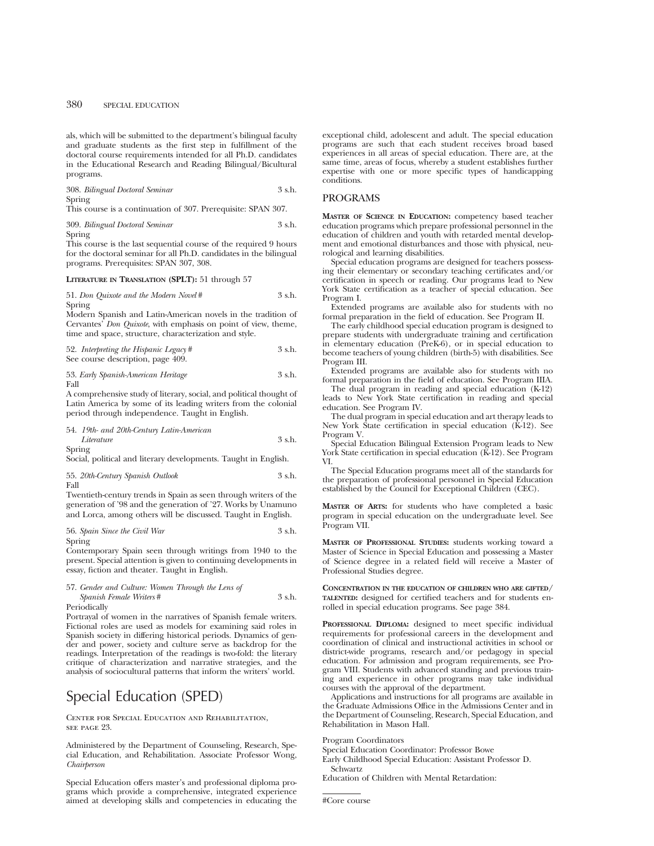als, which will be submitted to the department's bilingual faculty and graduate students as the first step in fulfillment of the doctoral course requirements intended for all Ph.D. candidates in the Educational Research and Reading Bilingual/Bicultural programs.

308. *Bilingual Doctoral Seminar* 3 s.h. Spring

This course is a continuation of 307. Prerequisite: SPAN 307.

309. *Bilingual Doctoral Seminar* 3 s.h. Spring

This course is the last sequential course of the required 9 hours for the doctoral seminar for all Ph.D. candidates in the bilingual programs. Prerequisites: SPAN 307, 308.

#### **LITERATURE IN TRANSLATION (SPLT):** 51 through 57

51. *Don Quixote and the Modern Novel* # 3 s.h. Spring

Modern Spanish and Latin-American novels in the tradition of Cervantes' *Don Quixote*, with emphasis on point of view, theme, time and space, structure, characterization and style.

| 52. Interpreting the Hispanic Legacy# | - 3 s.h. |
|---------------------------------------|----------|
| See course description, page 409.     |          |

|      | 53. Early Spanish-American Heritage | 3 s.h. |
|------|-------------------------------------|--------|
| Fall |                                     |        |

A comprehensive study of literary, social, and political thought of Latin America by some of its leading writers from the colonial period through independence. Taught in English.

54. *19th- and 20th-Century Latin-American Literature* 3 s.h. Spring

Social, political and literary developments. Taught in English.

55. *20th-Century Spanish Outlook* 3 s.h. Fall

Twentieth-century trends in Spain as seen through writers of the generation of '98 and the generation of '27. Works by Unamuno and Lorca, among others will be discussed. Taught in English.

56. Spain Since the Civil War Spring

Contemporary Spain seen through writings from 1940 to the present. Special attention is given to continuing developments in essay, fiction and theater. Taught in English.

## 57. *Gender and Culture: Women Through the Lens of*

*Spanish Female Writers* # 3 s.h. Periodically

Portrayal of women in the narratives of Spanish female writers. Fictional roles are used as models for examining said roles in Spanish society in differing historical periods. Dynamics of gender and power, society and culture serve as backdrop for the readings. Interpretation of the readings is two-fold: the literary critique of characterization and narrative strategies, and the analysis of sociocultural patterns that inform the writers' world.

# Special Education (SPED)

Center for Special Education and Rehabilitation, see page 23.

Administered by the Department of Counseling, Research, Special Education, and Rehabilitation. Associate Professor Wong, *Chairperson*

Special Education offers master's and professional diploma programs which provide a comprehensive, integrated experience aimed at developing skills and competencies in educating the exceptional child, adolescent and adult. The special education programs are such that each student receives broad based experiences in all areas of special education. There are, at the same time, areas of focus, whereby a student establishes further expertise with one or more specific types of handicapping conditions.

## PROGRAMS

**MASTER OF SCIENCE IN EDUCATION:** competency based teacher education programs which prepare professional personnel in the education of children and youth with retarded mental development and emotional disturbances and those with physical, neurological and learning disabilities.

Special education programs are designed for teachers possessing their elementary or secondary teaching certificates and/or certification in speech or reading. Our programs lead to New York State certification as a teacher of special education. See Program I.

Extended programs are available also for students with no formal preparation in the field of education. See Program II.

The early childhood special education program is designed to prepare students with undergraduate training and certification in elementary education (PreK-6), or in special education to become teachers of young children (birth-5) with disabilities. See Program III.

Extended programs are available also for students with no formal preparation in the field of education. See Program IIIA.

The dual program in reading and special education (K-12) leads to New York State certification in reading and special education. See Program IV.

The dual program in special education and art therapy leads to New York State certification in special education (K-12). See Program V.

Special Education Bilingual Extension Program leads to New York State certification in special education (K-12). See Program VI.

The Special Education programs meet all of the standards for the preparation of professional personnel in Special Education established by the Council for Exceptional Children (CEC).

**MASTER OF ARTS:** for students who have completed a basic program in special education on the undergraduate level. See Program VII.

**MASTER OF PROFESSIONAL STUDIES:** students working toward a Master of Science in Special Education and possessing a Master of Science degree in a related field will receive a Master of Professional Studies degree.

**CONCENTRATION IN THE EDUCATION OF CHILDREN WHO ARE GIFTED/ TALENTED:** designed for certified teachers and for students enrolled in special education programs. See page 384.

**PROFESSIONAL DIPLOMA:** designed to meet specific individual requirements for professional careers in the development and coordination of clinical and instructional activities in school or district-wide programs, research and/or pedagogy in special education. For admission and program requirements, see Program VIII. Students with advanced standing and previous training and experience in other programs may take individual courses with the approval of the department.

Applications and instructions for all programs are available in the Graduate Admissions Office in the Admissions Center and in the Department of Counseling, Research, Special Education, and Rehabilitation in Mason Hall.

Program Coordinators

Special Education Coordinator: Professor Bowe

Early Childhood Special Education: Assistant Professor D. Schwartz

Education of Children with Mental Retardation:

#Core course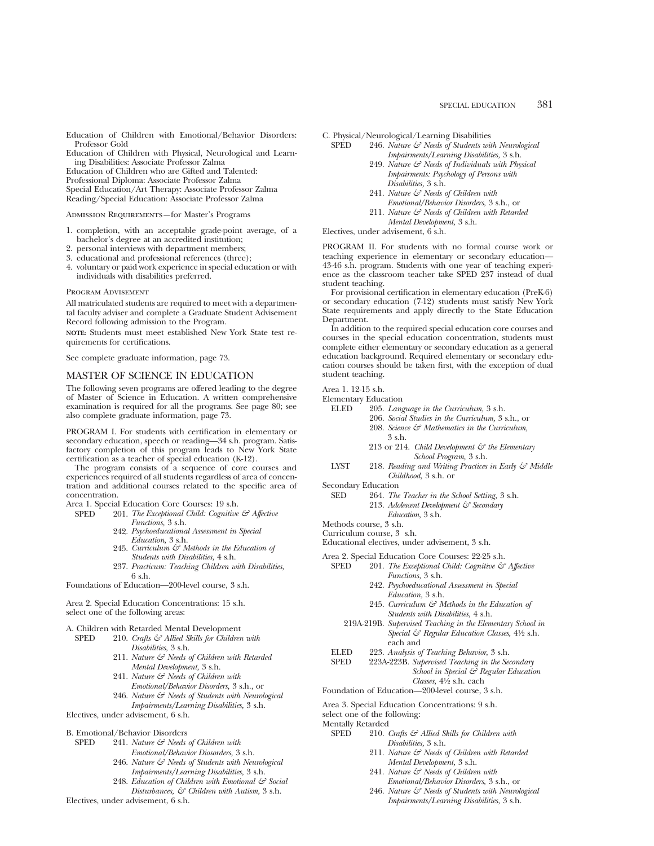Education of Children with Emotional/Behavior Disorders: Professor Gold

Education of Children with Physical, Neurological and Learning Disabilities: Associate Professor Zalma

Education of Children who are Gifted and Talented:

Professional Diploma: Associate Professor Zalma

Special Education/Art Therapy: Associate Professor Zalma Reading/Special Education: Associate Professor Zalma

Admission Requirements—for Master's Programs

- 1. completion, with an acceptable grade-point average, of a bachelor's degree at an accredited institution;
- 2. personal interviews with department members;
- 3. educational and professional references (three);
- 4. voluntary or paid work experience in special education or with individuals with disabilities preferred.

#### Program Advisement

All matriculated students are required to meet with a departmental faculty adviser and complete a Graduate Student Advisement Record following admission to the Program.

**NOTE:** Students must meet established New York State test requirements for certifications.

See complete graduate information, page 73.

## MASTER OF SCIENCE IN EDUCATION

The following seven programs are offered leading to the degree of Master of Science in Education. A written comprehensive examination is required for all the programs. See page 80; see also complete graduate information, page 73.

PROGRAM I. For students with certification in elementary or secondary education, speech or reading—34 s.h. program. Satisfactory completion of this program leads to New York State certification as a teacher of special education (K-12).

The program consists of a sequence of core courses and experiences required of all students regardless of area of concentration and additional courses related to the specific area of concentration.

Area 1. Special Education Core Courses: 19 s.h.

- SPED 201. *The Exceptional Child: Cognitive & Affective Functions,* 3 s.h.
	- 242. *Psychoeducational Assessment in Special Education,* 3 s.h.
	- 245. *Curriculum & Methods in the Education of Students with Disabilities,* 4 s.h.
	- 237. *Practicum: Teaching Children with Disabilities,* 6 s.h.

Foundations of Education—200-level course, 3 s.h.

Area 2. Special Education Concentrations: 15 s.h. select one of the following areas:

# A. Children with Retarded Mental Development<br>SPED 210. Crafts & Allied Skills for Children

- 210. *Crafts & Allied Skills for Children with Disabilities,* 3 s.h.
	- 211. *Nature & Needs of Children with Retarded Mental Development,* 3 s.h.
	- 241. *Nature & Needs of Children with Emotional/Behavior Disorders,* 3 s.h., or
	- 246. *Nature & Needs of Students with Neurological Impairments/Learning Disabilities,* 3 s.h.

Electives, under advisement, 6 s.h.

- B. Emotional/Behavior Disorders
	- SPED 241. *Nature & Needs of Children with Emotional/Behavior Diosorders,* 3 s.h.
		- 246. *Nature & Needs of Students with Neurological Impairments/Learning Disabilities,* 3 s.h.
		- 248. *Education of Children with Emotional & Social Disturbances, & Children with Autism,* 3 s.h.

Electives, under advisement, 6 s.h.

- C. Physical/Neurological/Learning Disabilities<br>SPED 246. Nature  $\mathcal{E}^{\mathcal{P}}$  Needs of Students with
	- 246. *Nature & Needs of Students with Neurological Impairments/Learning Disabilities,* 3 s.h.
		- 249. *Nature & Needs of Individuals with Physical Impairments: Psychology of Persons with Disabilities,* 3 s.h.
		- 241. *Nature & Needs of Children with Emotional/Behavior Disorders,* 3 s.h., or
		- 211. *Nature & Needs of Children with Retarded*
		- *Mental Development,* 3 s.h.

Electives, under advisement, 6 s.h.

PROGRAM II. For students with no formal course work or teaching experience in elementary or secondary education— 43-46 s.h. program. Students with one year of teaching experience as the classroom teacher take SPED 237 instead of dual student teaching.

For provisional certification in elementary education (PreK-6) or secondary education (7-12) students must satisfy New York State requirements and apply directly to the State Education Department.

In addition to the required special education core courses and courses in the special education concentration, students must complete either elementary or secondary education as a general education background. Required elementary or secondary education courses should be taken first, with the exception of dual student teaching.

Area 1. 12-15 s.h.

Elementary Education<br>ELED 205. Lang

- ELED 205. *Language in the Curriculum,* 3 s.h.
	- 206. *Social Studies in the Curriculum,* 3 s.h., or 208. *Science & Mathematics in the Curriculum,* 3 s.h.
	- 213 or 214. *Child Development & the Elementary School Program,* 3 s.h.
- LYST 218. *Reading and Writing Practices in Early & Middle Childhood,* 3 s.h. or
- Secondary Education<br>SED 264 The
	- 264. *The Teacher in the School Setting*, 3 s.h.
		- 213. *Adolescent Development & Secondary*
	- *Education,* 3 s.h.

#### Methods course, 3 s.h. Curriculum course, 3 s.h.

Educational electives, under advisement, 3 s.h.

Area 2. Special Education Core Courses: 22-25 s.h.

- SPED 201. *The Exceptional Child: Cognitive & Affective Functions,* 3 s.h.
	- 242. *Psychoeducational Assessment in Special Education,* 3 s.h.
	- 245. *Curriculum & Methods in the Education of Students with Disabilities,* 4 s.h.
	- 219A-219B. *Supervised Teaching in the Elementary School in Special & Regular Education Classes,* 41⁄2 s.h. each and
- ELED 223. *Analysis of Teaching Behavior*, 3 s.h. 223A-223B. Supervised Teaching in the Secondary *School in Special & Regular Education Classes,* 41⁄2 s.h. each

Foundation of Education—200-level course, 3 s.h.

Area 3. Special Education Concentrations: 9 s.h.

- select one of the following:
- Mentally Retarded<br>SPED 210.
	- 210. *Crafts & Allied Skills for Children with Disabilities,* 3 s.h.
		- 211. *Nature & Needs of Children with Retarded Mental Development,* 3 s.h.
		- 241. *Nature & Needs of Children with Emotional/Behavior Disorders,* 3 s.h., or
		- 246. *Nature & Needs of Students with Neurological Impairments/Learning Disabilities,* 3 s.h.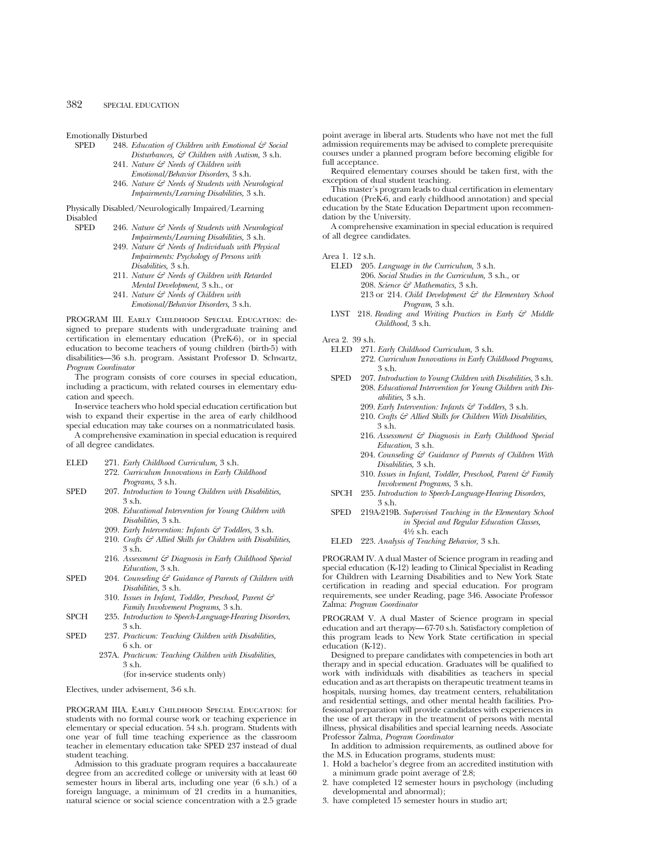Emotionally Disturbed<br>SPED 248. *Educ* 

- 248. *Education of Children with Emotional & Social Disturbances, & Children with Autism,* 3 s.h.
	- 241. *Nature & Needs of Children with Emotional/Behavior Disorders,* 3 s.h.
	- 246. *Nature & Needs of Students with Neurological Impairments/Learning Disabilities,* 3 s.h.

Physically Disabled/Neurologically Impaired/Learning Disabled<br>SPED

- 246. *Nature & Needs of Students with Neurological Impairments/Learning Disabilities,* 3 s.h.
	- 249. *Nature & Needs of Individuals with Physical Impairments: Psychology of Persons with Disabilities,* 3 s.h.
	- 211. *Nature & Needs of Children with Retarded Mental Development,* 3 s.h., or
	- 241. *Nature & Needs of Children with Emotional/Behavior Disorders,* 3 s.h.

PROGRAM III. Early Childhood Special Education: designed to prepare students with undergraduate training and certification in elementary education (PreK-6), or in special education to become teachers of young children (birth-5) with disabilities—36 s.h. program. Assistant Professor D. Schwartz, *Program Coordinator*

The program consists of core courses in special education, including a practicum, with related courses in elementary education and speech.

In-service teachers who hold special education certification but wish to expand their expertise in the area of early childhood special education may take courses on a nonmatriculated basis.

A comprehensive examination in special education is required of all degree candidates.

- ELED 271. *Early Childhood Curriculum,* 3 s.h.
	- 272. *Curriculum Innovations in Early Childhood Programs,* 3 s.h.
- SPED 207. *Introduction to Young Children with Disabilities,* 3 s.h.
	- 208. *Educational Intervention for Young Children with Disabilities,* 3 s.h.
	- 209. *Early Intervention: Infants & Toddlers,* 3 s.h.
	- 210. *Crafts & Allied Skills for Children with Disabilities,* 3 s.h.
	- 216. *Assessment & Diagnosis in Early Childhood Special Education,* 3 s.h.
- SPED 204. *Counseling & Guidance of Parents of Children with Disabilities,* 3 s.h.
	- 310. *Issues in Infant, Toddler, Preschool, Parent & Family Involvement Programs,* 3 s.h.
- SPCH 235. *Introduction to Speech-Language-Hearing Disorders*, 3 s.h.
- SPED 237. *Practicum: Teaching Children with Disabilities,* 6 s.h. or
	- 237A. *Practicum: Teaching Children with Disabilities,* 3 s.h.

(for in-service students only)

Electives, under advisement, 3-6 s.h.

PROGRAM IIIA. Early Childhood Special Education: for students with no formal course work or teaching experience in elementary or special education. 54 s.h. program. Students with one year of full time teaching experience as the classroom teacher in elementary education take SPED 237 instead of dual student teaching.

Admission to this graduate program requires a baccalaureate degree from an accredited college or university with at least 60 semester hours in liberal arts, including one year (6 s.h.) of a foreign language, a minimum of 21 credits in a humanities, natural science or social science concentration with a 2.5 grade point average in liberal arts. Students who have not met the full admission requirements may be advised to complete prerequisite courses under a planned program before becoming eligible for full acceptance.

Required elementary courses should be taken first, with the exception of dual student teaching.

This master's program leads to dual certification in elementary education (PreK-6, and early childhood annotation) and special education by the State Education Department upon recommendation by the University.

A comprehensive examination in special education is required of all degree candidates.

Area 1. 12 s.h.

- ELED 205. *Language in the Curriculum,* 3 s.h. 206. *Social Studies in the Curriculum,* 3 s.h., or 208. *Science & Mathematics,* 3 s.h.
	- 213 or 214. *Child Development & the Elementary School Program,* 3 s.h.
- LYST 218. *Reading and Writing Practices in Early & Middle Childhood,* 3 s.h.

Area 2. 39 s.h.

- ELED 271. *Early Childhood Curriculum,* 3 s.h. 272. *Curriculum Innovations in Early Childhood Programs,* 3 s.h.
- SPED 207. *Introduction to Young Children with Disabilities,* 3 s.h. 208. *Educational Intervention for Young Children with Disabilities,* 3 s.h.
	- 209. *Early Intervention: Infants & Toddlers,* 3 s.h.
	- 210. *Crafts & Allied Skills for Children With Disabilities,* 3 s.h.
	- 216. *Assessment & Diagnosis in Early Childhood Special Education,* 3 s.h.
	- 204. *Counseling & Guidance of Parents of Children With Disabilities,* 3 s.h.
	- 310. *Issues in Infant, Toddler, Preschool, Parent & Family Involvement Programs,* 3 s.h.
- SPCH 235. *Introduction to Speech-Language-Hearing Disorders,* 3 s.h.
- SPED 219A-219B. *Supervised Teaching in the Elementary School in Special and Regular Education Classes,* 41⁄2 s.h. each
- ELED 223. *Analysis of Teaching Behavior,* 3 s.h.

PROGRAM IV. A dual Master of Science program in reading and special education (K-12) leading to Clinical Specialist in Reading for Children with Learning Disabilities and to New York State certification in reading and special education. For program requirements, see under Reading, page 346. Associate Professor Zalma: *Program Coordinator*

PROGRAM V. A dual Master of Science program in special education and art therapy—67-70 s.h. Satisfactory completion of this program leads to New York State certification in special education (K-12).

Designed to prepare candidates with competencies in both art therapy and in special education. Graduates will be qualified to work with individuals with disabilities as teachers in special education and as art therapists on therapeutic treatment teams in hospitals, nursing homes, day treatment centers, rehabilitation and residential settings, and other mental health facilities. Professional preparation will provide candidates with experiences in the use of art therapy in the treatment of persons with mental illness, physical disabilities and special learning needs. Associate Professor Zalma, *Program Coordinator*

In addition to admission requirements, as outlined above for the M.S. in Education programs, students must:

- 1. Hold a bachelor's degree from an accredited institution with a minimum grade point average of 2.8;
- 2. have completed 12 semester hours in psychology (including developmental and abnormal);
- 3. have completed 15 semester hours in studio art;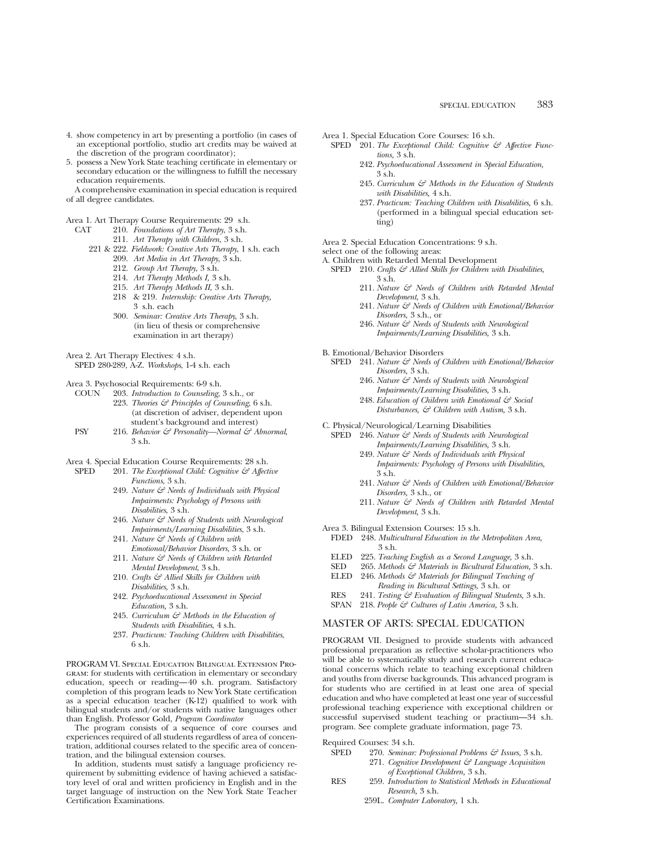- 4. show competency in art by presenting a portfolio (in cases of an exceptional portfolio, studio art credits may be waived at the discretion of the program coordinator);
- 5. possess a New York State teaching certificate in elementary or secondary education or the willingness to fulfill the necessary education requirements.

A comprehensive examination in special education is required of all degree candidates.

Area 1. Art Therapy Course Requirements: 29 s.h.

- CAT 210. *Foundations of Art Therapy*, 3 s.h.
	- 211. *Art Therapy with Children*, 3 s.h.
	- 221 & 222. *Fieldwork: Creative Arts Therapy*, 1 s.h. each 209. *Art Media in Art Therapy*, 3 s.h.
		- 212. *Group Art Therapy*, 3 s.h.
		- 214. *Art Therapy Methods I,* 3 s.h.
		- 215. *Art Therapy Methods II,* 3 s.h.
		- 218 & 219. *Internship: Creative Arts Therapy,* 3 s.h. each
		- 300. *Seminar: Creative Arts Therapy*, 3 s.h. (in lieu of thesis or comprehensive examination in art therapy)

Area 2. Art Therapy Electives: 4 s.h.

SPED 280-289, A-Z. *Workshops*, 1-4 s.h. each

Area 3. Psychosocial Requirements: 6-9 s.h.<br>COUN 203 Introduction to Counseling

- 203. *Introduction to Counseling*, 3 s.h., or 223. *Theories & Principles of Counseling*, 6 s.h. (at discretion of adviser, dependent upon student's background and interest)
- PSY 216. *Behavior & Personality—Normal & Abnormal*, 3 s.h.
- Area 4. Special Education Course Requirements: 28 s.h.
	- SPED 201. *The Exceptional Child: Cognitive & Affective Functions*, 3 s.h.
		- 249. *Nature & Needs of Individuals with Physical Impairments: Psychology of Persons with Disabilities*, 3 s.h.
		- 246. *Nature & Needs of Students with Neurological Impairments/Learning Disabilities*, 3 s.h.
		- 241. *Nature & Needs of Children with Emotional/Behavior Disorders*, 3 s.h. or
		- 211. *Nature & Needs of Children with Retarded Mental Development*, 3 s.h.
		- 210. *Crafts & Allied Skills for Children with Disabilities,* 3 s.h.
		- 242. *Psychoeducational Assessment in Special Education,* 3 s.h.
		- 245. *Curriculum & Methods in the Education of Students with Disabilities*, 4 s.h.
		- 237. *Practicum: Teaching Children with Disabilities*, 6 s.h.

PROGRAM VI. Special Education Bilingual Extension Program: for students with certification in elementary or secondary education, speech or reading—40 s.h. program. Satisfactory completion of this program leads to New York State certification as a special education teacher (K-12) qualified to work with bilingual students and/or students with native languages other than English. Professor Gold, *Program Coordinator*

The program consists of a sequence of core courses and experiences required of all students regardless of area of concentration, additional courses related to the specific area of concentration, and the bilingual extension courses.

In addition, students must satisfy a language proficiency requirement by submitting evidence of having achieved a satisfactory level of oral and written proficiency in English and in the target language of instruction on the New York State Teacher Certification Examinations.

Area 1. Special Education Core Courses: 16 s.h.

- SPED <sup>201</sup>. *The Exceptional Child: Cognitive*  $\mathcal{F}$  *Affective Functions,* 3 s.h.
	- 242. *Psychoeducational Assessment in Special Education,* 3 s.h.
	- 245. *Curriculum & Methods in the Education of Students with Disabilities,* 4 s.h.
	- 237. *Practicum: Teaching Children with Disabilities,* 6 s.h. (performed in a bilingual special education setting)

Area 2. Special Education Concentrations: 9 s.h.

- select one of the following areas:
- A. Children with Retarded Mental Development
	- SPED 210. *Crafts*  $\mathcal{F}$  Allied Skills for Children with Disabilities, 3 s.h.
		- 211. *Nature & Needs of Children with Retarded Mental Development,* 3 s.h.
		- 241. *Nature & Needs of Children with Emotional/Behavior Disorders,* 3 s.h., or
		- 246. *Nature & Needs of Students with Neurological Impairments/Learning Disabilities,* 3 s.h.

B. Emotional/Behavior Disorders

- SPED 241. *Nature & Needs of Children with Emotional/Behavior Disorders,* 3 s.h.
	- 246. *Nature & Needs of Students with Neurological Impairments/Learning Disabilities,* 3 s.h.
	- 248. *Education of Children with Emotional & Social Disturbances, & Children with Autism,* 3 s.h.
- C. Physical/Neurological/Learning Disabilities
	- SPED 246. *Nature & Needs of Students with Neurological Impairments/Learning Disabilities,* 3 s.h.
		- 249. *Nature & Needs of Individuals with Physical Impairments: Psychology of Persons with Disabilities,* 3 s.h.
		- 241. *Nature & Needs of Children with Emotional/Behavior Disorders,* 3 s.h., or
		- 211. *Nature & Needs of Children with Retarded Mental Development,* 3 s.h.
- Area 3. Bilingual Extension Courses: 15 s.h.
- FDED 248. *Multicultural Education in the Metropolitan Area,* 3 s.h.
- ELED 225. *Teaching English as a Second Language,* 3 s.h.
- SED 265. *Methods & Materials in Bicultural Education,* 3 s.h.
- ELED 246. *Methods & Materials for Bilingual Teaching of*
- *Reading in Bicultural Settings,* 3 s.h. or
- RES 241. *Testing & Evaluation of Bilingual Students,* 3 s.h.
- SPAN 218. *People & Cultures of Latin America,* 3 s.h.

## MASTER OF ARTS: SPECIAL EDUCATION

PROGRAM VII. Designed to provide students with advanced professional preparation as reflective scholar-practitioners who will be able to systematically study and research current educational concerns which relate to teaching exceptional children and youths from diverse backgrounds. This advanced program is for students who are certified in at least one area of special education and who have completed at least one year of successful professional teaching experience with exceptional children or successful supervised student teaching or practium—34 s.h. program. See complete graduate information, page 73.

Required Courses: 34 s.h.

- SPED 270. *Seminar: Professional Problems & Issues,* 3 s.h. 271. *Cognitive Development & Language Acquisition of Exceptional Children,* 3 s.h.
- RES 259. *Introduction to Statistical Methods in Educational Research,* 3 s.h.
	- 259L. *Computer Laboratory,* 1 s.h.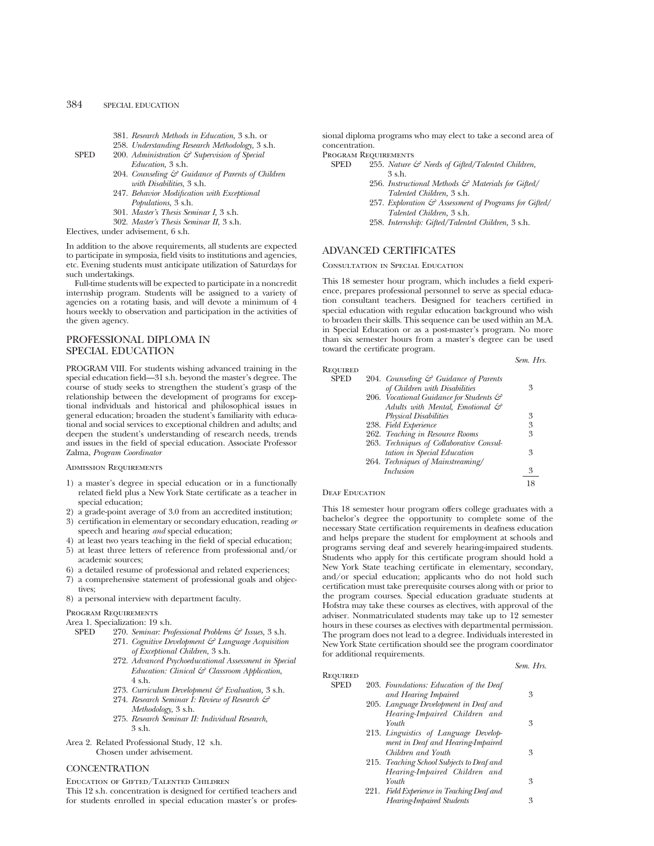- 381. *Research Methods in Education,* 3 s.h. or
- 258. *Understanding Research Methodology,* 3 s.h.
- SPED 200. *Administration*  $\mathcal{E}$  Supervision of Special *Education,* 3 s.h.
	- 204. *Counseling & Guidance of Parents of Children with Disabilities,* 3 s.h.
	- 247. *Behavior Modification with Exceptional Populations,* 3 s.h.
	- 301. *Master's Thesis Seminar I,* 3 s.h.
	- 302. *Master's Thesis Seminar II,* 3 s.h.

Electives, under advisement, 6 s.h.

In addition to the above requirements, all students are expected to participate in symposia, field visits to institutions and agencies, etc. Evening students must anticipate utilization of Saturdays for such undertakings.

Full-time students will be expected to participate in a noncredit internship program. Students will be assigned to a variety of agencies on a rotating basis, and will devote a minimum of 4 hours weekly to observation and participation in the activities of the given agency.

# PROFESSIONAL DIPLOMA IN SPECIAL EDUCATION

PROGRAM VIII. For students wishing advanced training in the special education field—31 s.h. beyond the master's degree. The course of study seeks to strengthen the student's grasp of the relationship between the development of programs for exceptional individuals and historical and philosophical issues in general education; broaden the student's familiarity with educational and social services to exceptional children and adults; and deepen the student's understanding of research needs, trends and issues in the field of special education. Associate Professor Zalma, *Program Coordinator*

#### Admission Requirements

- 1) a master's degree in special education or in a functionally related field plus a New York State certificate as a teacher in special education;
- 2) a grade-point average of 3.0 from an accredited institution;
- 3) certification in elementary or secondary education, reading *or* speech and hearing *and* special education;
- 4) at least two years teaching in the field of special education;
- 5) at least three letters of reference from professional and/or academic sources;
- 6) a detailed resume of professional and related experiences;
- 7) a comprehensive statement of professional goals and objectives;
- 8) a personal interview with department faculty.

# Program Requirements

## Area 1. Specialization: 19 s.h.

- SPED 270. *Seminar: Professional Problems & Issues,* 3 s.h. 271. *Cognitive Development & Language Acquisition of Exceptional Children,* 3 s.h.
	- 272. *Advanced Psychoeducational Assessment in Special Education: Clinical & Classroom Application,* 4 s.h.
	- 273. *Curriculum Development & Evaluation,* 3 s.h.
	- 274. *Research Seminar I: Review of Research & Methodology,* 3 s.h.
	- 275. *Research Seminar II: Individual Research,* 3 s.h.
- Area 2. Related Professional Study, 12 s.h. Chosen under advisement.

#### **CONCENTRATION**

Education of Gifted/Talented Children

This 12 s.h. concentration is designed for certified teachers and for students enrolled in special education master's or professional diploma programs who may elect to take a second area of concentration.

Program Requirements

- SPED 255. *Nature & Needs of Gifted/Talented Children,* 3 s.h.
	- 256. *Instructional Methods & Materials for Gifted/ Talented Children,* 3 s.h.
	- 257. *Exploration & Assessment of Programs for Gifted/ Talented Children,* 3 s.h.
	- 258. *Internship: Gifted/Talented Children,* 3 s.h.

# ADVANCED CERTIFICATES

Consultation in Special Education

This 18 semester hour program, which includes a field experience, prepares professional personnel to serve as special education consultant teachers. Designed for teachers certified in special education with regular education background who wish to broaden their skills. This sequence can be used within an M.A. in Special Education or as a post-master's program. No more than six semester hours from a master's degree can be used toward the certificate program.

*Sem. Hrs.*

| REQUIRED    |                                                  |   |
|-------------|--------------------------------------------------|---|
| <b>SPED</b> | 204. Counseling $\mathcal G$ Guidance of Parents |   |
|             | of Children with Disabilities                    | 3 |
|             | 206. Vocational Guidance for Students &          |   |
|             | Adults with Mental, Emotional $\mathcal{C}$      |   |
|             | <b>Physical Disabilities</b>                     | 3 |
|             | 238. Field Experience                            | 3 |
|             | 262. Teaching in Resource Rooms                  | 3 |
|             | 263. Techniques of Collaborative Consul-         |   |
|             | tation in Special Education                      | 3 |
|             | 264. Techniques of Mainstreaming/                |   |
|             | <i>Inclusion</i>                                 | 3 |
|             |                                                  |   |

#### DEAF EDUCATION

This 18 semester hour program offers college graduates with a bachelor's degree the opportunity to complete some of the necessary State certification requirements in deafness education and helps prepare the student for employment at schools and programs serving deaf and severely hearing-impaired students. Students who apply for this certificate program should hold a New York State teaching certificate in elementary, secondary, and/or special education; applicants who do not hold such certification must take prerequisite courses along with or prior to the program courses. Special education graduate students at Hofstra may take these courses as electives, with approval of the adviser. Nonmatriculated students may take up to 12 semester hours in these courses as electives with departmental permission. The program does not lead to a degree. Individuals interested in New York State certification should see the program coordinator for additional requirements.

|                 |                                           | Sem. Hrs. |
|-----------------|-------------------------------------------|-----------|
| <b>REQUIRED</b> |                                           |           |
| <b>SPED</b>     | 203. Foundations: Education of the Deaf   |           |
|                 | and Hearing Impaired                      | 3         |
|                 | 205. Language Development in Deaf and     |           |
|                 | Hearing-Impaired Children and             |           |
|                 | Youth                                     | 3         |
|                 | 213. Linguistics of Language Develop-     |           |
|                 | ment in Deaf and Hearing-Impaired         |           |
|                 | Children and Youth                        | 3         |
|                 | 215. Teaching School Subjects to Deaf and |           |
|                 | Hearing-Impaired Children and             |           |

221. *Field Experience in Teaching Deaf and*

*Youth* 3

*Hearing-Impaired Students* 3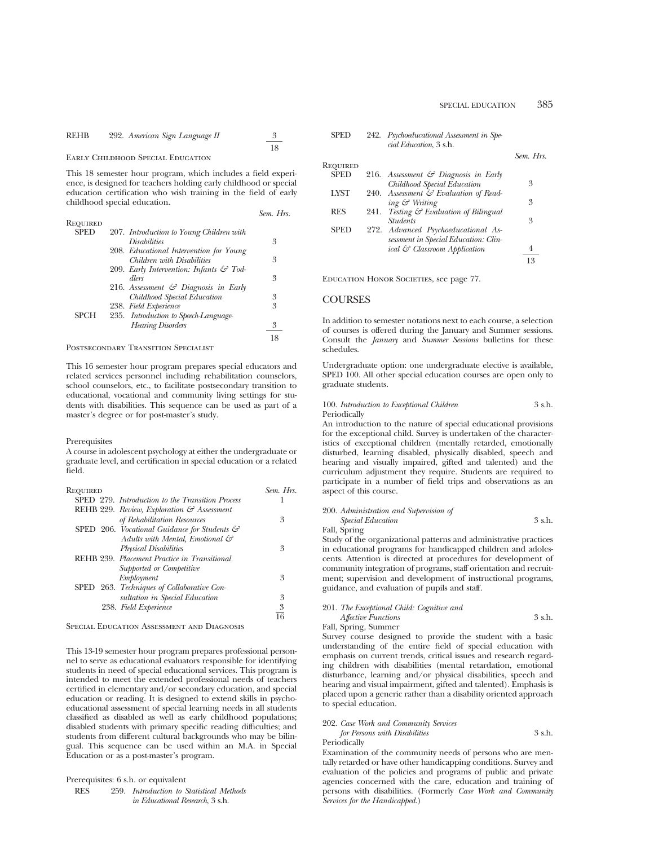REHB 292. *American Sign Language II* 
$$
\frac{3}{18}
$$

## Early Childhood Special Education

This 18 semester hour program, which includes a field experience, is designed for teachers holding early childhood or special education certification who wish training in the field of early childhood special education.

|             |                                                     | Sem. Hrs. |
|-------------|-----------------------------------------------------|-----------|
| Required    |                                                     |           |
| <b>SPED</b> | 207. Introduction to Young Children with            |           |
|             | <i>Disabilities</i>                                 | 3         |
|             | 208. Educational Intervention for Young             |           |
|             | Children with Disabilities                          | 3         |
|             | 209. Early Intervention: Infants $\mathcal{F}$ Tod- |           |
|             | dlers                                               | 3         |
|             | 216. Assessment $\mathcal O$ Diagnosis in Early     |           |
|             | Childhood Special Education                         | 3         |
|             | 238. Field Experience                               | 3         |
| <b>SPCH</b> | 235. Introduction to Speech-Language-               |           |
|             | <b>Hearing Disorders</b>                            | 3         |
|             |                                                     | 18        |
|             |                                                     |           |

Postsecondary Transition Specialist

This 16 semester hour program prepares special educators and related services personnel including rehabilitation counselors, school counselors, etc., to facilitate postsecondary transition to educational, vocational and community living settings for students with disabilities. This sequence can be used as part of a master's degree or for post-master's study.

#### Prerequisites

A course in adolescent psychology at either the undergraduate or graduate level, and certification in special education or a related field.

| Required                                                 | Sem. Hrs. |
|----------------------------------------------------------|-----------|
| SPED 279. Introduction to the Transition Process         |           |
| REHB 229. Review, Exploration & Assessment               |           |
| of Rehabilitation Resources                              | 3         |
| SPED 206. Vocational Guidance for Students $\mathcal{C}$ |           |
| Adults with Mental, Emotional &                          |           |
| <b>Physical Disabilities</b>                             | 3         |
| REHB 239. Placement Practice in Transitional             |           |
| Supported or Competitive                                 |           |
| Employment                                               | 3         |
| SPED 263. Techniques of Collaborative Con-               |           |
| sultation in Special Education                           | 3         |
| 238. Field Experience                                    | 3         |
|                                                          |           |

Special Education Assessment and Diagnosis

This 13-19 semester hour program prepares professional personnel to serve as educational evaluators responsible for identifying students in need of special educational services. This program is intended to meet the extended professional needs of teachers certified in elementary and/or secondary education, and special education or reading. It is designed to extend skills in psychoeducational assessment of special learning needs in all students classified as disabled as well as early childhood populations; disabled students with primary specific reading difficulties; and students from different cultural backgrounds who may be bilingual. This sequence can be used within an M.A. in Special Education or as a post-master's program.

| Prerequisites: 6 s.h. or equivalent |  |  |
|-------------------------------------|--|--|
|                                     |  |  |

RES 259. *Introduction to Statistical Methods in Educational Research*, 3 s.h.

| SPED | 242. Psychoeducational Assessment in Spe- |  |
|------|-------------------------------------------|--|
|      | cial Education, 3 s.h.                    |  |

|             |      |                                                 | Sem. Hrs. |
|-------------|------|-------------------------------------------------|-----------|
| Required    |      |                                                 |           |
| <b>SPED</b> |      | 216. Assessment $\mathcal C$ Diagnosis in Early |           |
|             |      | Childhood Special Education                     | 3         |
| <b>LYST</b> |      | 240. Assessment & Evaluation of Read-           |           |
|             |      | ing & Writing                                   | 3         |
| <b>RES</b>  | 241. | <i>Testing</i> & Evaluation of Bilingual        |           |
|             |      | <i><u><b>Students</b></u></i>                   | 3         |
| <b>SPED</b> |      | 272. Advanced Psychoeducational As-             |           |
|             |      | sessment in Special Education: Clin-            |           |
|             |      | ical & Classroom Application                    |           |
|             |      |                                                 | 13        |
|             |      |                                                 |           |

EDUCATION HONOR SOCIETIES, see page 77.

#### **COURSES**

In addition to semester notations next to each course, a selection of courses is offered during the January and Summer sessions. Consult the *January* and *Summer Sessions* bulletins for these schedules.

Undergraduate option: one undergraduate elective is available, SPED 100. All other special education courses are open only to graduate students.

#### 100. *Introduction to Exceptional Children* 3 s.h. Periodically

An introduction to the nature of special educational provisions for the exceptional child. Survey is undertaken of the characteristics of exceptional children (mentally retarded, emotionally disturbed, learning disabled, physically disabled, speech and hearing and visually impaired, gifted and talented) and the curriculum adjustment they require. Students are required to participate in a number of field trips and observations as an aspect of this course.

| 200. Administration and Supervision of |        |
|----------------------------------------|--------|
| <i>Special Education</i>               | 3 s.h. |
| Fall, Spring                           |        |

Study of the organizational patterns and administrative practices in educational programs for handicapped children and adolescents. Attention is directed at procedures for development of community integration of programs, staff orientation and recruitment; supervision and development of instructional programs, guidance, and evaluation of pupils and staff.

#### 201. *The Exceptional Child: Cognitive and Affective Functions* 3 s.h. Fall, Spring, Summer

Survey course designed to provide the student with a basic understanding of the entire field of special education with emphasis on current trends, critical issues and research regarding children with disabilities (mental retardation, emotional disturbance, learning and/or physical disabilities, speech and hearing and visual impairment, gifted and talented). Emphasis is placed upon a generic rather than a disability oriented approach to special education.

#### 202. *Case Work and Community Services*

| for Persons with Disabilities | 3 s.h. |
|-------------------------------|--------|
| Periodically                  |        |

Examination of the community needs of persons who are mentally retarded or have other handicapping conditions. Survey and evaluation of the policies and programs of public and private agencies concerned with the care, education and training of persons with disabilities. (Formerly *Case Work and Community Services for the Handicapped.*)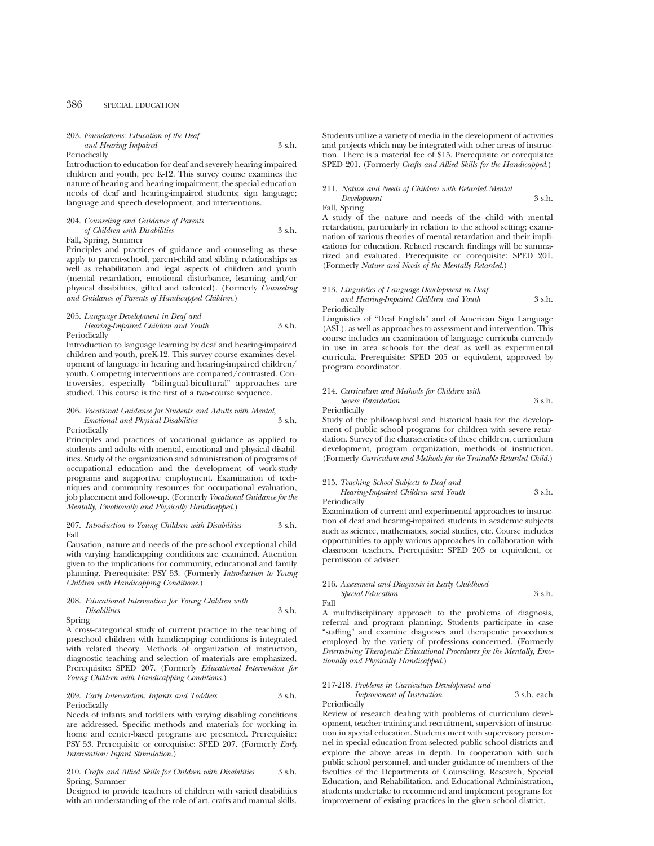#### 203. *Foundations: Education of the Deaf and Hearing Impaired* 3 s.h.

Periodically

Introduction to education for deaf and severely hearing-impaired children and youth, pre K-12. This survey course examines the nature of hearing and hearing impairment; the special education needs of deaf and hearing-impaired students; sign language; language and speech development, and interventions.

#### 204. *Counseling and Guidance of Parents*

*of Children with Disabilities* 3 s.h. Fall, Spring, Summer

Principles and practices of guidance and counseling as these apply to parent-school, parent-child and sibling relationships as well as rehabilitation and legal aspects of children and youth (mental retardation, emotional disturbance, learning and/or physical disabilities, gifted and talented). (Formerly *Counseling and Guidance of Parents of Handicapped Children*.)

#### 205. *Language Development in Deaf and Hearing-Impaired Children and Youth* 3 s.h. Periodically

Introduction to language learning by deaf and hearing-impaired children and youth, preK-12. This survey course examines development of language in hearing and hearing-impaired children/ youth. Competing interventions are compared/contrasted. Controversies, especially "bilingual-bicultural" approaches are studied. This course is the first of a two-course sequence.

#### 206. *Vocational Guidance for Students and Adults with Mental, Emotional and Physical Disabilities* 3 s.h. Periodically

Principles and practices of vocational guidance as applied to students and adults with mental, emotional and physical disabilities. Study of the organization and administration of programs of occupational education and the development of work-study programs and supportive employment. Examination of techniques and community resources for occupational evaluation, job placement and follow-up. (Formerly *Vocational Guidance for the Mentally, Emotionally and Physically Handicapped.*)

#### 207. *Introduction to Young Children with Disabilities* 3 s.h. Fall

Causation, nature and needs of the pre-school exceptional child with varying handicapping conditions are examined. Attention given to the implications for community, educational and family planning. Prerequisite: PSY 53. (Formerly *Introduction to Young Children with Handicapping Conditions.*)

#### 208. *Educational Intervention for Young Children with Disabilities* 3 s.h.

Spring

A cross-categorical study of current practice in the teaching of preschool children with handicapping conditions is integrated with related theory. Methods of organization of instruction, diagnostic teaching and selection of materials are emphasized. Prerequisite: SPED 207. (Formerly *Educational Intervention for Young Children with Handicapping Conditions.*)

#### 209. *Early Intervention: Infants and Toddlers* 3 s.h. Periodically

Needs of infants and toddlers with varying disabling conditions are addressed. Specific methods and materials for working in home and center-based programs are presented. Prerequisite: PSY 53. Prerequisite or corequisite: SPED 207. (Formerly *Early Intervention: Infant Stimulation.*)

#### 210. *Crafts and Allied Skills for Children with Disabilities* 3 s.h. Spring, Summer

Designed to provide teachers of children with varied disabilities with an understanding of the role of art, crafts and manual skills.

Students utilize a variety of media in the development of activities and projects which may be integrated with other areas of instruction. There is a material fee of \$15. Prerequisite or corequisite: SPED 201. (Formerly *Crafts and Allied Skills for the Handicapped.*)

### 211. *Nature and Needs of Children with Retarded Mental*

*Development* 3 s.h. Fall, Spring

A study of the nature and needs of the child with mental retardation, particularly in relation to the school setting; examination of various theories of mental retardation and their implications for education. Related research findings will be summarized and evaluated. Prerequisite or corequisite: SPED 201. (Formerly *Nature and Needs of the Mentally Retarded.*)

#### 213. *Linguistics of Language Development in Deaf and Hearing-Impaired Children and Youth* 3 s.h. Periodically

Linguistics of "Deaf English" and of American Sign Language (ASL), as well as approaches to assessment and intervention. This course includes an examination of language curricula currently in use in area schools for the deaf as well as experimental curricula. Prerequisite: SPED 205 or equivalent, approved by program coordinator.

#### 214. *Curriculum and Methods for Children with Severe Retardation* 3 s.h. Periodically

Study of the philosophical and historical basis for the development of public school programs for children with severe retardation. Survey of the characteristics of these children, curriculum development, program organization, methods of instruction. (Formerly *Curriculum and Methods for the Trainable Retarded Child.*)

#### 215. *Teaching School Subjects to Deaf and Hearing-Impaired Children and Youth* 3 s.h.

Periodically

Examination of current and experimental approaches to instruction of deaf and hearing-impaired students in academic subjects such as science, mathematics, social studies, etc. Course includes opportunities to apply various approaches in collaboration with classroom teachers. Prerequisite: SPED 203 or equivalent, or permission of adviser.

### 216. *Assessment and Diagnosis in Early Childhood Special Education* 3 s.h.

Fall

A multidisciplinary approach to the problems of diagnosis, referral and program planning. Students participate in case "staffing" and examine diagnoses and therapeutic procedures employed by the variety of professions concerned. (Formerly *Determining Therapeutic Educational Procedures for the Mentally, Emotionally and Physically Handicapped*.)

### 217-218. *Problems in Curriculum Development and*

*Improvement of Instruction* 3 s.h. each Periodically

Review of research dealing with problems of curriculum development, teacher training and recruitment, supervision of instruction in special education. Students meet with supervisory personnel in special education from selected public school districts and explore the above areas in depth. In cooperation with such public school personnel, and under guidance of members of the faculties of the Departments of Counseling, Research, Special Education, and Rehabilitation, and Educational Administration, students undertake to recommend and implement programs for improvement of existing practices in the given school district.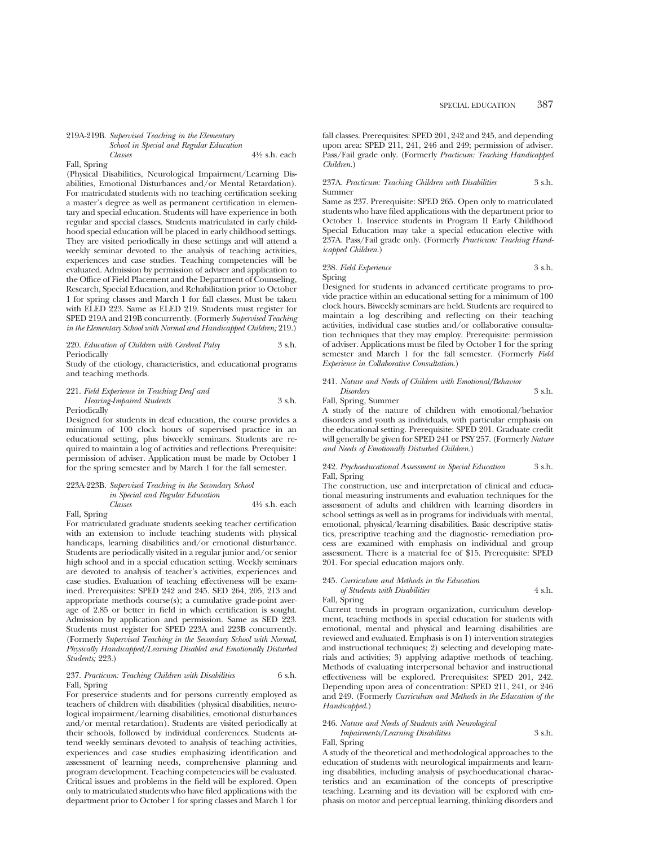#### 219A-219B. *Supervised Teaching in the Elementary School in Special and Regular Education Classes* 41⁄2 s.h. each Fall, Spring

(Physical Disabilities, Neurological Impairment/Learning Disabilities, Emotional Disturbances and/or Mental Retardation). For matriculated students with no teaching certification seeking a master's degree as well as permanent certification in elementary and special education. Students will have experience in both regular and special classes. Students matriculated in early childhood special education will be placed in early childhood settings. They are visited periodically in these settings and will attend a weekly seminar devoted to the analysis of teaching activities, experiences and case studies. Teaching competencies will be evaluated. Admission by permission of adviser and application to the Office of Field Placement and the Department of Counseling, Research, Special Education, and Rehabilitation prior to October 1 for spring classes and March 1 for fall classes. Must be taken with ELED 223. Same as ELED 219. Students must register for SPED 219A and 219B concurrently. (Formerly *Supervised Teaching in the Elementary School with Normal and Handicapped Children;* 219.)

#### 220. *Education of Children with Cerebral Palsy* 3 s.h. Periodically

Study of the etiology, characteristics, and educational programs and teaching methods.

221. *Field Experience in Teaching Deaf and Hearing-Impaired Students* 3 s.h. Periodically

Designed for students in deaf education, the course provides a minimum of 100 clock hours of supervised practice in an educational setting, plus biweekly seminars. Students are required to maintain a log of activities and reflections. Prerequisite: permission of adviser. Application must be made by October 1 for the spring semester and by March 1 for the fall semester.

### 223A-223B. *Supervised Teaching in the Secondary School in Special and Regular Education Classes* 41⁄2 s.h. each

Fall, Spring

For matriculated graduate students seeking teacher certification with an extension to include teaching students with physical handicaps, learning disabilities and/or emotional disturbance. Students are periodically visited in a regular junior and/or senior high school and in a special education setting. Weekly seminars are devoted to analysis of teacher's activities, experiences and case studies. Evaluation of teaching effectiveness will be examined. Prerequisites: SPED 242 and 245. SED 264, 205, 213 and appropriate methods course(s); a cumulative grade-point average of 2.85 or better in field in which certification is sought. Admission by application and permission. Same as SED 223. Students must register for SPED 223A and 223B concurrently. (Formerly *Supervised Teaching in the Secondary School with Normal, Physically Handicapped/Learning Disabled and Emotionally Disturbed Students;* 223.)

#### 237. *Practicum: Teaching Children with Disabilities* 6 s.h. Fall, Spring

For preservice students and for persons currently employed as teachers of children with disabilities (physical disabilities, neurological impairment/learning disabilities, emotional disturbances and/or mental retardation). Students are visited periodically at their schools, followed by individual conferences. Students attend weekly seminars devoted to analysis of teaching activities, experiences and case studies emphasizing identification and assessment of learning needs, comprehensive planning and program development. Teaching competencies will be evaluated. Critical issues and problems in the field will be explored. Open only to matriculated students who have filed applications with the department prior to October 1 for spring classes and March 1 for fall classes. Prerequisites: SPED 201, 242 and 245, and depending upon area: SPED 211, 241, 246 and 249; permission of adviser. Pass/Fail grade only. (Formerly *Practicum: Teaching Handicapped Children.*)

#### 237A. *Practicum: Teaching Children with Disabilities* 3 s.h. Summer

Same as 237. Prerequisite: SPED 265. Open only to matriculated students who have filed applications with the department prior to October 1. Inservice students in Program II Early Childhood Special Education may take a special education elective with 237A. Pass/Fail grade only. (Formerly *Practicum: Teaching Handicapped Children.*)

#### 238. *Field Experience* 3 s.h. Spring

Designed for students in advanced certificate programs to provide practice within an educational setting for a minimum of 100 clock hours. Biweekly seminars are held. Students are required to maintain a log describing and reflecting on their teaching activities, individual case studies and/or collaborative consultation techniques that they may employ. Prerequisite: permission of adviser. Applications must be filed by October 1 for the spring semester and March 1 for the fall semester. (Formerly *Field Experience in Collaborative Consultation*.)

### 241. *Nature and Needs of Children with Emotional/Behavior Disorders* 3 s.h.

Fall, Spring, Summer

A study of the nature of children with emotional/behavior disorders and youth as individuals, with particular emphasis on the educational setting. Prerequisite: SPED 201. Graduate credit will generally be given for SPED 241 or PSY 257. (Formerly *Nature and Needs of Emotionally Disturbed Children.*)

#### 242. *Psychoeducational Assessment in Special Education* 3 s.h. Fall, Spring

The construction, use and interpretation of clinical and educational measuring instruments and evaluation techniques for the assessment of adults and children with learning disorders in school settings as well as in programs for individuals with mental, emotional, physical/learning disabilities. Basic descriptive statistics, prescriptive teaching and the diagnostic- remediation process are examined with emphasis on individual and group assessment. There is a material fee of \$15. Prerequisite: SPED 201. For special education majors only.

#### 245. *Curriculum and Methods in the Education*

### *of Students with Disabilities* 4 s.h.

Fall, Spring

Current trends in program organization, curriculum development, teaching methods in special education for students with emotional, mental and physical and learning disabilities are reviewed and evaluated. Emphasis is on 1) intervention strategies and instructional techniques; 2) selecting and developing materials and activities; 3) applying adaptive methods of teaching. Methods of evaluating interpersonal behavior and instructional effectiveness will be explored. Prerequisites: SPED 201, 242. Depending upon area of concentration: SPED 211, 241, or 246 and 249. (Formerly *Curriculum and Methods in the Education of the Handicapped.*)

#### 246. *Nature and Needs of Students with Neurological*

*Impairments/Learning Disabilities* 3 s.h. Fall, Spring

A study of the theoretical and methodological approaches to the education of students with neurological impairments and learning disabilities, including analysis of psychoeducational characteristics and an examination of the concepts of prescriptive teaching. Learning and its deviation will be explored with emphasis on motor and perceptual learning, thinking disorders and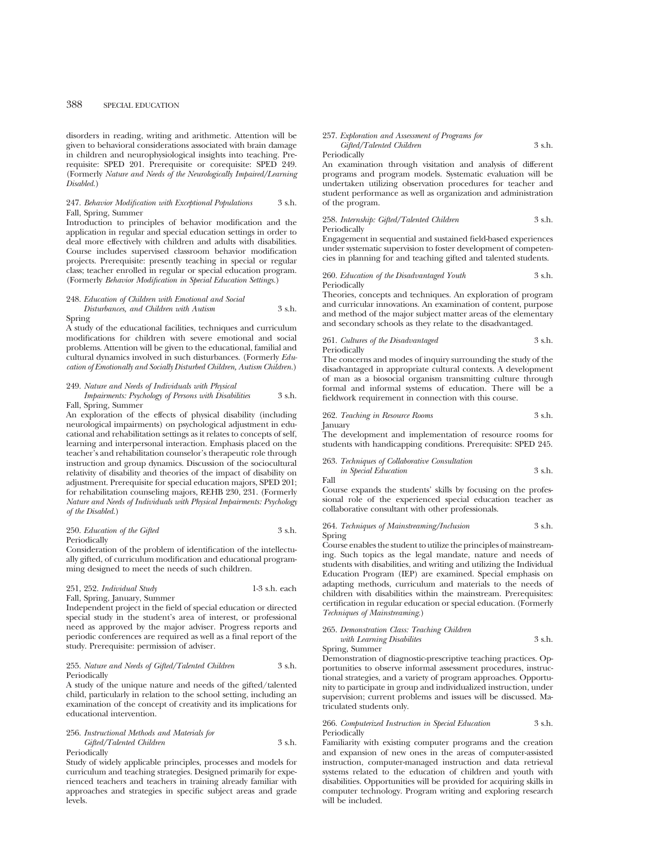disorders in reading, writing and arithmetic. Attention will be given to behavioral considerations associated with brain damage in children and neurophysiological insights into teaching. Prerequisite: SPED 201. Prerequisite or corequisite: SPED 249. (Formerly *Nature and Needs of the Neurologically Impaired/Learning Disabled.*)

#### 247. *Behavior Modification with Exceptional Populations* 3 s.h. Fall, Spring, Summer

Introduction to principles of behavior modification and the application in regular and special education settings in order to deal more effectively with children and adults with disabilities. Course includes supervised classroom behavior modification projects. Prerequisite: presently teaching in special or regular class; teacher enrolled in regular or special education program. (Formerly *Behavior Modification in Special Education Settings.*)

#### 248. *Education of Children with Emotional and Social Disturbances, and Children with Autism* 3 s.h.

#### Spring

A study of the educational facilities, techniques and curriculum modifications for children with severe emotional and social problems. Attention will be given to the educational, familial and cultural dynamics involved in such disturbances. (Formerly *Education of Emotionally and Socially Disturbed Children, Autism Children.*)

#### 249. *Nature and Needs of Individuals with Physical*

*Impairments: Psychology of Persons with Disabilities* 3 s.h. Fall, Spring, Summer

An exploration of the effects of physical disability (including neurological impairments) on psychological adjustment in educational and rehabilitation settings as it relates to concepts of self, learning and interpersonal interaction. Emphasis placed on the teacher's and rehabilitation counselor's therapeutic role through instruction and group dynamics. Discussion of the sociocultural relativity of disability and theories of the impact of disability on adjustment. Prerequisite for special education majors, SPED 201; for rehabilitation counseling majors, REHB 230, 231. (Formerly *Nature and Needs of Individuals with Physical Impairments: Psychology of the Disabled.*)

#### 250. *Education of the Gifted* 3 s.h. Periodically

Consideration of the problem of identification of the intellectually gifted, of curriculum modification and educational programming designed to meet the needs of such children.

#### 251, 252. *Individual Study* 1-3 s.h. each Fall, Spring, January, Summer

Independent project in the field of special education or directed special study in the student's area of interest, or professional need as approved by the major adviser. Progress reports and periodic conferences are required as well as a final report of the study. Prerequisite: permission of adviser.

#### 255. *Nature and Needs of Gifted/Talented Children* 3 s.h. Periodically

A study of the unique nature and needs of the gifted/talented child, particularly in relation to the school setting, including an examination of the concept of creativity and its implications for educational intervention.

#### 256. *Instructional Methods and Materials for*

*Gifted/Talented Children* 3 s.h. Periodically

Study of widely applicable principles, processes and models for curriculum and teaching strategies. Designed primarily for experienced teachers and teachers in training already familiar with approaches and strategies in specific subject areas and grade levels.

#### 257. *Exploration and Assessment of Programs for Gifted/Talented Children* 3 s.h.

#### Periodically

An examination through visitation and analysis of different programs and program models. Systematic evaluation will be undertaken utilizing observation procedures for teacher and student performance as well as organization and administration of the program.

258. *Internship: Gifted/Talented Children* 3 s.h. Periodically

Engagement in sequential and sustained field-based experiences under systematic supervision to foster development of competencies in planning for and teaching gifted and talented students.

#### 260. *Education of the Disadvantaged Youth* 3 s.h. Periodically

Theories, concepts and techniques. An exploration of program and curricular innovations. An examination of content, purpose and method of the major subject matter areas of the elementary and secondary schools as they relate to the disadvantaged.

#### 261. *Cultures of the Disadvantaged* 3 s.h. Periodically

The concerns and modes of inquiry surrounding the study of the disadvantaged in appropriate cultural contexts. A development of man as a biosocial organism transmitting culture through formal and informal systems of education. There will be a fieldwork requirement in connection with this course.

#### 262. *Teaching in Resource Rooms* 3 s.h. January

The development and implementation of resource rooms for students with handicapping conditions. Prerequisite: SPED 245.

#### 263. *Techniques of Collaborative Consultation*

*in Special Education* 3 s.h. Fall

Course expands the students' skills by focusing on the professional role of the experienced special education teacher as collaborative consultant with other professionals.

264. *Techniques of Mainstreaming/Inclusion* 3 s.h. Spring

Course enables the student to utilize the principles of mainstreaming. Such topics as the legal mandate, nature and needs of students with disabilities, and writing and utilizing the Individual Education Program (IEP) are examined. Special emphasis on adapting methods, curriculum and materials to the needs of children with disabilities within the mainstream. Prerequisites: certification in regular education or special education. (Formerly *Techniques of Mainstreaming.*)

#### 265. *Demonstration Class: Teaching Children with Learning Disabilites* 3 s.h.

Spring, Summer

Demonstration of diagnostic-prescriptive teaching practices. Opportunities to observe informal assessment procedures, instructional strategies, and a variety of program approaches. Opportunity to participate in group and individualized instruction, under supervision; current problems and issues will be discussed. Matriculated students only.

#### 266. *Computerized Instruction in Special Education* 3 s.h. Periodically

Familiarity with existing computer programs and the creation and expansion of new ones in the areas of computer-assisted instruction, computer-managed instruction and data retrieval systems related to the education of children and youth with disabilities. Opportunities will be provided for acquiring skills in computer technology. Program writing and exploring research will be included.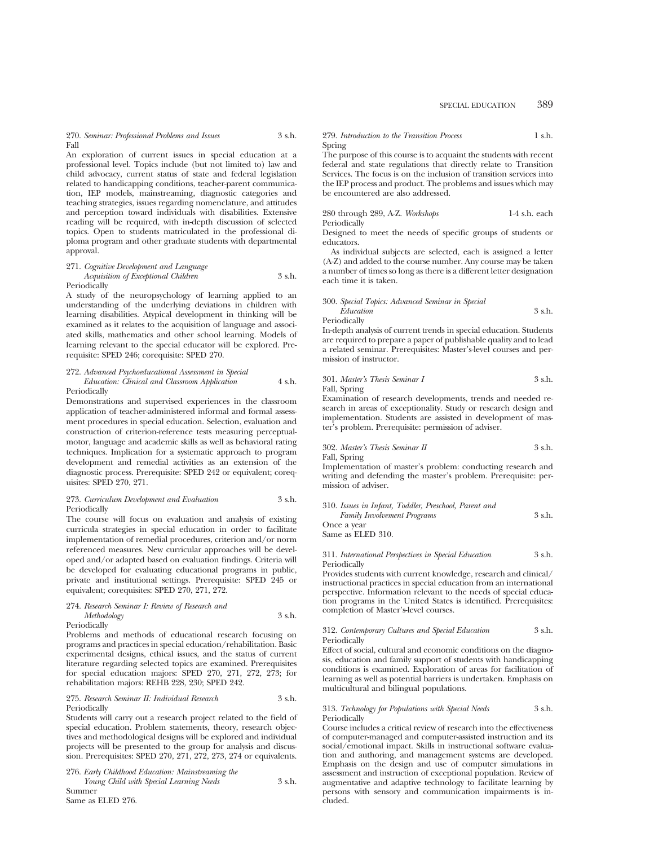270. *Seminar: Professional Problems and Issues* 3 s.h. Fall

An exploration of current issues in special education at a professional level. Topics include (but not limited to) law and child advocacy, current status of state and federal legislation related to handicapping conditions, teacher-parent communication, IEP models, mainstreaming, diagnostic categories and teaching strategies, issues regarding nomenclature, and attitudes and perception toward individuals with disabilities. Extensive reading will be required, with in-depth discussion of selected topics. Open to students matriculated in the professional diploma program and other graduate students with departmental approval.

271. *Cognitive Development and Language Acquisition of Exceptional Children* 3 s.h.

#### Periodically

A study of the neuropsychology of learning applied to an understanding of the underlying deviations in children with learning disabilities. Atypical development in thinking will be examined as it relates to the acquisition of language and associated skills, mathematics and other school learning. Models of learning relevant to the special educator will be explored. Prerequisite: SPED 246; corequisite: SPED 270.

#### 272. *Advanced Psychoeducational Assessment in Special Education: Clinical and Classroom Application* 4 s.h. Periodically

Demonstrations and supervised experiences in the classroom application of teacher-administered informal and formal assessment procedures in special education. Selection, evaluation and construction of criterion-reference tests measuring perceptualmotor, language and academic skills as well as behavioral rating techniques. Implication for a systematic approach to program development and remedial activities as an extension of the diagnostic process. Prerequisite: SPED 242 or equivalent; corequisites: SPED 270, 271.

#### 273. *Curriculum Development and Evaluation* 3 s.h. Periodically

The course will focus on evaluation and analysis of existing curricula strategies in special education in order to facilitate implementation of remedial procedures, criterion and/or norm referenced measures. New curricular approaches will be developed and/or adapted based on evaluation findings. Criteria will be developed for evaluating educational programs in public, private and institutional settings. Prerequisite: SPED 245 or equivalent; corequisites: SPED 270, 271, 272.

### 274. *Research Seminar I: Review of Research and Methodology* 3 s.h.

Periodically

Problems and methods of educational research focusing on programs and practices in special education/rehabilitation. Basic experimental designs, ethical issues, and the status of current literature regarding selected topics are examined. Prerequisites for special education majors: SPED 270, 271, 272, 273; for rehabilitation majors: REHB 228, 230; SPED 242.

#### 275. *Research Seminar II: Individual Research* 3 s.h. Periodically

Students will carry out a research project related to the field of special education. Problem statements, theory, research objectives and methodological designs will be explored and individual projects will be presented to the group for analysis and discussion. Prerequisites: SPED 270, 271, 272, 273, 274 or equivalents.

276. *Early Childhood Education: Mainstreaming the*

*Young Child with Special Learning Needs* 3 s.h. Summer

Same as ELED 276.

#### 279. *Introduction to the Transition Process* 1 s.h. Spring

The purpose of this course is to acquaint the students with recent federal and state regulations that directly relate to Transition Services. The focus is on the inclusion of transition services into the IEP process and product. The problems and issues which may be encountered are also addressed.

#### 280 through 289, A-Z. *Workshops* 1-4 s.h. each Periodically

Designed to meet the needs of specific groups of students or educators.

As individual subjects are selected, each is assigned a letter (A-Z) and added to the course number. Any course may be taken a number of times so long as there is a different letter designation each time it is taken.

300. *Special Topics: Advanced Seminar in Special Education* 3 s.h. Periodically

In-depth analysis of current trends in special education. Students are required to prepare a paper of publishable quality and to lead a related seminar. Prerequisites: Master's-level courses and permission of instructor.

301. *Master's Thesis Seminar I* 3 s.h. Fall, Spring

Examination of research developments, trends and needed research in areas of exceptionality. Study or research design and implementation. Students are assisted in development of master's problem. Prerequisite: permission of adviser.

302. *Master's Thesis Seminar II* 3 s.h.

Fall, Spring Implementation of master's problem: conducting research and writing and defending the master's problem. Prerequisite: per-

mission of adviser.

310. *Issues in Infant, Toddler, Preschool, Parent and Family Involvement Programs* 3 s.h. Once a year Same as ELED 310.

311. *International Perspectives in Special Education* 3 s.h.

Periodically Provides students with current knowledge, research and clinical/ instructional practices in special education from an international perspective. Information relevant to the needs of special education programs in the United States is identified. Prerequisites: completion of Master's-level courses.

#### 312. *Contemporary Cultures and Special Education* 3 s.h. **Periodically**

Effect of social, cultural and economic conditions on the diagnosis, education and family support of students with handicapping conditions is examined. Exploration of areas for facilitation of learning as well as potential barriers is undertaken. Emphasis on multicultural and bilingual populations.

#### 313. *Technology for Populations with Special Needs* 3 s.h. Periodically

Course includes a critical review of research into the effectiveness of computer-managed and computer-assisted instruction and its social/emotional impact. Skills in instructional software evaluation and authoring, and management systems are developed. Emphasis on the design and use of computer simulations in assessment and instruction of exceptional population. Review of augmentative and adaptive technology to facilitate learning by persons with sensory and communication impairments is included.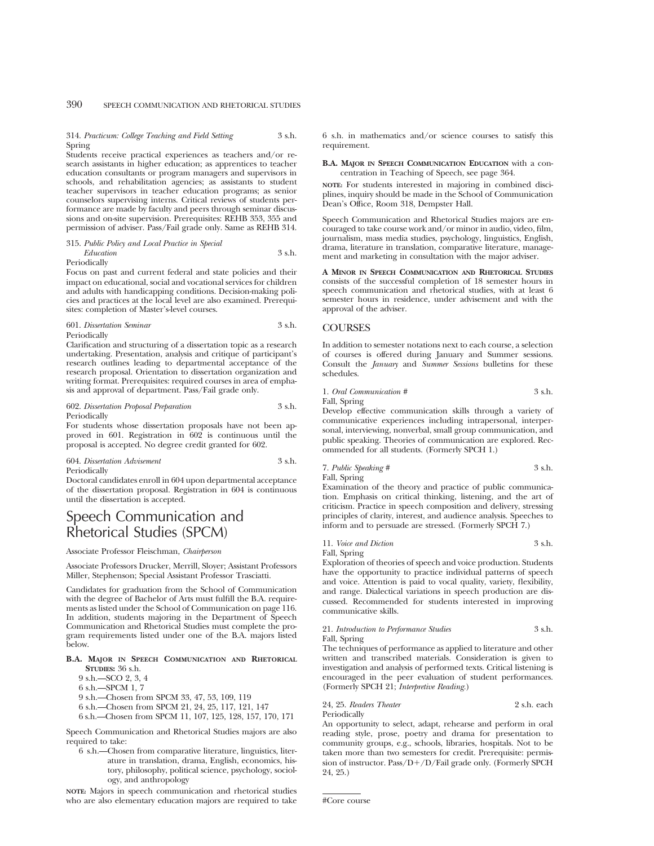314. *Practicum: College Teaching and Field Setting* 3 s.h. Spring

Students receive practical experiences as teachers and/or research assistants in higher education; as apprentices to teacher education consultants or program managers and supervisors in schools, and rehabilitation agencies; as assistants to student teacher supervisors in teacher education programs; as senior counselors supervising interns. Critical reviews of students performance are made by faculty and peers through seminar discussions and on-site supervision. Prerequisites: REHB 353, 355 and permission of adviser. Pass/Fail grade only. Same as REHB 314.

#### 315. *Public Policy and Local Practice in Special Education* 3 s.h. Periodically

Focus on past and current federal and state policies and their impact on educational, social and vocational services for children and adults with handicapping conditions. Decision-making policies and practices at the local level are also examined. Prerequisites: completion of Master's-level courses.

#### 601. *Dissertation Seminar* 3 s.h. Periodically

Clarification and structuring of a dissertation topic as a research undertaking. Presentation, analysis and critique of participant's research outlines leading to departmental acceptance of the research proposal. Orientation to dissertation organization and writing format. Prerequisites: required courses in area of emphasis and approval of department. Pass/Fail grade only.

#### 602. *Dissertation Proposal Preparation* 3 s.h. Periodically

For students whose dissertation proposals have not been approved in 601. Registration in 602 is continuous until the proposal is accepted. No degree credit granted for 602.

#### 604. *Dissertation Advisement* 3 s.h. Periodically

Doctoral candidates enroll in 604 upon departmental acceptance of the dissertation proposal. Registration in 604 is continuous until the dissertation is accepted.

## Speech Communication and Rhetorical Studies (SPCM)

Associate Professor Fleischman, *Chairperson*

Associate Professors Drucker, Merrill, Sloyer; Assistant Professors Miller, Stephenson; Special Assistant Professor Trasciatti.

Candidates for graduation from the School of Communication with the degree of Bachelor of Arts must fulfill the B.A. requirements as listed under the School of Communication on page 116. In addition, students majoring in the Department of Speech Communication and Rhetorical Studies must complete the program requirements listed under one of the B.A. majors listed below.

#### **B.A. MAJOR IN SPEECH COMMUNICATION AND RHETORICAL STUDIES:** 36 s.h.

9 s.h.—SCO 2, 3, 4

6 s.h.—SPCM 1, 7

- 9 s.h.—Chosen from SPCM 33, 47, 53, 109, 119
- 6 s.h.—Chosen from SPCM 21, 24, 25, 117, 121, 147
- 6 s.h.—Chosen from SPCM 11, 107, 125, 128, 157, 170, 171

Speech Communication and Rhetorical Studies majors are also required to take:

6 s.h.—Chosen from comparative literature, linguistics, literature in translation, drama, English, economics, history, philosophy, political science, psychology, sociology, and anthropology

**NOTE:** Majors in speech communication and rhetorical studies who are also elementary education majors are required to take 6 s.h. in mathematics and/or science courses to satisfy this requirement.

**B.A. MAJOR IN SPEECH COMMUNICATION EDUCATION** with a concentration in Teaching of Speech, see page 364.

**NOTE:** For students interested in majoring in combined disciplines, inquiry should be made in the School of Communication Dean's Office, Room 318, Dempster Hall.

Speech Communication and Rhetorical Studies majors are encouraged to take course work and/or minor in audio, video, film, journalism, mass media studies, psychology, linguistics, English, drama, literature in translation, comparative literature, management and marketing in consultation with the major adviser.

**A MINOR IN SPEECH COMMUNICATION AND RHETORICAL STUDIES** consists of the successful completion of 18 semester hours in speech communication and rhetorical studies, with at least 6 semester hours in residence, under advisement and with the approval of the adviser.

#### **COURSES**

In addition to semester notations next to each course, a selection of courses is offered during January and Summer sessions. Consult the *January* and *Summer Sessions* bulletins for these schedules.

1. *Oral Communication #* 3 s.h.

Fall, Spring

Develop effective communication skills through a variety of communicative experiences including intrapersonal, interpersonal, interviewing, nonverbal, small group communication, and public speaking. Theories of communication are explored. Recommended for all students. (Formerly SPCH 1.)

7. *Public Speaking #* 3 s.h. Fall, Spring

Examination of the theory and practice of public communication. Emphasis on critical thinking, listening, and the art of criticism. Practice in speech composition and delivery, stressing principles of clarity, interest, and audience analysis. Speeches to inform and to persuade are stressed. (Formerly SPCH 7.)

### 11. *Voice and Diction* 3 s.h.

Fall, Spring

Exploration of theories of speech and voice production. Students have the opportunity to practice individual patterns of speech and voice. Attention is paid to vocal quality, variety, flexibility, and range. Dialectical variations in speech production are discussed. Recommended for students interested in improving communicative skills.

### 21. *Introduction to Performance Studies* 3 s.h.

Fall, Spring

The techniques of performance as applied to literature and other written and transcribed materials. Consideration is given to investigation and analysis of performed texts. Critical listening is encouraged in the peer evaluation of student performances. (Formerly SPCH 21; *Interpretive Reading.*)

#### 24, 25. *Readers Theater* 2 s.h. each Periodically

An opportunity to select, adapt, rehearse and perform in oral reading style, prose, poetry and drama for presentation to community groups, e.g., schools, libraries, hospitals. Not to be taken more than two semesters for credit. Prerequisite: permission of instructor. Pass/ $D+/D/F$ ail grade only. (Formerly SPCH 24, 25.)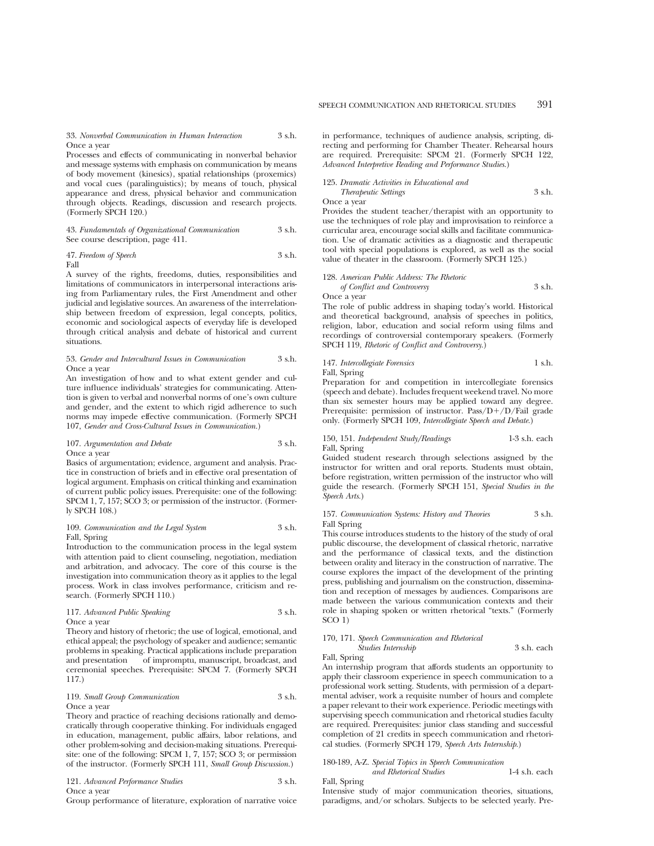33. *Nonverbal Communication in Human Interaction* 3 s.h. Once a year

Processes and effects of communicating in nonverbal behavior and message systems with emphasis on communication by means of body movement (kinesics), spatial relationships (proxemics) and vocal cues (paralinguistics); by means of touch, physical appearance and dress, physical behavior and communication through objects. Readings, discussion and research projects. (Formerly SPCH 120.)

43. *Fundamentals of Organizational Communication* 3 s.h. See course description, page 411.

47. *Freedom of Speech* 3 s.h. Fall

A survey of the rights, freedoms, duties, responsibilities and limitations of communicators in interpersonal interactions arising from Parliamentary rules, the First Amendment and other judicial and legislative sources. An awareness of the interrelationship between freedom of expression, legal concepts, politics, economic and sociological aspects of everyday life is developed through critical analysis and debate of historical and current situations.

#### 53. *Gender and Intercultural Issues in Communication* 3 s.h. Once a year

An investigation of how and to what extent gender and culture influence individuals' strategies for communicating. Attention is given to verbal and nonverbal norms of one's own culture and gender, and the extent to which rigid adherence to such norms may impede effective communication. (Formerly SPCH 107, *Gender and Cross-Cultural Issues in Communication.*)

#### 107. *Argumentation and Debate* 3 s.h. Once a year

Basics of argumentation; evidence, argument and analysis. Practice in construction of briefs and in effective oral presentation of logical argument. Emphasis on critical thinking and examination of current public policy issues. Prerequisite: one of the following: SPCM 1, 7, 157; SCO 3; or permission of the instructor. (Formerly SPCH 108.)

#### 109. Communication and the Legal System 3 s.h. Fall, Spring

Introduction to the communication process in the legal system with attention paid to client counseling, negotiation, mediation and arbitration, and advocacy. The core of this course is the investigation into communication theory as it applies to the legal process. Work in class involves performance, criticism and research. (Formerly SPCH 110.)

#### 117. *Advanced Public Speaking* 3 s.h. Once a year

Theory and history of rhetoric; the use of logical, emotional, and ethical appeal; the psychology of speaker and audience; semantic problems in speaking. Practical applications include preparation and presentation of impromptu, manuscript, broadcast, and ceremonial speeches. Prerequisite: SPCM 7. (Formerly SPCH 117.)

#### 119. *Small Group Communication* 3 s.h. Once a year

Theory and practice of reaching decisions rationally and democratically through cooperative thinking. For individuals engaged in education, management, public affairs, labor relations, and other problem-solving and decision-making situations. Prerequisite: one of the following: SPCM 1, 7, 157; SCO 3; or permission of the instructor. (Formerly SPCH 111, *Small Group Discussion.*)

121. *Advanced Performance Studies* 3 s.h. Once a year

Group performance of literature, exploration of narrative voice

in performance, techniques of audience analysis, scripting, directing and performing for Chamber Theater. Rehearsal hours are required. Prerequisite: SPCM 21. (Formerly SPCH 122, *Advanced Interpretive Reading and Performance Studies.*)

#### 125. *Dramatic Activities in Educational and*

*Therapeutic Settings* 3 s.h. Once a year

Provides the student teacher/therapist with an opportunity to use the techniques of role play and improvisation to reinforce a curricular area, encourage social skills and facilitate communication. Use of dramatic activities as a diagnostic and therapeutic tool with special populations is explored, as well as the social value of theater in the classroom. (Formerly SPCH 125.)

#### 128. *American Public Address: The Rhetoric of Conflict and Controversy* 3 s.h. Once a year

The role of public address in shaping today's world. Historical and theoretical background, analysis of speeches in politics, religion, labor, education and social reform using films and recordings of controversial contemporary speakers. (Formerly SPCH 119, *Rhetoric of Conflict and Controversy.*)

#### 147. *Intercollegiate Forensics* 1 s.h. Fall, Spring

Preparation for and competition in intercollegiate forensics (speech and debate). Includes frequent weekend travel. No more than six semester hours may be applied toward any degree. Prerequisite: permission of instructor.  $Pass/D+/D/Fall$  grade only. (Formerly SPCH 109, *Intercollegiate Speech and Debate.*)

#### 150, 151. *Independent Study/Readings* 1-3 s.h. each Fall, Spring

Guided student research through selections assigned by the instructor for written and oral reports. Students must obtain, before registration, written permission of the instructor who will guide the research. (Formerly SPCH 151, *Special Studies in the Speech Arts.*)

#### 157. *Communication Systems: History and Theories* 3 s.h. Fall Spring

This course introduces students to the history of the study of oral public discourse, the development of classical rhetoric, narrative and the performance of classical texts, and the distinction between orality and literacy in the construction of narrative. The course explores the impact of the development of the printing press, publishing and journalism on the construction, dissemination and reception of messages by audiences. Comparisons are made between the various communication contexts and their role in shaping spoken or written rhetorical "texts." (Formerly SCO 1)

### 170, 171. *Speech Communication and Rhetorical*

*Studies Internship* 3 s.h. each

Fall, Spring An internship program that affords students an opportunity to apply their classroom experience in speech communication to a professional work setting. Students, with permission of a departmental adviser, work a requisite number of hours and complete a paper relevant to their work experience. Periodic meetings with supervising speech communication and rhetorical studies faculty are required. Prerequisites: junior class standing and successful completion of 21 credits in speech communication and rhetorical studies. (Formerly SPCH 179, *Speech Arts Internship.*)

#### 180-189, A-Z. *Special Topics in Speech Communication and Rhetorical Studies* 1-4 s.h. each Fall, Spring

Intensive study of major communication theories, situations, paradigms, and/or scholars. Subjects to be selected yearly. Pre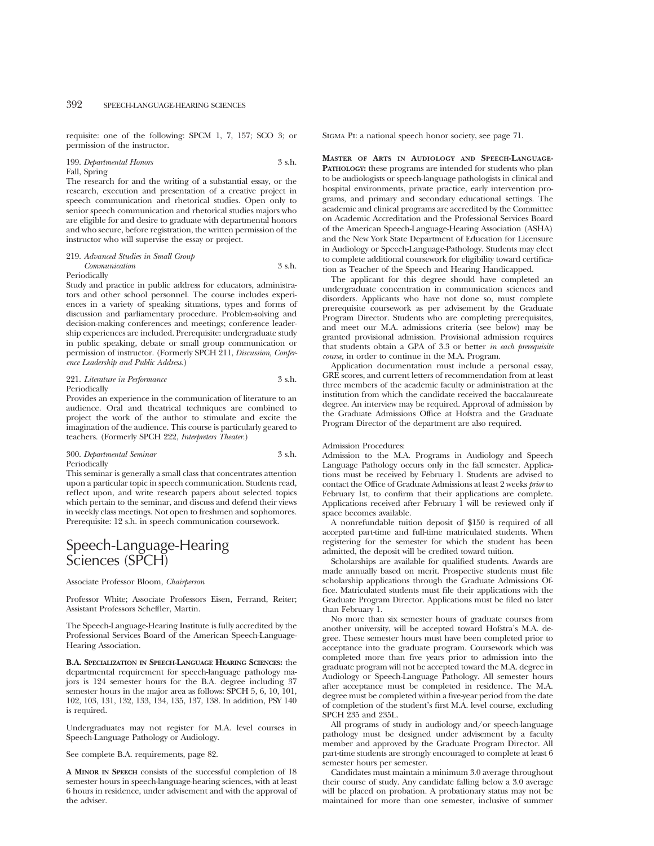requisite: one of the following: SPCM 1, 7, 157; SCO 3; or permission of the instructor.

199. *Departmental Honors* 3 s.h. Fall, Spring

The research for and the writing of a substantial essay, or the research, execution and presentation of a creative project in speech communication and rhetorical studies. Open only to senior speech communication and rhetorical studies majors who are eligible for and desire to graduate with departmental honors and who secure, before registration, the written permission of the instructor who will supervise the essay or project.

#### 219. *Advanced Studies in Small Group Communication* 3 s.h.

#### Periodically

Study and practice in public address for educators, administrators and other school personnel. The course includes experiences in a variety of speaking situations, types and forms of discussion and parliamentary procedure. Problem-solving and decision-making conferences and meetings; conference leadership experiences are included. Prerequisite: undergraduate study in public speaking, debate or small group communication or permission of instructor. (Formerly SPCH 211, *Discussion, Conference Leadership and Public Address.*)

### 221. *Literature in Performance* 3 s.h. Periodically

Provides an experience in the communication of literature to an audience. Oral and theatrical techniques are combined to project the work of the author to stimulate and excite the imagination of the audience. This course is particularly geared to teachers. (Formerly SPCH 222, *Interpreters Theater.*)

#### 300. *Departmental Seminar* 3 s.h. Periodically

This seminar is generally a small class that concentrates attention upon a particular topic in speech communication. Students read, reflect upon, and write research papers about selected topics which pertain to the seminar, and discuss and defend their views in weekly class meetings. Not open to freshmen and sophomores. Prerequisite: 12 s.h. in speech communication coursework.

## Speech-Language-Hearing Sciences (SPCH)

#### Associate Professor Bloom, *Chairperson*

Professor White; Associate Professors Eisen, Ferrand, Reiter; Assistant Professors Scheffler, Martin.

The Speech-Language-Hearing Institute is fully accredited by the Professional Services Board of the American Speech-Language-Hearing Association.

**B.A. SPECIALIZATION IN SPEECH-LANGUAGE HEARING SCIENCES:** the departmental requirement for speech-language pathology majors is 124 semester hours for the B.A. degree including 37 semester hours in the major area as follows: SPCH 5, 6, 10, 101, 102, 103, 131, 132, 133, 134, 135, 137, 138. In addition, PSY 140 is required.

Undergraduates may not register for M.A. level courses in Speech-Language Pathology or Audiology.

See complete B.A. requirements, page 82.

**A MINOR IN SPEECH** consists of the successful completion of 18 semester hours in speech-language-hearing sciences, with at least 6 hours in residence, under advisement and with the approval of the adviser.

Sigma Pi: a national speech honor society, see page 71.

**MASTER OF ARTS IN AUDIOLOGY AND SPEECH-LANGUAGE-PATHOLOGY:** these programs are intended for students who plan to be audiologists or speech-language pathologists in clinical and hospital environments, private practice, early intervention programs, and primary and secondary educational settings. The academic and clinical programs are accredited by the Committee on Academic Accreditation and the Professional Services Board of the American Speech-Language-Hearing Association (ASHA) and the New York State Department of Education for Licensure in Audiology or Speech-Language-Pathology. Students may elect to complete additional coursework for eligibility toward certification as Teacher of the Speech and Hearing Handicapped.

The applicant for this degree should have completed an undergraduate concentration in communication sciences and disorders. Applicants who have not done so, must complete prerequisite coursework as per advisement by the Graduate Program Director. Students who are completing prerequisites, and meet our M.A. admissions criteria (see below) may be granted provisional admission. Provisional admission requires that students obtain a GPA of 3.3 or better *in each prerequisite course,* in order to continue in the M.A. Program.

Application documentation must include a personal essay, GRE scores, and current letters of recommendation from at least three members of the academic faculty or administration at the institution from which the candidate received the baccalaureate degree. An interview may be required. Approval of admission by the Graduate Admissions Office at Hofstra and the Graduate Program Director of the department are also required.

#### Admission Procedures:

Admission to the M.A. Programs in Audiology and Speech Language Pathology occurs only in the fall semester. Applications must be received by February 1. Students are advised to contact the Office of Graduate Admissions at least 2 weeks *prior* to February 1st, to confirm that their applications are complete. Applications received after February 1 will be reviewed only if space becomes available.

A nonrefundable tuition deposit of \$150 is required of all accepted part-time and full-time matriculated students. When registering for the semester for which the student has been admitted, the deposit will be credited toward tuition.

Scholarships are available for qualified students. Awards are made annually based on merit. Prospective students must file scholarship applications through the Graduate Admissions Office. Matriculated students must file their applications with the Graduate Program Director. Applications must be filed no later than February 1.

No more than six semester hours of graduate courses from another university, will be accepted toward Hofstra's M.A. degree. These semester hours must have been completed prior to acceptance into the graduate program. Coursework which was completed more than five years prior to admission into the graduate program will not be accepted toward the M.A. degree in Audiology or Speech-Language Pathology. All semester hours after acceptance must be completed in residence. The M.A. degree must be completed within a five-year period from the date of completion of the student's first M.A. level course, excluding SPCH 235 and 235L.

All programs of study in audiology and/or speech-language pathology must be designed under advisement by a faculty member and approved by the Graduate Program Director. All part-time students are strongly encouraged to complete at least 6 semester hours per semester.

Candidates must maintain a minimum 3.0 average throughout their course of study. Any candidate falling below a 3.0 average will be placed on probation. A probationary status may not be maintained for more than one semester, inclusive of summer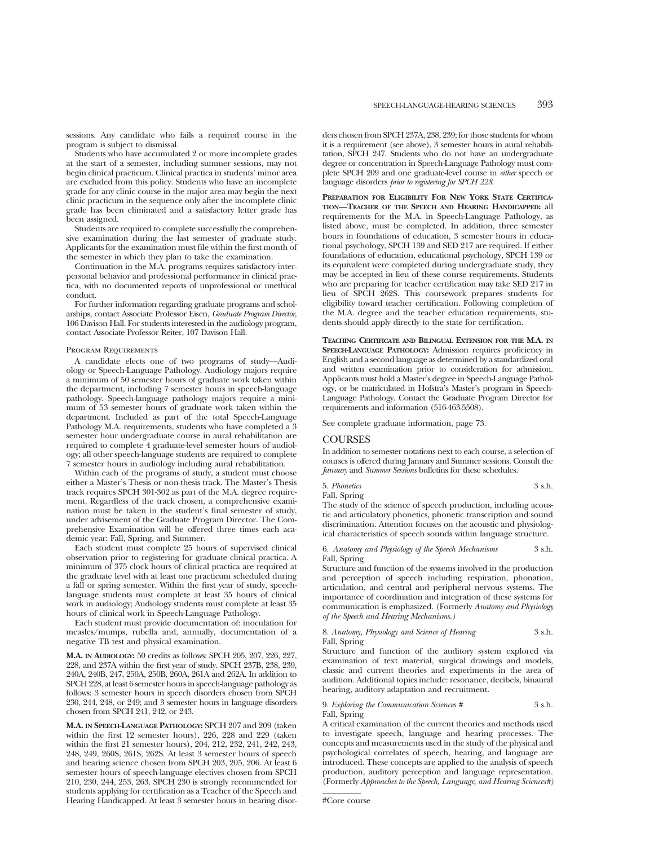sessions. Any candidate who fails a required course in the program is subject to dismissal.

Students who have accumulated 2 or more incomplete grades at the start of a semester, including summer sessions, may not begin clinical practicum. Clinical practica in students' minor area are excluded from this policy. Students who have an incomplete grade for any clinic course in the major area may begin the next clinic practicum in the sequence only after the incomplete clinic grade has been eliminated and a satisfactory letter grade has been assigned.

Students are required to complete successfully the comprehensive examination during the last semester of graduate study. Applicants for the examination must file within the first month of the semester in which they plan to take the examination.

Continuation in the M.A. programs requires satisfactory interpersonal behavior and professional performance in clinical practica, with no documented reports of unprofessional or unethical conduct.

For further information regarding graduate programs and scholarships, contact Associate Professor Eisen, *Graduate Program Director*, 106 Davison Hall. For students interested in the audiology program, contact Associate Professor Reiter, 107 Davison Hall.

#### Program Requirements

A candidate elects one of two programs of study—Audiology or Speech-Language Pathology. Audiology majors require a minimum of 50 semester hours of graduate work taken within the department, including 7 semester hours in speech-language pathology. Speech-language pathology majors require a minimum of 53 semester hours of graduate work taken within the department. Included as part of the total Speech-Language Pathology M.A. requirements, students who have completed a 3 semester hour undergraduate course in aural rehabilitation are required to complete 4 graduate-level semester hours of audiology; all other speech-language students are required to complete 7 semester hours in audiology including aural rehabilitation.

Within each of the programs of study, a student must choose either a Master's Thesis or non-thesis track. The Master's Thesis track requires SPCH 301-302 as part of the M.A. degree requirement. Regardless of the track chosen, a comprehensive examination must be taken in the student's final semester of study, under advisement of the Graduate Program Director. The Comprehensive Examination will be offered three times each academic year: Fall, Spring, and Summer.

Each student must complete 25 hours of supervised clinical observation prior to registering for graduate clinical practica. A minimum of 375 clock hours of clinical practica are required at the graduate level with at least one practicum scheduled during a fall or spring semester. Within the first year of study, speechlanguage students must complete at least 35 hours of clinical work in audiology; Audiology students must complete at least 35 hours of clinical work in Speech-Language Pathology.

Each student must provide documentation of: inoculation for measles/mumps, rubella and, annually, documentation of a negative TB test and physical examination.

**M.A. IN AUDIOLOGY:** 50 credits as follows: SPCH 205, 207, 226, 227, 228, and 237A within the first year of study. SPCH 237B, 238, 239, 240A, 240B, 247, 250A, 250B, 260A, 261A and 262A. In addition to SPCH 228, at least 6 semester hours in speech-language pathology as follows: 3 semester hours in speech disorders chosen from SPCH 230, 244, 248, or 249; and 3 semester hours in language disorders chosen from SPCH 241, 242, or 243.

**M.A. IN SPEECH-LANGUAGE PATHOLOGY:** SPCH 207 and 209 (taken within the first 12 semester hours), 226, 228 and 229 (taken within the first 21 semester hours), 204, 212, 232, 241, 242, 243, 248, 249, 260S, 261S, 262S. At least 3 semester hours of speech and hearing science chosen from SPCH 203, 205, 206. At least 6 semester hours of speech-language electives chosen from SPCH 210, 230, 244, 253, 263. SPCH 230 is strongly recommended for students applying for certification as a Teacher of the Speech and Hearing Handicapped. At least 3 semester hours in hearing disorders chosen from SPCH 237A, 238, 239; for those students for whom it is a requirement (see above), 3 semester hours in aural rehabilitation, SPCH 247. Students who do not have an undergraduate degree or concentration in Speech-Language Pathology must complete SPCH 209 and one graduate-level course in *either* speech or language disorders *prior to registering for SPCH 228*.

**PREPARATION FOR ELIGIBILITY FOR NEW YORK STATE CERTIFICA-TION—TEACHER OF THE SPEECH AND HEARING HANDICAPPED:** all requirements for the M.A. in Speech-Language Pathology, as listed above, must be completed. In addition, three semester hours in foundations of education, 3 semester hours in educational psychology, SPCH 139 and SED 217 are required. If either foundations of education, educational psychology, SPCH 139 or its equivalent were completed during undergraduate study, they may be accepted in lieu of these course requirements. Students who are preparing for teacher certification may take SED 217 in lieu of SPCH 262S. This coursework prepares students for eligibility toward teacher certification. Following completion of the M.A. degree and the teacher education requirements, students should apply directly to the state for certification.

**TEACHING CERTIFICATE AND BILINGUAL EXTENSION FOR THE M.A. IN SPEECH-LANGUAGE PATHOLOGY:** Admission requires proficiency in English and a second language as determined by a standardized oral and written examination prior to consideration for admission. Applicants must hold a Master's degree in Speech-Language Pathology, or be matriculated in Hofstra's Master's program in Speech-Language Pathology. Contact the Graduate Program Director for requirements and information (516-463-5508).

See complete graduate information, page 73.

#### COURSES

In addition to semester notations next to each course, a selection of courses is offered during January and Summer sessions. Consult the *January* and *Summer Sessions* bulletins for these schedules.

5. *Phonetics* 3 s.h. Fall, Spring

The study of the science of speech production, including acoustic and articulatory phonetics, phonetic transcription and sound discrimination. Attention focuses on the acoustic and physiological characteristics of speech sounds within language structure.

6. *Anatomy and Physiology of the Speech Mechanisms* 3 s.h. Fall, Spring

Structure and function of the systems involved in the production and perception of speech including respiration, phonation, articulation, and central and peripheral nervous systems. The importance of coordination and integration of these systems for communication is emphasized. (Formerly *Anatomy and Physiology of the Speech and Hearing Mechanisms.)*

8. *Anatomy, Physiology and Science of Hearing* 3 s.h. Fall, Spring

Structure and function of the auditory system explored via examination of text material, surgical drawings and models, classic and current theories and experiments in the area of audition. Additional topics include: resonance, decibels, binaural hearing, auditory adaptation and recruitment.

#### 9. *Exploring the Communication Sciences #* 3 s.h. Fall, Spring

A critical examination of the current theories and methods used to investigate speech, language and hearing processes. The concepts and measurements used in the study of the physical and psychological correlates of speech, hearing, and language are introduced. These concepts are applied to the analysis of speech production, auditory perception and language representation. (Formerly *Approaches to the Speech, Language, and Hearing Sciences#)*

<sup>#</sup>Core course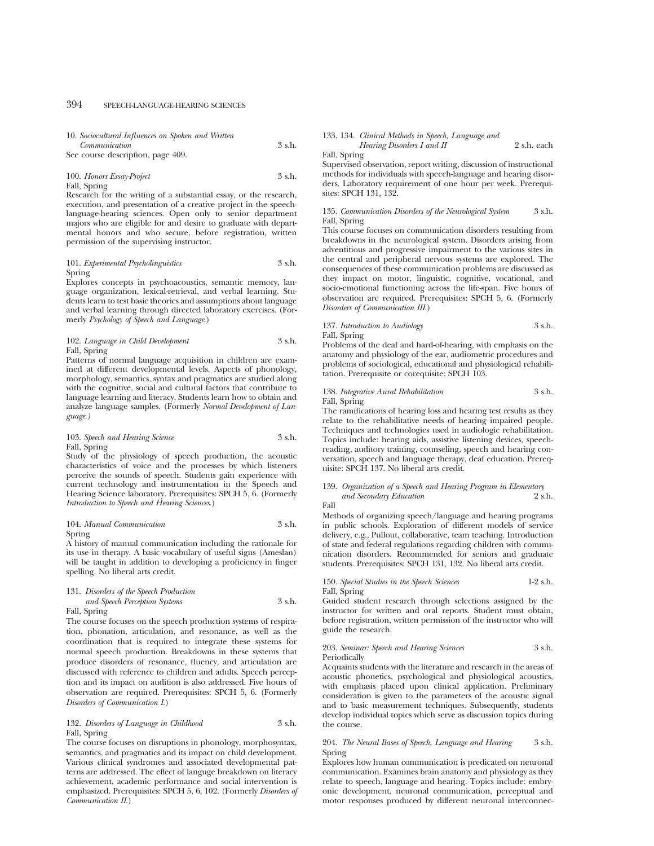|               | 10. Sociocultural Influences on Spoken and Written |        |
|---------------|----------------------------------------------------|--------|
| Communication |                                                    | 3 s.h. |
|               | $\sqrt{2}$                                         |        |

See course description, page 409.

#### 100. *Honors Essay-Project* 3 s.h. Fall, Spring

Research for the writing of a substantial essay, or the research, execution, and presentation of a creative project in the speechlanguage-hearing sciences. Open only to senior department majors who are eligible for and desire to graduate with departmental honors and who secure, before registration, written permission of the supervising instructor.

#### 101. *Experimental Psycholinguistics* 3 s.h. Spring

Explores concepts in psychoacoustics, semantic memory, language organization, lexical-retrieval, and verbal learning. Students learn to test basic theories and assumptions about language and verbal learning through directed laboratory exercises. (Formerly *Psychology of Speech and Language*.)

#### 102. *Language in Child Development* 3 s.h. Fall, Spring

Patterns of normal language acquisition in children are examined at different developmental levels. Aspects of phonology, morphology, semantics, syntax and pragmatics are studied along with the cognitive, social and cultural factors that contribute to language learning and literacy. Students learn how to obtain and analyze language samples. (Formerly *Normal Development of Language.)*

#### 103. *Speech and Hearing Science* 3 s.h. Fall, Spring

Study of the physiology of speech production, the acoustic characteristics of voice and the processes by which listeners perceive the sounds of speech. Students gain experience with current technology and instrumentation in the Speech and Hearing Science laboratory. Prerequisites: SPCH 5, 6. (Formerly *Introduction to Speech and Hearing Sciences*.)

#### 104. *Manual Communication* 3 s.h. Spring

A history of manual communication including the rationale for its use in therapy. A basic vocabulary of useful signs (Ameslan) will be taught in addition to developing a proficiency in finger spelling. No liberal arts credit.

#### 131. *Disorders of the Speech Production and Speech Perception Systems* 3 s.h.

#### Fall, Spring

The course focuses on the speech production systems of respiration, phonation, articulation, and resonance, as well as the coordination that is required to integrate these systems for normal speech production. Breakdowns in these systems that produce disorders of resonance, fluency, and articulation are discussed with reference to children and adults. Speech perception and its impact on audition is also addressed. Five hours of observation are required. Prerequisites: SPCH 5, 6. (Formerly *Disorders of Communication I*.)

#### 132. *Disorders of Language in Childhood* 3 s.h. Fall, Spring

The course focuses on disruptions in phonology, morphosyntax, semantics, and pragmatics and its impact on child development. Various clinical syndromes and associated developmental patterns are addressed. The effect of languge breakdown on literacy achievement, academic performance and social intervention is emphasized. Prerequisites: SPCH 5, 6, 102. (Formerly *Disorders of Communication II*.)

#### 133, 134. *Clinical Methods in Speech, Language and Hearing Disorders I and II* 2 s.h. each

Fall, Spring

Supervised observation, report writing, discussion of instructional methods for individuals with speech-language and hearing disorders. Laboratory requirement of one hour per week. Prerequisites: SPCH 131, 132.

#### 135. *Communication Disorders of the Neurological System* 3 s.h. Fall, Spring

This course focuses on communication disorders resulting from breakdowns in the neurological system. Disorders arising from adventitious and progressive impairment to the various sites in the central and peripheral nervous systems are explored. The consequences of these communication problems are discussed as they impact on motor, linguistic, cognitive, vocational, and socio-emotional functioning across the life-span. Five hours of observation are required. Prerequisites: SPCH 5, 6. (Formerly *Disorders of Communication III*.)

### 137. *Introduction to Audiology* 3 s.h.

Fall, Spring

Problems of the deaf and hard-of-hearing, with emphasis on the anatomy and physiology of the ear, audiometric procedures and problems of sociological, educational and physiological rehabilitation. Prerequisite or corequisite: SPCH 103.

#### 138. *Integrative Aural Rehabilitation* 3 s.h. Fall, Spring

The ramifications of hearing loss and hearing test results as they relate to the rehabilitative needs of hearing impaired people. Techniques and technologies used in audiologic rehabilitation. Topics include: hearing aids, assistive listening devices, speechreading, auditory training, counseling, speech and hearing conversation, speech and language therapy, deaf education. Prerequisite: SPCH 137. No liberal arts credit.

#### 139. *Organization of a Speech and Hearing Program in Elementary and Secondary Education* 2 s.h. Fall

Methods of organizing speech/language and hearing programs in public schools. Exploration of different models of service delivery, e.g., Pullout, collaborative, team teaching. Introduction of state and federal regulations regarding children with communication disorders. Recommended for seniors and graduate students. Prerequisites: SPCH 131, 132. No liberal arts credit.

#### 150. *Special Studies in the Speech Sciences* 1-2 s.h. Fall, Spring

Guided student research through selections assigned by the instructor for written and oral reports. Student must obtain, before registration, written permission of the instructor who will guide the research.

#### 203. *Seminar: Speech and Hearing Sciences* 3 s.h. Periodically

Acquaints students with the literature and research in the areas of acoustic phonetics, psychological and physiological acoustics, with emphasis placed upon clinical application. Preliminary consideration is given to the parameters of the acoustic signal and to basic measurement techniques. Subsequently, students develop individual topics which serve as discussion topics during the course.

#### 204. *The Neural Bases of Speech, Language and Hearing* 3 s.h. Spring

Explores how human communication is predicated on neuronal communication. Examines brain anatomy and physiology as they relate to speech, language and hearing. Topics include: embryonic development, neuronal communication, perceptual and motor responses produced by different neuronal interconnec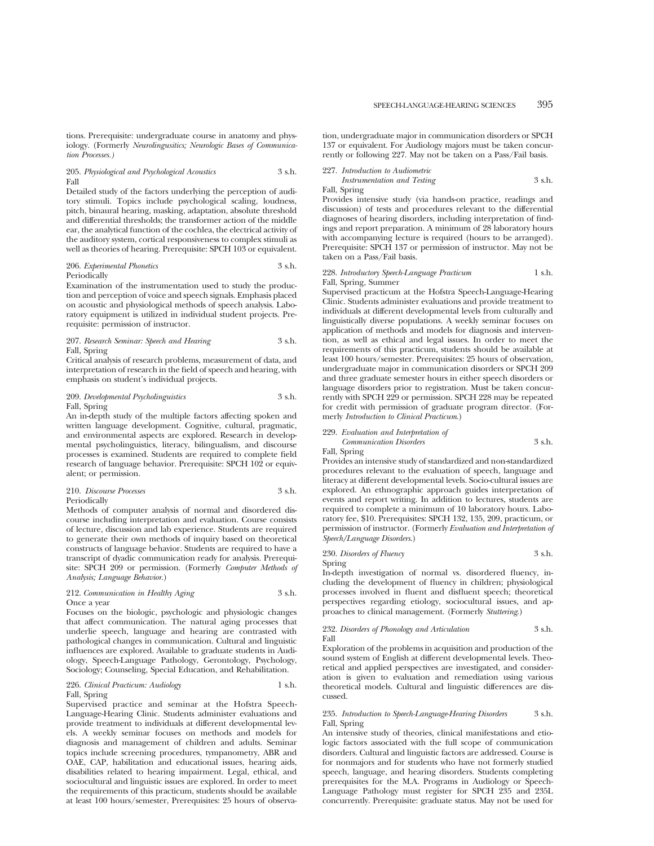tions. Prerequisite: undergraduate course in anatomy and physiology. (Formerly *Neurolingusitics; Neurologic Bases of Communication Processes.)*

#### 205. *Physiological and Psychological Acoustics* 3 s.h. Fall

Detailed study of the factors underlying the perception of auditory stimuli. Topics include psychological scaling, loudness, pitch, binaural hearing, masking, adaptation, absolute threshold and differential thresholds; the transformer action of the middle ear, the analytical function of the cochlea, the electrical activity of the auditory system, cortical responsiveness to complex stimuli as well as theories of hearing. Prerequisite: SPCH 103 or equivalent.

#### 206. *Experimental Phonetics* 3 s.h. Periodically

Examination of the instrumentation used to study the production and perception of voice and speech signals. Emphasis placed on acoustic and physiological methods of speech analysis. Laboratory equipment is utilized in individual student projects. Prerequisite: permission of instructor.

#### 207. *Research Seminar: Speech and Hearing* 3 s.h. Fall, Spring

Critical analysis of research problems, measurement of data, and interpretation of research in the field of speech and hearing, with emphasis on student's individual projects.

#### 209. *Developmental Psycholinguistics* 3 s.h. Fall, Spring

An in-depth study of the multiple factors affecting spoken and written language development. Cognitive, cultural, pragmatic, and environmental aspects are explored. Research in developmental psycholinguistics, literacy, bilingualism, and discourse processes is examined. Students are required to complete field research of language behavior. Prerequisite: SPCH 102 or equivalent; or permission.

#### 210. *Discourse Processes* 3 s.h. Periodically

Methods of computer analysis of normal and disordered discourse including interpretation and evaluation. Course consists of lecture, discussion and lab experience. Students are required to generate their own methods of inquiry based on theoretical constructs of language behavior. Students are required to have a transcript of dyadic communication ready for analysis. Prerequisite: SPCH 209 or permission. (Formerly *Computer Methods of Analysis; Language Behavior.*)

#### 212. *Communication in Healthy Aging* 3 s.h. Once a year

Focuses on the biologic, psychologic and physiologic changes that affect communication. The natural aging processes that underlie speech, language and hearing are contrasted with pathological changes in communication. Cultural and linguistic influences are explored. Available to graduate students in Audiology, Speech-Language Pathology, Gerontology, Psychology, Sociology; Counseling, Special Education, and Rehabilitation.

#### 226. *Clinical Practicum: Audiology* 1 s.h. Fall, Spring

Supervised practice and seminar at the Hofstra Speech-Language-Hearing Clinic. Students administer evaluations and provide treatment to individuals at different developmental levels. A weekly seminar focuses on methods and models for diagnosis and management of children and adults. Seminar topics include screening procedures, tympanometry, ABR and OAE, CAP, habilitation and educational issues, hearing aids, disabilities related to hearing impairment. Legal, ethical, and sociocultural and linguistic issues are explored. In order to meet the requirements of this practicum, students should be available at least 100 hours/semester, Prerequisites: 25 hours of observation, undergraduate major in communication disorders or SPCH 137 or equivalent. For Audiology majors must be taken concurrently or following 227. May not be taken on a Pass/Fail basis.

### 227. *Introduction to Audiometric*

*Instrumentation and Testing* 3 s.h. Fall, Spring

Provides intensive study (via hands-on practice, readings and discussion) of tests and procedures relevant to the differential diagnoses of hearing disorders, including interpretation of findings and report preparation. A minimum of 28 laboratory hours with accompanying lecture is required (hours to be arranged). Prerequisite: SPCH 137 or permission of instructor. May not be taken on a Pass/Fail basis.

#### 228. *Introductory Speech-Language Practicum* 1 s.h. Fall, Spring, Summer

Supervised practicum at the Hofstra Speech-Language-Hearing Clinic. Students administer evaluations and provide treatment to individuals at different developmental levels from culturally and linguistically diverse populations. A weekly seminar focuses on application of methods and models for diagnosis and intervention, as well as ethical and legal issues. In order to meet the requirements of this practicum, students should be available at least 100 hours/semester. Prerequisites: 25 hours of observation, undergraduate major in communication disorders or SPCH 209 and three graduate semester hours in either speech disorders or language disorders prior to registration. Must be taken concurrently with SPCH 229 or permission. SPCH 228 may be repeated for credit with permission of graduate program director. (Formerly *Introduction to Clinical Practicum*.)

### 229. *Evaluation and Interpretation of Communication Disorders* 3 s.h.

Fall, Spring

Provides an intensive study of standardized and non-standardized procedures relevant to the evaluation of speech, language and literacy at different developmental levels. Socio-cultural issues are explored. An ethnographic approach guides interpretation of events and report writing. In addition to lectures, students are required to complete a minimum of 10 laboratory hours. Laboratory fee, \$10. Prerequisites: SPCH 132, 135, 209, practicum, or permission of instructor. (Formerly *Evaluation and Interpretation of Speech/Language Disorders*.)

#### 230. *Disorders of Fluency* 3 s.h. Spring

In-depth investigation of normal vs. disordered fluency, including the development of fluency in children; physiological processes involved in fluent and disfluent speech; theoretical perspectives regarding etiology, sociocultural issues, and approaches to clinical management. (Formerly *Stuttering*.)

#### 232. *Disorders of Phonology and Articulation* 3 s.h. Fall

Exploration of the problems in acquisition and production of the sound system of English at different developmental levels. Theoretical and applied perspectives are investigated, and consideration is given to evaluation and remediation using various theoretical models. Cultural and linguistic differences are discussed.

#### 235. *Introduction to Speech-Language-Hearing Disorders* 3 s.h. Fall, Spring

An intensive study of theories, clinical manifestations and etiologic factors associated with the full scope of communication disorders. Cultural and linguistic factors are addressed. Course is for nonmajors and for students who have not formerly studied speech, language, and hearing disorders. Students completing prerequisites for the M.A. Programs in Audiology or Speech-Language Pathology must register for SPCH 235 and 235L concurrently. Prerequisite: graduate status. May not be used for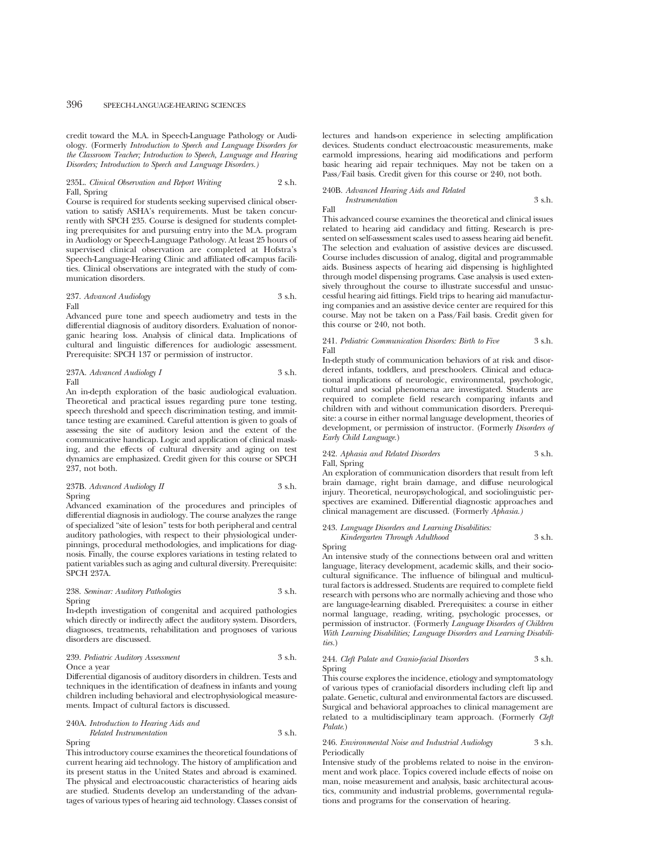credit toward the M.A. in Speech-Language Pathology or Audiology. (Formerly *Introduction to Speech and Language Disorders for the Classroom Teacher; Introduction to Speech, Language and Hearing Disorders; Introduction to Speech and Language Disorders.)*

#### 235L. *Clinical Observation and Report Writing* 2 s.h. Fall, Spring

Course is required for students seeking supervised clinical observation to satisfy ASHA's requirements. Must be taken concurrently with SPCH 235. Course is designed for students completing prerequisites for and pursuing entry into the M.A. program in Audiology or Speech-Language Pathology. At least 25 hours of supervised clinical observation are completed at Hofstra's Speech-Language-Hearing Clinic and affiliated off-campus facilities. Clinical observations are integrated with the study of communication disorders.

#### 237. *Advanced Audiology* 3 s.h. Fall

Advanced pure tone and speech audiometry and tests in the differential diagnosis of auditory disorders. Evaluation of nonorganic hearing loss. Analysis of clinical data. Implications of cultural and linguistic differences for audiologic assessment. Prerequisite: SPCH 137 or permission of instructor.

237A. *Advanced Audiology I* 3 s.h. Fall

An in-depth exploration of the basic audiological evaluation. Theoretical and practical issues regarding pure tone testing, speech threshold and speech discrimination testing, and immittance testing are examined. Careful attention is given to goals of assessing the site of auditory lesion and the extent of the communicative handicap. Logic and application of clinical masking, and the effects of cultural diversity and aging on test dynamics are emphasized. Credit given for this course or SPCH 237, not both.

237B. *Advanced Audiology II* 3 s.h. Spring

Advanced examination of the procedures and principles of differential diagnosis in audiology. The course analyzes the range of specialized "site of lesion" tests for both peripheral and central auditory pathologies, with respect to their physiological underpinnings, procedural methodologies, and implications for diagnosis. Finally, the course explores variations in testing related to patient variables such as aging and cultural diversity. Prerequisite: SPCH 237A.

### 238. *Seminar: Auditory Pathologies* 3 s.h. Spring

In-depth investigation of congenital and acquired pathologies which directly or indirectly affect the auditory system. Disorders, diagnoses, treatments, rehabilitation and prognoses of various disorders are discussed.

#### 239. *Pediatric Auditory Assessment* 3 s.h. Once a year

Differential diganosis of auditory disorders in children. Tests and techniques in the identification of deafness in infants and young children including behavioral and electrophysiological measurements. Impact of cultural factors is discussed.

#### 240A. *Introduction to Hearing Aids and*

#### *Related Instrumentation* 3 s.h. Spring

This introductory course examines the theoretical foundations of current hearing aid technology. The history of amplification and its present status in the United States and abroad is examined. The physical and electroacoustic characteristics of hearing aids are studied. Students develop an understanding of the advantages of various types of hearing aid technology. Classes consist of lectures and hands-on experience in selecting amplification devices. Students conduct electroacoustic measurements, make earmold impressions, hearing aid modifications and perform basic hearing aid repair techniques. May not be taken on a Pass/Fail basis. Credit given for this course or 240, not both.

#### 240B. *Advanced Hearing Aids and Related Instrumentation* 3 s.h.

Fall

This advanced course examines the theoretical and clinical issues related to hearing aid candidacy and fitting. Research is presented on self-assessment scales used to assess hearing aid benefit. The selection and evaluation of assistive devices are discussed. Course includes discussion of analog, digital and programmable aids. Business aspects of hearing aid dispensing is highlighted through model dispensing programs. Case analysis is used extensively throughout the course to illustrate successful and unsuccessful hearing aid fittings. Field trips to hearing aid manufacturing companies and an assistive device center are required for this course. May not be taken on a Pass/Fail basis. Credit given for this course or 240, not both.

#### 241. *Pediatric Communication Disorders: Birth to Five* 3 s.h. Fall

In-depth study of communication behaviors of at risk and disordered infants, toddlers, and preschoolers. Clinical and educational implications of neurologic, environmental, psychologic, cultural and social phenomena are investigated. Students are required to complete field research comparing infants and children with and without communication disorders. Prerequisite: a course in either normal language development, theories of development, or permission of instructor. (Formerly *Disorders of Early Child Language.*)

#### 242. *Aphasia and Related Disorders* 3 s.h. Fall, Spring

An exploration of communication disorders that result from left brain damage, right brain damage, and diffuse neurological injury. Theoretical, neuropsychological, and sociolinguistic perspectives are examined. Differential diagnostic approaches and clinical management are discussed. (Formerly *Aphasia.)*

243. *Language Disorders and Learning Disabilities: Kindergarten Through Adulthood* 3 s.h.

Spring An intensive study of the connections between oral and written language, literacy development, academic skills, and their sociocultural significance. The influence of bilingual and multicultural factors is addressed. Students are required to complete field research with persons who are normally achieving and those who are language-learning disabled. Prerequisites: a course in either normal language, reading, writing, psychologic processes, or permission of instructor. (Formerly *Language Disorders of Children With Learning Disabilities; Language Disorders and Learning Disabilities.*)

#### 244. *Cleft Palate and Cranio-facial Disorders* 3 s.h. Spring

This course explores the incidence, etiology and symptomatology of various types of craniofacial disorders including cleft lip and palate. Genetic, cultural and environmental factors are discussed. Surgical and behavioral approaches to clinical management are related to a multidisciplinary team approach. (Formerly *Cleft Palate*.)

#### 246. *Environmental Noise and Industrial Audiology* 3 s.h. Periodically

Intensive study of the problems related to noise in the environment and work place. Topics covered include effects of noise on man, noise measurement and analysis, basic architectural acoustics, community and industrial problems, governmental regulations and programs for the conservation of hearing.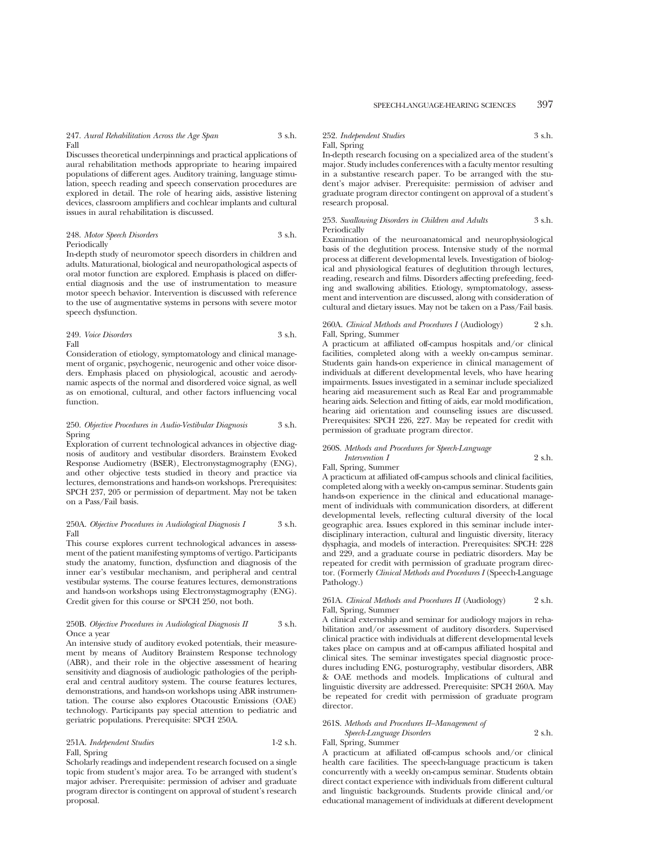Discusses theoretical underpinnings and practical applications of aural rehabilitation methods appropriate to hearing impaired populations of different ages. Auditory training, language stimulation, speech reading and speech conservation procedures are explored in detail. The role of hearing aids, assistive listening devices, classroom amplifiers and cochlear implants and cultural issues in aural rehabilitation is discussed.

#### 248. *Motor Speech Disorders* 3 s.h. Periodically

In-depth study of neuromotor speech disorders in children and adults. Maturational, biological and neuropathological aspects of oral motor function are explored. Emphasis is placed on differential diagnosis and the use of instrumentation to measure motor speech behavior. Intervention is discussed with reference to the use of augmentative systems in persons with severe motor speech dysfunction.

#### 249. *Voice Disorders* 3 s.h. Fall

Consideration of etiology, symptomatology and clinical management of organic, psychogenic, neurogenic and other voice disorders. Emphasis placed on physiological, acoustic and aerodynamic aspects of the normal and disordered voice signal, as well as on emotional, cultural, and other factors influencing vocal function.

#### 250. *Objective Procedures in Audio-Vestibular Diagnosis* 3 s.h. Spring

Exploration of current technological advances in objective diagnosis of auditory and vestibular disorders. Brainstem Evoked Response Audiometry (BSER), Electronystagmography (ENG), and other objective tests studied in theory and practice via lectures, demonstrations and hands-on workshops. Prerequisites: SPCH 237, 205 or permission of department. May not be taken on a Pass/Fail basis.

#### 250A. *Objective Procedures in Audiological Diagnosis I* 3 s.h. Fall

This course explores current technological advances in assessment of the patient manifesting symptoms of vertigo. Participants study the anatomy, function, dysfunction and diagnosis of the inner ear's vestibular mechanism, and peripheral and central vestibular systems. The course features lectures, demonstrations and hands-on workshops using Electronystagmography (ENG). Credit given for this course or SPCH 250, not both.

#### 250B. *Objective Procedures in Audiological Diagnosis II* 3 s.h. Once a year

An intensive study of auditory evoked potentials, their measurement by means of Auditory Brainstem Response technology (ABR), and their role in the objective assessment of hearing sensitivity and diagnosis of audiologic pathologies of the peripheral and central auditory system. The course features lectures, demonstrations, and hands-on workshops using ABR instrumentation. The course also explores Otacoustic Emissions (OAE) technology. Participants pay special attention to pediatric and geriatric populations. Prerequisite: SPCH 250A.

#### 251A. *Independent Studies* 1-2 s.h. Fall, Spring

Scholarly readings and independent research focused on a single topic from student's major area. To be arranged with student's major adviser. Prerequisite: permission of adviser and graduate program director is contingent on approval of student's research proposal.

#### 252. *Independent Studies* 3 s.h. Fall, Spring

In-depth research focusing on a specialized area of the student's major. Study includes conferences with a faculty mentor resulting in a substantive research paper. To be arranged with the student's major adviser. Prerequisite: permission of adviser and graduate program director contingent on approval of a student's research proposal.

#### 253. *Swallowing Disorders in Children and Adults* 3 s.h. Periodically

Examination of the neuroanatomical and neurophysiological basis of the deglutition process. Intensive study of the normal process at different developmental levels. Investigation of biological and physiological features of deglutition through lectures, reading, research and films. Disorders affecting prefeeding, feeding and swallowing abilities. Etiology, symptomatology, assessment and intervention are discussed, along with consideration of cultural and dietary issues. May not be taken on a Pass/Fail basis.

#### 260A. *Clinical Methods and Procedures I* (Audiology) 2 s.h. Fall, Spring, Summer

A practicum at affiliated off-campus hospitals and/or clinical facilities, completed along with a weekly on-campus seminar. Students gain hands-on experience in clinical management of individuals at different developmental levels, who have hearing impairments. Issues investigated in a seminar include specialized hearing aid measurement such as Real Ear and programmable hearing aids. Selection and fitting of aids, ear mold modification, hearing aid orientation and counseling issues are discussed. Prerequisites: SPCH 226, 227. May be repeated for credit with permission of graduate program director.

#### 260S. *Methods and Procedures for Speech-Language*

#### *Intervention I* 2 s.h. Fall, Spring, Summer

A practicum at affiliated off-campus schools and clinical facilities, completed along with a weekly on-campus seminar. Students gain hands-on experience in the clinical and educational management of individuals with communication disorders, at different developmental levels, reflecting cultural diversity of the local geographic area. Issues explored in this seminar include interdisciplinary interaction, cultural and linguistic diversity, literacy dysphagia, and models of interaction. Prerequisites: SPCH: 228 and 229, and a graduate course in pediatric disorders. May be repeated for credit with permission of graduate program director. (Formerly *Clinical Methods and Procedures I* (Speech-Language Pathology.)

#### 261A. *Clinical Methods and Procedures II* (Audiology) 2 s.h. Fall, Spring, Summer

A clinical externship and seminar for audiology majors in rehabilitation and/or assessment of auditory disorders. Supervised clinical practice with individuals at different developmental levels takes place on campus and at off-campus affiliated hospital and clinical sites. The seminar investigates special diagnostic procedures including ENG, posturography, vestibular disorders, ABR & OAE methods and models. Implications of cultural and linguistic diversity are addressed. Prerequisite: SPCH 260A. May be repeated for credit with permission of graduate program director.

#### 261S. *Methods and Procedures II–Management of*

#### *Speech-Language Disorders* 2 s.h. Fall, Spring, Summer

A practicum at affiliated off-campus schools and/or clinical health care facilities. The speech-language practicum is taken concurrently with a weekly on-campus seminar. Students obtain direct contact experience with individuals from different cultural and linguistic backgrounds. Students provide clinical and/or educational management of individuals at different development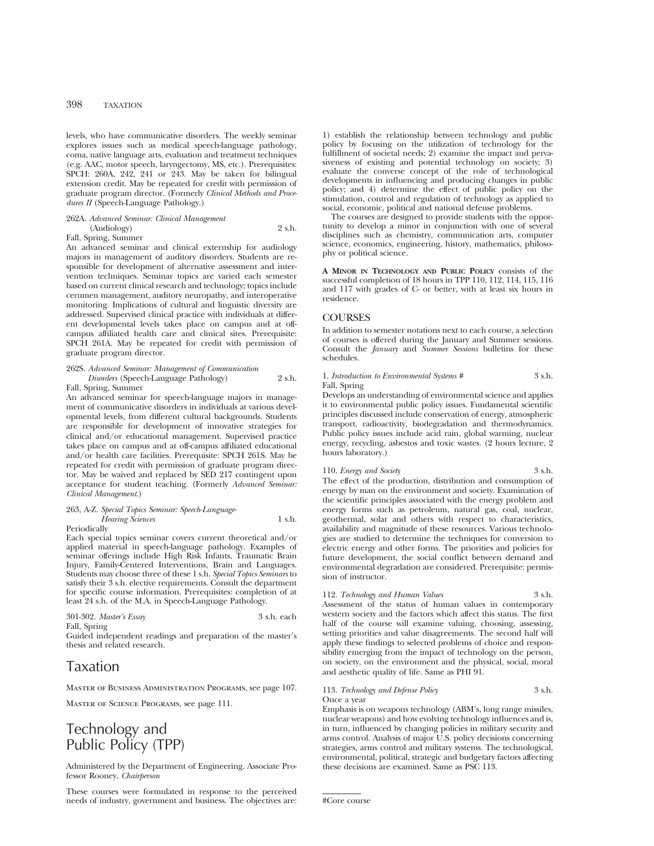levels, who have communicative disorders. The weekly seminar explores issues such as medical speech-language pathology, coma, native language arts, evaluation and treatment techniques (e.g. AAC, motor speech, laryngectomy, MS, etc.). Prerequisites: SPCH: 260A, 242, 241 or 243. May be taken for bilingual extension credit. May be repeated for credit with permission of graduate program director. (Formerly *Clinical Methods and Procedures II* (Speech-Language Pathology.)

### 262A. *Advanced Seminar: Clinical Management*

(Audiology) 2 s.h. Fall, Spring, Summer

An advanced seminar and clinical externship for audiology majors in management of auditory disorders. Students are responsible for development of alternative assessment and intervention techniques. Seminar topics are varied each semester based on current clinical research and technology; topics include cerumen management, auditory neuropathy, and interoperative monitoring. Implications of cultural and linguistic diversity are addressed. Supervised clinical practice with individuals at different developmental levels takes place on campus and at offcampus affiliated health care and clinical sites. Prerequisite: SPCH 261A. May be repeated for credit with permission of graduate program director.

#### 262S. *Advanced Seminar: Management of Communication Disorders* (Speech-Language Pathology) 2 s.h.

Fall, Spring, Summer

An advanced seminar for speech-language majors in management of communicative disorders in individuals at various developmental levels, from different cultural backgrounds. Students are responsible for development of innovative strategies for clinical and/or educational management. Supervised practice takes place on campus and at off-campus affiliated educational and/or health care facilities. Prerequisite: SPCH 261S. May be repeated for credit with permission of graduate program director. May be waived and replaced by SED 217 contingent upon acceptance for student teaching. (Formerly *Advanced Seminar: Clinical Management*.)

### 263, A-Z. *Special Topics Seminar: Speech-Language-Hearing Sciences* 1 s.h.

Periodically

Each special topics seminar covers current theoretical and/or applied material in speech-language pathology. Examples of seminar offerings include High Risk Infants, Traumatic Brain Injury, Family-Centered Interventions, Brain and Languages. Students may choose three of these 1 s.h. *Special Topics Seminars* to satisfy their 3 s.h. elective requirements. Consult the department for specific course information. Prerequisites: completion of at least 24 s.h. of the M.A. in Speech-Language Pathology.

| 301-302. Master's Essay | 3 s.h. each |
|-------------------------|-------------|
| Fall, Spring            |             |

Guided independent readings and preparation of the master's thesis and related research.

## Taxation

Master of Business Administration Programs, see page 107.

Master of Science Programs, see page 111.

## Technology and Public Policy (TPP)

Administered by the Department of Engineering. Associate Professor Rooney, *Chairperson*

These courses were formulated in response to the perceived needs of industry, government and business. The objectives are: 1) establish the relationship between technology and public policy by focusing on the utilization of technology for the fulfillment of societal needs; 2) examine the impact and pervasiveness of existing and potential technology on society; 3) evaluate the converse concept of the role of technological developments in influencing and producing changes in public policy; and 4) determine the effect of public policy on the stimulation, control and regulation of technology as applied to social, economic, political and national defense problems.

The courses are designed to provide students with the opportunity to develop a minor in conjunction with one of several disciplines such as chemistry, communication arts, computer science, economics, engineering, history, mathematics, philosophy or political science.

**A MINOR IN TECHNOLOGY AND PUBLIC POLICY** consists of the successful completion of 18 hours in TPP 110, 112, 114, 115, 116 and 117 with grades of C- or better, with at least six hours in residence.

### **COURSES**

In addition to semester notations next to each course, a selection of courses is offered during the January and Summer sessions. Consult the *January* and *Summer Sessions* bulletins for these schedules.

1. *Introduction to Environmental Systems* # 3 s.h. Fall, Spring

Develops an understanding of environmental science and applies it to environmental public policy issues. Fundamental scientific principles discussed include conservation of energy, atmospheric transport, radioactivity, biodegradation and thermodynamics. Public policy issues include acid rain, global warming, nuclear energy, recycling, asbestos and toxic wastes. (2 hours lecture, 2 hours laboratory.)

110. *Energy and Society* 3 s.h. The effect of the production, distribution and consumption of energy by man on the environment and society. Examination of the scientific principles associated with the energy problem and energy forms such as petroleum, natural gas, coal, nuclear, geothermal, solar and others with respect to characteristics, availability and magnitude of these resources. Various technologies are studied to determine the techniques for conversion to electric energy and other forms. The priorities and policies for future development, the social conflict between demand and environmental degradation are considered. Prerequisite: permission of instructor.

#### 112. *Technology and Human Values* 3 s.h.

Assessment of the status of human values in contemporary western society and the factors which affect this status. The first half of the course will examine valuing, choosing, assessing, setting priorities and value disagreements. The second half will apply these findings to selected problems of choice and responsibility emerging from the impact of technology on the person, on society, on the environment and the physical, social, moral and aesthetic quality of life. Same as PHI 91.

### 113. *Technology and Defense Policy* 3 s.h.

Emphasis is on weapons technology (ABM's, long range missiles, nuclear weapons) and how evolving technology influences and is, in turn, influenced by changing policies in military security and arms control. Analysis of major U.S. policy decisions concerning strategies, arms control and military systems. The technological, environmental, political, strategic and budgetary factors affecting these decisions are examined. Same as PSC 113.

#Core course

Once a year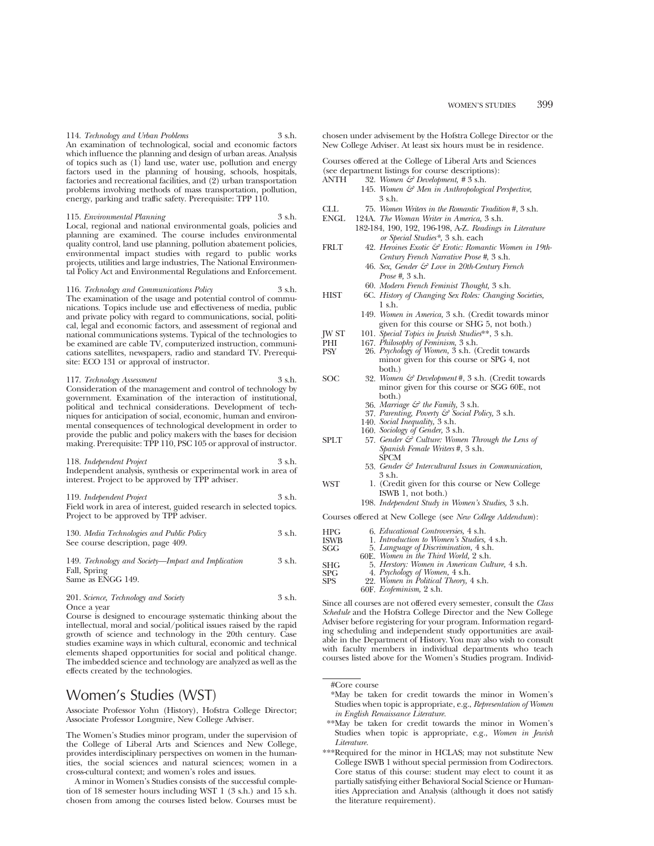114. *Technology and Urban Problems* 3 s.h. An examination of technological, social and economic factors which influence the planning and design of urban areas. Analysis of topics such as (1) land use, water use, pollution and energy factors used in the planning of housing, schools, hospitals, factories and recreational facilities, and (2) urban transportation problems involving methods of mass transportation, pollution, energy, parking and traffic safety. Prerequisite: TPP 110.

115. *Environmental Planning* 3 s.h. Local, regional and national environmental goals, policies and planning are examined. The course includes environmental quality control, land use planning, pollution abatement policies, environmental impact studies with regard to public works projects, utilities and large industries, The National Environmental Policy Act and Environmental Regulations and Enforcement.

116. *Technology and Communications Policy* 3 s.h. The examination of the usage and potential control of communications. Topics include use and effectiveness of media, public and private policy with regard to communications, social, political, legal and economic factors, and assessment of regional and national communications systems. Typical of the technologies to be examined are cable TV, computerized instruction, communications satellites, newspapers, radio and standard TV. Prerequisite: ECO 131 or approval of instructor.

117. *Technology Assessment* 3 s.h. Consideration of the management and control of technology by government. Examination of the interaction of institutional, political and technical considerations. Development of techniques for anticipation of social, economic, human and environmental consequences of technological development in order to provide the public and policy makers with the bases for decision making. Prerequisite: TPP 110, PSC 105 or approval of instructor.

118. *Independent Project* 3 s.h. Independent analysis, synthesis or experimental work in area of interest. Project to be approved by TPP adviser.

119. *Independent Project* 3 s.h. Field work in area of interest, guided research in selected topics. Project to be approved by TPP adviser.

130. *Media Technologies and Public Policy* 3 s.h. See course description, page 409.

149. *Technology and Society—Impact and Implication* 3 s.h. Fall, Spring Same as ENGG 149.

201. *Science, Technology and Society* 3 s.h. Once a year

Course is designed to encourage systematic thinking about the intellectual, moral and social/political issues raised by the rapid growth of science and technology in the 20th century. Case studies examine ways in which cultural, economic and technical elements shaped opportunities for social and political change. The imbedded science and technology are analyzed as well as the effects created by the technologies.

### Women's Studies (WST)

Associate Professor Yohn (History), Hofstra College Director; Associate Professor Longmire, New College Adviser.

The Women's Studies minor program, under the supervision of the College of Liberal Arts and Sciences and New College, provides interdisciplinary perspectives on women in the humanities, the social sciences and natural sciences; women in a cross-cultural context; and women's roles and issues.

A minor in Women's Studies consists of the successful completion of 18 semester hours including WST 1 (3 s.h.) and 15 s.h. chosen from among the courses listed below. Courses must be chosen under advisement by the Hofstra College Director or the New College Adviser. At least six hours must be in residence.

Courses offered at the College of Liberal Arts and Sciences

(see department listings for course descriptions):<br>ANTH  $32.$  Women  $\mathcal{E}$  Development. #3 s.h. ANTH 32. *Women & Development, #* 3 s.h.

- 145. *Women & Men in Anthropological Perspective*, 3 s.h.
- CLL 75. *Women Writers in the Romantic Tradition* #, 3 s.h. ENGL 124A. *The Woman Writer in America,* 3 s.h. 182-184, 190, 192, 196-198, A-Z. *Readings in Literature or Special Studies\*,* 3 s.h. each FRLT 42. *Heroines Exotic & Erotic: Romantic Women in 19th-Century French Narrative Prose #*, 3 s.h. 46. *Sex, Gender & Love in 20th-Century French Prose #,* 3 s.h. 60. *Modern French Feminist Thought,* 3 s.h. HIST 6C. *History of Changing Sex Roles: Changing Societies,* 1 s.h. 149. *Women in America,* 3 s.h. (Credit towards minor given for this course or SHG 5, not both.) JW ST 101. *Special Topics in Jewish Studies*\*\*, 3 s.h. PHI 167. *Philosophy of Feminism*, 3 s.h.<br>PSV 96 *Psychology of Women*, 3 s.h. (0) PSY 26. *Psychology of Women,* 3 s.h. (Credit towards minor given for this course or SPG 4, not both.) SOC 32. *Women & Development* #, 3 s.h. (Credit towards minor given for this course or SGG 60E, not both.) 36. *Marriage & the Family,* 3 s.h. 37. *Parenting, Poverty & Social Policy,* 3 s.h. 140. *Social Inequality,* 3 s.h. 160. *Sociology of Gender,* 3 s.h. SPLT 57. *Gender*  $\mathcal{E}^{\delta}$  Culture: Women Through the Lens of *Spanish Female Writers* #, 3 s.h. SPCM 53. *Gender & Intercultural Issues in Communication,* 3 s.h. WST 1. (Credit given for this course or New College ISWB 1, not both.)
	- 198. *Independent Study in Women's Studies,* 3 s.h.

Courses offered at New College (see *New College Addendum*):

| HPG         | 6. <i>Educational Controversies</i> , 4 s.h.                            |
|-------------|-------------------------------------------------------------------------|
| <b>ISWB</b> | 1. Introduction to Women's Studies, 4 s.h.                              |
| <b>SGG</b>  | 5. Language of Discrimination, 4 s.h.                                   |
|             | 60E. Women in the Third World, 2 s.h.                                   |
| <b>SHG</b>  | 5. Herstory: Women in American Culture, 4 s.h.                          |
| <b>SPG</b>  | 4. Psychology of Women, 4 s.h.<br>22. Women in Political Theory, 4 s.h. |
| <b>SPS</b>  |                                                                         |
|             | 60F. Ecofeminism, 2 s.h.                                                |

Since all courses are not offered every semester, consult the *Class Schedule* and the Hofstra College Director and the New College Adviser before registering for your program. Information regarding scheduling and independent study opportunities are available in the Department of History. You may also wish to consult with faculty members in individual departments who teach courses listed above for the Women's Studies program. Individ-

- \*May be taken for credit towards the minor in Women's Studies when topic is appropriate, e.g., *Representation of Women in English Renaissance Literature.*
- \*\*May be taken for credit towards the minor in Women's Studies when topic is appropriate, e.g., *Women in Jewish Literature.*
- \*\*\*Required for the minor in HCLAS; may not substitute New College ISWB 1 without special permission from Codirectors. Core status of this course: student may elect to count it as partially satisfying either Behavioral Social Science or Humanities Appreciation and Analysis (although it does not satisfy the literature requirement).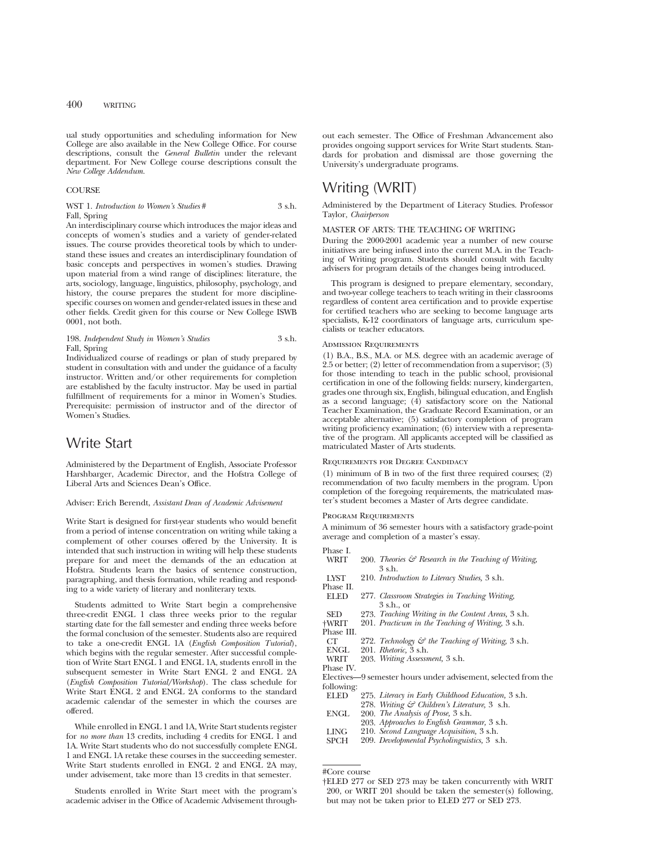ual study opportunities and scheduling information for New College are also available in the New College Office. For course descriptions, consult the *General Bulletin* under the relevant department. For New College course descriptions consult the *New College Addendum.*

#### **COURSE**

WST 1. *Introduction to Women's Studies* # 3 s.h. Fall, Spring

An interdisciplinary course which introduces the major ideas and concepts of women's studies and a variety of gender-related issues. The course provides theoretical tools by which to understand these issues and creates an interdisciplinary foundation of basic concepts and perspectives in women's studies. Drawing upon material from a wind range of disciplines: literature, the arts, sociology, language, linguistics, philosophy, psychology, and history, the course prepares the student for more disciplinespecific courses on women and gender-related issues in these and other fields. Credit given for this course or New College ISWB 0001, not both.

#### 198. *Independent Study in Women's Studies* 3 s.h. Fall, Spring

Individualized course of readings or plan of study prepared by student in consultation with and under the guidance of a faculty instructor. Written and/or other requirements for completion are established by the faculty instructor. May be used in partial fulfillment of requirements for a minor in Women's Studies. Prerequisite: permission of instructor and of the director of Women's Studies.

### Write Start

Administered by the Department of English, Associate Professor Harshbarger, Academic Director, and the Hofstra College of Liberal Arts and Sciences Dean's Office.

#### Adviser: Erich Berendt, *Assistant Dean of Academic Advisement*

Write Start is designed for first-year students who would benefit from a period of intense concentration on writing while taking a complement of other courses offered by the University. It is intended that such instruction in writing will help these students prepare for and meet the demands of the an education at Hofstra. Students learn the basics of sentence construction, paragraphing, and thesis formation, while reading and responding to a wide variety of literary and nonliterary texts.

Students admitted to Write Start begin a comprehensive three-credit ENGL 1 class three weeks prior to the regular starting date for the fall semester and ending three weeks before the formal conclusion of the semester. Students also are required to take a one-credit ENGL 1A (*English Composition Tutorial*), which begins with the regular semester. After successful completion of Write Start ENGL 1 and ENGL 1A, students enroll in the subsequent semester in Write Start ENGL 2 and ENGL 2A (*English Composition Tutorial/Workshop*). The class schedule for Write Start ENGL 2 and ENGL 2A conforms to the standard academic calendar of the semester in which the courses are offered.

While enrolled in ENGL 1 and 1A, Write Start students register for *no more than* 13 credits, including 4 credits for ENGL 1 and 1A. Write Start students who do not successfully complete ENGL 1 and ENGL 1A retake these courses in the succeeding semester. Write Start students enrolled in ENGL 2 and ENGL 2A may, under advisement, take more than 13 credits in that semester.

Students enrolled in Write Start meet with the program's academic adviser in the Office of Academic Advisement throughout each semester. The Office of Freshman Advancement also provides ongoing support services for Write Start students. Standards for probation and dismissal are those governing the University's undergraduate programs.

### Writing (WRIT)

Administered by the Department of Literacy Studies. Professor Taylor, *Chairperson*

#### MASTER OF ARTS: THE TEACHING OF WRITING

During the 2000-2001 academic year a number of new course initiatives are being infused into the current M.A. in the Teaching of Writing program. Students should consult with faculty advisers for program details of the changes being introduced.

This program is designed to prepare elementary, secondary, and two-year college teachers to teach writing in their classrooms regardless of content area certification and to provide expertise for certified teachers who are seeking to become language arts specialists, K-12 coordinators of language arts, curriculum specialists or teacher educators.

#### Admission Requirements

(1) B.A., B.S., M.A. or M.S. degree with an academic average of 2.5 or better; (2) letter of recommendation from a supervisor; (3) for those intending to teach in the public school, provisional certification in one of the following fields: nursery, kindergarten, grades one through six, English, bilingual education, and English as a second language; (4) satisfactory score on the National Teacher Examination, the Graduate Record Examination, or an acceptable alternative; (5) satisfactory completion of program writing proficiency examination; (6) interview with a representative of the program. All applicants accepted will be classified as matriculated Master of Arts students.

#### REQUIREMENTS FOR DEGREE CANDIDACY

(1) minimum of B in two of the first three required courses; (2) recommendation of two faculty members in the program. Upon completion of the foregoing requirements, the matriculated master's student becomes a Master of Arts degree candidate.

#### Program Requirements

A minimum of 36 semester hours with a satisfactory grade-point

|            | $\cdots$                                                        |
|------------|-----------------------------------------------------------------|
|            | average and completion of a master's essay.                     |
| Phase I.   |                                                                 |
| WRIT       | 200. Theories $\mathcal G$ Research in the Teaching of Writing, |
|            | 3 s.h.                                                          |
| LYST       | 210. Introduction to Literacy Studies, 3 s.h.                   |
| Phase II.  |                                                                 |
| ELED       | 277. Classroom Strategies in Teaching Writing,                  |
|            | 3 s.h., or                                                      |
| SED        | 273. Teaching Writing in the Content Areas, 3 s.h.              |
| †WRIT      | 201. Practicum in the Teaching of Writing, 3 s.h.               |
| Phase III. |                                                                 |
| CT         | 272. Technology & the Teaching of Writing, 3 s.h.               |
|            | ENGL 201. Rhetoric, 3 s.h.                                      |
| WRIT       | 203. Writing Assessment, 3 s.h.                                 |
| Phase IV.  |                                                                 |
|            | Electives—9 semester hours under advisement, selected from the  |
| following: |                                                                 |
| ELED       | 275. Literacy in Early Childhood Education, 3 s.h.              |
|            | 278. Writing & Children's Literature, 3 s.h.                    |
| ENGL       | 200. The Analysis of Prose, 3 s.h.                              |
|            | 203. Approaches to English Grammar, 3 s.h.                      |
| LING       | 210. Second Language Acquisition, 3 s.h.                        |
| SPCH       | 209. Developmental Psycholinguistics, 3 s.h.                    |
|            |                                                                 |
|            |                                                                 |

<sup>†</sup>ELED 277 or SED 273 may be taken concurrently with WRIT 200, or WRIT 201 should be taken the semester(s) following, but may not be taken prior to ELED 277 or SED 273.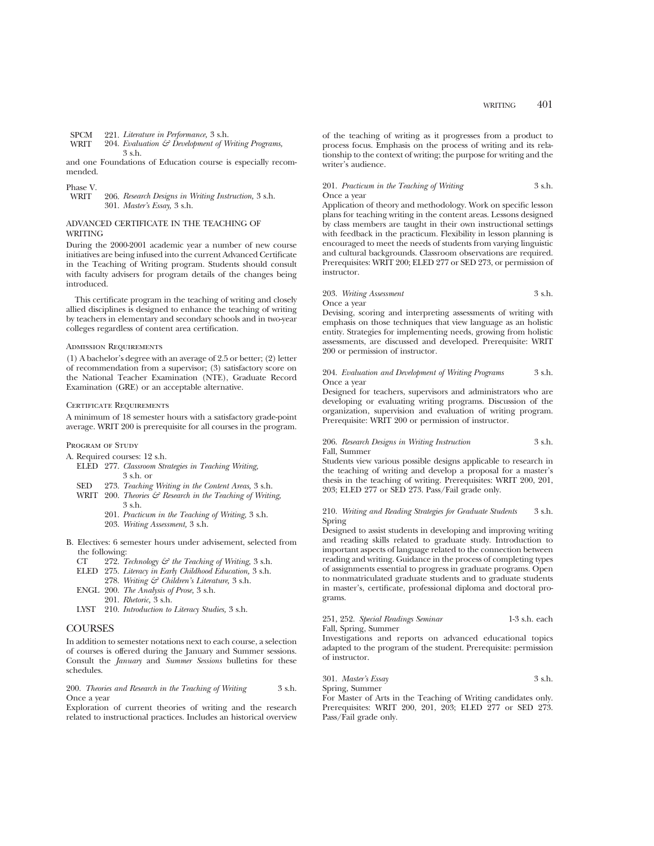```
SPCM 221. Literature in Performance, 3 s.h.<br>WRIT 204. Evaluation & Development of W
```

```
204. Evaluation & Development of Writing Programs,
3 s.h.
```
and one Foundations of Education course is especially recommended.

Phase V.

#### ADVANCED CERTIFICATE IN THE TEACHING OF WRITING

During the 2000-2001 academic year a number of new course initiatives are being infused into the current Advanced Certificate in the Teaching of Writing program. Students should consult with faculty advisers for program details of the changes being introduced.

This certificate program in the teaching of writing and closely allied disciplines is designed to enhance the teaching of writing by teachers in elementary and secondary schools and in two-year colleges regardless of content area certification.

#### Admission Requirements

(1) A bachelor's degree with an average of 2.5 or better; (2) letter of recommendation from a supervisor; (3) satisfactory score on the National Teacher Examination (NTE), Graduate Record Examination (GRE) or an acceptable alternative.

#### CERTIFICATE REQUIREMENTS

A minimum of 18 semester hours with a satisfactory grade-point average. WRIT 200 is prerequisite for all courses in the program.

#### PROGRAM OF STUDY

- A. Required courses: 12 s.h.
	- ELED 277. *Classroom Strategies in Teaching Writing,* 3 s.h. or
	- SED 273. *Teaching Writing in the Content Areas,* 3 s.h.
	- WRIT 200. *Theories & Research in the Teaching of Writing,* 3 s.h.
		- 201. *Practicum in the Teaching of Writing,* 3 s.h.
			- 203. *Writing Assessment,* 3 s.h.
- B. Electives: 6 semester hours under advisement, selected from the following:<br> $CT = 272.7$ 
	- CT 272. *Technology & the Teaching of Writing,* 3 s.h.
	- ELED 275. *Literacy in Early Childhood Education,* 3 s.h.
	- 278. *Writing & Children's Literature,* 3 s.h. ENGL 200. *The Analysis of Prose,* 3 s.h.
		- 201. *Rhetoric,* 3 s.h.
	- LYST 210. *Introduction to Literacy Studies,* 3 s.h.

### **COURSES**

In addition to semester notations next to each course, a selection of courses is offered during the January and Summer sessions. Consult the *January* and *Summer Sessions* bulletins for these schedules.

#### 200. *Theories and Research in the Teaching of Writing* 3 s.h. Once a year

Exploration of current theories of writing and the research related to instructional practices. Includes an historical overview

of the teaching of writing as it progresses from a product to process focus. Emphasis on the process of writing and its relationship to the context of writing; the purpose for writing and the writer's audience.

#### 201. *Practicum in the Teaching of Writing* 3 s.h. Once a year

Application of theory and methodology. Work on specific lesson plans for teaching writing in the content areas. Lessons designed by class members are taught in their own instructional settings with feedback in the practicum. Flexibility in lesson planning is encouraged to meet the needs of students from varying linguistic and cultural backgrounds. Classroom observations are required. Prerequisites: WRIT 200; ELED 277 or SED 273, or permission of instructor.

#### 203. *Writing Assessment* 3 s.h. Once a year

Devising, scoring and interpreting assessments of writing with emphasis on those techniques that view language as an holistic entity. Strategies for implementing needs, growing from holistic assessments, are discussed and developed. Prerequisite: WRIT 200 or permission of instructor.

#### 204. *Evaluation and Development of Writing Programs* 3 s.h. Once a year

Designed for teachers, supervisors and administrators who are developing or evaluating writing programs. Discussion of the organization, supervision and evaluation of writing program. Prerequisite: WRIT 200 or permission of instructor.

#### 206. *Research Designs in Writing Instruction* 3 s.h. Fall, Summer

Students view various possible designs applicable to research in the teaching of writing and develop a proposal for a master's thesis in the teaching of writing. Prerequisites: WRIT 200, 201, 203; ELED 277 or SED 273. Pass/Fail grade only.

#### 210. *Writing and Reading Strategies for Graduate Students* 3 s.h. Spring

Designed to assist students in developing and improving writing and reading skills related to graduate study. Introduction to important aspects of language related to the connection between reading and writing. Guidance in the process of completing types of assignments essential to progress in graduate programs. Open to nonmatriculated graduate students and to graduate students in master's, certificate, professional diploma and doctoral programs.

#### 251, 252. *Special Readings Seminar* 1-3 s.h. each Fall, Spring, Summer

Investigations and reports on advanced educational topics adapted to the program of the student. Prerequisite: permission of instructor.

301. *Master's Essay* 3 s.h.

Spring, Summer For Master of Arts in the Teaching of Writing candidates only. Prerequisites: WRIT 200, 201, 203; ELED 277 or SED 273. Pass/Fail grade only.

<sup>206.</sup> *Research Designs in Writing Instruction*, 3 s.h. 301. *Master's Essay,* 3 s.h.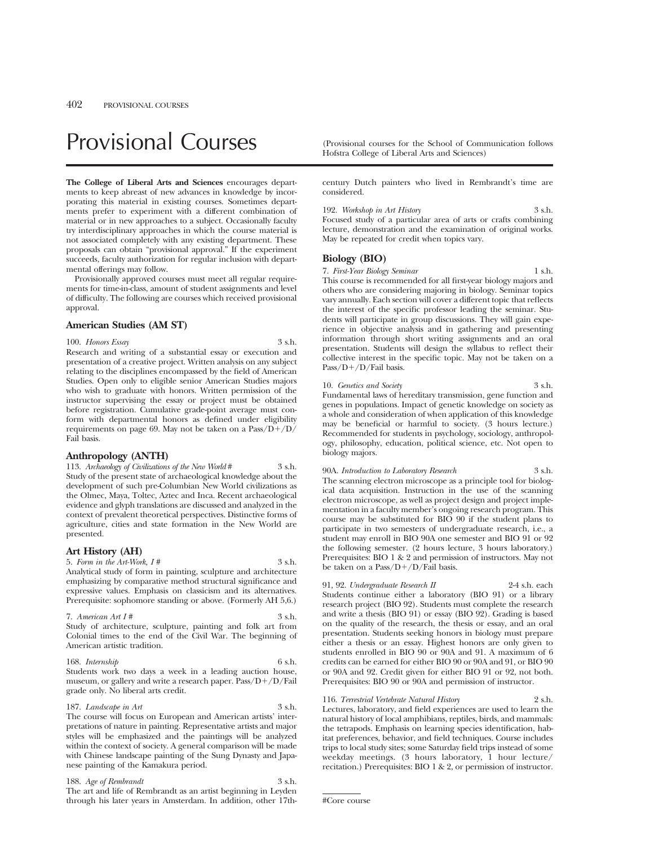# Provisional Courses (Provisional courses for the School of Communication follows

**The College of Liberal Arts and Sciences** encourages departments to keep abreast of new advances in knowledge by incorporating this material in existing courses. Sometimes departments prefer to experiment with a different combination of material or in new approaches to a subject. Occasionally faculty try interdisciplinary approaches in which the course material is not associated completely with any existing department. These proposals can obtain "provisional approval." If the experiment succeeds, faculty authorization for regular inclusion with departmental offerings may follow.

Provisionally approved courses must meet all regular requirements for time-in-class, amount of student assignments and level of difficulty. The following are courses which received provisional approval.

#### **American Studies (AM ST)**

#### 100. *Honors Essay* 3 s.h.

Research and writing of a substantial essay or execution and presentation of a creative project. Written analysis on any subject relating to the disciplines encompassed by the field of American Studies. Open only to eligible senior American Studies majors who wish to graduate with honors. Written permission of the instructor supervising the essay or project must be obtained before registration. Cumulative grade-point average must conform with departmental honors as defined under eligibility requirements on page 69. May not be taken on a  $Pass/D+/D/$ Fail basis.

### **Anthropology (ANTH)**

113. *Archaeology of Civilizations of the New World* # 3 s.h. Study of the present state of archaeological knowledge about the development of such pre-Columbian New World civilizations as the Olmec, Maya, Toltec, Aztec and Inca. Recent archaeological evidence and glyph translations are discussed and analyzed in the context of prevalent theoretical perspectives. Distinctive forms of agriculture, cities and state formation in the New World are presented.

#### **Art History (AH)**

5. *Form in the Art-Work, I #* 3 s.h. Analytical study of form in painting, sculpture and architecture emphasizing by comparative method structural significance and expressive values. Emphasis on classicism and its alternatives. Prerequisite: sophomore standing or above. (Formerly AH 5,6.)

7. *American Art I #* 3 s.h. Study of architecture, sculpture, painting and folk art from

Colonial times to the end of the Civil War. The beginning of American artistic tradition.

#### 168. *Internship* 6 s.h.

Students work two days a week in a leading auction house, museum, or gallery and write a research paper.  $Pass/D+ /D/Fail$ grade only. No liberal arts credit.

#### 187. *Landscape in Art* 3 s.h.

The course will focus on European and American artists' interpretations of nature in painting. Representative artists and major styles will be emphasized and the paintings will be analyzed within the context of society. A general comparison will be made with Chinese landscape painting of the Sung Dynasty and Japanese painting of the Kamakura period.

188. *Age of Rembrandt* 3 s.h. The art and life of Rembrandt as an artist beginning in Leyden through his later years in Amsterdam. In addition, other 17thHofstra College of Liberal Arts and Sciences)

century Dutch painters who lived in Rembrandt's time are considered.

| 192. Workshop in Art History                                   | $3$ s.h. |
|----------------------------------------------------------------|----------|
| Focused study of a particular area of arts or crafts combining |          |
| lecture, demonstration and the examination of original works.  |          |
| May be repeated for credit when topics vary.                   |          |

#### **Biology (BIO)**

7. *First-Year Biology Seminar* 1 s.h. This course is recommended for all first-year biology majors and others who are considering majoring in biology. Seminar topics vary annually. Each section will cover a different topic that reflects the interest of the specific professor leading the seminar. Students will participate in group discussions. They will gain experience in objective analysis and in gathering and presenting information through short writing assignments and an oral presentation. Students will design the syllabus to reflect their collective interest in the specific topic. May not be taken on a Pass/D+/D/Fail basis.

### 10. *Genetics and Society* 3 s.h.

Fundamental laws of hereditary transmission, gene function and genes in populations. Impact of genetic knowledge on society as a whole and consideration of when application of this knowledge may be beneficial or harmful to society. (3 hours lecture.) Recommended for students in psychology, sociology, anthropology, philosophy, education, political science, etc. Not open to biology majors.

90A. *Introduction to Laboratory Research* 3 s.h. The scanning electron microscope as a principle tool for biological data acquisition. Instruction in the use of the scanning electron microscope, as well as project design and project implementation in a faculty member's ongoing research program. This course may be substituted for BIO 90 if the student plans to participate in two semesters of undergraduate research, i.e., a student may enroll in BIO 90A one semester and BIO 91 or 92 the following semester. (2 hours lecture, 3 hours laboratory.) Prerequisites: BIO 1 & 2 and permission of instructors. May not be taken on a Pass/ $D+/D$ /Fail basis.

91, 92. *Undergraduate Research II* 2-4 s.h. each Students continue either a laboratory (BIO 91) or a library research project (BIO 92). Students must complete the research and write a thesis (BIO 91) or essay (BIO 92). Grading is based on the quality of the research, the thesis or essay, and an oral presentation. Students seeking honors in biology must prepare either a thesis or an essay. Highest honors are only given to students enrolled in BIO 90 or 90A and 91. A maximum of 6 credits can be earned for either BIO 90 or 90A and 91, or BIO 90 or 90A and 92. Credit given for either BIO 91 or 92, not both. Prerequisites: BIO 90 or 90A and permission of instructor.

116. *Terrestrial Vertebrate Natural History* 2 s.h. Lectures, laboratory, and field experiences are used to learn the natural history of local amphibians, reptiles, birds, and mammals: the tetrapods. Emphasis on learning species identification, habitat preferences, behavior, and field techniques. Course includes trips to local study sites; some Saturday field trips instead of some weekday meetings. (3 hours laboratory, 1 hour lecture/ recitation.) Prerequisites: BIO 1 & 2, or permission of instructor.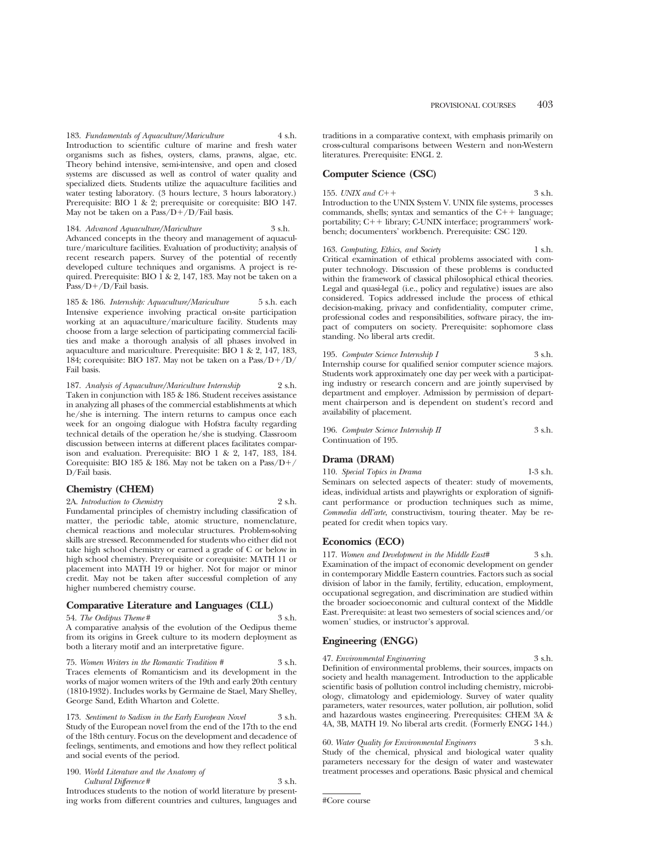183. *Fundamentals of Aquaculture/Mariculture* 4 s.h. Introduction to scientific culture of marine and fresh water organisms such as fishes, oysters, clams, prawns, algae, etc. Theory behind intensive, semi-intensive, and open and closed systems are discussed as well as control of water quality and specialized diets. Students utilize the aquaculture facilities and water testing laboratory. (3 hours lecture, 3 hours laboratory.) Prerequisite: BIO 1 & 2; prerequisite or corequisite: BIO 147. May not be taken on a  $Pass/D+/D/Fail$  basis.

184. *Advanced Aquaculture/Mariculture* 3 s.h. Advanced concepts in the theory and management of aquaculture/mariculture facilities. Evaluation of productivity; analysis of recent research papers. Survey of the potential of recently developed culture techniques and organisms. A project is required. Prerequisite: BIO 1 & 2, 147, 183. May not be taken on a  $Pass/D+/D/Fail basis.$ 

185 & 186. *Internship: Aquaculture/Mariculture* 5 s.h. each Intensive experience involving practical on-site participation working at an aquaculture/mariculture facility. Students may choose from a large selection of participating commercial facilities and make a thorough analysis of all phases involved in aquaculture and mariculture. Prerequisite: BIO 1 & 2, 147, 183, 184; corequisite: BIO 187. May not be taken on a  $Pass/D+/D/$ Fail basis.

187. *Analysis of Aquaculture/Mariculture Internship* 2 s.h. Taken in conjunction with 185 & 186. Student receives assistance in analyzing all phases of the commercial establishments at which he/she is interning. The intern returns to campus once each week for an ongoing dialogue with Hofstra faculty regarding technical details of the operation he/she is studying. Classroom discussion between interns at different places facilitates comparison and evaluation. Prerequisite: BIO  $1 \& 2$ , 147, 183, 184. Corequisite: BIO 185 & 186. May not be taken on a Pass/ $D+/$ D/Fail basis.

### **Chemistry (CHEM)**

2A. *Introduction to Chemistry* 2 s.h.

Fundamental principles of chemistry including classification of matter, the periodic table, atomic structure, nomenclature, chemical reactions and molecular structures. Problem-solving skills are stressed. Recommended for students who either did not take high school chemistry or earned a grade of C or below in high school chemistry. Prerequisite or corequisite: MATH 11 or placement into MATH 19 or higher. Not for major or minor credit. May not be taken after successful completion of any higher numbered chemistry course.

#### **Comparative Literature and Languages (CLL)**

54. *The Oedipus Theme* # 3 s.h.

A comparative analysis of the evolution of the Oedipus theme from its origins in Greek culture to its modern deployment as both a literary motif and an interpretative figure.

75. *Women Writers in the Romantic Tradition #* 3 s.h. Traces elements of Romanticism and its development in the works of major women writers of the 19th and early 20th century (1810-1932). Includes works by Germaine de Stael, Mary Shelley, George Sand, Edith Wharton and Colette.

173. *Sentiment to Sadism in the Early European Novel* 3 s.h. Study of the European novel from the end of the 17th to the end of the 18th century. Focus on the development and decadence of feelings, sentiments, and emotions and how they reflect political and social events of the period.

190. *World Literature and the Anatomy of Cultural Difference* # 3 s.h.

Introduces students to the notion of world literature by presenting works from different countries and cultures, languages and traditions in a comparative context, with emphasis primarily on cross-cultural comparisons between Western and non-Western literatures. Prerequisite: ENGL 2.

### **Computer Science (CSC)**

155. *UNIX and C*++  $\frac{3 \text{ s.h.}}{2}$ Introduction to the UNIX System V. UNIX file systems, processes commands, shells; syntax and semantics of the  $C_{++}$  language; portability;  $C++$  library; C-UNIX interface; programmers' workbench; documenters' workbench. Prerequisite: CSC 120.

163. *Computing, Ethics, and Society* 1 s.h. Critical examination of ethical problems associated with computer technology. Discussion of these problems is conducted within the framework of classical philosophical ethical theories. Legal and quasi-legal (i.e., policy and regulative) issues are also considered. Topics addressed include the process of ethical decision-making, privacy and confidentiality, computer crime, professional codes and responsibilities, software piracy, the impact of computers on society. Prerequisite: sophomore class standing. No liberal arts credit.

195. *Computer Science Internship I* 3 s.h. Internship course for qualified senior computer science majors. Students work approximately one day per week with a participating industry or research concern and are jointly supervised by department and employer. Admission by permission of department chairperson and is dependent on student's record and availability of placement.

| 196. Computer Science Internship II | 3 s.h. |
|-------------------------------------|--------|
| Continuation of 195.                |        |

### **Drama (DRAM)**

110. *Special Topics in Drama* 1-3 s.h. Seminars on selected aspects of theater: study of movements, ideas, individual artists and playwrights or exploration of significant performance or production techniques such as mime, *Commedia dell'arte*, constructivism, touring theater. May be repeated for credit when topics vary.

### **Economics (ECO)**

117. *Women and Development in the Middle East#* 3 s.h. Examination of the impact of economic development on gender in contemporary Middle Eastern countries. Factors such as social division of labor in the family, fertility, education, employment, occupational segregation, and discrimination are studied within the broader socioeconomic and cultural context of the Middle East. Prerequisite: at least two semesters of social sciences and/or women' studies, or instructor's approval.

### **Engineering (ENGG)**

47. *Environmental Engineering* 3 s.h. Definition of environmental problems, their sources, impacts on society and health management. Introduction to the applicable scientific basis of pollution control including chemistry, microbiology, climatology and epidemiology. Survey of water quality parameters, water resources, water pollution, air pollution, solid and hazardous wastes engineering. Prerequisites: CHEM 3A & 4A, 3B, MATH 19. No liberal arts credit. (Formerly ENGG 144.)

60. *Water Quality for Environmental Engineers* 3 s.h. Study of the chemical, physical and biological water quality parameters necessary for the design of water and wastewater treatment processes and operations. Basic physical and chemical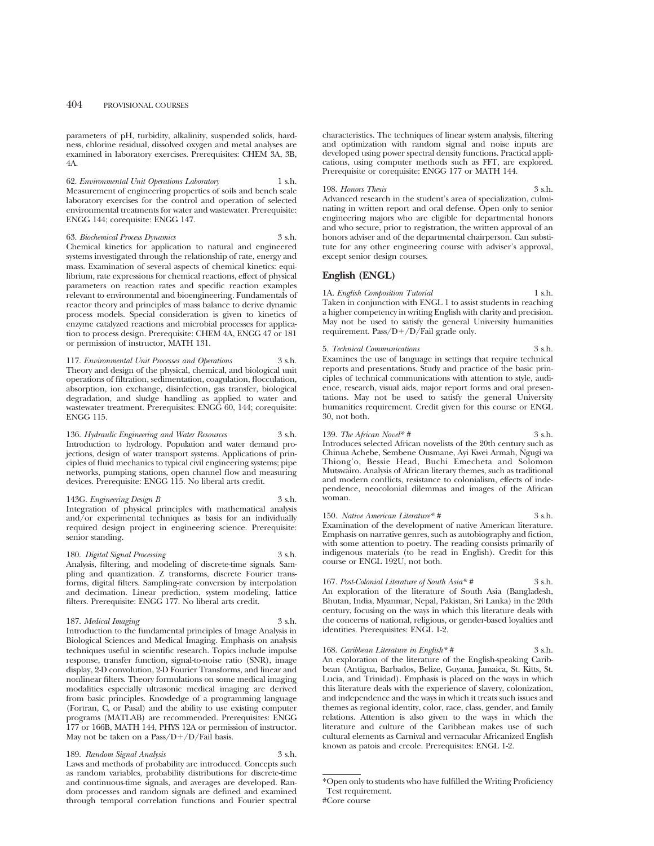parameters of pH, turbidity, alkalinity, suspended solids, hardness, chlorine residual, dissolved oxygen and metal analyses are examined in laboratory exercises. Prerequisites: CHEM 3A, 3B, 4A.

62. *Environmental Unit Operations Laboratory* 1 s.h. Measurement of engineering properties of soils and bench scale laboratory exercises for the control and operation of selected environmental treatments for water and wastewater. Prerequisite: ENGG 144; corequisite: ENGG 147.

63. *Biochemical Process Dynamics* 3 s.h. Chemical kinetics for application to natural and engineered systems investigated through the relationship of rate, energy and mass. Examination of several aspects of chemical kinetics: equilibrium, rate expressions for chemical reactions, effect of physical parameters on reaction rates and specific reaction examples relevant to environmental and bioengineering. Fundamentals of reactor theory and principles of mass balance to derive dynamic process models. Special consideration is given to kinetics of enzyme catalyzed reactions and microbial processes for application to process design. Prerequisite: CHEM 4A, ENGG 47 or 181 or permission of instructor, MATH 131.

117. *Environmental Unit Processes and Operations* 3 s.h. Theory and design of the physical, chemical, and biological unit operations of filtration, sedimentation, coagulation, flocculation, absorption, ion exchange, disinfection, gas transfer, biological degradation, and sludge handling as applied to water and wastewater treatment. Prerequisites: ENGG 60, 144; corequisite: ENGG 115.

136. *Hydraulic Engineering and Water Resources* 3 s.h. Introduction to hydrology. Population and water demand projections, design of water transport systems. Applications of principles of fluid mechanics to typical civil engineering systems; pipe networks, pumping stations, open channel flow and measuring devices. Prerequisite: ENGG 115. No liberal arts credit.

143G. *Engineering Design B* 3 s.h. Integration of physical principles with mathematical analysis and/or experimental techniques as basis for an individually required design project in engineering science. Prerequisite: senior standing.

180. *Digital Signal Processing* 3 s.h. Analysis, filtering, and modeling of discrete-time signals. Sampling and quantization. Z transforms, discrete Fourier transforms, digital filters. Sampling-rate conversion by interpolation and decimation. Linear prediction, system modeling, lattice filters. Prerequisite: ENGG 177. No liberal arts credit.

#### 187. *Medical Imaging* 3 s.h.

Introduction to the fundamental principles of Image Analysis in Biological Sciences and Medical Imaging. Emphasis on analysis techniques useful in scientific research. Topics include impulse response, transfer function, signal-to-noise ratio (SNR), image display, 2-D convolution, 2-D Fourier Transforms, and linear and nonlinear filters. Theory formulations on some medical imaging modalities especially ultrasonic medical imaging are derived from basic principles. Knowledge of a programming language (Fortran, C, or Pasal) and the ability to use existing computer programs (MATLAB) are recommended. Prerequisites: ENGG 177 or 166B, MATH 144, PHYS 12A or permission of instructor. May not be taken on a  $Pass/D+/D/Fall$  basis.

189. *Random Signal Analysis* 3 s.h.

Laws and methods of probability are introduced. Concepts such as random variables, probability distributions for discrete-time and continuous-time signals, and averages are developed. Random processes and random signals are defined and examined through temporal correlation functions and Fourier spectral characteristics. The techniques of linear system analysis, filtering and optimization with random signal and noise inputs are developed using power spectral density functions. Practical applications, using computer methods such as FFT, are explored. Prerequisite or corequisite: ENGG 177 or MATH 144.

198. *Honors Thesis* 3 s.h. Advanced research in the student's area of specialization, culminating in written report and oral defense. Open only to senior engineering majors who are eligible for departmental honors and who secure, prior to registration, the written approval of an honors adviser and of the departmental chairperson. Can substitute for any other engineering course with adviser's approval, except senior design courses.

#### **English (ENGL)**

1A. *English Composition Tutorial* 1 s.h. Taken in conjunction with ENGL 1 to assist students in reaching a higher competency in writing English with clarity and precision. May not be used to satisfy the general University humanities requirement. Pass/ $D+/D/F$ ail grade only.

#### 5. *Technical Communications* 3 s.h.

Examines the use of language in settings that require technical reports and presentations. Study and practice of the basic principles of technical communications with attention to style, audience, research, visual aids, major report forms and oral presentations. May not be used to satisfy the general University humanities requirement. Credit given for this course or ENGL 30, not both.

### 139. *The African Novel\* #* 3 s.h.

Introduces selected African novelists of the 20th century such as Chinua Achebe, Sembene Ousmane, Ayi Kwei Armah, Ngugi wa Thiong'o, Bessie Head, Buchi Emecheta and Solomon Mutswairo. Analysis of African literary themes, such as traditional and modern conflicts, resistance to colonialism, effects of independence, neocolonial dilemmas and images of the African woman.

150. *Native American Literature*\* # 3 s.h. Examination of the development of native American literature. Emphasis on narrative genres, such as autobiography and fiction, with some attention to poetry. The reading consists primarily of indigenous materials (to be read in English). Credit for this course or ENGL 192U, not both.

167. *Post-Colonial Literature of South Asia*\* # 3 s.h. An exploration of the literature of South Asia (Bangladesh, Bhutan, India, Myanmar, Nepal, Pakistan, Sri Lanka) in the 20th century, focusing on the ways in which this literature deals with the concerns of national, religious, or gender-based loyalties and identities. Prerequisites: ENGL 1-2.

168. *Caribbean Literature in English\* #* 3 s.h. An exploration of the literature of the English-speaking Caribbean (Antigua, Barbados, Belize, Guyana, Jamaica, St. Kitts, St. Lucia, and Trinidad). Emphasis is placed on the ways in which this literature deals with the experience of slavery, colonization, and independence and the ways in which it treats such issues and themes as regional identity, color, race, class, gender, and family relations. Attention is also given to the ways in which the literature and culture of the Caribbean makes use of such cultural elements as Carnival and vernacular Africanized English known as patois and creole. Prerequisites: ENGL 1-2.

<sup>\*</sup>Open only to students who have fulfilled the Writing Proficiency Test requirement. #Core course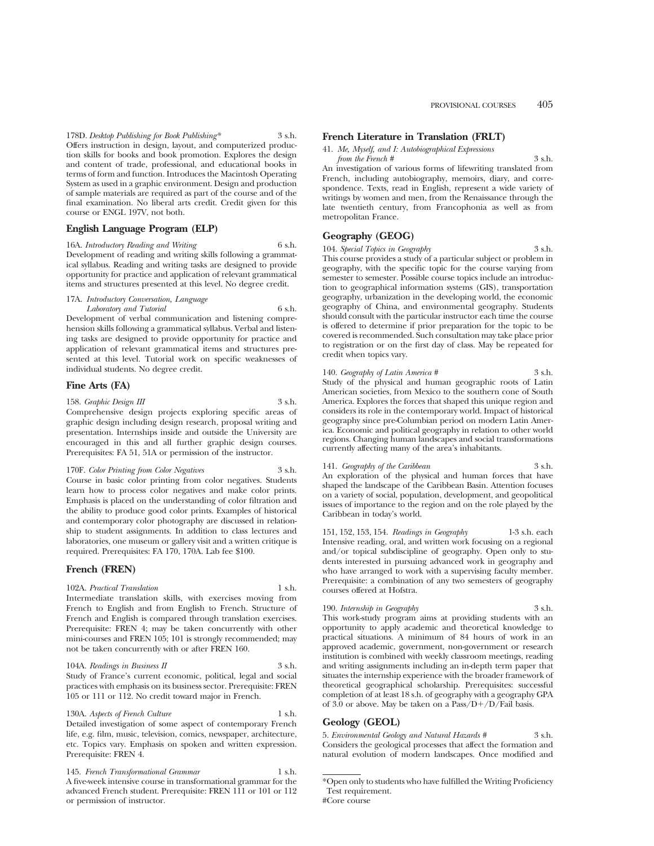178D. *Desktop Publishing for Book Publishing\** 3 s.h. Offers instruction in design, layout, and computerized production skills for books and book promotion. Explores the design and content of trade, professional, and educational books in terms of form and function. Introduces the Macintosh Operating System as used in a graphic environment. Design and production of sample materials are required as part of the course and of the final examination. No liberal arts credit. Credit given for this course or ENGL 197V, not both.

### **English Language Program (ELP)**

16A. *Introductory Reading and Writing* 6 s.h. Development of reading and writing skills following a grammatical syllabus. Reading and writing tasks are designed to provide opportunity for practice and application of relevant grammatical items and structures presented at this level. No degree credit.

#### 17A. *Introductory Conversation, Language Laboratory and Tutorial* 6 s.h.

Development of verbal communication and listening comprehension skills following a grammatical syllabus. Verbal and listening tasks are designed to provide opportunity for practice and application of relevant grammatical items and structures presented at this level. Tutorial work on specific weaknesses of individual students. No degree credit.

#### **Fine Arts (FA)**

158. *Graphic Design III* 3 s.h. Comprehensive design projects exploring specific areas of graphic design including design research, proposal writing and presentation. Internships inside and outside the University are encouraged in this and all further graphic design courses. Prerequisites: FA 51, 51A or permission of the instructor.

#### 170F. *Color Printing from Color Negatives* 3 s.h.

Course in basic color printing from color negatives. Students learn how to process color negatives and make color prints. Emphasis is placed on the understanding of color filtration and the ability to produce good color prints. Examples of historical and contemporary color photography are discussed in relationship to student assignments. In addition to class lectures and laboratories, one museum or gallery visit and a written critique is required. Prerequisites: FA 170, 170A. Lab fee \$100.

### **French (FREN)**

#### 102A. *Practical Translation* 1 s.h.

Intermediate translation skills, with exercises moving from French to English and from English to French. Structure of French and English is compared through translation exercises. Prerequisite: FREN 4; may be taken concurrently with other mini-courses and FREN 105; 101 is strongly recommended; may not be taken concurrently with or after FREN 160.

#### 104A. *Readings in Business II* 3 s.h. Study of France's current economic, political, legal and social practices with emphasis on its business sector. Prerequisite: FREN 105 or 111 or 112. No credit toward major in French.

130A. *Aspects of French Culture* 1 s.h. Detailed investigation of some aspect of contemporary French life, e.g. film, music, television, comics, newspaper, architecture, etc. Topics vary. Emphasis on spoken and written expression. Prerequisite: FREN 4.

145. *French Transformational Grammar* 1 s.h. A five-week intensive course in transformational grammar for the advanced French student. Prerequisite: FREN 111 or 101 or 112 or permission of instructor.

### **French Literature in Translation (FRLT)**

| 41. Me, Myself, and I: Autobiographical Expressions |        |
|-----------------------------------------------------|--------|
| from the French #                                   | 3 s.h. |

An investigation of various forms of lifewriting translated from French, including autobiography, memoirs, diary, and correspondence. Texts, read in English, represent a wide variety of writings by women and men, from the Renaissance through the late twentieth century, from Francophonia as well as from metropolitan France.

### **Geography (GEOG)**

104. *Special Topics in Geography* 3 s.h. This course provides a study of a particular subject or problem in geography, with the specific topic for the course varying from semester to semester. Possible course topics include an introduction to geographical information systems (GIS), transportation geography, urbanization in the developing world, the economic geography of China, and environmental geography. Students should consult with the particular instructor each time the course is offered to determine if prior preparation for the topic to be covered is recommended. Such consultation may take place prior to registration or on the first day of class. May be repeated for credit when topics vary.

140. *Geography of Latin America* # 3 s.h. Study of the physical and human geographic roots of Latin American societies, from Mexico to the southern cone of South America. Explores the forces that shaped this unique region and considers its role in the contemporary world. Impact of historical geography since pre-Columbian period on modern Latin America. Economic and political geography in relation to other world regions. Changing human landscapes and social transformations currently affecting many of the area's inhabitants.

#### 141. *Geography of the Caribbean* 3 s.h.

An exploration of the physical and human forces that have shaped the landscape of the Caribbean Basin. Attention focuses on a variety of social, population, development, and geopolitical issues of importance to the region and on the role played by the Caribbean in today's world.

151, 152, 153, 154. *Readings in Geography* 1-3 s.h. each Intensive reading, oral, and written work focusing on a regional and/or topical subdiscipline of geography. Open only to students interested in pursuing advanced work in geography and who have arranged to work with a supervising faculty member. Prerequisite: a combination of any two semesters of geography courses offered at Hofstra.

190. *Internship in Geography* 3 s.h.

This work-study program aims at providing students with an opportunity to apply academic and theoretical knowledge to practical situations. A minimum of 84 hours of work in an approved academic, government, non-government or research institution is combined with weekly classroom meetings, reading and writing assignments including an in-depth term paper that situates the internship experience with the broader framework of theoretical geographical scholarship. Prerequisites: successful completion of at least 18 s.h. of geography with a geography GPA of 3.0 or above. May be taken on a  $Pass/D+/D/Fall$  basis.

### **Geology (GEOL)**

5. *Environmental Geology and Natural Hazards #* 3 s.h. Considers the geological processes that affect the formation and natural evolution of modern landscapes. Once modified and

<sup>\*</sup>Open only to students who have fulfilled the Writing Proficiency Test requirement. #Core course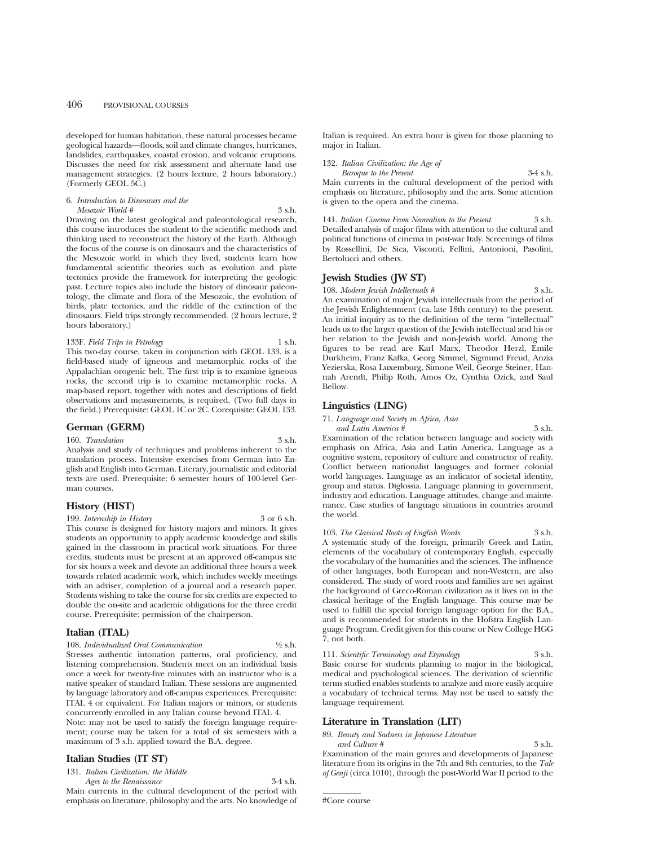developed for human habitation, these natural processes became geological hazards—floods, soil and climate changes, hurricanes, landslides, earthquakes, coastal erosion, and volcanic eruptions. Discusses the need for risk assessment and alternate land use management strategies. (2 hours lecture, 2 hours laboratory.) (Formerly GEOL 5C.)

#### 6. *Introduction to Dinosaurs and the Mesozoic World #* 3 s.h.

Drawing on the latest geological and paleontological research, this course introduces the student to the scientific methods and thinking used to reconstruct the history of the Earth. Although the focus of the course is on dinosaurs and the characteristics of the Mesozoic world in which they lived, students learn how fundamental scientific theories such as evolution and plate tectonics provide the framework for interpreting the geologic past. Lecture topics also include the history of dinosaur paleontology, the climate and flora of the Mesozoic, the evolution of birds, plate tectonics, and the riddle of the extinction of the dinosaurs. Field trips strongly recommended. (2 hours lecture, 2 hours laboratory.)

#### 133F. *Field Trips in Petrology* 1 s.h.

This two-day course, taken in conjunction with GEOL 133, is a field-based study of igneous and metamorphic rocks of the Appalachian orogenic belt. The first trip is to examine igneous rocks, the second trip is to examine metamorphic rocks. A map-based report, together with notes and descriptions of field observations and measurements, is required. (Two full days in the field.) Prerequisite: GEOL 1C or 2C. Corequisite: GEOL 133.

#### **German (GERM)**

#### 160. *Translation* 3 s.h.

Analysis and study of techniques and problems inherent to the translation process. Intensive exercises from German into English and English into German. Literary, journalistic and editorial texts are used. Prerequisite: 6 semester hours of 100-level German courses.

### **History (HIST)**

199. *Internship in History* 3 or 6 s.h.

This course is designed for history majors and minors. It gives students an opportunity to apply academic knowledge and skills gained in the classroom in practical work situations. For three credits, students must be present at an approved off-campus site for six hours a week and devote an additional three hours a week towards related academic work, which includes weekly meetings with an adviser, completion of a journal and a research paper. Students wishing to take the course for six credits are expected to double the on-site and academic obligations for the three credit course. Prerequisite: permission of the chairperson.

#### **Italian (ITAL)**

108. *Individualized Oral Communication* 1⁄2 s.h. Stresses authentic intonation patterns, oral proficiency, and listening comprehension. Students meet on an individual basis once a week for twenty-five minutes with an instructor who is a native speaker of standard Italian. These sessions are augmented by language laboratory and off-campus experiences. Prerequisite: ITAL 4 or equivalent. For Italian majors or minors, or students concurrently enrolled in any Italian course beyond ITAL 4. Note: may not be used to satisfy the foreign language requirement; course may be taken for a total of six semesters with a maximum of 3 s.h. applied toward the B.A. degree.

#### **Italian Studies (IT ST)**

131. *Italian Civilization: the Middle*

*Ages to the Renaissance* 3-4 s.h. Main currents in the cultural development of the period with emphasis on literature, philosophy and the arts. No knowledge of Italian is required. An extra hour is given for those planning to major in Italian.

| 132. Italian Civilization: the Age of                           |            |
|-----------------------------------------------------------------|------------|
| Baroque to the Present                                          | $3-4$ s.h. |
| Main currents in the cultural development of the period with    |            |
| emphasis on literature, philosophy and the arts. Some attention |            |
| is given to the opera and the cinema.                           |            |
|                                                                 |            |

141. *Italian Cinema From Neorealism to the Present* 3 s.h. Detailed analysis of major films with attention to the cultural and political functions of cinema in post-war Italy. Screenings of films by Rossellini, De Sica, Visconti, Fellini, Antonioni, Pasolini, Bertolucci and others.

### **Jewish Studies (JW ST)**

108. *Modern Jewish Intellectuals #* 3 s.h. An examination of major Jewish intellectuals from the period of the Jewish Enlightenment (ca. late 18th century) to the present. An initial inquiry as to the definition of the term "intellectual" leads us to the larger question of the Jewish intellectual and his or her relation to the Jewish and non-Jewish world. Among the figures to be read are Karl Marx, Theodor Herzl, Emile Durkheim, Franz Kafka, Georg Simmel, Sigmund Freud, Anzia Yezierska, Rosa Luxemburg, Simone Weil, George Steiner, Hannah Arendt, Philip Roth, Amos Oz, Cynthia Ozick, and Saul Bellow.

### **Linguistics (LING)**

71. *Language and Society in Africa, Asia and Latin America #* 3 s.h.

Examination of the relation between language and society with emphasis on Africa, Asia and Latin America. Language as a cognitive system, repository of culture and constructor of reality. Conflict between nationalist languages and former colonial world languages. Language as an indicator of societal identity, group and status. Diglossia. Language planning in government, industry and education. Language attitudes, change and maintenance. Case studies of language situations in countries around the world.

103. *The Classical Roots of English Words* 3 s.h. A systematic study of the foreign, primarily Greek and Latin, elements of the vocabulary of contemporary English, especially the vocabulary of the humanities and the sciences. The influence of other languages, both European and non-Western, are also considered. The study of word roots and families are set against the background of Greco-Roman civilization as it lives on in the classical heritage of the English language. This course may be used to fulfill the special foreign language option for the B.A., and is recommended for students in the Hofstra English Language Program. Credit given for this course or New College HGG 7, not both.

111. *Scientific Terminology and Etymology* 3 s.h. Basic course for students planning to major in the biological, medical and pyschological sciences. The derivation of scientific terms studied enables students to analyze and more easily acquire a vocabulary of technical terms. May not be used to satisfy the language requirement.

### **Literature in Translation (LIT)**

89. *Beauty and Sadness in Japanese Literature and Culture* # 3 s.h.

Examination of the main genres and developments of Japanese literature from its origins in the 7th and 8th centuries, to the *Tale of Genji* (circa 1010), through the post-World War II period to the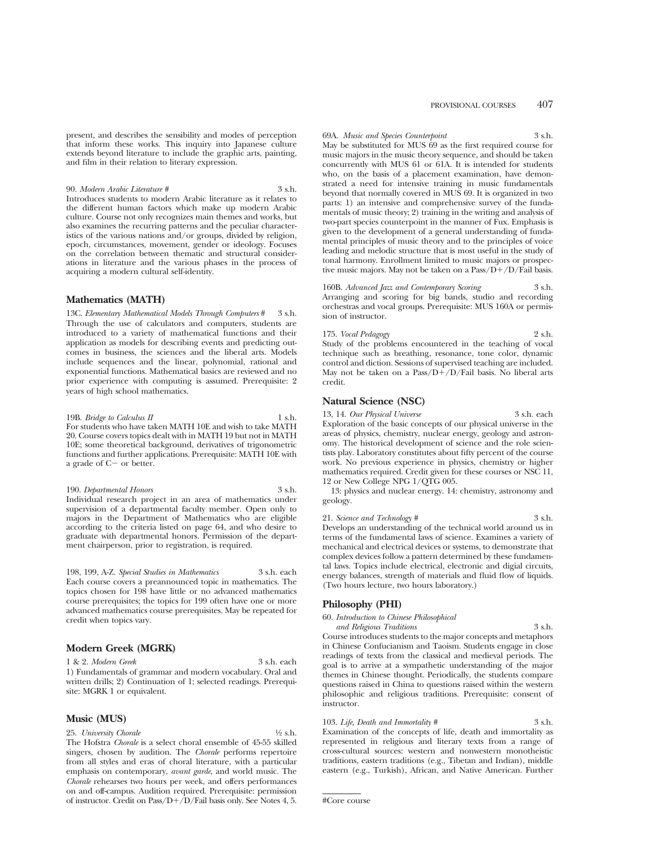present, and describes the sensibility and modes of perception that inform these works. This inquiry into Japanese culture extends beyond literature to include the graphic arts, painting, and film in their relation to literary expression.

90. *Modern Arabic Literature #* 3 s.h. Introduces students to modern Arabic literature as it relates to the different human factors which make up modern Arabic culture. Course not only recognizes main themes and works, but also examines the recurring patterns and the peculiar characteristics of the various nations and/or groups, divided by religion, epoch, circumstances, movement, gender or ideology. Focuses on the correlation between thematic and structural considerations in literature and the various phases in the process of acquiring a modern cultural self-identity.

#### **Mathematics (MATH)**

13C. *Elementary Mathematical Models Through Computers* # 3 s.h. Through the use of calculators and computers, students are introduced to a variety of mathematical functions and their application as models for describing events and predicting outcomes in business, the sciences and the liberal arts. Models include sequences and the linear, polynomial, rational and exponential functions. Mathematical basics are reviewed and no prior experience with computing is assumed. Prerequisite: 2 years of high school mathematics.

19B. *Bridge to Calculus II* 1 s.h. For students who have taken MATH 10E and wish to take MATH 20. Course covers topics dealt with in MATH 19 but not in MATH 10E; some theoretical background, derivatives of trigonometric functions and further applications. Prerequisite: MATH 10E with a grade of  $C-$  or better.

190. *Departmental Honors* 3 s.h. Individual research project in an area of mathematics under supervision of a departmental faculty member. Open only to majors in the Department of Mathematics who are eligible according to the criteria listed on page 64, and who desire to graduate with departmental honors. Permission of the department chairperson, prior to registration, is required.

198, 199, A-Z. *Special Studies in Mathematics* 3 s.h. each Each course covers a preannounced topic in mathematics. The topics chosen for 198 have little or no advanced mathematics course prerequisites; the topics for 199 often have one or more advanced mathematics course prerequisites. May be repeated for credit when topics vary.

#### **Modern Greek (MGRK)**

1 & 2. *Modern Greek* 3 s.h. each

1) Fundamentals of grammar and modern vocabulary. Oral and written drills; 2) Continuation of 1; selected readings. Prerequisite: MGRK 1 or equivalent.

#### **Music (MUS)**

25. *University Chorale* 1/2 s.h.

The Hofstra *Chorale* is a select choral ensemble of 45-55 skilled singers, chosen by audition. The *Chorale* performs repertoire from all styles and eras of choral literature, with a particular emphasis on contemporary, *avant garde*, and world music. The *Chorale* rehearses two hours per week, and offers performances on and off-campus. Audition required. Prerequisite: permission of instructor. Credit on Pass/ $D+/D/F$ ail basis only. See Notes 4, 5.

69A. *Music and Species Counterpoint* 3 s.h. May be substituted for MUS 69 as the first required course for music majors in the music theory sequence, and should be taken concurrently with MUS 61 or 61A. It is intended for students who, on the basis of a placement examination, have demonstrated a need for intensive training in music fundamentals beyond that normally covered in MUS 69. It is organized in two parts: 1) an intensive and comprehensive survey of the fundamentals of music theory; 2) training in the writing and analysis of two-part species counterpoint in the manner of Fux. Emphasis is given to the development of a general understanding of fundamental principles of music theory and to the principles of voice leading and melodic structure that is most useful in the study of tonal harmony. Enrollment limited to music majors or prospective music majors. May not be taken on a Pass/ $D + / D$ /Fail basis.

160B. *Advanced Jazz and Contemporary Scoring* 3 s.h. Arranging and scoring for big bands, studio and recording orchestras and vocal groups. Prerequisite: MUS 160A or permission of instructor.

175. *Vocal Pedagogy* 2 s.h. Study of the problems encountered in the teaching of vocal technique such as breathing, resonance, tone color, dynamic control and diction. Sessions of supervised teaching are included. May not be taken on a Pass/ $D+\overrightarrow{D}/F$ ail basis. No liberal arts credit.

#### **Natural Science (NSC)**

13, 14. *Our Physical Universe* 3 s.h. each Exploration of the basic concepts of our physical universe in the areas of physics, chemistry, nuclear energy, geology and astronomy. The historical development of science and the role scientists play. Laboratory constitutes about fifty percent of the course work. No previous experience in physics, chemistry or higher mathematics required. Credit given for these courses or NSC 11, 12 or New College NPG 1/QTG 005.

13: physics and nuclear energy. 14: chemistry, astronomy and geology.

21. *Science and Technology* # 3 s.h. Develops an understanding of the technical world around us in terms of the fundamental laws of science. Examines a variety of mechanical and electrical devices or systems, to demonstrate that complex devices follow a pattern determined by these fundamental laws. Topics include electrical, electronic and digial circuits, energy balances, strength of materials and fluid flow of liquids. (Two hours lecture, two hours laboratory.)

#### **Philosophy (PHI)**

60. *Introduction to Chinese Philosophical and Religious Traditions* 3 s.h.

Course introduces students to the major concepts and metaphors in Chinese Confucianism and Taoism. Students engage in close readings of texts from the classical and medieval periods. The goal is to arrive at a sympathetic understanding of the major themes in Chinese thought. Periodically, the students compare questions raised in China to questions raised within the western philosophic and religious traditions. Prerequisite: consent of instructor.

### 103. *Life, Death and Immortality* # 3 s.h.

Examination of the concepts of life, death and immortality as represented in religious and literary texts from a range of cross-cultural sources: western and nonwestern monotheistic traditions, eastern traditions (e.g., Tibetan and Indian), middle eastern (e.g., Turkish), African, and Native American. Further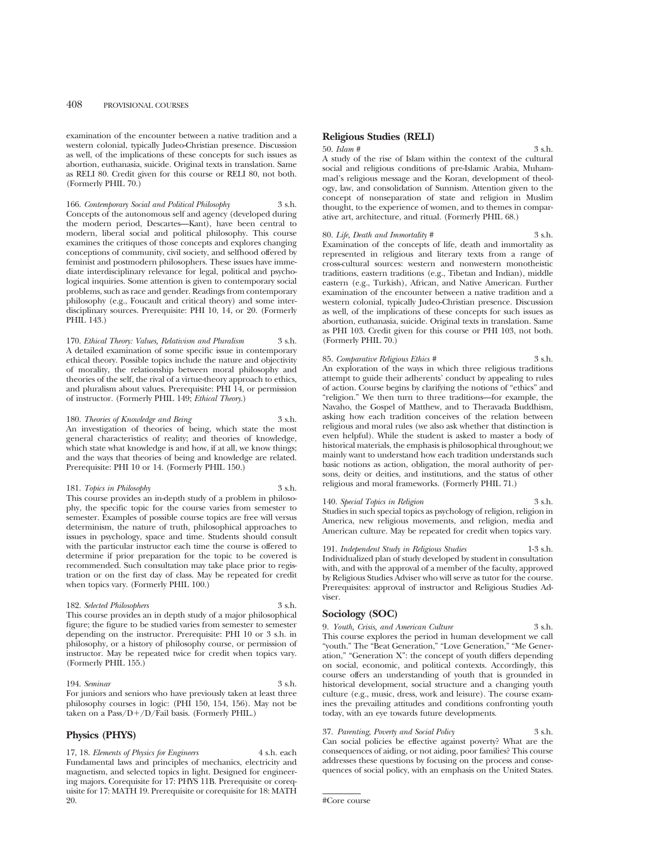examination of the encounter between a native tradition and a western colonial, typically Judeo-Christian presence. Discussion as well, of the implications of these concepts for such issues as abortion, euthanasia, suicide. Original texts in translation. Same as RELI 80. Credit given for this course or RELI 80, not both. (Formerly PHIL 70.)

166. *Contemporary Social and Political Philosophy* 3 s.h. Concepts of the autonomous self and agency (developed during the modern period, Descartes—Kant), have been central to modern, liberal social and political philosophy. This course examines the critiques of those concepts and explores changing conceptions of community, civil society, and selfhood offered by feminist and postmodern philosophers. These issues have immediate interdisciplinary relevance for legal, political and psychological inquiries. Some attention is given to contemporary social problems, such as race and gender. Readings from contemporary philosophy (e.g., Foucault and critical theory) and some interdisciplinary sources. Prerequisite: PHI 10, 14, or 20. (Formerly PHIL 143.)

170. *Ethical Theory: Values, Relativism and Pluralism* 3 s.h. A detailed examination of some specific issue in contemporary ethical theory. Possible topics include the nature and objectivity of morality, the relationship between moral philosophy and theories of the self, the rival of a virtue-theory approach to ethics, and pluralism about values. Prerequisite: PHI 14, or permission of instructor. (Formerly PHIL 149; *Ethical Theory*.)

180. *Theories of Knowledge and Being* 3 s.h. An investigation of theories of being, which state the most general characteristics of reality; and theories of knowledge, which state what knowledge is and how, if at all, we know things; and the ways that theories of being and knowledge are related. Prerequisite: PHI 10 or 14. (Formerly PHIL 150.)

181. *Topics in Philosophy* 3 s.h. This course provides an in-depth study of a problem in philosophy, the specific topic for the course varies from semester to semester. Examples of possible course topics are free will versus determinism, the nature of truth, philosophical approaches to issues in psychology, space and time. Students should consult with the particular instructor each time the course is offered to determine if prior preparation for the topic to be covered is recommended. Such consultation may take place prior to registration or on the first day of class. May be repeated for credit when topics vary. (Formerly PHIL 100.)

#### 182. *Selected Philosophers* 3 s.h.

This course provides an in depth study of a major philosophical figure; the figure to be studied varies from semester to semester depending on the instructor. Prerequisite: PHI 10 or 3 s.h. in philosophy, or a history of philosophy course, or permission of instructor. May be repeated twice for credit when topics vary. (Formerly PHIL 155.)

194. *Seminar* 3 s.h. For juniors and seniors who have previously taken at least three philosophy courses in logic: (PHI 150, 154, 156). May not be taken on a Pass/ $D+/D/F$ ail basis. (Formerly PHIL.)

### **Physics (PHYS)**

17, 18. *Elements of Physics for Engineers* 4 s.h. each Fundamental laws and principles of mechanics, electricity and magnetism, and selected topics in light. Designed for engineering majors. Corequisite for 17: PHYS 11B. Prerequisite or corequisite for 17: MATH 19. Prerequisite or corequisite for 18: MATH 20.

### **Religious Studies (RELI)**

#### 50. *Islam* # 3 s.h.

A study of the rise of Islam within the context of the cultural social and religious conditions of pre-Islamic Arabia, Muhammad's religious message and the Koran, development of theology, law, and consolidation of Sunnism. Attention given to the concept of nonseparation of state and religion in Muslim thought, to the experience of women, and to themes in comparative art, architecture, and ritual. (Formerly PHIL 68.)

#### 80. *Life, Death and Immortality* # 3 s.h.

Examination of the concepts of life, death and immortality as represented in religious and literary texts from a range of cross-cultural sources: western and nonwestern monotheistic traditions, eastern traditions (e.g., Tibetan and Indian), middle eastern (e.g., Turkish), African, and Native American. Further examination of the encounter between a native tradition and a western colonial, typically Judeo-Christian presence. Discussion as well, of the implications of these concepts for such issues as abortion, euthanasia, suicide. Original texts in translation. Same as PHI 103. Credit given for this course or PHI 103, not both. (Formerly PHIL 70.)

#### 85. *Comparative Religious Ethics #* 3 s.h. An exploration of the ways in which three religious traditions

attempt to guide their adherents' conduct by appealing to rules of action. Course begins by clarifying the notions of "ethics" and "religion." We then turn to three traditions—for example, the Navaho, the Gospel of Matthew, and to Theravada Buddhism, asking how each tradition conceives of the relation between religious and moral rules (we also ask whether that distinction is even helpful). While the student is asked to master a body of historical materials, the emphasis is philosophical throughout; we mainly want to understand how each tradition understands such basic notions as action, obligation, the moral authority of persons, deity or deities, and institutions, and the status of other religious and moral frameworks. (Formerly PHIL 71.)

#### 140. *Special Topics in Religion* 3 s.h.

Studies in such special topics as psychology of religion, religion in America, new religious movements, and religion, media and American culture. May be repeated for credit when topics vary.

191. *Independent Study in Religious Studies* 1-3 s.h. Individualized plan of study developed by student in consultation with, and with the approval of a member of the faculty, approved by Religious Studies Adviser who will serve as tutor for the course. Prerequisites: approval of instructor and Religious Studies Adviser.

### **Sociology (SOC)**

#### 9. *Youth, Crisis, and American Culture* 3 s.h. This course explores the period in human development we call "youth." The "Beat Generation," "Love Generation," "Me Generation," "Generation X": the concept of youth differs depending on social, economic, and political contexts. Accordingly, this course offers an understanding of youth that is grounded in historical development, social structure and a changing youth culture (e.g., music, dress, work and leisure). The course examines the prevailing attitudes and conditions confronting youth today, with an eye towards future developments.

#### 37. *Parenting, Poverty and Social Policy* 3 s.h. Can social policies be effective against poverty? What are the consequences of aiding, or not aiding, poor families? This course addresses these questions by focusing on the process and consequences of social policy, with an emphasis on the United States.